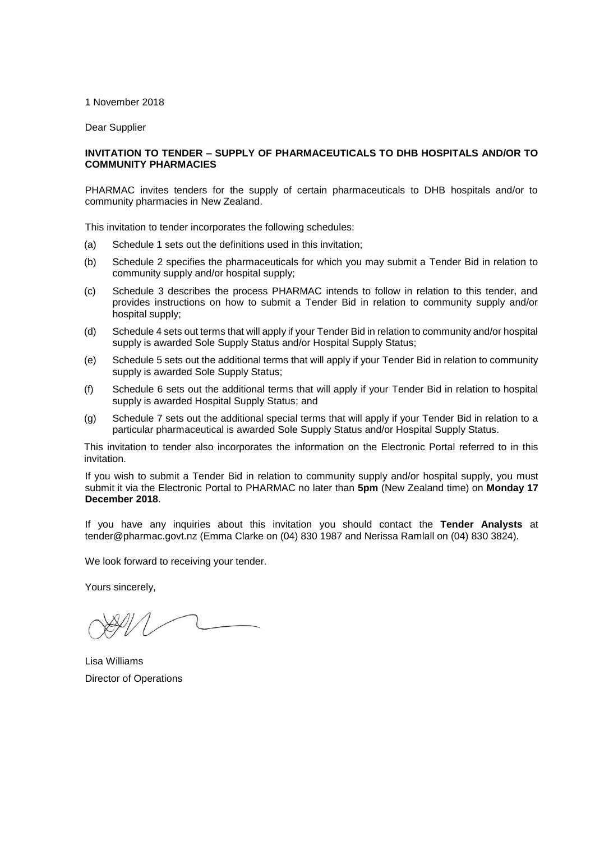#### 1 November 2018

Dear Supplier

#### **INVITATION TO TENDER – SUPPLY OF PHARMACEUTICALS TO DHB HOSPITALS AND/OR TO COMMUNITY PHARMACIES**

PHARMAC invites tenders for the supply of certain pharmaceuticals to DHB hospitals and/or to community pharmacies in New Zealand.

This invitation to tender incorporates the following schedules:

- (a) Schedule 1 sets out the definitions used in this invitation;
- (b) Schedule 2 specifies the pharmaceuticals for which you may submit a Tender Bid in relation to community supply and/or hospital supply;
- (c) Schedule 3 describes the process PHARMAC intends to follow in relation to this tender, and provides instructions on how to submit a Tender Bid in relation to community supply and/or hospital supply;
- (d) Schedule 4 sets out terms that will apply if your Tender Bid in relation to community and/or hospital supply is awarded Sole Supply Status and/or Hospital Supply Status;
- (e) Schedule 5 sets out the additional terms that will apply if your Tender Bid in relation to community supply is awarded Sole Supply Status;
- (f) Schedule 6 sets out the additional terms that will apply if your Tender Bid in relation to hospital supply is awarded Hospital Supply Status; and
- (g) Schedule 7 sets out the additional special terms that will apply if your Tender Bid in relation to a particular pharmaceutical is awarded Sole Supply Status and/or Hospital Supply Status.

This invitation to tender also incorporates the information on the Electronic Portal referred to in this invitation.

If you wish to submit a Tender Bid in relation to community supply and/or hospital supply, you must submit it via the Electronic Portal to PHARMAC no later than **5pm** (New Zealand time) on **Monday 17 December 2018**.

If you have any inquiries about this invitation you should contact the **Tender Analysts** at [tender@pharmac.govt.nz](mailto:tender@pharmac.govt.nz) (Emma Clarke on (04) 830 1987 and Nerissa Ramlall on (04) 830 3824).

We look forward to receiving your tender.

Yours sincerely,

Lisa Williams Director of Operations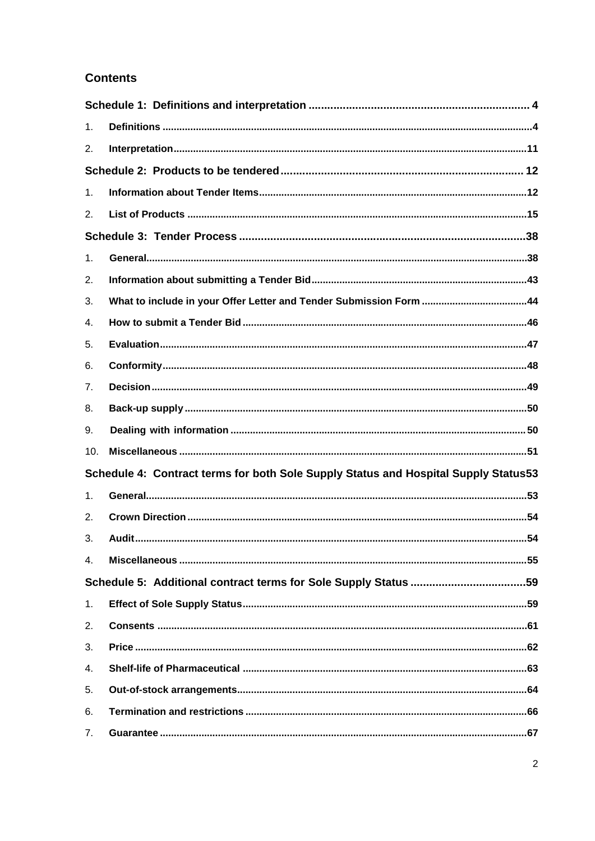# **Contents**

| 1.             |                                                                                     |
|----------------|-------------------------------------------------------------------------------------|
| 2.             |                                                                                     |
|                |                                                                                     |
| 1.             |                                                                                     |
| 2.             |                                                                                     |
|                |                                                                                     |
| 1.             |                                                                                     |
| 2.             |                                                                                     |
| 3.             |                                                                                     |
| 4.             |                                                                                     |
| 5.             |                                                                                     |
| 6.             |                                                                                     |
| 7.             |                                                                                     |
| 8.             |                                                                                     |
| 9.             |                                                                                     |
| 10.            |                                                                                     |
|                | Schedule 4: Contract terms for both Sole Supply Status and Hospital Supply Status53 |
| 1.             |                                                                                     |
| 2.             |                                                                                     |
| 3.             |                                                                                     |
| 4.             |                                                                                     |
|                |                                                                                     |
| 1 <sub>1</sub> |                                                                                     |
| 2.             |                                                                                     |
| 3.             |                                                                                     |
| 4.             |                                                                                     |
| 5.             |                                                                                     |
| 6.             |                                                                                     |
| 7.             |                                                                                     |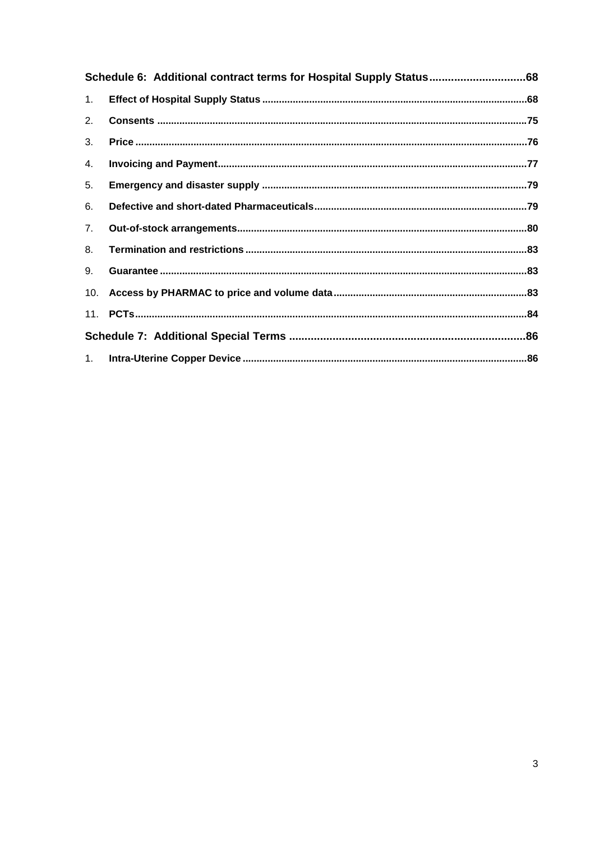| 1.  |  |
|-----|--|
| 2.  |  |
| 3.  |  |
| 4.  |  |
| 5.  |  |
| 6.  |  |
| 7.  |  |
| 8.  |  |
| 9.  |  |
| 10. |  |
|     |  |
|     |  |
|     |  |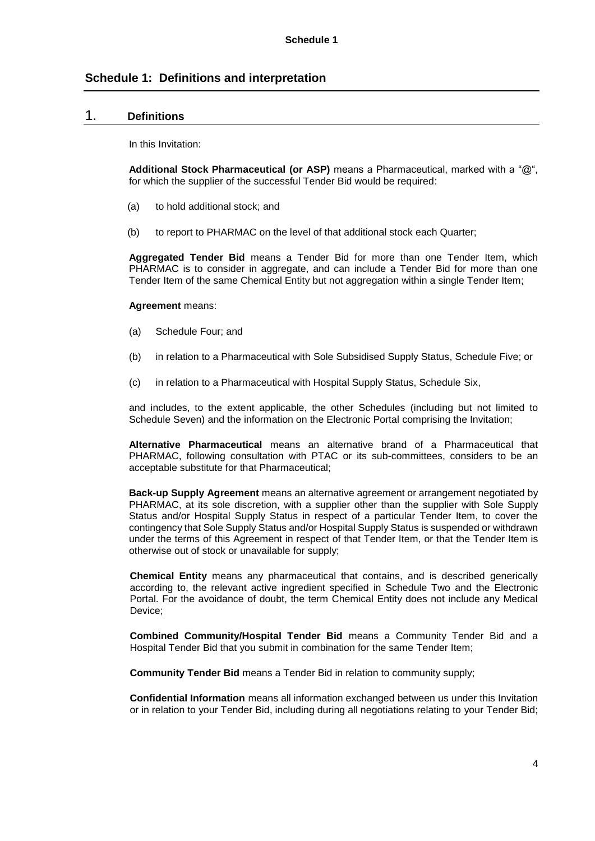# **Schedule 1: Definitions and interpretation**

## 1. **Definitions**

In this Invitation:

**Additional Stock Pharmaceutical (or ASP)** means a Pharmaceutical, marked with a "@", for which the supplier of the successful Tender Bid would be required:

- (a) to hold additional stock; and
- (b) to report to PHARMAC on the level of that additional stock each Quarter;

**Aggregated Tender Bid** means a Tender Bid for more than one Tender Item, which PHARMAC is to consider in aggregate, and can include a Tender Bid for more than one Tender Item of the same Chemical Entity but not aggregation within a single Tender Item;

#### **Agreement** means:

- (a) Schedule Four; and
- (b) in relation to a Pharmaceutical with Sole Subsidised Supply Status, Schedule Five; or
- (c) in relation to a Pharmaceutical with Hospital Supply Status, Schedule Six,

and includes, to the extent applicable, the other Schedules (including but not limited to Schedule Seven) and the information on the Electronic Portal comprising the Invitation;

**Alternative Pharmaceutical** means an alternative brand of a Pharmaceutical that PHARMAC, following consultation with PTAC or its sub-committees, considers to be an acceptable substitute for that Pharmaceutical;

**Back-up Supply Agreement** means an alternative agreement or arrangement negotiated by PHARMAC, at its sole discretion, with a supplier other than the supplier with Sole Supply Status and/or Hospital Supply Status in respect of a particular Tender Item, to cover the contingency that Sole Supply Status and/or Hospital Supply Status is suspended or withdrawn under the terms of this Agreement in respect of that Tender Item, or that the Tender Item is otherwise out of stock or unavailable for supply;

**Chemical Entity** means any pharmaceutical that contains, and is described generically according to, the relevant active ingredient specified in Schedule Two and the Electronic Portal. For the avoidance of doubt, the term Chemical Entity does not include any Medical Device;

**Combined Community/Hospital Tender Bid** means a Community Tender Bid and a Hospital Tender Bid that you submit in combination for the same Tender Item;

**Community Tender Bid** means a Tender Bid in relation to community supply;

**Confidential Information** means all information exchanged between us under this Invitation or in relation to your Tender Bid, including during all negotiations relating to your Tender Bid;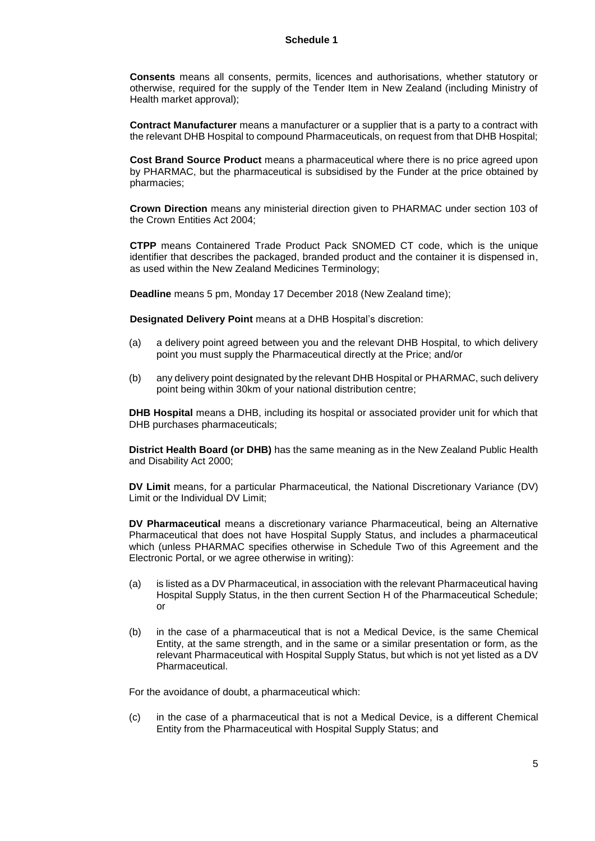#### **Schedule 1**

**Consents** means all consents, permits, licences and authorisations, whether statutory or otherwise, required for the supply of the Tender Item in New Zealand (including Ministry of Health market approval);

**Contract Manufacturer** means a manufacturer or a supplier that is a party to a contract with the relevant DHB Hospital to compound Pharmaceuticals, on request from that DHB Hospital;

**Cost Brand Source Product** means a pharmaceutical where there is no price agreed upon by PHARMAC, but the pharmaceutical is subsidised by the Funder at the price obtained by pharmacies;

**Crown Direction** means any ministerial direction given to PHARMAC under section 103 of the Crown Entities Act 2004;

**CTPP** means Containered Trade Product Pack SNOMED CT code, which is the unique identifier that describes the packaged, branded product and the container it is dispensed in, as used within the New Zealand Medicines Terminology;

**Deadline** means 5 pm, Monday 17 December 2018 (New Zealand time);

**Designated Delivery Point** means at a DHB Hospital's discretion:

- (a) a delivery point agreed between you and the relevant DHB Hospital, to which delivery point you must supply the Pharmaceutical directly at the Price; and/or
- (b) any delivery point designated by the relevant DHB Hospital or PHARMAC, such delivery point being within 30km of your national distribution centre;

**DHB Hospital** means a DHB, including its hospital or associated provider unit for which that DHB purchases pharmaceuticals;

**District Health Board (or DHB)** has the same meaning as in the New Zealand Public Health and Disability Act 2000;

**DV Limit** means, for a particular Pharmaceutical, the National Discretionary Variance (DV) Limit or the Individual DV Limit;

**DV Pharmaceutical** means a discretionary variance Pharmaceutical, being an Alternative Pharmaceutical that does not have Hospital Supply Status, and includes a pharmaceutical which (unless PHARMAC specifies otherwise in Schedule Two of this Agreement and the Electronic Portal, or we agree otherwise in writing):

- (a) is listed as a DV Pharmaceutical, in association with the relevant Pharmaceutical having Hospital Supply Status, in the then current Section H of the Pharmaceutical Schedule; or
- (b) in the case of a pharmaceutical that is not a Medical Device, is the same Chemical Entity, at the same strength, and in the same or a similar presentation or form, as the relevant Pharmaceutical with Hospital Supply Status, but which is not yet listed as a DV Pharmaceutical.

For the avoidance of doubt, a pharmaceutical which:

(c) in the case of a pharmaceutical that is not a Medical Device, is a different Chemical Entity from the Pharmaceutical with Hospital Supply Status; and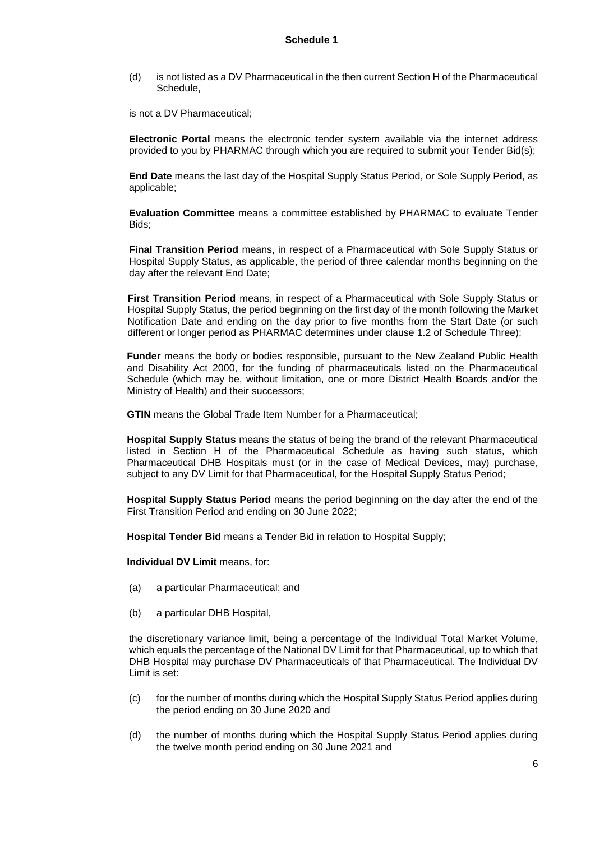(d) is not listed as a DV Pharmaceutical in the then current Section H of the Pharmaceutical Schedule,

is not a DV Pharmaceutical;

**Electronic Portal** means the electronic tender system available via the internet address provided to you by PHARMAC through which you are required to submit your Tender Bid(s);

**End Date** means the last day of the Hospital Supply Status Period, or Sole Supply Period, as applicable;

**Evaluation Committee** means a committee established by PHARMAC to evaluate Tender Bids;

**Final Transition Period** means, in respect of a Pharmaceutical with Sole Supply Status or Hospital Supply Status, as applicable, the period of three calendar months beginning on the day after the relevant End Date;

**First Transition Period** means, in respect of a Pharmaceutical with Sole Supply Status or Hospital Supply Status, the period beginning on the first day of the month following the Market Notification Date and ending on the day prior to five months from the Start Date (or such different or longer period as PHARMAC determines under clause 1.2 of Schedule Three);

**Funder** means the body or bodies responsible, pursuant to the New Zealand Public Health and Disability Act 2000, for the funding of pharmaceuticals listed on the Pharmaceutical Schedule (which may be, without limitation, one or more District Health Boards and/or the Ministry of Health) and their successors;

**GTIN** means the Global Trade Item Number for a Pharmaceutical;

**Hospital Supply Status** means the status of being the brand of the relevant Pharmaceutical listed in Section H of the Pharmaceutical Schedule as having such status, which Pharmaceutical DHB Hospitals must (or in the case of Medical Devices, may) purchase, subject to any DV Limit for that Pharmaceutical, for the Hospital Supply Status Period;

**Hospital Supply Status Period** means the period beginning on the day after the end of the First Transition Period and ending on 30 June 2022;

**Hospital Tender Bid** means a Tender Bid in relation to Hospital Supply;

**Individual DV Limit** means, for:

- (a) a particular Pharmaceutical; and
- (b) a particular DHB Hospital,

the discretionary variance limit, being a percentage of the Individual Total Market Volume, which equals the percentage of the National DV Limit for that Pharmaceutical, up to which that DHB Hospital may purchase DV Pharmaceuticals of that Pharmaceutical. The Individual DV Limit is set:

- (c) for the number of months during which the Hospital Supply Status Period applies during the period ending on 30 June 2020 and
- (d) the number of months during which the Hospital Supply Status Period applies during the twelve month period ending on 30 June 2021 and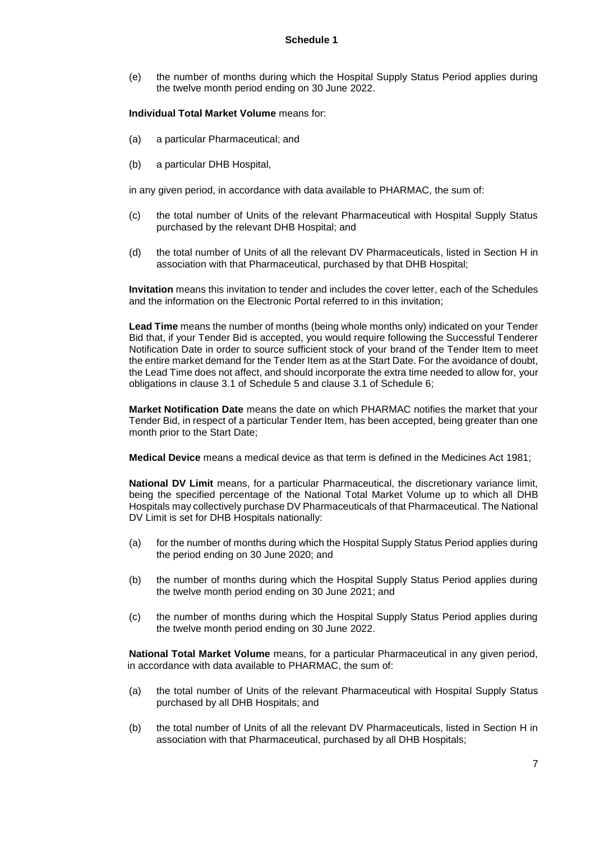#### **Schedule 1**

(e) the number of months during which the Hospital Supply Status Period applies during the twelve month period ending on 30 June 2022.

#### **Individual Total Market Volume** means for:

- (a) a particular Pharmaceutical; and
- (b) a particular DHB Hospital,

in any given period, in accordance with data available to PHARMAC, the sum of:

- (c) the total number of Units of the relevant Pharmaceutical with Hospital Supply Status purchased by the relevant DHB Hospital; and
- (d) the total number of Units of all the relevant DV Pharmaceuticals, listed in Section H in association with that Pharmaceutical, purchased by that DHB Hospital;

**Invitation** means this invitation to tender and includes the cover letter, each of the Schedules and the information on the Electronic Portal referred to in this invitation;

**Lead Time** means the number of months (being whole months only) indicated on your Tender Bid that, if your Tender Bid is accepted, you would require following the Successful Tenderer Notification Date in order to source sufficient stock of your brand of the Tender Item to meet the entire market demand for the Tender Item as at the Start Date. For the avoidance of doubt, the Lead Time does not affect, and should incorporate the extra time needed to allow for, your obligations in clause 3.1 of Schedule 5 and clause 3.1 of Schedule 6;

**Market Notification Date** means the date on which PHARMAC notifies the market that your Tender Bid, in respect of a particular Tender Item, has been accepted, being greater than one month prior to the Start Date;

**Medical Device** means a medical device as that term is defined in the Medicines Act 1981;

**National DV Limit** means, for a particular Pharmaceutical, the discretionary variance limit, being the specified percentage of the National Total Market Volume up to which all DHB Hospitals may collectively purchase DV Pharmaceuticals of that Pharmaceutical. The National DV Limit is set for DHB Hospitals nationally:

- (a) for the number of months during which the Hospital Supply Status Period applies during the period ending on 30 June 2020; and
- (b) the number of months during which the Hospital Supply Status Period applies during the twelve month period ending on 30 June 2021; and
- (c) the number of months during which the Hospital Supply Status Period applies during the twelve month period ending on 30 June 2022.

**National Total Market Volume** means, for a particular Pharmaceutical in any given period, in accordance with data available to PHARMAC, the sum of:

- (a) the total number of Units of the relevant Pharmaceutical with Hospital Supply Status purchased by all DHB Hospitals; and
- (b) the total number of Units of all the relevant DV Pharmaceuticals, listed in Section H in association with that Pharmaceutical, purchased by all DHB Hospitals;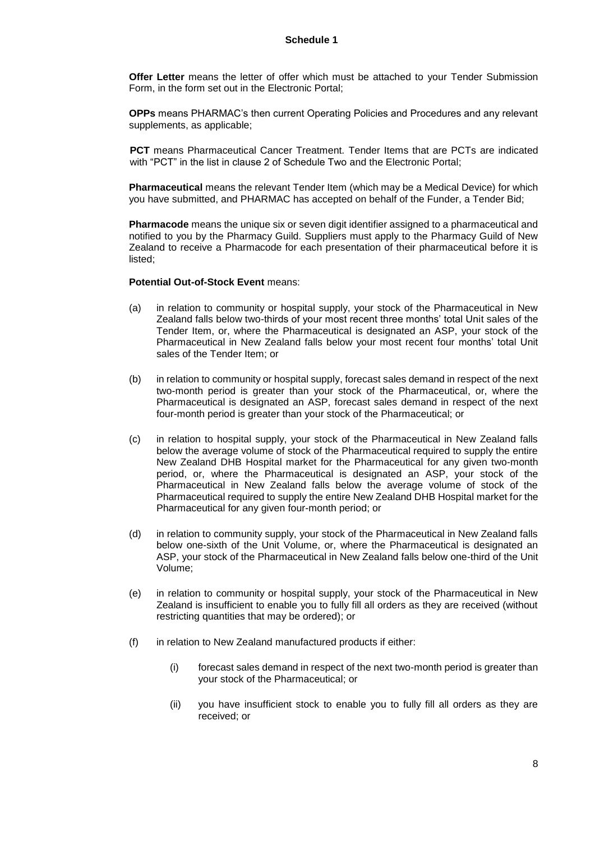**Offer Letter** means the letter of offer which must be attached to your Tender Submission Form, in the form set out in the Electronic Portal;

**OPPs** means PHARMAC's then current Operating Policies and Procedures and any relevant supplements, as applicable;

**PCT** means Pharmaceutical Cancer Treatment. Tender Items that are PCTs are indicated with "PCT" in the list in clause 2 of Schedule Two and the Electronic Portal;

**Pharmaceutical** means the relevant Tender Item (which may be a Medical Device) for which you have submitted, and PHARMAC has accepted on behalf of the Funder, a Tender Bid;

**Pharmacode** means the unique six or seven digit identifier assigned to a pharmaceutical and notified to you by the Pharmacy Guild. Suppliers must apply to the Pharmacy Guild of New Zealand to receive a Pharmacode for each presentation of their pharmaceutical before it is listed;

#### **Potential Out-of-Stock Event** means:

- (a) in relation to community or hospital supply, your stock of the Pharmaceutical in New Zealand falls below two-thirds of your most recent three months' total Unit sales of the Tender Item, or, where the Pharmaceutical is designated an ASP, your stock of the Pharmaceutical in New Zealand falls below your most recent four months' total Unit sales of the Tender Item; or
- (b) in relation to community or hospital supply, forecast sales demand in respect of the next two-month period is greater than your stock of the Pharmaceutical, or, where the Pharmaceutical is designated an ASP, forecast sales demand in respect of the next four-month period is greater than your stock of the Pharmaceutical; or
- (c) in relation to hospital supply, your stock of the Pharmaceutical in New Zealand falls below the average volume of stock of the Pharmaceutical required to supply the entire New Zealand DHB Hospital market for the Pharmaceutical for any given two-month period, or, where the Pharmaceutical is designated an ASP, your stock of the Pharmaceutical in New Zealand falls below the average volume of stock of the Pharmaceutical required to supply the entire New Zealand DHB Hospital market for the Pharmaceutical for any given four-month period; or
- (d) in relation to community supply, your stock of the Pharmaceutical in New Zealand falls below one-sixth of the Unit Volume, or, where the Pharmaceutical is designated an ASP, your stock of the Pharmaceutical in New Zealand falls below one-third of the Unit Volume;
- (e) in relation to community or hospital supply, your stock of the Pharmaceutical in New Zealand is insufficient to enable you to fully fill all orders as they are received (without restricting quantities that may be ordered); or
- (f) in relation to New Zealand manufactured products if either:
	- (i) forecast sales demand in respect of the next two-month period is greater than your stock of the Pharmaceutical; or
	- (ii) you have insufficient stock to enable you to fully fill all orders as they are received; or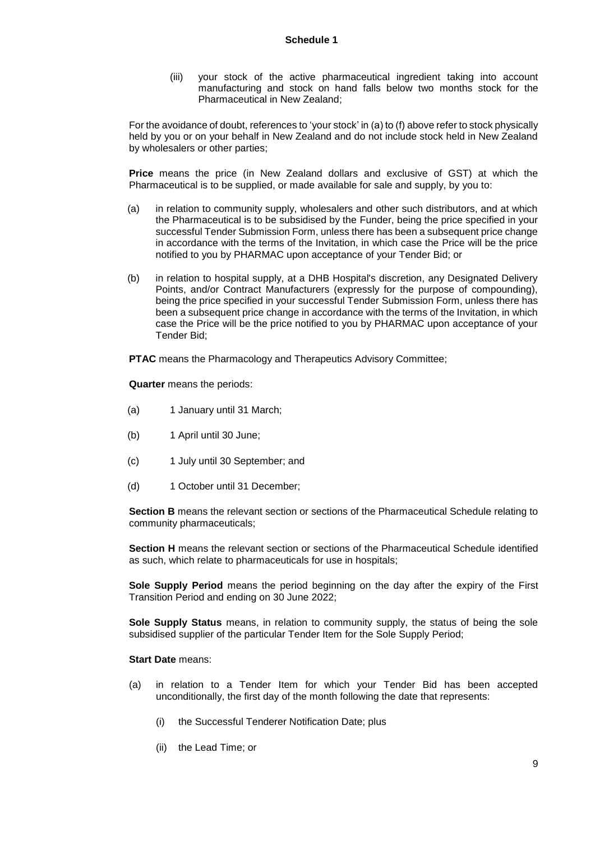(iii) your stock of the active pharmaceutical ingredient taking into account manufacturing and stock on hand falls below two months stock for the Pharmaceutical in New Zealand;

For the avoidance of doubt, references to 'your stock' in (a) to (f) above refer to stock physically held by you or on your behalf in New Zealand and do not include stock held in New Zealand by wholesalers or other parties;

**Price** means the price (in New Zealand dollars and exclusive of GST) at which the Pharmaceutical is to be supplied, or made available for sale and supply, by you to:

- (a) in relation to community supply, wholesalers and other such distributors, and at which the Pharmaceutical is to be subsidised by the Funder, being the price specified in your successful Tender Submission Form, unless there has been a subsequent price change in accordance with the terms of the Invitation, in which case the Price will be the price notified to you by PHARMAC upon acceptance of your Tender Bid; or
- (b) in relation to hospital supply, at a DHB Hospital's discretion, any Designated Delivery Points, and/or Contract Manufacturers (expressly for the purpose of compounding), being the price specified in your successful Tender Submission Form, unless there has been a subsequent price change in accordance with the terms of the Invitation, in which case the Price will be the price notified to you by PHARMAC upon acceptance of your Tender Bid;

**PTAC** means the Pharmacology and Therapeutics Advisory Committee;

**Quarter** means the periods:

- (a) 1 January until 31 March;
- (b) 1 April until 30 June;
- (c) 1 July until 30 September; and
- (d) 1 October until 31 December;

**Section B** means the relevant section or sections of the Pharmaceutical Schedule relating to community pharmaceuticals;

**Section H** means the relevant section or sections of the Pharmaceutical Schedule identified as such, which relate to pharmaceuticals for use in hospitals;

**Sole Supply Period** means the period beginning on the day after the expiry of the First Transition Period and ending on 30 June 2022;

**Sole Supply Status** means, in relation to community supply, the status of being the sole subsidised supplier of the particular Tender Item for the Sole Supply Period;

#### **Start Date** means:

- (a) in relation to a Tender Item for which your Tender Bid has been accepted unconditionally, the first day of the month following the date that represents:
	- (i) the Successful Tenderer Notification Date; plus
	- (ii) the Lead Time; or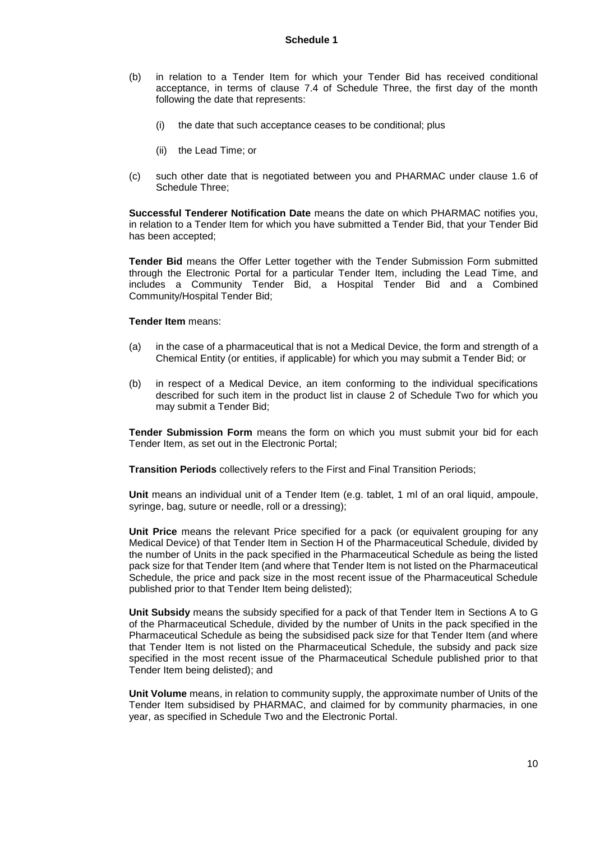- (b) in relation to a Tender Item for which your Tender Bid has received conditional acceptance, in terms of clause 7.4 of Schedule Three, the first day of the month following the date that represents:
	- (i) the date that such acceptance ceases to be conditional; plus
	- (ii) the Lead Time; or
- (c) such other date that is negotiated between you and PHARMAC under clause 1.6 of Schedule Three;

**Successful Tenderer Notification Date** means the date on which PHARMAC notifies you, in relation to a Tender Item for which you have submitted a Tender Bid, that your Tender Bid has been accepted;

**Tender Bid** means the Offer Letter together with the Tender Submission Form submitted through the Electronic Portal for a particular Tender Item, including the Lead Time, and includes a Community Tender Bid, a Hospital Tender Bid and a Combined Community/Hospital Tender Bid;

#### **Tender Item** means:

- (a) in the case of a pharmaceutical that is not a Medical Device, the form and strength of a Chemical Entity (or entities, if applicable) for which you may submit a Tender Bid; or
- (b) in respect of a Medical Device, an item conforming to the individual specifications described for such item in the product list in clause 2 of Schedule Two for which you may submit a Tender Bid;

**Tender Submission Form** means the form on which you must submit your bid for each Tender Item, as set out in the Electronic Portal;

**Transition Periods** collectively refers to the First and Final Transition Periods;

**Unit** means an individual unit of a Tender Item (e.g. tablet, 1 ml of an oral liquid, ampoule, syringe, bag, suture or needle, roll or a dressing);

**Unit Price** means the relevant Price specified for a pack (or equivalent grouping for any Medical Device) of that Tender Item in Section H of the Pharmaceutical Schedule, divided by the number of Units in the pack specified in the Pharmaceutical Schedule as being the listed pack size for that Tender Item (and where that Tender Item is not listed on the Pharmaceutical Schedule, the price and pack size in the most recent issue of the Pharmaceutical Schedule published prior to that Tender Item being delisted);

**Unit Subsidy** means the subsidy specified for a pack of that Tender Item in Sections A to G of the Pharmaceutical Schedule, divided by the number of Units in the pack specified in the Pharmaceutical Schedule as being the subsidised pack size for that Tender Item (and where that Tender Item is not listed on the Pharmaceutical Schedule, the subsidy and pack size specified in the most recent issue of the Pharmaceutical Schedule published prior to that Tender Item being delisted); and

**Unit Volume** means, in relation to community supply, the approximate number of Units of the Tender Item subsidised by PHARMAC, and claimed for by community pharmacies, in one year, as specified in Schedule Two and the Electronic Portal.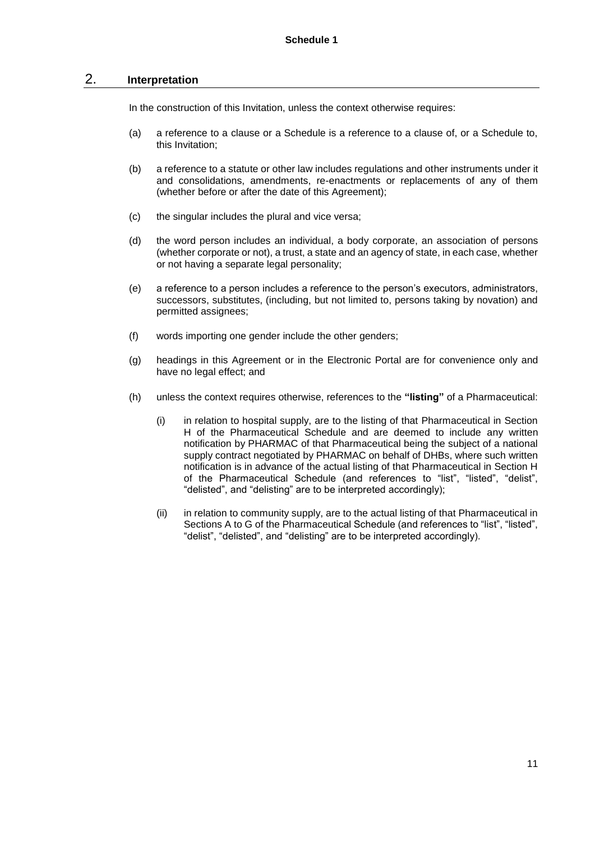## 2. **Interpretation**

In the construction of this Invitation, unless the context otherwise requires:

- (a) a reference to a clause or a Schedule is a reference to a clause of, or a Schedule to, this Invitation;
- (b) a reference to a statute or other law includes regulations and other instruments under it and consolidations, amendments, re-enactments or replacements of any of them (whether before or after the date of this Agreement);
- (c) the singular includes the plural and vice versa;
- (d) the word person includes an individual, a body corporate, an association of persons (whether corporate or not), a trust, a state and an agency of state, in each case, whether or not having a separate legal personality;
- (e) a reference to a person includes a reference to the person's executors, administrators, successors, substitutes, (including, but not limited to, persons taking by novation) and permitted assignees;
- (f) words importing one gender include the other genders;
- (g) headings in this Agreement or in the Electronic Portal are for convenience only and have no legal effect; and
- (h) unless the context requires otherwise, references to the **"listing"** of a Pharmaceutical:
	- (i) in relation to hospital supply, are to the listing of that Pharmaceutical in Section H of the Pharmaceutical Schedule and are deemed to include any written notification by PHARMAC of that Pharmaceutical being the subject of a national supply contract negotiated by PHARMAC on behalf of DHBs, where such written notification is in advance of the actual listing of that Pharmaceutical in Section H of the Pharmaceutical Schedule (and references to "list", "listed", "delist", "delisted", and "delisting" are to be interpreted accordingly);
	- (ii) in relation to community supply, are to the actual listing of that Pharmaceutical in Sections A to G of the Pharmaceutical Schedule (and references to "list", "listed", "delist", "delisted", and "delisting" are to be interpreted accordingly).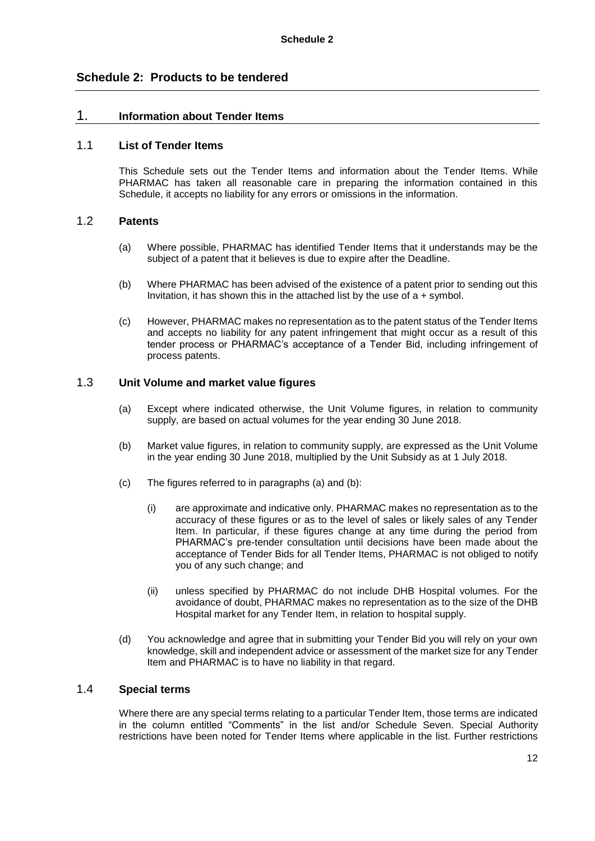# **Schedule 2: Products to be tendered**

# 1. **Information about Tender Items**

## 1.1 **List of Tender Items**

This Schedule sets out the Tender Items and information about the Tender Items. While PHARMAC has taken all reasonable care in preparing the information contained in this Schedule, it accepts no liability for any errors or omissions in the information.

## 1.2 **Patents**

- (a) Where possible, PHARMAC has identified Tender Items that it understands may be the subject of a patent that it believes is due to expire after the Deadline.
- (b) Where PHARMAC has been advised of the existence of a patent prior to sending out this Invitation, it has shown this in the attached list by the use of  $a +$  symbol.
- (c) However, PHARMAC makes no representation as to the patent status of the Tender Items and accepts no liability for any patent infringement that might occur as a result of this tender process or PHARMAC's acceptance of a Tender Bid, including infringement of process patents.

# 1.3 **Unit Volume and market value figures**

- (a) Except where indicated otherwise, the Unit Volume figures, in relation to community supply, are based on actual volumes for the year ending 30 June 2018.
- (b) Market value figures, in relation to community supply, are expressed as the Unit Volume in the year ending 30 June 2018, multiplied by the Unit Subsidy as at 1 July 2018.
- (c) The figures referred to in paragraphs (a) and (b):
	- (i) are approximate and indicative only. PHARMAC makes no representation as to the accuracy of these figures or as to the level of sales or likely sales of any Tender Item. In particular, if these figures change at any time during the period from PHARMAC's pre-tender consultation until decisions have been made about the acceptance of Tender Bids for all Tender Items, PHARMAC is not obliged to notify you of any such change; and
	- (ii) unless specified by PHARMAC do not include DHB Hospital volumes. For the avoidance of doubt, PHARMAC makes no representation as to the size of the DHB Hospital market for any Tender Item, in relation to hospital supply.
- (d) You acknowledge and agree that in submitting your Tender Bid you will rely on your own knowledge, skill and independent advice or assessment of the market size for any Tender Item and PHARMAC is to have no liability in that regard.

## 1.4 **Special terms**

Where there are any special terms relating to a particular Tender Item, those terms are indicated in the column entitled "Comments" in the list and/or Schedule Seven. Special Authority restrictions have been noted for Tender Items where applicable in the list. Further restrictions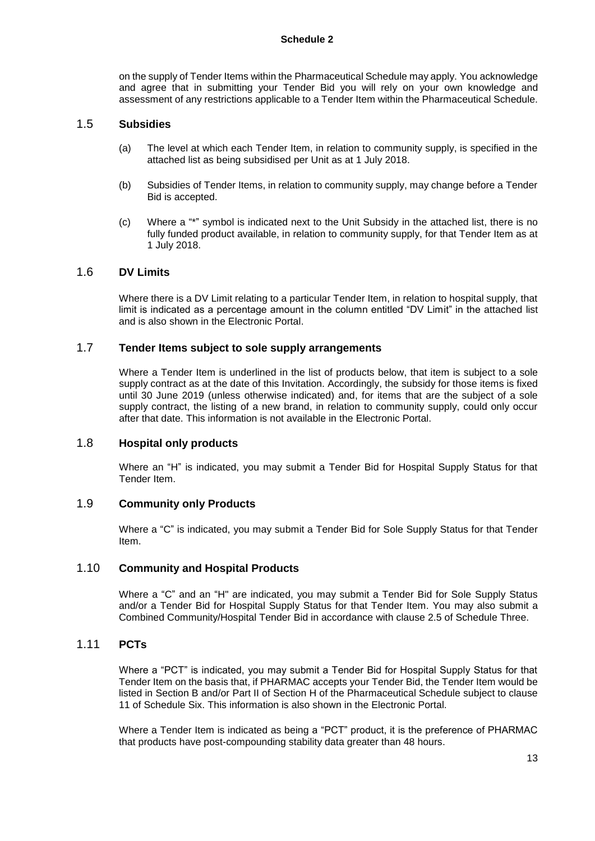#### **Schedule 2**

on the supply of Tender Items within the Pharmaceutical Schedule may apply. You acknowledge and agree that in submitting your Tender Bid you will rely on your own knowledge and assessment of any restrictions applicable to a Tender Item within the Pharmaceutical Schedule.

#### 1.5 **Subsidies**

- (a) The level at which each Tender Item, in relation to community supply, is specified in the attached list as being subsidised per Unit as at 1 July 2018.
- (b) Subsidies of Tender Items, in relation to community supply, may change before a Tender Bid is accepted.
- (c) Where a "\*" symbol is indicated next to the Unit Subsidy in the attached list, there is no fully funded product available, in relation to community supply, for that Tender Item as at 1 July 2018.

#### 1.6 **DV Limits**

Where there is a DV Limit relating to a particular Tender Item, in relation to hospital supply, that limit is indicated as a percentage amount in the column entitled "DV Limit" in the attached list and is also shown in the Electronic Portal.

# 1.7 **Tender Items subject to sole supply arrangements**

Where a Tender Item is underlined in the list of products below, that item is subject to a sole supply contract as at the date of this Invitation. Accordingly, the subsidy for those items is fixed until 30 June 2019 (unless otherwise indicated) and, for items that are the subject of a sole supply contract, the listing of a new brand, in relation to community supply, could only occur after that date. This information is not available in the Electronic Portal.

### 1.8 **Hospital only products**

Where an "H" is indicated, you may submit a Tender Bid for Hospital Supply Status for that Tender Item.

# 1.9 **Community only Products**

Where a "C" is indicated, you may submit a Tender Bid for Sole Supply Status for that Tender Item.

## 1.10 **Community and Hospital Products**

Where a "C" and an "H" are indicated, you may submit a Tender Bid for Sole Supply Status and/or a Tender Bid for Hospital Supply Status for that Tender Item. You may also submit a Combined Community/Hospital Tender Bid in accordance with clause 2.5 of Schedule Three.

# 1.11 **PCTs**

Where a "PCT" is indicated, you may submit a Tender Bid for Hospital Supply Status for that Tender Item on the basis that, if PHARMAC accepts your Tender Bid, the Tender Item would be listed in Section B and/or Part II of Section H of the Pharmaceutical Schedule subject to clause 11 of Schedule Six. This information is also shown in the Electronic Portal.

Where a Tender Item is indicated as being a "PCT" product, it is the preference of PHARMAC that products have post-compounding stability data greater than 48 hours.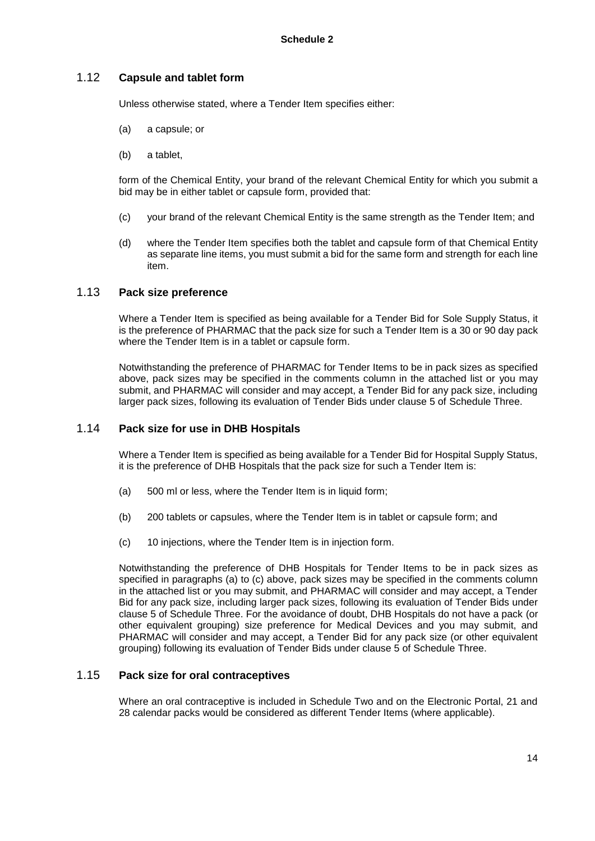# 1.12 **Capsule and tablet form**

Unless otherwise stated, where a Tender Item specifies either:

- (a) a capsule; or
- (b) a tablet,

form of the Chemical Entity, your brand of the relevant Chemical Entity for which you submit a bid may be in either tablet or capsule form, provided that:

- (c) your brand of the relevant Chemical Entity is the same strength as the Tender Item; and
- (d) where the Tender Item specifies both the tablet and capsule form of that Chemical Entity as separate line items, you must submit a bid for the same form and strength for each line item.

# 1.13 **Pack size preference**

Where a Tender Item is specified as being available for a Tender Bid for Sole Supply Status, it is the preference of PHARMAC that the pack size for such a Tender Item is a 30 or 90 day pack where the Tender Item is in a tablet or capsule form.

Notwithstanding the preference of PHARMAC for Tender Items to be in pack sizes as specified above, pack sizes may be specified in the comments column in the attached list or you may submit, and PHARMAC will consider and may accept, a Tender Bid for any pack size, including larger pack sizes, following its evaluation of Tender Bids under clause 5 of Schedule Three.

# 1.14 **Pack size for use in DHB Hospitals**

Where a Tender Item is specified as being available for a Tender Bid for Hospital Supply Status, it is the preference of DHB Hospitals that the pack size for such a Tender Item is:

- (a) 500 ml or less, where the Tender Item is in liquid form;
- (b) 200 tablets or capsules, where the Tender Item is in tablet or capsule form; and
- (c) 10 injections, where the Tender Item is in injection form.

Notwithstanding the preference of DHB Hospitals for Tender Items to be in pack sizes as specified in paragraphs (a) to (c) above, pack sizes may be specified in the comments column in the attached list or you may submit, and PHARMAC will consider and may accept, a Tender Bid for any pack size, including larger pack sizes, following its evaluation of Tender Bids under clause 5 of Schedule Three. For the avoidance of doubt, DHB Hospitals do not have a pack (or other equivalent grouping) size preference for Medical Devices and you may submit, and PHARMAC will consider and may accept, a Tender Bid for any pack size (or other equivalent grouping) following its evaluation of Tender Bids under clause 5 of Schedule Three.

## 1.15 **Pack size for oral contraceptives**

Where an oral contraceptive is included in Schedule Two and on the Electronic Portal, 21 and 28 calendar packs would be considered as different Tender Items (where applicable).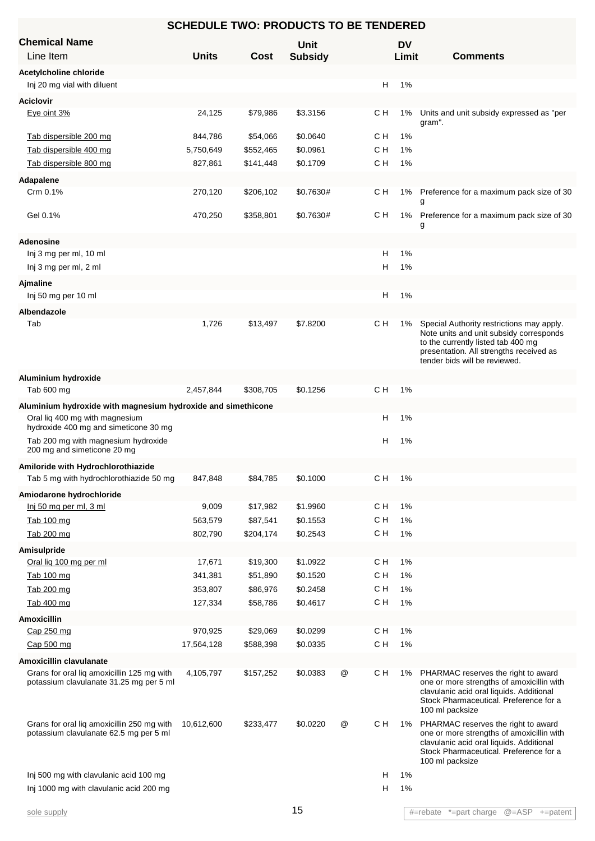| <b>SCHEDULE TWO: PRODUCTS TO BE TENDERED</b>                                          |              |             |                        |   |     |                    |                                                                                                                                                                                                        |  |  |
|---------------------------------------------------------------------------------------|--------------|-------------|------------------------|---|-----|--------------------|--------------------------------------------------------------------------------------------------------------------------------------------------------------------------------------------------------|--|--|
| <b>Chemical Name</b><br>Line Item                                                     | <b>Units</b> | <b>Cost</b> | Unit<br><b>Subsidy</b> |   |     | <b>DV</b><br>Limit | <b>Comments</b>                                                                                                                                                                                        |  |  |
| Acetylcholine chloride                                                                |              |             |                        |   |     |                    |                                                                                                                                                                                                        |  |  |
| Inj 20 mg vial with diluent                                                           |              |             |                        |   | н   | 1%                 |                                                                                                                                                                                                        |  |  |
| <b>Aciclovir</b>                                                                      |              |             |                        |   |     |                    |                                                                                                                                                                                                        |  |  |
| Eye oint 3%                                                                           | 24,125       | \$79,986    | \$3.3156               |   | с н | 1%                 | Units and unit subsidy expressed as "per<br>gram".                                                                                                                                                     |  |  |
| Tab dispersible 200 mg                                                                | 844,786      | \$54,066    | \$0.0640               |   | с н | 1%                 |                                                                                                                                                                                                        |  |  |
| Tab dispersible 400 mg                                                                | 5,750,649    | \$552,465   | \$0.0961               |   | C H | 1%                 |                                                                                                                                                                                                        |  |  |
| Tab dispersible 800 mg                                                                | 827,861      | \$141,448   | \$0.1709               |   | C H | 1%                 |                                                                                                                                                                                                        |  |  |
| Adapalene                                                                             |              |             |                        |   |     |                    |                                                                                                                                                                                                        |  |  |
| Crm 0.1%                                                                              | 270,120      | \$206,102   | \$0.7630#              |   | с н |                    | 1% Preference for a maximum pack size of 30<br>g                                                                                                                                                       |  |  |
| Gel 0.1%                                                                              | 470,250      | \$358,801   | \$0.7630#              |   | с н | 1%                 | Preference for a maximum pack size of 30<br>g                                                                                                                                                          |  |  |
| <b>Adenosine</b>                                                                      |              |             |                        |   |     |                    |                                                                                                                                                                                                        |  |  |
| Inj 3 mg per ml, 10 ml                                                                |              |             |                        |   | н   | 1%                 |                                                                                                                                                                                                        |  |  |
| Inj 3 mg per ml, 2 ml                                                                 |              |             |                        |   | н   | 1%                 |                                                                                                                                                                                                        |  |  |
| <b>Ajmaline</b>                                                                       |              |             |                        |   |     |                    |                                                                                                                                                                                                        |  |  |
| Inj 50 mg per 10 ml                                                                   |              |             |                        |   | н   | 1%                 |                                                                                                                                                                                                        |  |  |
| Albendazole                                                                           |              |             |                        |   |     |                    |                                                                                                                                                                                                        |  |  |
| Tab                                                                                   | 1,726        | \$13,497    | \$7.8200               |   | C H | 1%                 | Special Authority restrictions may apply.<br>Note units and unit subsidy corresponds<br>to the currently listed tab 400 mg<br>presentation. All strengths received as<br>tender bids will be reviewed. |  |  |
| Aluminium hydroxide                                                                   |              |             |                        |   |     |                    |                                                                                                                                                                                                        |  |  |
| Tab 600 mg                                                                            | 2,457,844    | \$308,705   | \$0.1256               |   | C H | 1%                 |                                                                                                                                                                                                        |  |  |
| Aluminium hydroxide with magnesium hydroxide and simethicone                          |              |             |                        |   |     |                    |                                                                                                                                                                                                        |  |  |
| Oral liq 400 mg with magnesium<br>hydroxide 400 mg and simeticone 30 mg               |              |             |                        |   | н   | 1%                 |                                                                                                                                                                                                        |  |  |
| Tab 200 mg with magnesium hydroxide<br>200 mg and simeticone 20 mg                    |              |             |                        |   | н   | 1%                 |                                                                                                                                                                                                        |  |  |
| Amiloride with Hydrochlorothiazide                                                    |              |             |                        |   |     |                    |                                                                                                                                                                                                        |  |  |
| Tab 5 mg with hydrochlorothiazide 50 mg                                               | 847,848      | \$84,785    | \$0.1000               |   | C H | 1%                 |                                                                                                                                                                                                        |  |  |
| Amiodarone hydrochloride                                                              |              |             |                        |   |     |                    |                                                                                                                                                                                                        |  |  |
| Inj 50 mg per ml, 3 ml                                                                | 9,009        | \$17,982    | \$1.9960               |   | C H | 1%                 |                                                                                                                                                                                                        |  |  |
| Tab 100 mg                                                                            | 563,579      | \$87,541    | \$0.1553               |   | C H | 1%                 |                                                                                                                                                                                                        |  |  |
| Tab 200 mg                                                                            | 802,790      | \$204,174   | \$0.2543               |   | C H | 1%                 |                                                                                                                                                                                                        |  |  |
| Amisulpride                                                                           |              |             |                        |   |     |                    |                                                                                                                                                                                                        |  |  |
| Oral lig 100 mg per ml                                                                | 17,671       | \$19,300    | \$1.0922               |   | C H | 1%                 |                                                                                                                                                                                                        |  |  |
| Tab 100 mg                                                                            | 341,381      | \$51,890    | \$0.1520               |   | C H | 1%                 |                                                                                                                                                                                                        |  |  |
| Tab 200 mg                                                                            | 353,807      | \$86,976    | \$0.2458               |   | C H | 1%                 |                                                                                                                                                                                                        |  |  |
| Tab 400 mg                                                                            | 127,334      | \$58,786    | \$0.4617               |   | C H | 1%                 |                                                                                                                                                                                                        |  |  |
| <b>Amoxicillin</b>                                                                    |              |             |                        |   |     |                    |                                                                                                                                                                                                        |  |  |
| Cap 250 mg                                                                            | 970,925      | \$29,069    | \$0.0299               |   | C H | 1%                 |                                                                                                                                                                                                        |  |  |
| Cap 500 mg                                                                            | 17,564,128   | \$588,398   | \$0.0335               |   | C H | 1%                 |                                                                                                                                                                                                        |  |  |
| Amoxicillin clavulanate                                                               |              |             |                        |   |     |                    |                                                                                                                                                                                                        |  |  |
| Grans for oral lig amoxicillin 125 mg with<br>potassium clavulanate 31.25 mg per 5 ml | 4,105,797    | \$157,252   | \$0.0383               | @ | C H | 1%                 | PHARMAC reserves the right to award<br>one or more strengths of amoxicillin with<br>clavulanic acid oral liquids. Additional<br>Stock Pharmaceutical. Preference for a<br>100 ml packsize              |  |  |
| Grans for oral liq amoxicillin 250 mg with<br>potassium clavulanate 62.5 mg per 5 ml  | 10,612,600   | \$233,477   | \$0.0220               | @ | C H | 1%                 | PHARMAC reserves the right to award<br>one or more strengths of amoxicillin with<br>clavulanic acid oral liquids. Additional<br>Stock Pharmaceutical. Preference for a<br>100 ml packsize              |  |  |
| Inj 500 mg with clavulanic acid 100 mg                                                |              |             |                        |   | н   | 1%                 |                                                                                                                                                                                                        |  |  |
| Inj 1000 mg with clavulanic acid 200 mg                                               |              |             |                        |   | н   | 1%                 |                                                                                                                                                                                                        |  |  |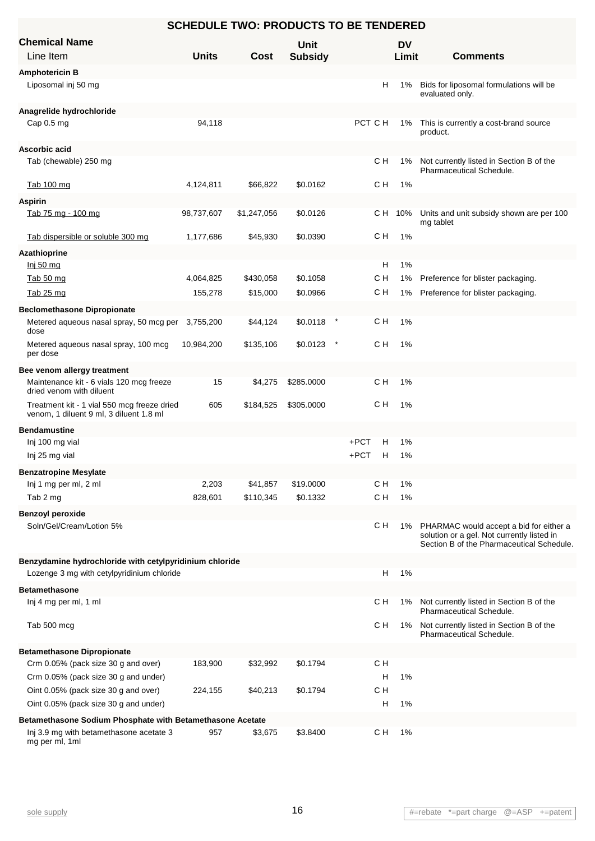| <b>SCHEDULE TWO: PRODUCTS TO BE TENDERED</b>                            |              |             |                        |         |                    |                                                                                                                                    |  |  |  |
|-------------------------------------------------------------------------|--------------|-------------|------------------------|---------|--------------------|------------------------------------------------------------------------------------------------------------------------------------|--|--|--|
| <b>Chemical Name</b><br>Line Item                                       | <b>Units</b> | Cost        | Unit<br><b>Subsidy</b> |         | <b>DV</b><br>Limit | <b>Comments</b>                                                                                                                    |  |  |  |
| <b>Amphotericin B</b>                                                   |              |             |                        |         |                    |                                                                                                                                    |  |  |  |
| Liposomal inj 50 mg                                                     |              |             |                        |         | H<br>1%            | Bids for liposomal formulations will be<br>evaluated only.                                                                         |  |  |  |
| Anagrelide hydrochloride                                                |              |             |                        |         |                    |                                                                                                                                    |  |  |  |
| Cap $0.5$ mg                                                            | 94,118       |             |                        | PCT C H | 1%                 | This is currently a cost-brand source<br>product.                                                                                  |  |  |  |
| Ascorbic acid                                                           |              |             |                        |         |                    |                                                                                                                                    |  |  |  |
| Tab (chewable) 250 mg                                                   |              |             |                        | cн      | 1%                 | Not currently listed in Section B of the<br><b>Pharmaceutical Schedule.</b>                                                        |  |  |  |
| Tab 100 mg                                                              | 4,124,811    | \$66,822    | \$0.0162               | с н     | 1%                 |                                                                                                                                    |  |  |  |
| <b>Aspirin</b>                                                          |              |             |                        |         |                    |                                                                                                                                    |  |  |  |
| Tab 75 mg - 100 mg                                                      | 98,737,607   | \$1,247,056 | \$0.0126               | C H     | 10%                | Units and unit subsidy shown are per 100<br>mg tablet                                                                              |  |  |  |
| Tab dispersible or soluble 300 mg                                       | 1,177,686    | \$45,930    | \$0.0390               | с н     | 1%                 |                                                                                                                                    |  |  |  |
| Azathioprine<br>Inj 50 mg                                               |              |             |                        |         | н<br>1%            |                                                                                                                                    |  |  |  |
| Tab 50 mg                                                               | 4,064,825    | \$430,058   | \$0.1058               | CН      | 1%                 | Preference for blister packaging.                                                                                                  |  |  |  |
| Tab 25 mg                                                               | 155,278      | \$15,000    | \$0.0966               | с н     | 1%                 | Preference for blister packaging.                                                                                                  |  |  |  |
| <b>Beclomethasone Dipropionate</b>                                      |              |             |                        |         |                    |                                                                                                                                    |  |  |  |
| Metered aqueous nasal spray, 50 mcg per 3,755,200<br>dose               |              | \$44,124    | \$0.0118               | C H     | 1%                 |                                                                                                                                    |  |  |  |
| Metered aqueous nasal spray, 100 mcg<br>per dose                        | 10,984,200   | \$135,106   | \$0.0123               | с н     | 1%                 |                                                                                                                                    |  |  |  |
| Bee venom allergy treatment                                             |              |             |                        |         |                    |                                                                                                                                    |  |  |  |
| Maintenance kit - 6 vials 120 mcg freeze                                | 15           | \$4,275     | \$285.0000             | с н     | 1%                 |                                                                                                                                    |  |  |  |
| dried venom with diluent<br>Treatment kit - 1 vial 550 mcg freeze dried | 605          | \$184,525   | \$305.0000             | с н     | 1%                 |                                                                                                                                    |  |  |  |
| venom, 1 diluent 9 ml, 3 diluent 1.8 ml                                 |              |             |                        |         |                    |                                                                                                                                    |  |  |  |
| <b>Bendamustine</b>                                                     |              |             |                        |         |                    |                                                                                                                                    |  |  |  |
| Inj 100 mg vial                                                         |              |             |                        | $+PCT$  | н<br>1%            |                                                                                                                                    |  |  |  |
| Inj 25 mg vial                                                          |              |             |                        | $+PCT$  | н<br>1%            |                                                                                                                                    |  |  |  |
| <b>Benzatropine Mesylate</b>                                            |              |             |                        |         |                    |                                                                                                                                    |  |  |  |
| Inj 1 mg per ml, 2 ml                                                   | 2,203        | \$41,857    | \$19.0000              | C H     | 1%                 |                                                                                                                                    |  |  |  |
| Tab 2 mg                                                                | 828,601      | \$110,345   | \$0.1332               | C H     | 1%                 |                                                                                                                                    |  |  |  |
| <b>Benzoyl peroxide</b>                                                 |              |             |                        |         |                    |                                                                                                                                    |  |  |  |
| Soln/Gel/Cream/Lotion 5%                                                |              |             |                        | с н     | 1%                 | PHARMAC would accept a bid for either a<br>solution or a gel. Not currently listed in<br>Section B of the Pharmaceutical Schedule. |  |  |  |
| Benzydamine hydrochloride with cetylpyridinium chloride                 |              |             |                        |         |                    |                                                                                                                                    |  |  |  |
| Lozenge 3 mg with cetylpyridinium chloride                              |              |             |                        |         | н<br>1%            |                                                                                                                                    |  |  |  |
| <b>Betamethasone</b>                                                    |              |             |                        |         |                    |                                                                                                                                    |  |  |  |
| Inj 4 mg per ml, 1 ml                                                   |              |             |                        | с н     | 1%                 | Not currently listed in Section B of the<br>Pharmaceutical Schedule.                                                               |  |  |  |
| Tab 500 mcg                                                             |              |             |                        | с н     | 1%                 | Not currently listed in Section B of the<br><b>Pharmaceutical Schedule.</b>                                                        |  |  |  |
| <b>Betamethasone Dipropionate</b>                                       |              |             |                        |         |                    |                                                                                                                                    |  |  |  |
| Crm 0.05% (pack size 30 g and over)                                     | 183,900      | \$32,992    | \$0.1794               | C H     |                    |                                                                                                                                    |  |  |  |
| Crm 0.05% (pack size 30 g and under)                                    |              |             |                        |         | н<br>1%            |                                                                                                                                    |  |  |  |
| Oint 0.05% (pack size 30 g and over)                                    | 224,155      | \$40,213    | \$0.1794               | C H     |                    |                                                                                                                                    |  |  |  |
| Oint 0.05% (pack size 30 g and under)                                   |              |             |                        |         | н<br>1%            |                                                                                                                                    |  |  |  |
| Betamethasone Sodium Phosphate with Betamethasone Acetate               |              |             |                        |         |                    |                                                                                                                                    |  |  |  |
| Inj 3.9 mg with betamethasone acetate 3<br>mg per ml, 1ml               | 957          | \$3,675     | \$3.8400               | C H     | 1%                 |                                                                                                                                    |  |  |  |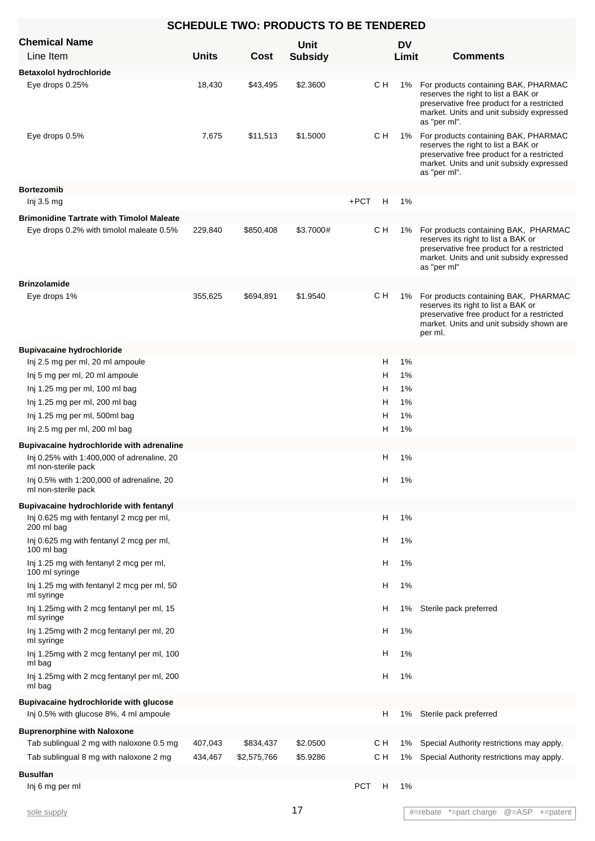| <b>SCHEDULE TWO: PRODUCTS TO BE TENDERED</b>                                            |              |             |                |            |     |           |                                                                                                                                                                                       |  |
|-----------------------------------------------------------------------------------------|--------------|-------------|----------------|------------|-----|-----------|---------------------------------------------------------------------------------------------------------------------------------------------------------------------------------------|--|
| <b>Chemical Name</b>                                                                    |              |             | <b>Unit</b>    |            |     | <b>DV</b> |                                                                                                                                                                                       |  |
| Line Item                                                                               | <b>Units</b> | Cost        | <b>Subsidy</b> |            |     | Limit     | <b>Comments</b>                                                                                                                                                                       |  |
| <b>Betaxolol hydrochloride</b>                                                          |              |             |                |            |     |           |                                                                                                                                                                                       |  |
| Eye drops 0.25%                                                                         | 18,430       | \$43,495    | \$2.3600       |            | C H | 1%        | For products containing BAK, PHARMAC<br>reserves the right to list a BAK or<br>preservative free product for a restricted<br>market. Units and unit subsidy expressed<br>as "per ml". |  |
| Eye drops 0.5%                                                                          | 7,675        | \$11,513    | \$1.5000       |            | C H | 1%        | For products containing BAK, PHARMAC<br>reserves the right to list a BAK or<br>preservative free product for a restricted<br>market. Units and unit subsidy expressed<br>as "per ml". |  |
| <b>Bortezomib</b>                                                                       |              |             |                |            |     |           |                                                                                                                                                                                       |  |
| Inj 3.5 mg                                                                              |              |             |                | $+PCT$     | H   | 1%        |                                                                                                                                                                                       |  |
| <b>Brimonidine Tartrate with Timolol Maleate</b>                                        |              |             |                |            |     |           |                                                                                                                                                                                       |  |
| Eye drops 0.2% with timolol maleate 0.5%                                                | 229,840      | \$850,408   | \$3.7000#      |            | CН  | 1%        | For products containing BAK, PHARMAC<br>reserves its right to list a BAK or<br>preservative free product for a restricted<br>market. Units and unit subsidy expressed<br>as "per ml"  |  |
| <b>Brinzolamide</b>                                                                     |              |             |                |            |     |           |                                                                                                                                                                                       |  |
| Eye drops 1%                                                                            | 355,625      | \$694,891   | \$1.9540       |            | CН  | 1%        | For products containing BAK, PHARMAC<br>reserves its right to list a BAK or<br>preservative free product for a restricted<br>market. Units and unit subsidy shown are<br>per ml.      |  |
| <b>Bupivacaine hydrochloride</b>                                                        |              |             |                |            |     |           |                                                                                                                                                                                       |  |
| Inj 2.5 mg per ml, 20 ml ampoule                                                        |              |             |                |            | н   | 1%        |                                                                                                                                                                                       |  |
| Inj 5 mg per ml, 20 ml ampoule                                                          |              |             |                |            | Н   | 1%        |                                                                                                                                                                                       |  |
| Inj 1.25 mg per ml, 100 ml bag                                                          |              |             |                |            | н   | 1%        |                                                                                                                                                                                       |  |
| Inj 1.25 mg per ml, 200 ml bag                                                          |              |             |                |            | н   | 1%        |                                                                                                                                                                                       |  |
| Inj 1.25 mg per ml, 500ml bag                                                           |              |             |                |            | н   | 1%        |                                                                                                                                                                                       |  |
| Inj 2.5 mg per ml, 200 ml bag                                                           |              |             |                |            | н   | 1%        |                                                                                                                                                                                       |  |
| Bupivacaine hydrochloride with adrenaline<br>Inj 0.25% with 1:400,000 of adrenaline, 20 |              |             |                |            | н   | 1%        |                                                                                                                                                                                       |  |
| ml non-sterile pack<br>Inj 0.5% with 1:200,000 of adrenaline, 20                        |              |             |                |            | н   | 1%        |                                                                                                                                                                                       |  |
| ml non-sterile pack                                                                     |              |             |                |            |     |           |                                                                                                                                                                                       |  |
| <b>Bupivacaine hydrochloride with fentanyl</b>                                          |              |             |                |            |     |           |                                                                                                                                                                                       |  |
| Inj 0.625 mg with fentanyl 2 mcg per ml,<br>200 ml bag                                  |              |             |                |            | н   | 1%        |                                                                                                                                                                                       |  |
| Inj 0.625 mg with fentanyl 2 mcg per ml,<br>100 ml bag                                  |              |             |                |            | н   | 1%        |                                                                                                                                                                                       |  |
| Inj 1.25 mg with fentanyl 2 mcg per ml,<br>100 ml syringe                               |              |             |                |            | н   | 1%        |                                                                                                                                                                                       |  |
| Inj 1.25 mg with fentanyl 2 mcg per ml, 50<br>ml syringe                                |              |             |                |            | н   | 1%        |                                                                                                                                                                                       |  |
| Inj 1.25mg with 2 mcg fentanyl per ml, 15<br>ml syringe                                 |              |             |                |            | н   | 1%        | Sterile pack preferred                                                                                                                                                                |  |
| Inj 1.25mg with 2 mcg fentanyl per ml, 20<br>ml syringe                                 |              |             |                |            | н   | 1%        |                                                                                                                                                                                       |  |
| Inj 1.25mg with 2 mcg fentanyl per ml, 100<br>ml bag                                    |              |             |                |            | н   | 1%        |                                                                                                                                                                                       |  |
| Inj 1.25mg with 2 mcg fentanyl per ml, 200<br>ml bag                                    |              |             |                |            | н   | 1%        |                                                                                                                                                                                       |  |
| Bupivacaine hydrochloride with glucose                                                  |              |             |                |            |     |           |                                                                                                                                                                                       |  |
| Inj 0.5% with glucose 8%, 4 ml ampoule                                                  |              |             |                |            | н   | 1%        | Sterile pack preferred                                                                                                                                                                |  |
| <b>Buprenorphine with Naloxone</b>                                                      |              |             |                |            |     |           |                                                                                                                                                                                       |  |
| Tab sublingual 2 mg with naloxone 0.5 mg                                                | 407,043      | \$834,437   | \$2.0500       |            | cн  | 1%        | Special Authority restrictions may apply.                                                                                                                                             |  |
| Tab sublingual 8 mg with naloxone 2 mg                                                  | 434,467      | \$2,575,766 | \$5.9286       |            | C H | 1%        | Special Authority restrictions may apply.                                                                                                                                             |  |
| <b>Busulfan</b>                                                                         |              |             |                |            |     |           |                                                                                                                                                                                       |  |
| Inj 6 mg per ml                                                                         |              |             |                | <b>PCT</b> | H   | $1\%$     |                                                                                                                                                                                       |  |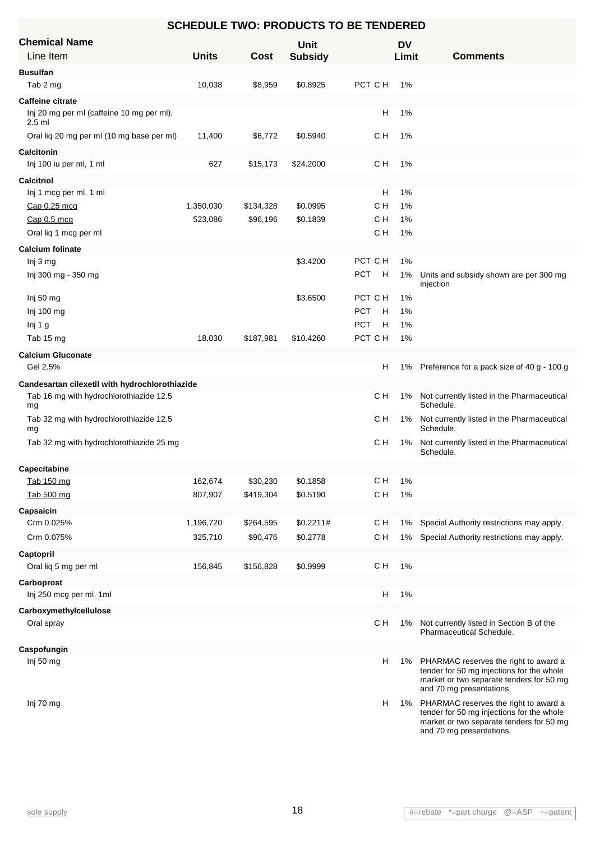| <b>SCHEDULE TWO: PRODUCTS TO BE TENDERED</b>          |              |           |                |                 |           |                                                                                                                                                            |  |  |  |  |
|-------------------------------------------------------|--------------|-----------|----------------|-----------------|-----------|------------------------------------------------------------------------------------------------------------------------------------------------------------|--|--|--|--|
| <b>Chemical Name</b>                                  |              |           | Unit           |                 | <b>DV</b> |                                                                                                                                                            |  |  |  |  |
| Line Item                                             | <b>Units</b> | Cost      | <b>Subsidy</b> |                 | Limit     | <b>Comments</b>                                                                                                                                            |  |  |  |  |
| <b>Busulfan</b>                                       |              |           |                |                 |           |                                                                                                                                                            |  |  |  |  |
| Tab 2 mg                                              | 10,038       | \$8,959   | \$0.8925       | PCT C H         | 1%        |                                                                                                                                                            |  |  |  |  |
| <b>Caffeine citrate</b>                               |              |           |                |                 |           |                                                                                                                                                            |  |  |  |  |
| Inj 20 mg per ml (caffeine 10 mg per ml),<br>$2.5$ ml |              |           |                | н               | 1%        |                                                                                                                                                            |  |  |  |  |
| Oral liq 20 mg per ml (10 mg base per ml)             | 11,400       | \$6,772   | \$0.5940       | C H             | 1%        |                                                                                                                                                            |  |  |  |  |
| <b>Calcitonin</b>                                     |              |           |                |                 |           |                                                                                                                                                            |  |  |  |  |
| Inj 100 iu per ml, 1 ml                               | 627          | \$15,173  | \$24.2000      | C H             | 1%        |                                                                                                                                                            |  |  |  |  |
| <b>Calcitriol</b>                                     |              |           |                |                 |           |                                                                                                                                                            |  |  |  |  |
| Inj 1 mcg per ml, 1 ml                                |              |           |                | H               | 1%        |                                                                                                                                                            |  |  |  |  |
| Cap 0.25 mcq                                          | 1,350,030    | \$134,328 | \$0.0995       | C H             | 1%        |                                                                                                                                                            |  |  |  |  |
| Cap 0.5 mcq                                           | 523,086      | \$96,196  | \$0.1839       | C H             | 1%        |                                                                                                                                                            |  |  |  |  |
| Oral liq 1 mcg per ml                                 |              |           |                | C H             | 1%        |                                                                                                                                                            |  |  |  |  |
| <b>Calcium folinate</b>                               |              |           |                |                 |           |                                                                                                                                                            |  |  |  |  |
| Inj 3 mg                                              |              |           | \$3.4200       | PCT C H         | 1%        |                                                                                                                                                            |  |  |  |  |
| Inj 300 mg - 350 mg                                   |              |           |                | <b>PCT</b><br>H | 1%        | Units and subsidy shown are per 300 mg<br>injection                                                                                                        |  |  |  |  |
| Inj 50 mg                                             |              |           | \$3.6500       | PCT C H         | 1%        |                                                                                                                                                            |  |  |  |  |
| Inj 100 mg                                            |              |           |                | <b>PCT</b><br>H | 1%        |                                                                                                                                                            |  |  |  |  |
| Inj 1 g                                               |              |           |                | <b>PCT</b><br>H | 1%        |                                                                                                                                                            |  |  |  |  |
| Tab 15 mg                                             | 18,030       | \$187,981 | \$10.4260      | PCT C H         | 1%        |                                                                                                                                                            |  |  |  |  |
| <b>Calcium Gluconate</b>                              |              |           |                |                 |           |                                                                                                                                                            |  |  |  |  |
| Gel 2.5%                                              |              |           |                | н               | 1%        | Preference for a pack size of 40 g - 100 g                                                                                                                 |  |  |  |  |
| Candesartan cilexetil with hydrochlorothiazide        |              |           |                |                 |           |                                                                                                                                                            |  |  |  |  |
| Tab 16 mg with hydrochlorothiazide 12.5<br>mg         |              |           |                | C H             | 1%        | Not currently listed in the Pharmaceutical<br>Schedule.                                                                                                    |  |  |  |  |
| Tab 32 mg with hydrochlorothiazide 12.5<br>mg         |              |           |                | с н             | 1%        | Not currently listed in the Pharmaceutical<br>Schedule.                                                                                                    |  |  |  |  |
| Tab 32 mg with hydrochlorothiazide 25 mg              |              |           |                | CН              | 1%        | Not currently listed in the Pharmaceutical<br>Schedule.                                                                                                    |  |  |  |  |
| <b>Capecitabine</b>                                   |              |           |                |                 |           |                                                                                                                                                            |  |  |  |  |
| Tab 150 mg                                            | 162,674      | \$30,230  | \$0.1858       | C H             | 1%        |                                                                                                                                                            |  |  |  |  |
| Tab 500 mg                                            | 807,907      | \$419,304 | \$0.5190       | C H             | 1%        |                                                                                                                                                            |  |  |  |  |
| Capsaicin                                             |              |           |                |                 |           |                                                                                                                                                            |  |  |  |  |
| Crm 0.025%                                            | 1,196,720    | \$264,595 | \$0.2211#      | C H             | 1%        | Special Authority restrictions may apply.                                                                                                                  |  |  |  |  |
| Crm 0.075%                                            | 325,710      | \$90,476  | \$0.2778       | C H             | 1%        | Special Authority restrictions may apply.                                                                                                                  |  |  |  |  |
| Captopril                                             |              |           |                |                 |           |                                                                                                                                                            |  |  |  |  |
| Oral liq 5 mg per ml                                  | 156,845      | \$156,828 | \$0.9999       | C H             | 1%        |                                                                                                                                                            |  |  |  |  |
| Carboprost                                            |              |           |                |                 |           |                                                                                                                                                            |  |  |  |  |
| Inj 250 mcg per ml, 1ml                               |              |           |                | Н               | 1%        |                                                                                                                                                            |  |  |  |  |
| Carboxymethylcellulose                                |              |           |                |                 |           |                                                                                                                                                            |  |  |  |  |
| Oral spray                                            |              |           |                | CН              | 1%        | Not currently listed in Section B of the<br>Pharmaceutical Schedule.                                                                                       |  |  |  |  |
| Caspofungin                                           |              |           |                |                 |           |                                                                                                                                                            |  |  |  |  |
| Inj 50 $mg$                                           |              |           |                | н               | 1%        | PHARMAC reserves the right to award a<br>tender for 50 mg injections for the whole<br>market or two separate tenders for 50 mg<br>and 70 mg presentations. |  |  |  |  |
| Inj 70 mg                                             |              |           |                | н               | 1%        | PHARMAC reserves the right to award a<br>tender for 50 mg injections for the whole<br>market or two separate tenders for 50 mg<br>and 70 mg presentations. |  |  |  |  |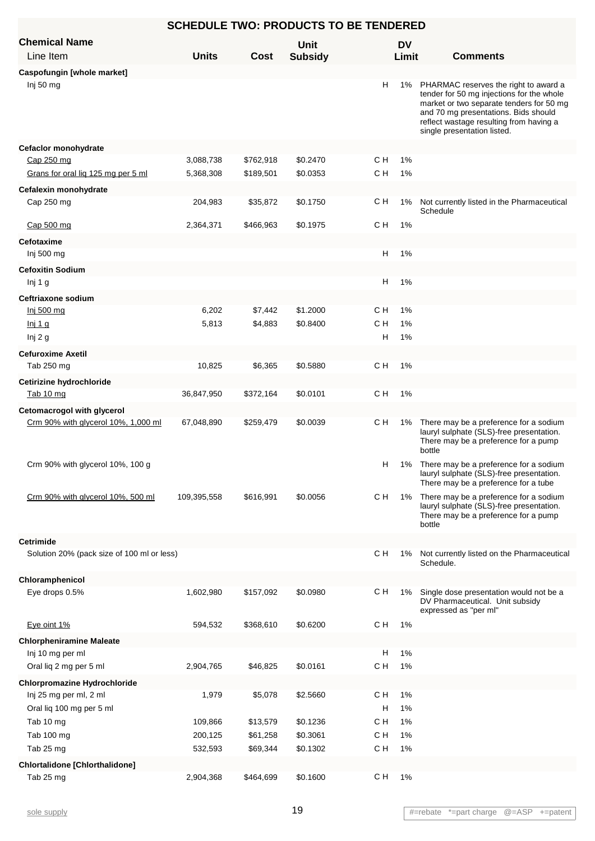| <b>SCHEDULE TWO: PRODUCTS TO BE TENDERED</b> |              |           |                        |     |                    |                                                                                                                                                                                                                                                  |  |  |  |  |
|----------------------------------------------|--------------|-----------|------------------------|-----|--------------------|--------------------------------------------------------------------------------------------------------------------------------------------------------------------------------------------------------------------------------------------------|--|--|--|--|
| <b>Chemical Name</b><br>Line Item            | <b>Units</b> | Cost      | Unit<br><b>Subsidy</b> |     | <b>DV</b><br>Limit | <b>Comments</b>                                                                                                                                                                                                                                  |  |  |  |  |
| Caspofungin [whole market]                   |              |           |                        |     |                    |                                                                                                                                                                                                                                                  |  |  |  |  |
| Inj 50 mg                                    |              |           |                        | н   | 1%                 | PHARMAC reserves the right to award a<br>tender for 50 mg injections for the whole<br>market or two separate tenders for 50 mg<br>and 70 mg presentations. Bids should<br>reflect wastage resulting from having a<br>single presentation listed. |  |  |  |  |
| Cefaclor monohydrate                         |              |           |                        |     |                    |                                                                                                                                                                                                                                                  |  |  |  |  |
| Cap 250 mg                                   | 3,088,738    | \$762,918 | \$0.2470               | C H | 1%                 |                                                                                                                                                                                                                                                  |  |  |  |  |
| Grans for oral lig 125 mg per 5 ml           | 5,368,308    | \$189,501 | \$0.0353               | C H | 1%                 |                                                                                                                                                                                                                                                  |  |  |  |  |
| Cefalexin monohydrate                        |              |           |                        |     |                    |                                                                                                                                                                                                                                                  |  |  |  |  |
| Cap 250 mg                                   | 204,983      | \$35,872  | \$0.1750               | CН  | 1%                 | Not currently listed in the Pharmaceutical<br>Schedule                                                                                                                                                                                           |  |  |  |  |
| Cap 500 mg                                   | 2,364,371    | \$466,963 | \$0.1975               | C H | 1%                 |                                                                                                                                                                                                                                                  |  |  |  |  |
| <b>Cefotaxime</b>                            |              |           |                        |     |                    |                                                                                                                                                                                                                                                  |  |  |  |  |
| Inj 500 mg                                   |              |           |                        | H   | 1%                 |                                                                                                                                                                                                                                                  |  |  |  |  |
| <b>Cefoxitin Sodium</b>                      |              |           |                        |     |                    |                                                                                                                                                                                                                                                  |  |  |  |  |
| Inj 1 g                                      |              |           |                        | H   | 1%                 |                                                                                                                                                                                                                                                  |  |  |  |  |
| Ceftriaxone sodium                           |              |           |                        |     |                    |                                                                                                                                                                                                                                                  |  |  |  |  |
| Inj 500 mg                                   | 6,202        | \$7,442   | \$1.2000               | C H | 1%                 |                                                                                                                                                                                                                                                  |  |  |  |  |
| <u>lnj 1 g</u>                               | 5,813        | \$4,883   | \$0.8400               | C H | 1%                 |                                                                                                                                                                                                                                                  |  |  |  |  |
| Inj 2 g                                      |              |           |                        | H   | 1%                 |                                                                                                                                                                                                                                                  |  |  |  |  |
| <b>Cefuroxime Axetil</b>                     |              |           |                        |     |                    |                                                                                                                                                                                                                                                  |  |  |  |  |
| Tab 250 mg                                   | 10,825       | \$6,365   | \$0.5880               | C H | 1%                 |                                                                                                                                                                                                                                                  |  |  |  |  |
| Cetirizine hydrochloride                     |              |           |                        |     |                    |                                                                                                                                                                                                                                                  |  |  |  |  |
| Tab 10 mg                                    | 36,847,950   | \$372,164 | \$0.0101               | C H | 1%                 |                                                                                                                                                                                                                                                  |  |  |  |  |
| Cetomacrogol with glycerol                   |              |           |                        |     |                    |                                                                                                                                                                                                                                                  |  |  |  |  |
| Crm 90% with glycerol 10%, 1,000 ml          | 67,048,890   | \$259,479 | \$0.0039               | C H | 1%                 | There may be a preference for a sodium<br>lauryl sulphate (SLS)-free presentation.<br>There may be a preference for a pump<br>bottle                                                                                                             |  |  |  |  |
| Crm 90% with glycerol 10%, 100 g             |              |           |                        |     | H.                 | 1% There may be a preference for a sodium<br>lauryl sulphate (SLS)-free presentation.<br>There may be a preference for a tube                                                                                                                    |  |  |  |  |
| Crm 90% with glycerol 10%, 500 ml            | 109,395,558  | \$616,991 | \$0.0056               | C H | 1%                 | There may be a preference for a sodium<br>lauryl sulphate (SLS)-free presentation.<br>There may be a preference for a pump<br>bottle                                                                                                             |  |  |  |  |
| <b>Cetrimide</b>                             |              |           |                        |     |                    |                                                                                                                                                                                                                                                  |  |  |  |  |
| Solution 20% (pack size of 100 ml or less)   |              |           |                        | C H | 1%                 | Not currently listed on the Pharmaceutical<br>Schedule.                                                                                                                                                                                          |  |  |  |  |
| Chloramphenicol                              |              |           |                        |     |                    |                                                                                                                                                                                                                                                  |  |  |  |  |
| Eye drops 0.5%                               | 1,602,980    | \$157,092 | \$0.0980               | C H | 1%                 | Single dose presentation would not be a<br>DV Pharmaceutical. Unit subsidy<br>expressed as "per ml"                                                                                                                                              |  |  |  |  |
| Eye oint 1%                                  | 594,532      | \$368,610 | \$0.6200               | C H | 1%                 |                                                                                                                                                                                                                                                  |  |  |  |  |
| <b>Chlorpheniramine Maleate</b>              |              |           |                        |     |                    |                                                                                                                                                                                                                                                  |  |  |  |  |
| Inj 10 mg per ml                             |              |           |                        | H   | 1%                 |                                                                                                                                                                                                                                                  |  |  |  |  |
| Oral liq 2 mg per 5 ml                       | 2,904,765    | \$46,825  | \$0.0161               | C H | 1%                 |                                                                                                                                                                                                                                                  |  |  |  |  |
| <b>Chlorpromazine Hydrochloride</b>          |              |           |                        |     |                    |                                                                                                                                                                                                                                                  |  |  |  |  |
| Inj 25 mg per ml, 2 ml                       | 1,979        | \$5,078   | \$2.5660               | C H | 1%                 |                                                                                                                                                                                                                                                  |  |  |  |  |
| Oral liq 100 mg per 5 ml                     |              |           |                        | H   | 1%                 |                                                                                                                                                                                                                                                  |  |  |  |  |
| Tab 10 mg                                    | 109,866      | \$13,579  | \$0.1236               | C H | 1%                 |                                                                                                                                                                                                                                                  |  |  |  |  |
| Tab 100 mg                                   | 200,125      | \$61,258  | \$0.3061               | C H | 1%                 |                                                                                                                                                                                                                                                  |  |  |  |  |
| Tab 25 mg                                    | 532,593      | \$69,344  | \$0.1302               | C H | 1%                 |                                                                                                                                                                                                                                                  |  |  |  |  |
| <b>Chlortalidone [Chlorthalidone]</b>        |              |           |                        |     |                    |                                                                                                                                                                                                                                                  |  |  |  |  |
| Tab 25 mg                                    | 2,904,368    | \$464,699 | \$0.1600               | C H | 1%                 |                                                                                                                                                                                                                                                  |  |  |  |  |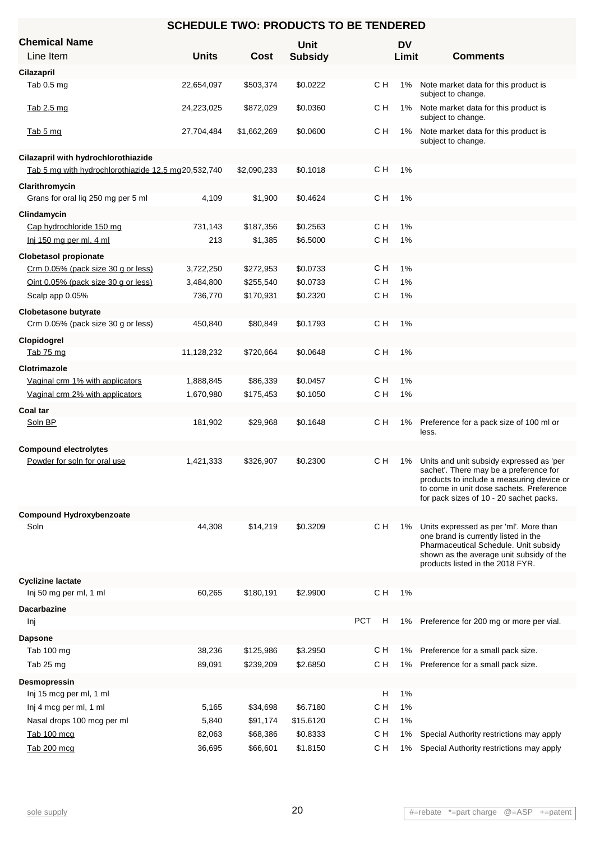| <b>SCHEDULE TWO: PRODUCTS TO BE TENDERED</b>        |              |             |                               |                    |                                                                                                                                                                                                                        |  |  |  |  |
|-----------------------------------------------------|--------------|-------------|-------------------------------|--------------------|------------------------------------------------------------------------------------------------------------------------------------------------------------------------------------------------------------------------|--|--|--|--|
| <b>Chemical Name</b><br>Line Item                   | <b>Units</b> | Cost        | <b>Unit</b><br><b>Subsidy</b> | <b>DV</b><br>Limit | <b>Comments</b>                                                                                                                                                                                                        |  |  |  |  |
| Cilazapril                                          |              |             |                               |                    |                                                                                                                                                                                                                        |  |  |  |  |
| Tab 0.5 mg                                          | 22,654,097   | \$503,374   | \$0.0222                      | с н<br>1%          | Note market data for this product is<br>subject to change.                                                                                                                                                             |  |  |  |  |
| Tab 2.5 mg                                          | 24,223,025   | \$872,029   | \$0.0360                      | C H<br>$1\%$       | Note market data for this product is<br>subject to change.                                                                                                                                                             |  |  |  |  |
| Tab 5 mg                                            | 27,704,484   | \$1,662,269 | \$0.0600                      | CН<br>1%           | Note market data for this product is<br>subject to change.                                                                                                                                                             |  |  |  |  |
| Cilazapril with hydrochlorothiazide                 |              |             |                               |                    |                                                                                                                                                                                                                        |  |  |  |  |
| Tab 5 mg with hydrochlorothiazide 12.5 mg20,532,740 |              | \$2,090,233 | \$0.1018                      | C H<br>1%          |                                                                                                                                                                                                                        |  |  |  |  |
| Clarithromycin                                      |              |             |                               |                    |                                                                                                                                                                                                                        |  |  |  |  |
| Grans for oral liq 250 mg per 5 ml                  | 4,109        | \$1,900     | \$0.4624                      | с н<br>1%          |                                                                                                                                                                                                                        |  |  |  |  |
| Clindamycin                                         |              |             |                               |                    |                                                                                                                                                                                                                        |  |  |  |  |
| Cap hydrochloride 150 mg                            | 731,143      | \$187,356   | \$0.2563                      | C H<br>1%          |                                                                                                                                                                                                                        |  |  |  |  |
| Inj 150 mg per ml, 4 ml                             | 213          | \$1,385     | \$6.5000                      | C H<br>1%          |                                                                                                                                                                                                                        |  |  |  |  |
| <b>Clobetasol propionate</b>                        |              |             |                               |                    |                                                                                                                                                                                                                        |  |  |  |  |
| Crm 0.05% (pack size 30 g or less)                  | 3,722,250    | \$272,953   | \$0.0733                      | C H<br>1%          |                                                                                                                                                                                                                        |  |  |  |  |
| Oint 0.05% (pack size 30 g or less)                 | 3,484,800    | \$255,540   | \$0.0733                      | C H<br>1%          |                                                                                                                                                                                                                        |  |  |  |  |
| Scalp app 0.05%                                     | 736,770      | \$170,931   | \$0.2320                      | C H<br>1%          |                                                                                                                                                                                                                        |  |  |  |  |
| <b>Clobetasone butyrate</b>                         |              |             |                               |                    |                                                                                                                                                                                                                        |  |  |  |  |
| Crm 0.05% (pack size 30 g or less)                  | 450,840      | \$80,849    | \$0.1793                      | с н<br>1%          |                                                                                                                                                                                                                        |  |  |  |  |
| Clopidogrel                                         |              |             |                               |                    |                                                                                                                                                                                                                        |  |  |  |  |
| Tab 75 mg                                           | 11,128,232   | \$720,664   | \$0.0648                      | C H<br>1%          |                                                                                                                                                                                                                        |  |  |  |  |
| Clotrimazole                                        |              |             |                               |                    |                                                                                                                                                                                                                        |  |  |  |  |
| Vaginal crm 1% with applicators                     | 1,888,845    | \$86,339    | \$0.0457                      | C H<br>1%          |                                                                                                                                                                                                                        |  |  |  |  |
| Vaginal crm 2% with applicators                     | 1,670,980    | \$175,453   | \$0.1050                      | C H<br>1%          |                                                                                                                                                                                                                        |  |  |  |  |
| Coal tar                                            |              |             |                               |                    |                                                                                                                                                                                                                        |  |  |  |  |
| Soln BP                                             | 181,902      | \$29,968    | \$0.1648                      | C H<br>$1\%$       | Preference for a pack size of 100 ml or<br>less.                                                                                                                                                                       |  |  |  |  |
| <b>Compound electrolytes</b>                        |              |             |                               |                    |                                                                                                                                                                                                                        |  |  |  |  |
| Powder for soln for oral use                        | 1,421,333    | \$326,907   | \$0.2300                      | с н<br>1%          | Units and unit subsidy expressed as 'per<br>sachet'. There may be a preference for<br>products to include a measuring device or<br>to come in unit dose sachets. Preference<br>for pack sizes of 10 - 20 sachet packs. |  |  |  |  |
| <b>Compound Hydroxybenzoate</b>                     |              |             |                               |                    |                                                                                                                                                                                                                        |  |  |  |  |
| Soln                                                | 44,308       | \$14,219    | \$0.3209                      | C H<br>1%          | Units expressed as per 'ml'. More than<br>one brand is currently listed in the<br>Pharmaceutical Schedule. Unit subsidy<br>shown as the average unit subsidy of the<br>products listed in the 2018 FYR.                |  |  |  |  |
| <b>Cyclizine lactate</b>                            |              |             |                               |                    |                                                                                                                                                                                                                        |  |  |  |  |
| Inj 50 mg per ml, 1 ml                              | 60,265       | \$180,191   | \$2.9900                      | C H<br>1%          |                                                                                                                                                                                                                        |  |  |  |  |
| <b>Dacarbazine</b>                                  |              |             |                               |                    |                                                                                                                                                                                                                        |  |  |  |  |
| Inj                                                 |              |             |                               | <b>PCT</b><br>H    | 1% Preference for 200 mg or more per vial.                                                                                                                                                                             |  |  |  |  |
| <b>Dapsone</b>                                      |              |             |                               |                    |                                                                                                                                                                                                                        |  |  |  |  |
| Tab 100 mg                                          | 38,236       | \$125,986   | \$3.2950                      | C H<br>1%          | Preference for a small pack size.                                                                                                                                                                                      |  |  |  |  |
| Tab 25 mg                                           | 89,091       | \$239,209   | \$2.6850                      | с н<br>1%          | Preference for a small pack size.                                                                                                                                                                                      |  |  |  |  |
| Desmopressin                                        |              |             |                               |                    |                                                                                                                                                                                                                        |  |  |  |  |
| Inj 15 mcg per ml, 1 ml                             |              |             |                               | H<br>1%            |                                                                                                                                                                                                                        |  |  |  |  |
| Inj 4 mcg per ml, 1 ml                              | 5,165        | \$34,698    | \$6.7180                      | C H<br>1%          |                                                                                                                                                                                                                        |  |  |  |  |
| Nasal drops 100 mcg per ml                          | 5,840        | \$91,174    | \$15.6120                     | C H<br>1%          |                                                                                                                                                                                                                        |  |  |  |  |
| Tab 100 mcg                                         | 82,063       | \$68,386    | \$0.8333                      | C H<br>1%          | Special Authority restrictions may apply                                                                                                                                                                               |  |  |  |  |
| Tab 200 mcg                                         | 36,695       | \$66,601    | \$1.8150                      | с н<br>1%          | Special Authority restrictions may apply                                                                                                                                                                               |  |  |  |  |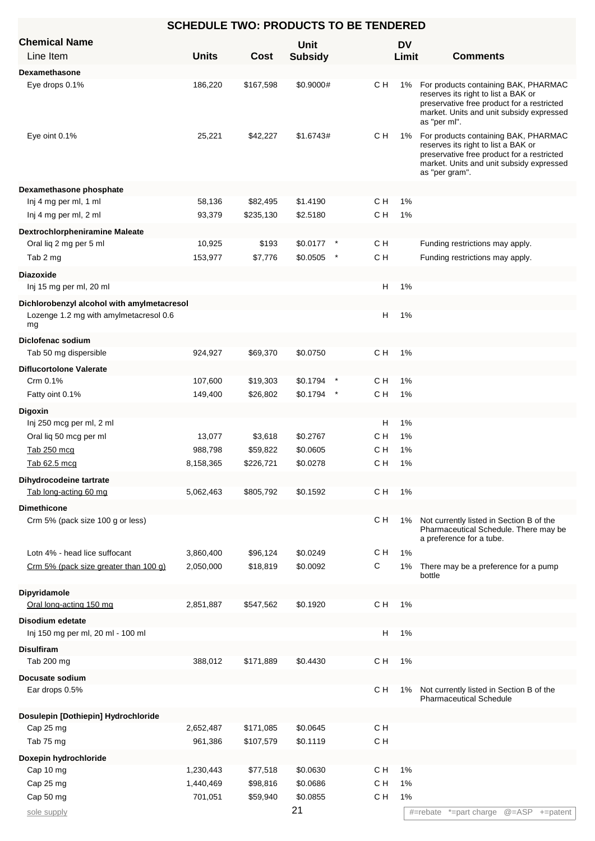| <b>SCHEDULE TWO: PRODUCTS TO BE TENDERED</b>                                               |                      |                     |                      |            |           |                                                                                                                                                                                         |  |  |  |
|--------------------------------------------------------------------------------------------|----------------------|---------------------|----------------------|------------|-----------|-----------------------------------------------------------------------------------------------------------------------------------------------------------------------------------------|--|--|--|
| <b>Chemical Name</b>                                                                       |                      |                     | <b>Unit</b>          |            | <b>DV</b> |                                                                                                                                                                                         |  |  |  |
| Line Item                                                                                  | <b>Units</b>         | Cost                | <b>Subsidy</b>       |            | Limit     | <b>Comments</b>                                                                                                                                                                         |  |  |  |
| <b>Dexamethasone</b>                                                                       |                      |                     |                      |            |           |                                                                                                                                                                                         |  |  |  |
| Eye drops 0.1%                                                                             | 186,220              | \$167,598           | \$0.9000#            | C H        | 1%        | For products containing BAK, PHARMAC<br>reserves its right to list a BAK or<br>preservative free product for a restricted<br>market. Units and unit subsidy expressed<br>as "per ml".   |  |  |  |
| Eye oint 0.1%                                                                              | 25,221               | \$42,227            | \$1.6743#            | C H        | 1%        | For products containing BAK, PHARMAC<br>reserves its right to list a BAK or<br>preservative free product for a restricted<br>market. Units and unit subsidy expressed<br>as "per gram". |  |  |  |
| Dexamethasone phosphate                                                                    |                      |                     |                      |            |           |                                                                                                                                                                                         |  |  |  |
| Inj 4 mg per ml, 1 ml                                                                      | 58,136               | \$82,495            | \$1.4190             | C H        | 1%        |                                                                                                                                                                                         |  |  |  |
| Inj 4 mg per ml, 2 ml                                                                      | 93,379               | \$235,130           | \$2.5180             | C H        | 1%        |                                                                                                                                                                                         |  |  |  |
| <b>Dextrochlorpheniramine Maleate</b>                                                      |                      |                     |                      |            |           |                                                                                                                                                                                         |  |  |  |
| Oral liq 2 mg per 5 ml                                                                     | 10,925               | \$193               | \$0.0177             | C H        |           | Funding restrictions may apply.                                                                                                                                                         |  |  |  |
| Tab 2 mg                                                                                   | 153,977              | \$7,776             | \$0.0505             | C H        |           | Funding restrictions may apply.                                                                                                                                                         |  |  |  |
| <b>Diazoxide</b>                                                                           |                      |                     |                      |            |           |                                                                                                                                                                                         |  |  |  |
| Inj 15 mg per ml, 20 ml                                                                    |                      |                     |                      | H          | 1%        |                                                                                                                                                                                         |  |  |  |
| Dichlorobenzyl alcohol with amylmetacresol<br>Lozenge 1.2 mg with amylmetacresol 0.6<br>mg |                      |                     |                      | H          | 1%        |                                                                                                                                                                                         |  |  |  |
| Diclofenac sodium                                                                          |                      |                     |                      |            |           |                                                                                                                                                                                         |  |  |  |
| Tab 50 mg dispersible                                                                      | 924,927              | \$69,370            | \$0.0750             | C H        | 1%        |                                                                                                                                                                                         |  |  |  |
| <b>Diflucortolone Valerate</b>                                                             |                      |                     |                      |            |           |                                                                                                                                                                                         |  |  |  |
| Crm 0.1%                                                                                   | 107,600              | \$19,303            | \$0.1794             | C H        | 1%        |                                                                                                                                                                                         |  |  |  |
| Fatty oint 0.1%                                                                            | 149,400              | \$26,802            | \$0.1794             | C H        | 1%        |                                                                                                                                                                                         |  |  |  |
| <b>Digoxin</b>                                                                             |                      |                     |                      |            |           |                                                                                                                                                                                         |  |  |  |
| Inj 250 mcg per ml, 2 ml                                                                   |                      |                     |                      | H          | 1%        |                                                                                                                                                                                         |  |  |  |
| Oral lig 50 mcg per ml<br>Tab 250 mcg                                                      | 13,077<br>988,798    | \$3,618<br>\$59,822 | \$0.2767<br>\$0.0605 | с н<br>C H | 1%<br>1%  |                                                                                                                                                                                         |  |  |  |
| Tab 62.5 mcg                                                                               | 8,158,365            | \$226,721           | \$0.0278             | C H        | $1\%$     |                                                                                                                                                                                         |  |  |  |
|                                                                                            |                      |                     |                      |            |           |                                                                                                                                                                                         |  |  |  |
| Dihydrocodeine tartrate<br>Tab long-acting 60 mg                                           | 5,062,463            | \$805,792           | \$0.1592             | C H        | 1%        |                                                                                                                                                                                         |  |  |  |
| <b>Dimethicone</b>                                                                         |                      |                     |                      |            |           |                                                                                                                                                                                         |  |  |  |
| Crm 5% (pack size 100 g or less)                                                           |                      |                     |                      | с н        | 1%        | Not currently listed in Section B of the<br>Pharmaceutical Schedule. There may be<br>a preference for a tube.                                                                           |  |  |  |
| Lotn 4% - head lice suffocant                                                              | 3,860,400            | \$96,124            | \$0.0249             | C H        | 1%        |                                                                                                                                                                                         |  |  |  |
| Crm 5% (pack size greater than 100 g)                                                      | 2,050,000            | \$18,819            | \$0.0092             | C          | 1%        | There may be a preference for a pump<br>bottle                                                                                                                                          |  |  |  |
| Dipyridamole<br>Oral long-acting 150 mg                                                    | 2,851,887            | \$547,562           | \$0.1920             | C H        | 1%        |                                                                                                                                                                                         |  |  |  |
| Disodium edetate                                                                           |                      |                     |                      |            |           |                                                                                                                                                                                         |  |  |  |
| Inj 150 mg per ml, 20 ml - 100 ml                                                          |                      |                     |                      | H          | 1%        |                                                                                                                                                                                         |  |  |  |
| <b>Disulfiram</b>                                                                          |                      |                     |                      |            |           |                                                                                                                                                                                         |  |  |  |
| Tab 200 mg                                                                                 | 388,012              | \$171,889           | \$0.4430             | C H        | 1%        |                                                                                                                                                                                         |  |  |  |
| Docusate sodium                                                                            |                      |                     |                      |            |           |                                                                                                                                                                                         |  |  |  |
| Ear drops 0.5%                                                                             |                      |                     |                      | C H        | 1%        | Not currently listed in Section B of the<br><b>Pharmaceutical Schedule</b>                                                                                                              |  |  |  |
| Dosulepin [Dothiepin] Hydrochloride                                                        |                      | \$171,085           | \$0.0645             | C H        |           |                                                                                                                                                                                         |  |  |  |
| Cap 25 mg<br>Tab 75 mg                                                                     | 2,652,487<br>961,386 | \$107,579           | \$0.1119             | C H        |           |                                                                                                                                                                                         |  |  |  |
| Doxepin hydrochloride                                                                      |                      |                     |                      |            |           |                                                                                                                                                                                         |  |  |  |
| Cap 10 mg                                                                                  | 1,230,443            | \$77,518            | \$0.0630             | C H        | 1%        |                                                                                                                                                                                         |  |  |  |
| Cap 25 mg                                                                                  | 1,440,469            | \$98,816            | \$0.0686             | C H        | 1%        |                                                                                                                                                                                         |  |  |  |
| Cap 50 mg                                                                                  | 701,051              | \$59,940            | \$0.0855             | C H        | 1%        |                                                                                                                                                                                         |  |  |  |
| sole supply                                                                                |                      |                     | 21                   |            |           | #=rebate *=part charge @=ASP +=patent                                                                                                                                                   |  |  |  |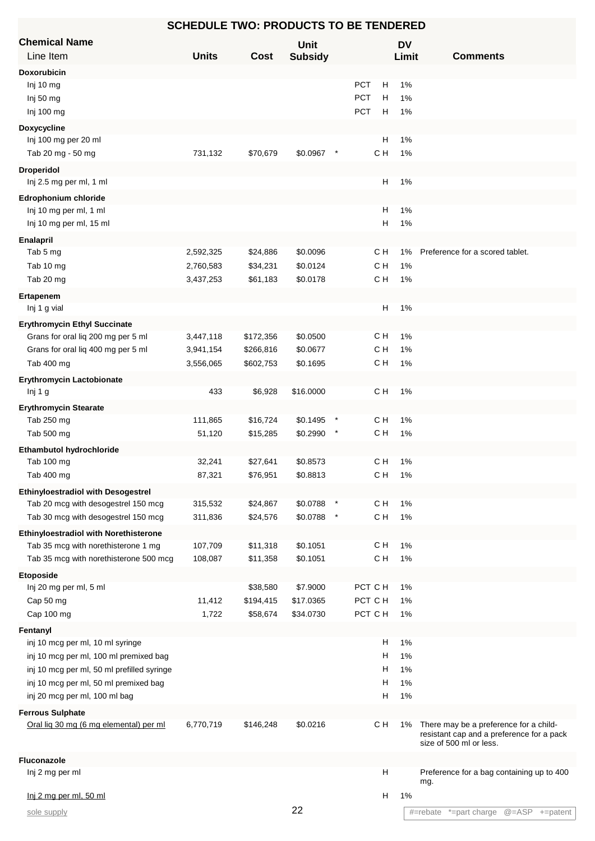| <b>Chemical Name</b>                                                                |              |           | <b>Unit</b>    |        |                 | <b>DV</b> |                                                                                                                |
|-------------------------------------------------------------------------------------|--------------|-----------|----------------|--------|-----------------|-----------|----------------------------------------------------------------------------------------------------------------|
| Line Item                                                                           | <b>Units</b> | Cost      | <b>Subsidy</b> |        |                 | Limit     | <b>Comments</b>                                                                                                |
| <b>Doxorubicin</b>                                                                  |              |           |                |        |                 |           |                                                                                                                |
| Inj 10 mg                                                                           |              |           |                |        | <b>PCT</b><br>Н | 1%        |                                                                                                                |
| Inj 50 mg                                                                           |              |           |                |        | <b>PCT</b><br>н | 1%        |                                                                                                                |
| Inj 100 mg                                                                          |              |           |                |        | PCT<br>H        | 1%        |                                                                                                                |
| <b>Doxycycline</b>                                                                  |              |           |                |        |                 |           |                                                                                                                |
| Inj 100 mg per 20 ml                                                                |              |           |                |        | H               | 1%        |                                                                                                                |
| Tab 20 mg - 50 mg                                                                   | 731,132      | \$70,679  | \$0.0967       | $\ast$ | C H             | 1%        |                                                                                                                |
| <b>Droperidol</b>                                                                   |              |           |                |        |                 |           |                                                                                                                |
| Inj 2.5 mg per ml, 1 ml                                                             |              |           |                |        | H               | 1%        |                                                                                                                |
| <b>Edrophonium chloride</b>                                                         |              |           |                |        |                 |           |                                                                                                                |
| Inj 10 mg per ml, 1 ml                                                              |              |           |                |        | H               | 1%        |                                                                                                                |
| Inj 10 mg per ml, 15 ml                                                             |              |           |                |        | H               | 1%        |                                                                                                                |
|                                                                                     |              |           |                |        |                 |           |                                                                                                                |
| Enalapril<br>Tab 5 mg                                                               | 2,592,325    | \$24,886  | \$0.0096       |        | C H             | 1%        | Preference for a scored tablet.                                                                                |
|                                                                                     |              |           | \$0.0124       |        | C H             | 1%        |                                                                                                                |
| Tab 10 mg                                                                           | 2,760,583    | \$34,231  |                |        |                 |           |                                                                                                                |
| Tab 20 mg                                                                           | 3,437,253    | \$61,183  | \$0.0178       |        | C H             | 1%        |                                                                                                                |
| Ertapenem                                                                           |              |           |                |        |                 |           |                                                                                                                |
| Inj 1 g vial                                                                        |              |           |                |        | н               | 1%        |                                                                                                                |
| <b>Erythromycin Ethyl Succinate</b>                                                 |              |           |                |        |                 |           |                                                                                                                |
| Grans for oral liq 200 mg per 5 ml                                                  | 3,447,118    | \$172,356 | \$0.0500       |        | C H             | 1%        |                                                                                                                |
| Grans for oral liq 400 mg per 5 ml                                                  | 3,941,154    | \$266,816 | \$0.0677       |        | C H             | 1%        |                                                                                                                |
| Tab 400 mg                                                                          | 3,556,065    | \$602,753 | \$0.1695       |        | C H             | 1%        |                                                                                                                |
| <b>Erythromycin Lactobionate</b>                                                    |              |           |                |        |                 |           |                                                                                                                |
| Inj 1 g                                                                             | 433          | \$6,928   | \$16.0000      |        | C H             | 1%        |                                                                                                                |
| <b>Erythromycin Stearate</b>                                                        |              |           |                |        |                 |           |                                                                                                                |
| Tab 250 mg                                                                          | 111,865      | \$16,724  | \$0.1495       |        | C H             | 1%        |                                                                                                                |
| Tab 500 mg                                                                          | 51,120       | \$15,285  | \$0.2990       |        | C H             | 1%        |                                                                                                                |
| <b>Ethambutol hydrochloride</b>                                                     |              |           |                |        |                 |           |                                                                                                                |
| Tab 100 mg                                                                          | 32,241       | \$27,641  | \$0.8573       |        | C H             | 1%        |                                                                                                                |
| Tab 400 mg                                                                          | 87,321       | \$76,951  | \$0.8813       |        | C H             | 1%        |                                                                                                                |
| <b>Ethinyloestradiol with Desogestrel</b>                                           |              |           |                |        |                 |           |                                                                                                                |
| Tab 20 mcg with desogestrel 150 mcg                                                 | 315,532      | \$24,867  | \$0.0788       |        | C H             | 1%        |                                                                                                                |
| Tab 30 mcg with desogestrel 150 mcg                                                 | 311,836      | \$24,576  | \$0.0788       |        | C H             | 1%        |                                                                                                                |
|                                                                                     |              |           |                |        |                 |           |                                                                                                                |
| <b>Ethinyloestradiol with Norethisterone</b><br>Tab 35 mcg with norethisterone 1 mg | 107,709      | \$11,318  | \$0.1051       |        | C H             | 1%        |                                                                                                                |
| Tab 35 mcg with norethisterone 500 mcg                                              | 108,087      | \$11,358  | \$0.1051       |        | C H             | 1%        |                                                                                                                |
|                                                                                     |              |           |                |        |                 |           |                                                                                                                |
| <b>Etoposide</b>                                                                    |              |           |                |        |                 |           |                                                                                                                |
| Inj 20 mg per ml, 5 ml                                                              |              | \$38,580  | \$7.9000       |        | PCT C H         | 1%        |                                                                                                                |
| Cap 50 mg                                                                           | 11,412       | \$194,415 | \$17.0365      |        | PCT C H         | 1%        |                                                                                                                |
| Cap 100 mg                                                                          | 1,722        | \$58,674  | \$34.0730      |        | PCT C H         | 1%        |                                                                                                                |
| Fentanyl                                                                            |              |           |                |        |                 |           |                                                                                                                |
| inj 10 mcg per ml, 10 ml syringe                                                    |              |           |                |        | н               | 1%        |                                                                                                                |
| inj 10 mcg per ml, 100 ml premixed bag                                              |              |           |                |        | н               | 1%        |                                                                                                                |
| inj 10 mcg per ml, 50 ml prefilled syringe                                          |              |           |                |        | н               | 1%        |                                                                                                                |
| inj 10 mcg per ml, 50 ml premixed bag                                               |              |           |                |        | н               | 1%        |                                                                                                                |
| inj 20 mcg per ml, 100 ml bag                                                       |              |           |                |        | н               | 1%        |                                                                                                                |
| <b>Ferrous Sulphate</b>                                                             |              |           |                |        |                 |           |                                                                                                                |
| Oral lig 30 mg (6 mg elemental) per ml                                              | 6,770,719    | \$146,248 | \$0.0216       |        | C H             | 1%        | There may be a preference for a child-<br>resistant cap and a preference for a pack<br>size of 500 ml or less. |
| <b>Fluconazole</b>                                                                  |              |           |                |        |                 |           |                                                                                                                |
| Inj 2 mg per ml                                                                     |              |           |                |        | н               |           | Preference for a bag containing up to 400<br>mg.                                                               |
| Inj 2 mg per ml, 50 ml                                                              |              |           |                |        | н               | 1%        |                                                                                                                |
| sole supply                                                                         |              |           | 22             |        |                 |           | *=part charge @=ASP +=patent<br>#=rebate                                                                       |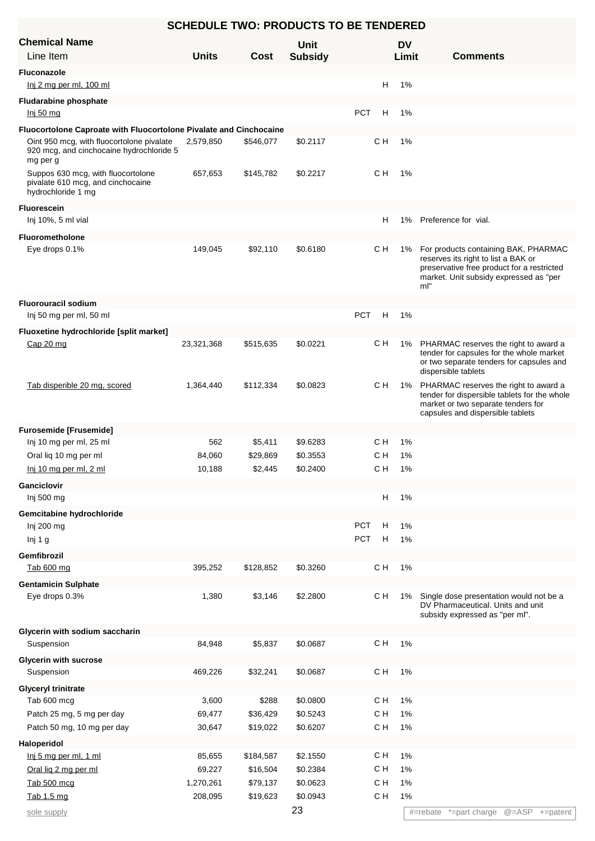| <b>SCHEDULE TWO: PRODUCTS TO BE TENDERED</b>                                                                                                                            |              |           |                |            |     |           |                                                                                                                                                                            |  |  |
|-------------------------------------------------------------------------------------------------------------------------------------------------------------------------|--------------|-----------|----------------|------------|-----|-----------|----------------------------------------------------------------------------------------------------------------------------------------------------------------------------|--|--|
| <b>Chemical Name</b>                                                                                                                                                    |              |           | <b>Unit</b>    |            |     | <b>DV</b> |                                                                                                                                                                            |  |  |
| Line Item                                                                                                                                                               | <b>Units</b> | Cost      | <b>Subsidy</b> |            |     | Limit     | <b>Comments</b>                                                                                                                                                            |  |  |
| <b>Fluconazole</b>                                                                                                                                                      |              |           |                |            |     |           |                                                                                                                                                                            |  |  |
| $lni$ 2 mg per ml, 100 ml                                                                                                                                               |              |           |                |            | H   | 1%        |                                                                                                                                                                            |  |  |
| <b>Fludarabine phosphate</b>                                                                                                                                            |              |           |                |            |     |           |                                                                                                                                                                            |  |  |
| <u>lnj 50 mg</u>                                                                                                                                                        |              |           |                | <b>PCT</b> | Н   | 1%        |                                                                                                                                                                            |  |  |
| Fluocortolone Caproate with Fluocortolone Pivalate and Cinchocaine<br>Oint 950 mcg, with fluocortolone pivalate<br>920 mcg, and cinchocaine hydrochloride 5<br>mg per g | 2,579,850    | \$546,077 | \$0.2117       |            | C H | 1%        |                                                                                                                                                                            |  |  |
| Suppos 630 mcg, with fluocortolone<br>pivalate 610 mcg, and cinchocaine<br>hydrochloride 1 mg                                                                           | 657,653      | \$145,782 | \$0.2217       |            | CН  | 1%        |                                                                                                                                                                            |  |  |
| <b>Fluorescein</b>                                                                                                                                                      |              |           |                |            |     |           |                                                                                                                                                                            |  |  |
| Inj 10%, 5 ml vial                                                                                                                                                      |              |           |                |            | н   | 1%        | Preference for vial.                                                                                                                                                       |  |  |
| <b>Fluorometholone</b>                                                                                                                                                  |              |           |                |            |     |           |                                                                                                                                                                            |  |  |
| Eye drops 0.1%                                                                                                                                                          | 149,045      | \$92,110  | \$0.6180       |            | C H | 1%        | For products containing BAK, PHARMAC<br>reserves its right to list a BAK or<br>preservative free product for a restricted<br>market. Unit subsidy expressed as "per<br>ml" |  |  |
| <b>Fluorouracil sodium</b>                                                                                                                                              |              |           |                |            |     |           |                                                                                                                                                                            |  |  |
| Inj 50 mg per ml, 50 ml                                                                                                                                                 |              |           |                | <b>PCT</b> | - H | 1%        |                                                                                                                                                                            |  |  |
| Fluoxetine hydrochloride [split market]                                                                                                                                 |              |           |                |            |     |           |                                                                                                                                                                            |  |  |
| Cap 20 mg                                                                                                                                                               | 23,321,368   | \$515,635 | \$0.0221       |            | CН  | 1%        | PHARMAC reserves the right to award a<br>tender for capsules for the whole market<br>or two separate tenders for capsules and<br>dispersible tablets                       |  |  |
| Tab disperible 20 mg, scored                                                                                                                                            | 1,364,440    | \$112,334 | \$0.0823       |            | CН  | 1%        | PHARMAC reserves the right to award a<br>tender for dispersible tablets for the whole<br>market or two separate tenders for<br>capsules and dispersible tablets            |  |  |
| <b>Furosemide [Frusemide]</b>                                                                                                                                           |              |           |                |            |     |           |                                                                                                                                                                            |  |  |
| Inj 10 mg per ml, 25 ml                                                                                                                                                 | 562          | \$5,411   | \$9.6283       |            | C H | 1%        |                                                                                                                                                                            |  |  |
| Oral liq 10 mg per ml                                                                                                                                                   | 84,060       | \$29,869  | \$0.3553       |            | C H | 1%        |                                                                                                                                                                            |  |  |
| Inj 10 mg per ml, 2 ml                                                                                                                                                  | 10,188       | \$2,445   | \$0.2400       |            | C H | 1%        |                                                                                                                                                                            |  |  |
| <b>Ganciclovir</b>                                                                                                                                                      |              |           |                |            |     |           |                                                                                                                                                                            |  |  |
| Inj 500 mg                                                                                                                                                              |              |           |                |            | н   | 1%        |                                                                                                                                                                            |  |  |
| Gemcitabine hydrochloride                                                                                                                                               |              |           |                |            |     |           |                                                                                                                                                                            |  |  |
| Inj 200 mg                                                                                                                                                              |              |           |                | <b>PCT</b> | Н   | $1\%$     |                                                                                                                                                                            |  |  |
| Inj 1 g                                                                                                                                                                 |              |           |                | PCT        | H   | $1\%$     |                                                                                                                                                                            |  |  |
| Gemfibrozil                                                                                                                                                             |              |           |                |            |     |           |                                                                                                                                                                            |  |  |
| Tab 600 mg                                                                                                                                                              | 395,252      | \$128,852 | \$0.3260       |            | C H | $1\%$     |                                                                                                                                                                            |  |  |
| <b>Gentamicin Sulphate</b>                                                                                                                                              |              |           |                |            |     |           |                                                                                                                                                                            |  |  |
| Eye drops 0.3%                                                                                                                                                          | 1,380        | \$3,146   | \$2.2800       |            | C H | 1%        | Single dose presentation would not be a<br>DV Pharmaceutical. Units and unit<br>subsidy expressed as "per ml".                                                             |  |  |
| Glycerin with sodium saccharin                                                                                                                                          |              |           |                |            |     |           |                                                                                                                                                                            |  |  |
| Suspension                                                                                                                                                              | 84,948       | \$5,837   | \$0.0687       |            | C H | 1%        |                                                                                                                                                                            |  |  |
| <b>Glycerin with sucrose</b>                                                                                                                                            |              |           |                |            |     |           |                                                                                                                                                                            |  |  |
| Suspension                                                                                                                                                              | 469,226      | \$32,241  | \$0.0687       |            | C H | 1%        |                                                                                                                                                                            |  |  |
| <b>Glyceryl trinitrate</b>                                                                                                                                              |              |           |                |            |     |           |                                                                                                                                                                            |  |  |
| Tab 600 mcg                                                                                                                                                             | 3,600        | \$288     | \$0.0800       |            | C H | 1%        |                                                                                                                                                                            |  |  |
| Patch 25 mg, 5 mg per day                                                                                                                                               | 69,477       | \$36,429  | \$0.5243       |            | C H | 1%        |                                                                                                                                                                            |  |  |
| Patch 50 mg, 10 mg per day                                                                                                                                              | 30,647       | \$19,022  | \$0.6207       |            | C H | 1%        |                                                                                                                                                                            |  |  |
| Haloperidol                                                                                                                                                             |              |           |                |            |     |           |                                                                                                                                                                            |  |  |
| Inj 5 mg per ml, 1 ml                                                                                                                                                   | 85,655       | \$184,587 | \$2.1550       |            | C H | 1%        |                                                                                                                                                                            |  |  |
| Oral lig 2 mg per ml                                                                                                                                                    | 69,227       | \$16,504  | \$0.2384       |            | C H | 1%        |                                                                                                                                                                            |  |  |
| Tab 500 mcg                                                                                                                                                             | 1,270,261    | \$79,137  | \$0.0623       |            | с н | 1%        |                                                                                                                                                                            |  |  |
| Tab 1.5 mg                                                                                                                                                              | 208,095      | \$19,623  | \$0.0943       |            | C H | $1\%$     |                                                                                                                                                                            |  |  |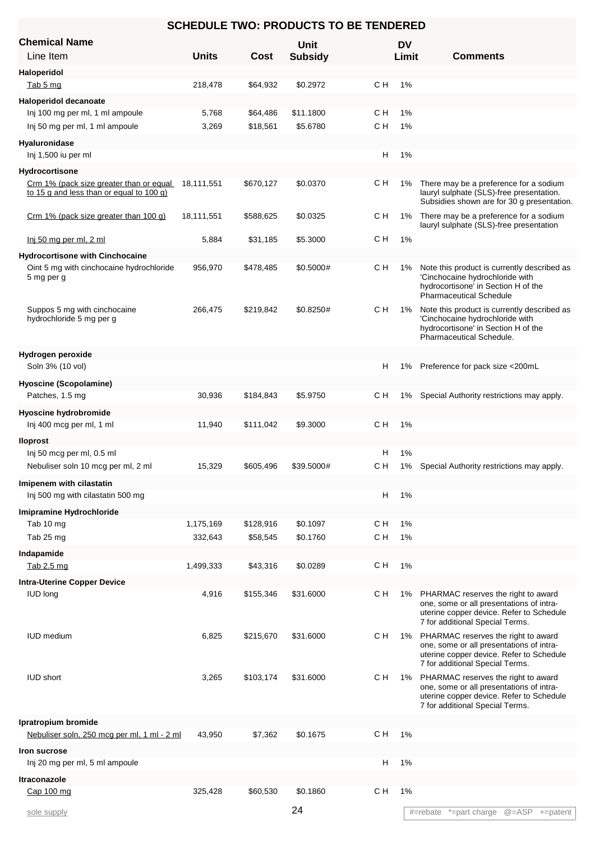| <b>SCHEDULE TWO: PRODUCTS TO BE TENDERED</b>                                                   |                |                      |                       |            |           |                                                                                                                                                                |  |  |  |
|------------------------------------------------------------------------------------------------|----------------|----------------------|-----------------------|------------|-----------|----------------------------------------------------------------------------------------------------------------------------------------------------------------|--|--|--|
| <b>Chemical Name</b>                                                                           |                |                      | <b>Unit</b>           |            | <b>DV</b> |                                                                                                                                                                |  |  |  |
| Line Item                                                                                      | <b>Units</b>   | Cost                 | <b>Subsidy</b>        |            | Limit     | <b>Comments</b>                                                                                                                                                |  |  |  |
| Haloperidol                                                                                    |                |                      |                       |            |           |                                                                                                                                                                |  |  |  |
| Tab 5 mg                                                                                       | 218,478        | \$64,932             | \$0.2972              | с н        | 1%        |                                                                                                                                                                |  |  |  |
| Haloperidol decanoate                                                                          |                |                      |                       |            |           |                                                                                                                                                                |  |  |  |
| Inj 100 mg per ml, 1 ml ampoule<br>Inj 50 mg per ml, 1 ml ampoule                              | 5,768<br>3,269 | \$64,486<br>\$18,561 | \$11.1800<br>\$5.6780 | с н<br>C H | 1%<br>1%  |                                                                                                                                                                |  |  |  |
|                                                                                                |                |                      |                       |            |           |                                                                                                                                                                |  |  |  |
| <b>Hyaluronidase</b><br>Inj 1,500 iu per ml                                                    |                |                      |                       | н          | 1%        |                                                                                                                                                                |  |  |  |
| Hydrocortisone                                                                                 |                |                      |                       |            |           |                                                                                                                                                                |  |  |  |
| Crm 1% (pack size greater than or equal 18,111,551<br>to 15 g and less than or equal to 100 g) |                | \$670,127            | \$0.0370              | CН         | 1%        | There may be a preference for a sodium<br>lauryl sulphate (SLS)-free presentation.<br>Subsidies shown are for 30 g presentation.                               |  |  |  |
| Crm 1% (pack size greater than 100 g)                                                          | 18,111,551     | \$588,625            | \$0.0325              | C H        | 1%        | There may be a preference for a sodium<br>lauryl sulphate (SLS)-free presentation                                                                              |  |  |  |
| <u>lnj 50 mg per ml, 2 ml</u>                                                                  | 5,884          | \$31,185             | \$5.3000              | C H        | 1%        |                                                                                                                                                                |  |  |  |
| <b>Hydrocortisone with Cinchocaine</b>                                                         |                |                      |                       |            |           |                                                                                                                                                                |  |  |  |
| Oint 5 mg with cinchocaine hydrochloride<br>5 mg per g                                         | 956,970        | \$478,485            | \$0.5000#             | C H        | 1%        | Note this product is currently described as<br>'Cinchocaine hydrochloride with<br>hydrocortisone' in Section H of the<br><b>Pharmaceutical Schedule</b>        |  |  |  |
| Suppos 5 mg with cinchocaine<br>hydrochloride 5 mg per g                                       | 266,475        | \$219,842            | \$0.8250#             | C H        | 1%        | Note this product is currently described as<br>'Cinchocaine hydrochloride with<br>hydrocortisone' in Section H of the<br>Pharmaceutical Schedule.              |  |  |  |
| Hydrogen peroxide                                                                              |                |                      |                       |            |           |                                                                                                                                                                |  |  |  |
| Soln 3% (10 vol)                                                                               |                |                      |                       | н          | 1%        | Preference for pack size <200mL                                                                                                                                |  |  |  |
| <b>Hyoscine (Scopolamine)</b>                                                                  |                |                      |                       |            |           |                                                                                                                                                                |  |  |  |
| Patches, 1.5 mg                                                                                | 30,936         | \$184,843            | \$5.9750              | с н        |           | 1% Special Authority restrictions may apply.                                                                                                                   |  |  |  |
| Hyoscine hydrobromide<br>Inj 400 mcg per ml, 1 ml                                              | 11,940         | \$111,042            | \$9.3000              | C H        | 1%        |                                                                                                                                                                |  |  |  |
|                                                                                                |                |                      |                       |            |           |                                                                                                                                                                |  |  |  |
| <b>Iloprost</b><br>Inj 50 mcg per ml, 0.5 ml                                                   |                |                      |                       | H.         | 1%        |                                                                                                                                                                |  |  |  |
| Nebuliser soln 10 mcg per ml, 2 ml                                                             | 15,329         | \$605,496            | \$39.5000#            | C H        |           | 1% Special Authority restrictions may apply.                                                                                                                   |  |  |  |
| Imipenem with cilastatin                                                                       |                |                      |                       |            |           |                                                                                                                                                                |  |  |  |
| Inj 500 mg with cilastatin 500 mg                                                              |                |                      |                       | н          | 1%        |                                                                                                                                                                |  |  |  |
| Imipramine Hydrochloride                                                                       |                |                      |                       |            |           |                                                                                                                                                                |  |  |  |
| Tab 10 mg                                                                                      | 1,175,169      | \$128,916            | \$0.1097              | C H        | 1%        |                                                                                                                                                                |  |  |  |
| Tab 25 mg                                                                                      | 332,643        | \$58,545             | \$0.1760              | C H        | 1%        |                                                                                                                                                                |  |  |  |
| Indapamide                                                                                     |                |                      |                       |            |           |                                                                                                                                                                |  |  |  |
| Tab 2.5 mg                                                                                     | 1,499,333      | \$43,316             | \$0.0289              | C H        | 1%        |                                                                                                                                                                |  |  |  |
| <b>Intra-Uterine Copper Device</b><br><b>IUD</b> long                                          | 4,916          | \$155,346            | \$31.6000             | C H        | 1%        | PHARMAC reserves the right to award<br>one, some or all presentations of intra-<br>uterine copper device. Refer to Schedule<br>7 for additional Special Terms. |  |  |  |
| <b>IUD</b> medium                                                                              | 6,825          | \$215,670            | \$31.6000             | с н        | 1%        | PHARMAC reserves the right to award<br>one, some or all presentations of intra-<br>uterine copper device. Refer to Schedule<br>7 for additional Special Terms. |  |  |  |
| <b>IUD short</b>                                                                               | 3,265          | \$103,174            | \$31.6000             | C H        | 1%        | PHARMAC reserves the right to award<br>one, some or all presentations of intra-<br>uterine copper device. Refer to Schedule<br>7 for additional Special Terms. |  |  |  |
| Ipratropium bromide                                                                            |                |                      |                       |            |           |                                                                                                                                                                |  |  |  |
| Nebuliser soln, 250 mcg per ml, 1 ml - 2 ml                                                    | 43,950         | \$7,362              | \$0.1675              | C H        | 1%        |                                                                                                                                                                |  |  |  |
| Iron sucrose<br>Inj 20 mg per ml, 5 ml ampoule                                                 |                |                      |                       | н          | 1%        |                                                                                                                                                                |  |  |  |
|                                                                                                |                |                      |                       |            |           |                                                                                                                                                                |  |  |  |
| <b>Itraconazole</b><br>Cap 100 mg                                                              | 325,428        | \$60,530             | \$0.1860              | C H        | 1%        |                                                                                                                                                                |  |  |  |
|                                                                                                |                |                      |                       |            |           |                                                                                                                                                                |  |  |  |
| sole supply                                                                                    |                |                      | 24                    |            |           | #=rebate *=part charge @=ASP +=patent                                                                                                                          |  |  |  |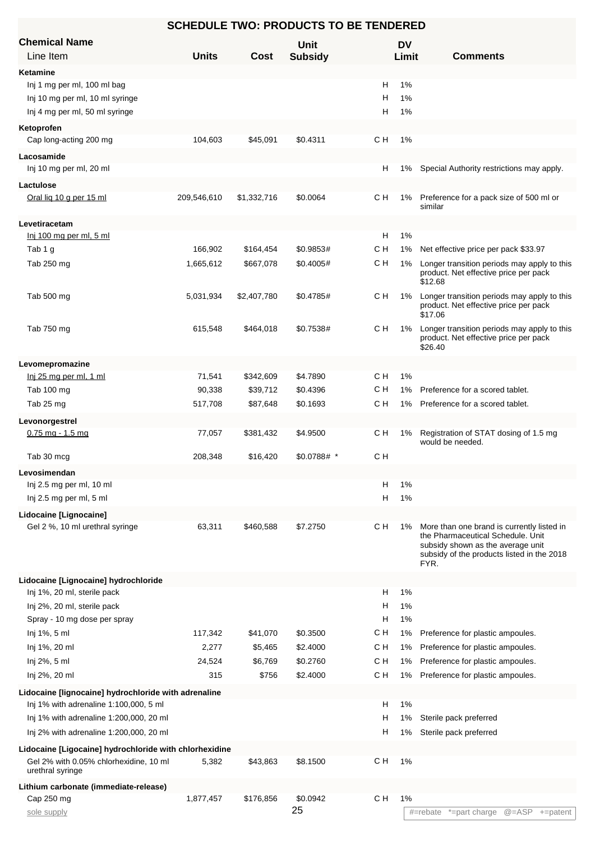| <b>Chemical Name</b>                                       |              |             | Unit           |                          | <b>DV</b> |                                                                                 |
|------------------------------------------------------------|--------------|-------------|----------------|--------------------------|-----------|---------------------------------------------------------------------------------|
| Line Item                                                  | <b>Units</b> | Cost        | <b>Subsidy</b> |                          | Limit     | <b>Comments</b>                                                                 |
| Ketamine                                                   |              |             |                |                          |           |                                                                                 |
| Inj 1 mg per ml, 100 ml bag                                |              |             |                | н                        | 1%        |                                                                                 |
| Inj 10 mg per ml, 10 ml syringe                            |              |             |                | н                        | 1%        |                                                                                 |
| Inj 4 mg per ml, 50 ml syringe                             |              |             |                | н                        | 1%        |                                                                                 |
|                                                            |              |             |                |                          |           |                                                                                 |
| Ketoprofen<br>Cap long-acting 200 mg                       | 104,603      | \$45,091    | \$0.4311       | C H                      | 1%        |                                                                                 |
|                                                            |              |             |                |                          |           |                                                                                 |
| Lacosamide                                                 |              |             |                |                          |           |                                                                                 |
| Inj 10 mg per ml, 20 ml                                    |              |             |                | H                        | 1%        | Special Authority restrictions may apply.                                       |
| Lactulose                                                  |              |             |                |                          |           |                                                                                 |
| Oral lig 10 g per 15 ml                                    | 209,546,610  | \$1,332,716 | \$0.0064       | CН                       | 1%        | Preference for a pack size of 500 ml or<br>similar                              |
|                                                            |              |             |                |                          |           |                                                                                 |
| Levetiracetam                                              |              |             |                |                          |           |                                                                                 |
| Inj 100 mg per ml, 5 ml                                    |              |             |                | H                        | 1%        |                                                                                 |
| Tab 1 g                                                    | 166,902      | \$164,454   | \$0.9853#      | с н                      | 1%        | Net effective price per pack \$33.97                                            |
| Tab 250 mg                                                 | 1,665,612    | \$667,078   | \$0.4005#      | с н                      | 1%        | Longer transition periods may apply to this                                     |
|                                                            |              |             |                |                          |           | product. Net effective price per pack<br>\$12.68                                |
| Tab 500 mg                                                 | 5,031,934    | \$2,407,780 | \$0.4785#      | с н                      | 1%        | Longer transition periods may apply to this                                     |
|                                                            |              |             |                |                          |           | product. Net effective price per pack                                           |
|                                                            |              |             |                |                          |           | \$17.06                                                                         |
| Tab 750 mg                                                 | 615,548      | \$464,018   | \$0.7538#      | с н                      | $1\%$     | Longer transition periods may apply to this                                     |
|                                                            |              |             |                |                          |           | product. Net effective price per pack<br>\$26.40                                |
|                                                            |              |             |                |                          |           |                                                                                 |
| Levomepromazine                                            |              |             |                |                          |           |                                                                                 |
| Inj 25 mg per ml, 1 ml                                     | 71,541       | \$342,609   | \$4.7890       | CН                       | 1%        |                                                                                 |
| Tab 100 mg                                                 | 90,338       | \$39,712    | \$0.4396       | с н                      | 1%        | Preference for a scored tablet.                                                 |
| Tab 25 mg                                                  | 517,708      | \$87,648    | \$0.1693       | C H                      | 1%        | Preference for a scored tablet.                                                 |
| Levonorgestrel                                             |              |             |                |                          |           |                                                                                 |
| $0.75$ mg - 1.5 mg                                         | 77,057       | \$381,432   | \$4.9500       | C H                      | 1%        | Registration of STAT dosing of 1.5 mg                                           |
|                                                            |              |             |                |                          |           | would be needed.                                                                |
| Tab 30 mcg                                                 | 208,348      | \$16,420    | $$0.0788#$ *   | с н                      |           |                                                                                 |
| Levosimendan                                               |              |             |                |                          |           |                                                                                 |
| Inj 2.5 mg per ml, 10 ml                                   |              |             |                | н                        | 1%        |                                                                                 |
| Inj 2.5 mg per ml, 5 ml                                    |              |             |                | Н                        | 1%        |                                                                                 |
| Lidocaine [Lignocaine]                                     |              |             |                |                          |           |                                                                                 |
| Gel 2 %, 10 ml urethral syringe                            | 63,311       | \$460,588   | \$7.2750       | CН                       | 1%        | More than one brand is currently listed in                                      |
|                                                            |              |             |                |                          |           | the Pharmaceutical Schedule. Unit                                               |
|                                                            |              |             |                |                          |           | subsidy shown as the average unit<br>subsidy of the products listed in the 2018 |
|                                                            |              |             |                |                          |           | FYR.                                                                            |
| Lidocaine [Lignocaine] hydrochloride                       |              |             |                |                          |           |                                                                                 |
| Inj 1%, 20 ml, sterile pack                                |              |             |                | H                        | 1%        |                                                                                 |
| Inj 2%, 20 ml, sterile pack                                |              |             |                | н                        | 1%        |                                                                                 |
|                                                            |              |             |                |                          |           |                                                                                 |
| Spray - 10 mg dose per spray                               |              |             |                | Н                        | 1%        |                                                                                 |
| Inj 1%, 5 ml                                               | 117,342      | \$41,070    | \$0.3500       | с н                      | 1%        | Preference for plastic ampoules.                                                |
| Inj 1%, 20 ml                                              | 2,277        | \$5,465     | \$2.4000       | C H                      | 1%        | Preference for plastic ampoules.                                                |
| Inj 2%, 5 ml                                               | 24,524       | \$6,769     | \$0.2760       | C H                      | 1%        | Preference for plastic ampoules.                                                |
| Inj 2%, 20 ml                                              | 315          | \$756       | \$2.4000       | C H                      | $1\%$     | Preference for plastic ampoules.                                                |
| Lidocaine [lignocaine] hydrochloride with adrenaline       |              |             |                |                          |           |                                                                                 |
| Inj 1% with adrenaline 1:100,000, 5 ml                     |              |             |                | н                        | 1%        |                                                                                 |
| Inj 1% with adrenaline 1:200,000, 20 ml                    |              |             |                | н                        | 1%        | Sterile pack preferred                                                          |
| Inj 2% with adrenaline 1:200,000, 20 ml                    |              |             |                | н                        | 1%        | Sterile pack preferred                                                          |
|                                                            |              |             |                |                          |           |                                                                                 |
| Lidocaine [Ligocaine] hydrochloride with chlorhexidine     |              |             |                |                          |           |                                                                                 |
| Gel 2% with 0.05% chlorhexidine, 10 ml<br>urethral syringe | 5,382        | \$43,863    | \$8.1500       | C H                      | 1%        |                                                                                 |
|                                                            |              |             |                |                          |           |                                                                                 |
| Lithium carbonate (immediate-release)                      |              |             |                | $\mathtt{C}\,\mathtt{H}$ | 1%        |                                                                                 |
| Cap 250 mg                                                 | 1,877,457    | \$176,856   | \$0.0942<br>25 |                          |           |                                                                                 |
| sole supply                                                |              |             |                |                          |           | @=ASP +=patent<br>#=rebate *=part charge                                        |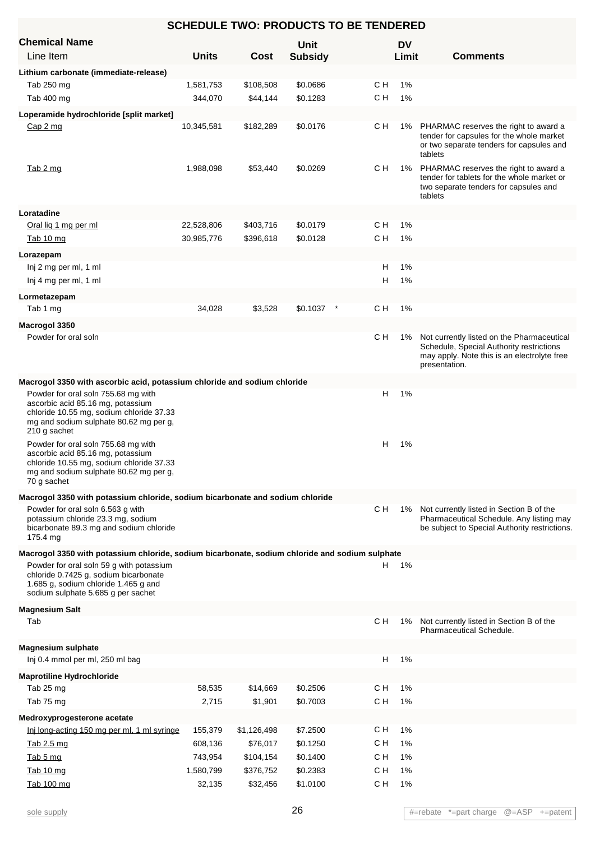| <b>SCHEDULE TWO: PRODUCTS TO BE TENDERED</b>                                                                                                                                                                                                                                                                                           |              |                         |                |        |           |                                                                                                                                                        |  |
|----------------------------------------------------------------------------------------------------------------------------------------------------------------------------------------------------------------------------------------------------------------------------------------------------------------------------------------|--------------|-------------------------|----------------|--------|-----------|--------------------------------------------------------------------------------------------------------------------------------------------------------|--|
| <b>Chemical Name</b>                                                                                                                                                                                                                                                                                                                   |              |                         | Unit           |        | <b>DV</b> |                                                                                                                                                        |  |
| Line Item                                                                                                                                                                                                                                                                                                                              | <b>Units</b> | <b>Cost</b>             | <b>Subsidy</b> |        | Limit     | <b>Comments</b>                                                                                                                                        |  |
| Lithium carbonate (immediate-release)                                                                                                                                                                                                                                                                                                  |              |                         |                |        |           |                                                                                                                                                        |  |
| Tab 250 mg                                                                                                                                                                                                                                                                                                                             | 1,581,753    | \$108,508               | \$0.0686       | C H    | 1%        |                                                                                                                                                        |  |
| Tab 400 mg                                                                                                                                                                                                                                                                                                                             | 344,070      | \$44,144                | \$0.1283       | C H    | 1%        |                                                                                                                                                        |  |
| Loperamide hydrochloride [split market]                                                                                                                                                                                                                                                                                                |              |                         |                |        |           |                                                                                                                                                        |  |
| Cap 2 mg                                                                                                                                                                                                                                                                                                                               | 10,345,581   | \$182,289               | \$0.0176       | C H    | 1%        | PHARMAC reserves the right to award a<br>tender for capsules for the whole market<br>or two separate tenders for capsules and<br>tablets               |  |
| Tab 2 mg                                                                                                                                                                                                                                                                                                                               | 1,988,098    | \$53,440                | \$0.0269       | CН     | 1%        | PHARMAC reserves the right to award a<br>tender for tablets for the whole market or<br>two separate tenders for capsules and<br>tablets                |  |
| Loratadine                                                                                                                                                                                                                                                                                                                             |              |                         |                |        |           |                                                                                                                                                        |  |
| Oral lig 1 mg per ml                                                                                                                                                                                                                                                                                                                   | 22,528,806   | \$403,716               | \$0.0179       | C H    | 1%        |                                                                                                                                                        |  |
| Tab 10 mg                                                                                                                                                                                                                                                                                                                              | 30,985,776   | \$396,618               | \$0.0128       | C H    | 1%        |                                                                                                                                                        |  |
| Lorazepam                                                                                                                                                                                                                                                                                                                              |              |                         |                |        |           |                                                                                                                                                        |  |
| Inj 2 mg per ml, 1 ml                                                                                                                                                                                                                                                                                                                  |              |                         |                | н      | 1%        |                                                                                                                                                        |  |
| Inj 4 mg per ml, 1 ml                                                                                                                                                                                                                                                                                                                  |              |                         |                | н      | 1%        |                                                                                                                                                        |  |
| Lormetazepam                                                                                                                                                                                                                                                                                                                           |              |                         |                |        |           |                                                                                                                                                        |  |
| Tab 1 mg                                                                                                                                                                                                                                                                                                                               | 34,028       | \$3,528                 | \$0.1037       | C H    | 1%        |                                                                                                                                                        |  |
| Macrogol 3350                                                                                                                                                                                                                                                                                                                          |              |                         |                |        |           |                                                                                                                                                        |  |
| Powder for oral soln                                                                                                                                                                                                                                                                                                                   |              |                         |                | C H    | 1%        | Not currently listed on the Pharmaceutical<br>Schedule, Special Authority restrictions<br>may apply. Note this is an electrolyte free<br>presentation. |  |
| Macrogol 3350 with ascorbic acid, potassium chloride and sodium chloride<br>Powder for oral soln 755.68 mg with<br>ascorbic acid 85.16 mg, potassium<br>chloride 10.55 mg, sodium chloride 37.33<br>mg and sodium sulphate 80.62 mg per g,<br>210 g sachet<br>Powder for oral soln 755.68 mg with<br>ascorbic acid 85.16 mg, potassium |              |                         |                | н<br>H | 1%<br>1%  |                                                                                                                                                        |  |
| chloride 10.55 mg, sodium chloride 37.33<br>mg and sodium sulphate 80.62 mg per g,<br>70 g sachet                                                                                                                                                                                                                                      |              |                         |                |        |           |                                                                                                                                                        |  |
| Macrogol 3350 with potassium chloride, sodium bicarbonate and sodium chloride                                                                                                                                                                                                                                                          |              |                         |                |        |           |                                                                                                                                                        |  |
| Powder for oral soln 6.563 g with<br>potassium chloride 23.3 mg, sodium<br>bicarbonate 89.3 mg and sodium chloride<br>175.4 mg                                                                                                                                                                                                         |              |                         |                | CН     | 1%        | Not currently listed in Section B of the<br>Pharmaceutical Schedule. Any listing may<br>be subject to Special Authority restrictions.                  |  |
| Macrogol 3350 with potassium chloride, sodium bicarbonate, sodium chloride and sodium sulphate                                                                                                                                                                                                                                         |              |                         |                |        |           |                                                                                                                                                        |  |
| Powder for oral soln 59 q with potassium<br>chloride 0.7425 g, sodium bicarbonate<br>1.685 g, sodium chloride 1.465 g and<br>sodium sulphate 5.685 g per sachet                                                                                                                                                                        |              |                         |                |        | H 1%      |                                                                                                                                                        |  |
| <b>Magnesium Salt</b>                                                                                                                                                                                                                                                                                                                  |              |                         |                |        |           |                                                                                                                                                        |  |
| Tab                                                                                                                                                                                                                                                                                                                                    |              |                         |                | C H    | 1%        | Not currently listed in Section B of the<br>Pharmaceutical Schedule.                                                                                   |  |
| <b>Magnesium sulphate</b>                                                                                                                                                                                                                                                                                                              |              |                         |                |        |           |                                                                                                                                                        |  |
| Inj 0.4 mmol per ml, 250 ml bag                                                                                                                                                                                                                                                                                                        |              |                         |                | H      | 1%        |                                                                                                                                                        |  |
| <b>Maprotiline Hydrochloride</b>                                                                                                                                                                                                                                                                                                       |              |                         |                |        |           |                                                                                                                                                        |  |
| Tab 25 mg                                                                                                                                                                                                                                                                                                                              | 58,535       | \$14,669                | \$0.2506       | CН     | 1%        |                                                                                                                                                        |  |
| Tab 75 mg                                                                                                                                                                                                                                                                                                                              | 2,715        | \$1,901                 | \$0.7003       | C H    | 1%        |                                                                                                                                                        |  |
| Medroxyprogesterone acetate<br>Inj long-acting 150 mg per ml, 1 ml syringe                                                                                                                                                                                                                                                             | 155,379      |                         | \$7.2500       | C H    | 1%        |                                                                                                                                                        |  |
| Tab 2.5 mg                                                                                                                                                                                                                                                                                                                             | 608,136      | \$1,126,498<br>\$76,017 | \$0.1250       | CН     | 1%        |                                                                                                                                                        |  |
| Tab 5 mg                                                                                                                                                                                                                                                                                                                               | 743,954      | \$104,154               | \$0.1400       | C H    | 1%        |                                                                                                                                                        |  |
| Tab 10 mg                                                                                                                                                                                                                                                                                                                              | 1,580,799    | \$376,752               | \$0.2383       | C H    | 1%        |                                                                                                                                                        |  |
| Tab 100 mg                                                                                                                                                                                                                                                                                                                             | 32,135       | \$32,456                | \$1.0100       | C H    | 1%        |                                                                                                                                                        |  |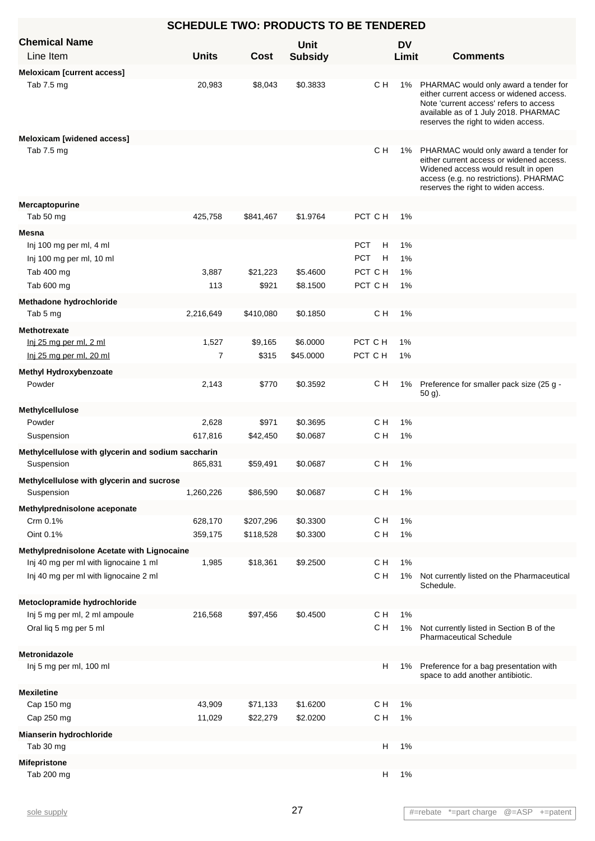| <b>SCHEDULE TWO: PRODUCTS TO BE TENDERED</b>       |                |             |                |                 |           |                                                                                                                                                                                                               |  |  |
|----------------------------------------------------|----------------|-------------|----------------|-----------------|-----------|---------------------------------------------------------------------------------------------------------------------------------------------------------------------------------------------------------------|--|--|
| <b>Chemical Name</b>                               |                |             | Unit           |                 | <b>DV</b> |                                                                                                                                                                                                               |  |  |
| Line Item                                          | <b>Units</b>   | <b>Cost</b> | <b>Subsidy</b> |                 | Limit     | <b>Comments</b>                                                                                                                                                                                               |  |  |
| <b>Meloxicam [current access]</b>                  |                |             |                |                 |           |                                                                                                                                                                                                               |  |  |
| Tab 7.5 mg                                         | 20,983         | \$8,043     | \$0.3833       | C H             |           | 1% PHARMAC would only award a tender for<br>either current access or widened access.<br>Note 'current access' refers to access<br>available as of 1 July 2018. PHARMAC<br>reserves the right to widen access. |  |  |
| <b>Meloxicam [widened access]</b>                  |                |             |                |                 |           |                                                                                                                                                                                                               |  |  |
| Tab 7.5 mg                                         |                |             |                | C H             |           | 1% PHARMAC would only award a tender for<br>either current access or widened access.<br>Widened access would result in open<br>access (e.g. no restrictions). PHARMAC<br>reserves the right to widen access.  |  |  |
| Mercaptopurine                                     |                |             |                |                 |           |                                                                                                                                                                                                               |  |  |
| Tab 50 mg                                          | 425,758        | \$841,467   | \$1.9764       | PCT C H         | 1%        |                                                                                                                                                                                                               |  |  |
| Mesna                                              |                |             |                |                 |           |                                                                                                                                                                                                               |  |  |
| Inj 100 mg per ml, 4 ml                            |                |             |                | <b>PCT</b><br>н | 1%        |                                                                                                                                                                                                               |  |  |
| Inj 100 mg per ml, 10 ml                           |                |             |                | <b>PCT</b><br>H | 1%        |                                                                                                                                                                                                               |  |  |
| Tab 400 mg                                         | 3,887          | \$21,223    | \$5.4600       | PCT C H         | 1%        |                                                                                                                                                                                                               |  |  |
| Tab 600 mg                                         | 113            | \$921       | \$8.1500       | PCT C H         | 1%        |                                                                                                                                                                                                               |  |  |
| Methadone hydrochloride                            |                |             |                |                 |           |                                                                                                                                                                                                               |  |  |
| Tab 5 mg                                           | 2,216,649      | \$410,080   | \$0.1850       | C H             | 1%        |                                                                                                                                                                                                               |  |  |
| <b>Methotrexate</b>                                |                |             |                |                 |           |                                                                                                                                                                                                               |  |  |
| Inj 25 mg per ml, 2 ml                             | 1,527          | \$9,165     | \$6.0000       | PCT C H         | 1%        |                                                                                                                                                                                                               |  |  |
| Inj 25 mg per ml, 20 ml                            | $\overline{7}$ | \$315       | \$45.0000      | PCT C H         | 1%        |                                                                                                                                                                                                               |  |  |
| <b>Methyl Hydroxybenzoate</b>                      |                |             |                |                 |           |                                                                                                                                                                                                               |  |  |
| Powder                                             | 2,143          | \$770       | \$0.3592       | с н             |           | 1% Preference for smaller pack size (25 g -<br>50 g).                                                                                                                                                         |  |  |
| Methylcellulose                                    |                |             |                |                 |           |                                                                                                                                                                                                               |  |  |
| Powder                                             | 2,628          | \$971       | \$0.3695       | с н             | 1%        |                                                                                                                                                                                                               |  |  |
| Suspension                                         | 617,816        | \$42,450    | \$0.0687       | C H             | 1%        |                                                                                                                                                                                                               |  |  |
| Methylcellulose with glycerin and sodium saccharin |                |             |                |                 |           |                                                                                                                                                                                                               |  |  |
| Suspension                                         | 865,831        | \$59,491    | \$0.0687       | C H             | 1%        |                                                                                                                                                                                                               |  |  |
| Methylcellulose with glycerin and sucrose          |                |             |                |                 |           |                                                                                                                                                                                                               |  |  |
| Suspension                                         | 1,260,226      | \$86,590    | \$0.0687       | C H             | 1%        |                                                                                                                                                                                                               |  |  |
| Methylprednisolone aceponate                       |                |             |                |                 |           |                                                                                                                                                                                                               |  |  |
| Crm 0.1%                                           | 628,170        | \$207,296   | \$0.3300       | C H             | $1\%$     |                                                                                                                                                                                                               |  |  |
| Oint 0.1%                                          | 359,175        | \$118,528   | \$0.3300       | C H             | 1%        |                                                                                                                                                                                                               |  |  |
| Methylprednisolone Acetate with Lignocaine         |                |             |                |                 |           |                                                                                                                                                                                                               |  |  |
| Inj 40 mg per ml with lignocaine 1 ml              | 1,985          | \$18,361    | \$9.2500       | C H             | 1%        |                                                                                                                                                                                                               |  |  |
| Inj 40 mg per ml with lignocaine 2 ml              |                |             |                | C H             | $1\%$     | Not currently listed on the Pharmaceutical<br>Schedule.                                                                                                                                                       |  |  |
| Metoclopramide hydrochloride                       |                |             |                |                 |           |                                                                                                                                                                                                               |  |  |
| Inj 5 mg per ml, 2 ml ampoule                      | 216,568        | \$97,456    | \$0.4500       | C H             | 1%        |                                                                                                                                                                                                               |  |  |
| Oral liq 5 mg per 5 ml                             |                |             |                | C H             | 1%        | Not currently listed in Section B of the<br><b>Pharmaceutical Schedule</b>                                                                                                                                    |  |  |
| Metronidazole                                      |                |             |                |                 |           |                                                                                                                                                                                                               |  |  |
| Inj 5 mg per ml, 100 ml                            |                |             |                | H               | 1%        | Preference for a bag presentation with<br>space to add another antibiotic.                                                                                                                                    |  |  |
| <b>Mexiletine</b>                                  |                |             |                |                 |           |                                                                                                                                                                                                               |  |  |
| Cap 150 mg                                         | 43,909         | \$71,133    | \$1.6200       | C H             | 1%        |                                                                                                                                                                                                               |  |  |
| Cap 250 mg                                         | 11,029         | \$22,279    | \$2.0200       | C H             | 1%        |                                                                                                                                                                                                               |  |  |
| Mianserin hydrochloride                            |                |             |                |                 |           |                                                                                                                                                                                                               |  |  |
| Tab 30 mg                                          |                |             |                | Н               | 1%        |                                                                                                                                                                                                               |  |  |
| <b>Mifepristone</b>                                |                |             |                |                 |           |                                                                                                                                                                                                               |  |  |
| Tab 200 mg                                         |                |             |                | H               | $1\%$     |                                                                                                                                                                                                               |  |  |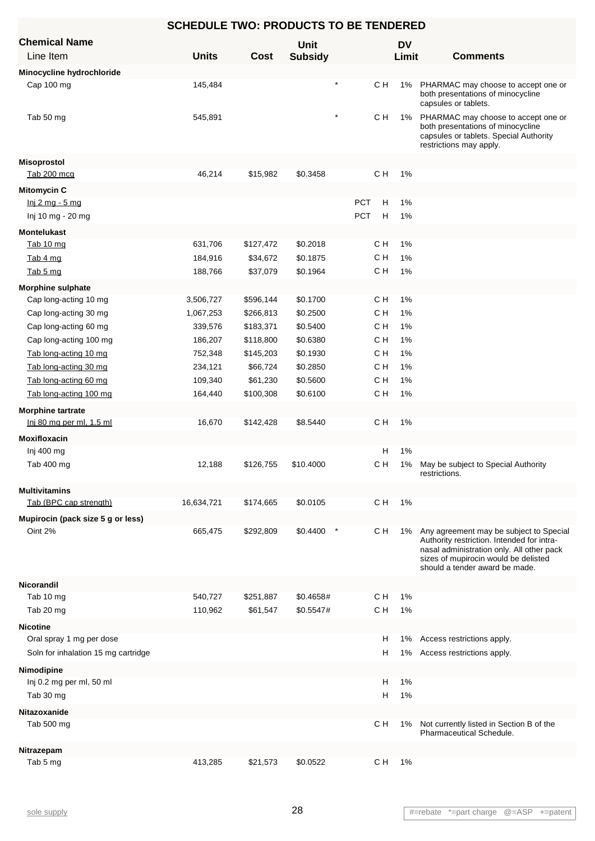|                                     | <b>SCHEDULE TWO: PRODUCTS TO BE TENDERED</b> |             |                |            |     |           |                                                                                                                                                                                                              |
|-------------------------------------|----------------------------------------------|-------------|----------------|------------|-----|-----------|--------------------------------------------------------------------------------------------------------------------------------------------------------------------------------------------------------------|
| <b>Chemical Name</b>                |                                              |             | <b>Unit</b>    |            |     | <b>DV</b> |                                                                                                                                                                                                              |
| Line Item                           | <b>Units</b>                                 | <b>Cost</b> | <b>Subsidy</b> |            |     | Limit     | <b>Comments</b>                                                                                                                                                                                              |
| Minocycline hydrochloride           |                                              |             |                |            |     |           |                                                                                                                                                                                                              |
| Cap 100 mg                          | 145,484                                      |             |                |            | C H | 1%        | PHARMAC may choose to accept one or<br>both presentations of minocycline<br>capsules or tablets.                                                                                                             |
| Tab 50 mg                           | 545,891                                      |             | $\star$        |            | C H | 1%        | PHARMAC may choose to accept one or<br>both presentations of minocycline<br>capsules or tablets. Special Authority<br>restrictions may apply.                                                                |
| <b>Misoprostol</b>                  |                                              |             |                |            |     |           |                                                                                                                                                                                                              |
| Tab 200 mcg                         | 46,214                                       | \$15,982    | \$0.3458       |            | C H | 1%        |                                                                                                                                                                                                              |
| <b>Mitomycin C</b>                  |                                              |             |                |            |     |           |                                                                                                                                                                                                              |
| <u>lnj 2 mg - 5 mg</u>              |                                              |             |                | PCT        | Н   | 1%        |                                                                                                                                                                                                              |
| Inj 10 mg - 20 mg                   |                                              |             |                | <b>PCT</b> | н   | 1%        |                                                                                                                                                                                                              |
| <b>Montelukast</b>                  |                                              |             |                |            |     |           |                                                                                                                                                                                                              |
| Tab 10 mg                           | 631,706                                      | \$127,472   | \$0.2018       |            | C H | 1%        |                                                                                                                                                                                                              |
| Tab 4 mg                            | 184,916                                      | \$34,672    | \$0.1875       |            | C H | 1%        |                                                                                                                                                                                                              |
| Tab 5 mg                            | 188,766                                      | \$37,079    | \$0.1964       |            | C H | 1%        |                                                                                                                                                                                                              |
| <b>Morphine sulphate</b>            |                                              |             |                |            |     |           |                                                                                                                                                                                                              |
| Cap long-acting 10 mg               | 3,506,727                                    | \$596,144   | \$0.1700       |            | C H | $1\%$     |                                                                                                                                                                                                              |
| Cap long-acting 30 mg               | 1,067,253                                    | \$266,813   | \$0.2500       |            | C H | 1%        |                                                                                                                                                                                                              |
| Cap long-acting 60 mg               | 339,576                                      | \$183,371   | \$0.5400       |            | C H | 1%        |                                                                                                                                                                                                              |
| Cap long-acting 100 mg              | 186,207                                      | \$118,800   | \$0.6380       |            | C H | 1%        |                                                                                                                                                                                                              |
| Tab long-acting 10 mg               | 752,348                                      | \$145,203   | \$0.1930       |            | C H | 1%        |                                                                                                                                                                                                              |
| Tab long-acting 30 mg               | 234,121                                      | \$66,724    | \$0.2850       |            | с н | 1%        |                                                                                                                                                                                                              |
| Tab long-acting 60 mg               | 109,340                                      | \$61,230    | \$0.5600       |            | с н | 1%        |                                                                                                                                                                                                              |
| Tab long-acting 100 mg              | 164,440                                      | \$100,308   | \$0.6100       |            | C H | 1%        |                                                                                                                                                                                                              |
| <b>Morphine tartrate</b>            |                                              |             |                |            |     |           |                                                                                                                                                                                                              |
| Inj 80 mg per ml, 1.5 ml            | 16,670                                       | \$142,428   | \$8.5440       |            | C H | 1%        |                                                                                                                                                                                                              |
| <b>Moxifloxacin</b>                 |                                              |             |                |            |     |           |                                                                                                                                                                                                              |
| Inj 400 mg                          |                                              |             |                |            | н   | 1%        |                                                                                                                                                                                                              |
| Tab 400 mg                          | 12,188                                       | \$126,755   | \$10.4000      |            | C H | 1%        | May be subject to Special Authority<br>restrictions.                                                                                                                                                         |
| <b>Multivitamins</b>                |                                              |             |                |            |     |           |                                                                                                                                                                                                              |
| Tab (BPC cap strength)              | 16,634,721                                   | \$174,665   | \$0.0105       |            | C H | 1%        |                                                                                                                                                                                                              |
| Mupirocin (pack size 5 g or less)   |                                              |             |                |            |     |           |                                                                                                                                                                                                              |
| Oint 2%                             | 665,475                                      | \$292,809   | \$0.4400       |            | C H | 1%        | Any agreement may be subject to Special<br>Authority restriction. Intended for intra-<br>nasal administration only. All other pack<br>sizes of mupirocin would be delisted<br>should a tender award be made. |
| Nicorandil                          |                                              |             |                |            |     |           |                                                                                                                                                                                                              |
| Tab 10 mg                           | 540,727                                      | \$251,887   | \$0.4658#      |            | C H | 1%        |                                                                                                                                                                                                              |
| Tab 20 mg                           | 110,962                                      | \$61,547    | \$0.5547#      |            | C H | 1%        |                                                                                                                                                                                                              |
| <b>Nicotine</b>                     |                                              |             |                |            |     |           |                                                                                                                                                                                                              |
| Oral spray 1 mg per dose            |                                              |             |                |            | н   | 1%        | Access restrictions apply.                                                                                                                                                                                   |
| Soln for inhalation 15 mg cartridge |                                              |             |                |            | н   | 1%        | Access restrictions apply.                                                                                                                                                                                   |
| Nimodipine                          |                                              |             |                |            |     |           |                                                                                                                                                                                                              |
| Inj 0.2 mg per ml, 50 ml            |                                              |             |                |            | н   | $1\%$     |                                                                                                                                                                                                              |
| Tab 30 mg                           |                                              |             |                |            | н   | 1%        |                                                                                                                                                                                                              |
| Nitazoxanide                        |                                              |             |                |            |     |           |                                                                                                                                                                                                              |
| Tab 500 mg                          |                                              |             |                |            | C H | 1%        | Not currently listed in Section B of the                                                                                                                                                                     |
|                                     |                                              |             |                |            |     |           | Pharmaceutical Schedule.                                                                                                                                                                                     |
| Nitrazepam                          |                                              |             |                |            |     |           |                                                                                                                                                                                                              |
| Tab 5 mg                            | 413,285                                      | \$21,573    | \$0.0522       |            | C H | 1%        |                                                                                                                                                                                                              |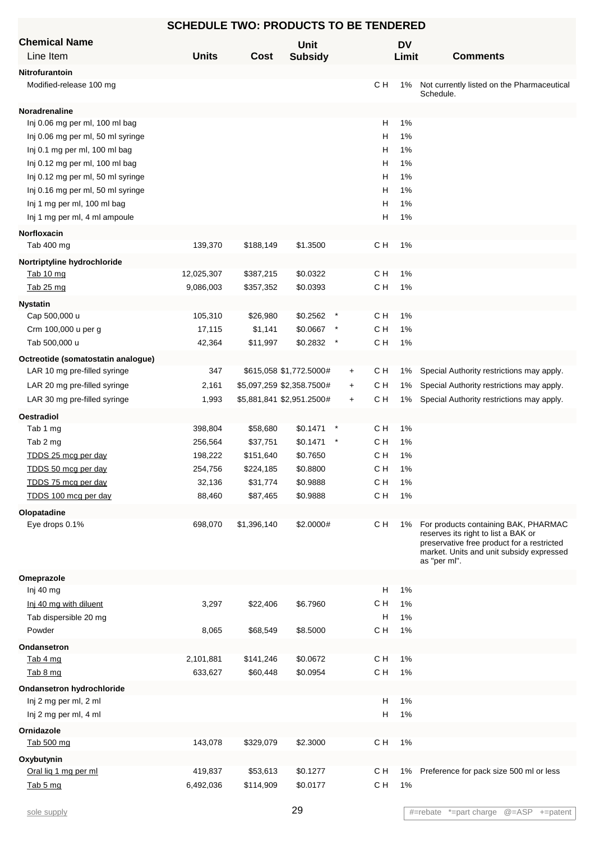| <b>SCHEDULE TWO: PRODUCTS TO BE TENDERED</b>       |                      |                           |                               |           |            |             |                                                                                                                                                                                       |  |
|----------------------------------------------------|----------------------|---------------------------|-------------------------------|-----------|------------|-------------|---------------------------------------------------------------------------------------------------------------------------------------------------------------------------------------|--|
| <b>Chemical Name</b><br>Line Item                  | <b>Units</b>         | <b>Cost</b>               | <b>Unit</b><br><b>Subsidy</b> |           |            | DV<br>Limit | <b>Comments</b>                                                                                                                                                                       |  |
| Nitrofurantoin                                     |                      |                           |                               |           |            |             |                                                                                                                                                                                       |  |
| Modified-release 100 mg                            |                      |                           |                               |           | CН         | 1%          | Not currently listed on the Pharmaceutical<br>Schedule.                                                                                                                               |  |
| Noradrenaline                                      |                      |                           |                               |           |            |             |                                                                                                                                                                                       |  |
| Inj 0.06 mg per ml, 100 ml bag                     |                      |                           |                               |           | н          | 1%          |                                                                                                                                                                                       |  |
| Inj 0.06 mg per ml, 50 ml syringe                  |                      |                           |                               |           | н          | 1%          |                                                                                                                                                                                       |  |
| Inj 0.1 mg per ml, 100 ml bag                      |                      |                           |                               |           | н          | 1%          |                                                                                                                                                                                       |  |
| Inj 0.12 mg per ml, 100 ml bag                     |                      |                           |                               |           | н          | 1%          |                                                                                                                                                                                       |  |
| Inj 0.12 mg per ml, 50 ml syringe                  |                      |                           |                               |           | н          | 1%          |                                                                                                                                                                                       |  |
| Inj 0.16 mg per ml, 50 ml syringe                  |                      |                           |                               |           | н          | 1%          |                                                                                                                                                                                       |  |
| Inj 1 mg per ml, 100 ml bag                        |                      |                           |                               |           | н          | 1%          |                                                                                                                                                                                       |  |
| Inj 1 mg per ml, 4 ml ampoule                      |                      |                           |                               |           | Н          | 1%          |                                                                                                                                                                                       |  |
| Norfloxacin                                        |                      |                           |                               |           |            |             |                                                                                                                                                                                       |  |
| Tab 400 mg                                         | 139,370              | \$188,149                 | \$1.3500                      |           | CН         | $1\%$       |                                                                                                                                                                                       |  |
| Nortriptyline hydrochloride                        |                      |                           |                               |           |            |             |                                                                                                                                                                                       |  |
| Tab 10 mg                                          | 12,025,307           | \$387,215                 | \$0.0322                      |           | с н        | 1%          |                                                                                                                                                                                       |  |
| Tab 25 mg                                          | 9,086,003            | \$357,352                 | \$0.0393                      |           | C H        | 1%          |                                                                                                                                                                                       |  |
| <b>Nystatin</b>                                    |                      |                           |                               |           |            |             |                                                                                                                                                                                       |  |
| Cap 500,000 u                                      | 105,310              | \$26,980                  | \$0.2562                      | $\cdot$   | C H        | 1%          |                                                                                                                                                                                       |  |
| Crm 100,000 u per g                                | 17,115               | \$1,141                   | \$0.0667                      | $\ast$    | C H        | 1%          |                                                                                                                                                                                       |  |
| Tab 500,000 u                                      | 42,364               | \$11,997                  | \$0.2832                      |           | C H        | 1%          |                                                                                                                                                                                       |  |
| Octreotide (somatostatin analogue)                 |                      |                           |                               |           |            |             |                                                                                                                                                                                       |  |
| LAR 10 mg pre-filled syringe                       | 347                  |                           | \$615,058 \$1,772.5000#       | $\ddot{}$ | CН         | 1%          | Special Authority restrictions may apply.                                                                                                                                             |  |
| LAR 20 mg pre-filled syringe                       | 2,161                | \$5,097,259 \$2,358.7500# |                               | $\ddot{}$ | C H        | 1%          | Special Authority restrictions may apply.                                                                                                                                             |  |
| LAR 30 mg pre-filled syringe                       | 1,993                | \$5,881,841 \$2,951.2500# |                               | $+$       | C H        | 1%          | Special Authority restrictions may apply.                                                                                                                                             |  |
| <b>Oestradiol</b>                                  |                      |                           |                               |           |            |             |                                                                                                                                                                                       |  |
| Tab 1 mg                                           | 398,804              | \$58,680                  | \$0.1471                      |           | CН         | 1%          |                                                                                                                                                                                       |  |
| Tab 2 mg                                           | 256,564              | \$37,751                  | \$0.1471                      | $\ast$    | C H        | 1%          |                                                                                                                                                                                       |  |
| TDDS 25 mcg per day                                | 198,222              | \$151,640                 | \$0.7650                      |           | C H        | 1%          |                                                                                                                                                                                       |  |
| TDDS 50 mcg per day                                | 254,756              | \$224,185                 | \$0.8800                      |           | C H        | 1%          |                                                                                                                                                                                       |  |
| TDDS 75 mcg per day                                | 32,136               | \$31,774                  | \$0.9888                      |           | C H        | 1%          |                                                                                                                                                                                       |  |
| TDDS 100 mcg per day                               | 88,460               | \$87,465                  | \$0.9888                      |           | C H        | 1%          |                                                                                                                                                                                       |  |
| Olopatadine                                        |                      |                           |                               |           |            |             |                                                                                                                                                                                       |  |
| Eye drops 0.1%                                     | 698,070              | \$1,396,140               | \$2.0000#                     |           | C H        | 1%          | For products containing BAK, PHARMAC<br>reserves its right to list a BAK or<br>preservative free product for a restricted<br>market. Units and unit subsidy expressed<br>as "per ml". |  |
| Omeprazole                                         |                      |                           |                               |           |            |             |                                                                                                                                                                                       |  |
| Inj 40 mg                                          |                      |                           |                               |           | н          | 1%          |                                                                                                                                                                                       |  |
| Inj 40 mg with diluent                             | 3,297                | \$22,406                  | \$6.7960                      |           | C H        | 1%          |                                                                                                                                                                                       |  |
| Tab dispersible 20 mg                              |                      |                           |                               |           | н          | 1%          |                                                                                                                                                                                       |  |
| Powder                                             | 8,065                | \$68,549                  | \$8.5000                      |           | C H        | 1%          |                                                                                                                                                                                       |  |
| Ondansetron                                        |                      |                           |                               |           |            |             |                                                                                                                                                                                       |  |
| Tab 4 mg<br>Tab 8 mg                               | 2,101,881<br>633,627 | \$141,246<br>\$60,448     | \$0.0672<br>\$0.0954          |           | C H<br>C H | 1%<br>1%    |                                                                                                                                                                                       |  |
|                                                    |                      |                           |                               |           |            |             |                                                                                                                                                                                       |  |
| Ondansetron hydrochloride<br>Inj 2 mg per ml, 2 ml |                      |                           |                               |           | H          | $1\%$       |                                                                                                                                                                                       |  |
| Inj 2 mg per ml, 4 ml                              |                      |                           |                               |           | Н          | 1%          |                                                                                                                                                                                       |  |
| Ornidazole                                         |                      |                           |                               |           |            |             |                                                                                                                                                                                       |  |
| Tab 500 mg                                         | 143,078              | \$329,079                 | \$2.3000                      |           | C H        | $1\%$       |                                                                                                                                                                                       |  |
| Oxybutynin                                         |                      |                           |                               |           |            |             |                                                                                                                                                                                       |  |
| Oral lig 1 mg per ml                               | 419,837              | \$53,613                  | \$0.1277                      |           | C H        | 1%          | Preference for pack size 500 ml or less                                                                                                                                               |  |
| Tab 5 mg                                           | 6,492,036            | \$114,909                 | \$0.0177                      |           | C H        | 1%          |                                                                                                                                                                                       |  |
|                                                    |                      |                           |                               |           |            |             |                                                                                                                                                                                       |  |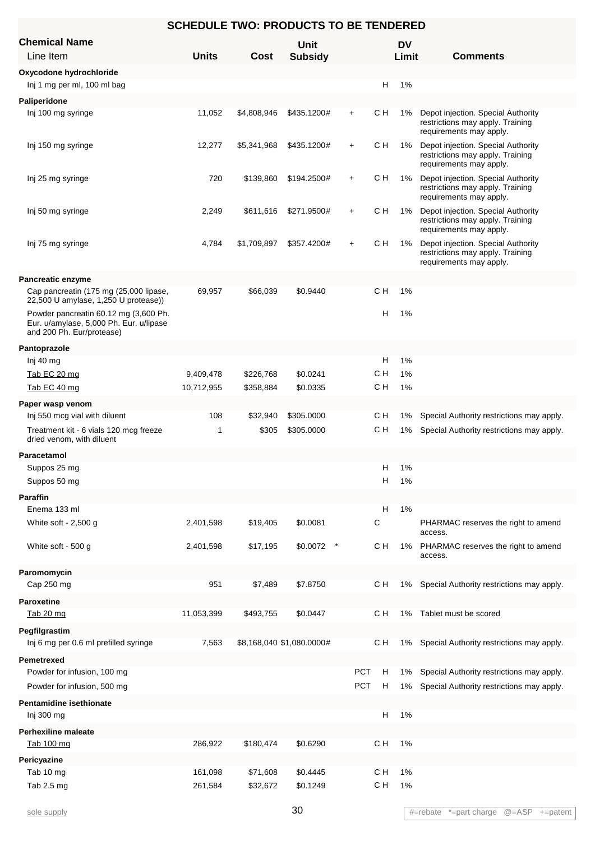| <b>Chemical Name</b><br>Line Item                                                                             | <b>Units</b> | Cost        | Unit<br><b>Subsidy</b>    |            |     | <b>DV</b><br>Limit | <b>Comments</b>                                                                                   |
|---------------------------------------------------------------------------------------------------------------|--------------|-------------|---------------------------|------------|-----|--------------------|---------------------------------------------------------------------------------------------------|
| Oxycodone hydrochloride                                                                                       |              |             |                           |            |     |                    |                                                                                                   |
| Inj 1 mg per ml, 100 ml bag                                                                                   |              |             |                           |            | H   | 1%                 |                                                                                                   |
| Paliperidone                                                                                                  |              |             |                           |            |     |                    |                                                                                                   |
| Inj 100 mg syringe                                                                                            | 11,052       | \$4,808,946 | \$435.1200#               | $+$        | с н | 1%                 | Depot injection. Special Authority<br>restrictions may apply. Training<br>requirements may apply. |
| Inj 150 mg syringe                                                                                            | 12,277       | \$5,341,968 | \$435.1200#               | $\ddot{}$  | с н | 1%                 | Depot injection. Special Authority<br>restrictions may apply. Training<br>requirements may apply. |
| Inj 25 mg syringe                                                                                             | 720          | \$139,860   | \$194.2500#               | $\ddot{}$  | C H | 1%                 | Depot injection. Special Authority<br>restrictions may apply. Training<br>requirements may apply. |
| Inj 50 mg syringe                                                                                             | 2,249        | \$611,616   | \$271.9500#               | $\ddot{}$  | с н | 1%                 | Depot injection. Special Authority<br>restrictions may apply. Training<br>requirements may apply. |
| Inj 75 mg syringe                                                                                             | 4,784        | \$1,709,897 | \$357.4200#               | $\ddot{}$  | с н | 1%                 | Depot injection. Special Authority<br>restrictions may apply. Training<br>requirements may apply. |
| <b>Pancreatic enzyme</b>                                                                                      |              |             |                           |            |     |                    |                                                                                                   |
| Cap pancreatin (175 mg (25,000 lipase,<br>22,500 U amylase, 1,250 U protease))                                | 69,957       | \$66,039    | \$0.9440                  |            | с н | 1%                 |                                                                                                   |
| Powder pancreatin 60.12 mg (3,600 Ph.<br>Eur. u/amylase, 5,000 Ph. Eur. u/lipase<br>and 200 Ph. Eur/protease) |              |             |                           |            | н   | 1%                 |                                                                                                   |
| Pantoprazole                                                                                                  |              |             |                           |            |     |                    |                                                                                                   |
| Inj 40 mg                                                                                                     |              |             |                           |            | н   | 1%                 |                                                                                                   |
| Tab EC 20 mg                                                                                                  | 9,409,478    | \$226,768   | \$0.0241                  |            | с н | 1%                 |                                                                                                   |
| Tab EC 40 mg                                                                                                  | 10,712,955   | \$358,884   | \$0.0335                  |            | с н | 1%                 |                                                                                                   |
| Paper wasp venom                                                                                              |              |             |                           |            |     |                    |                                                                                                   |
| Inj 550 mcg vial with diluent                                                                                 | 108          | \$32,940    | \$305.0000                |            | с н | 1%                 | Special Authority restrictions may apply.                                                         |
| Treatment kit - 6 vials 120 mcg freeze<br>dried venom, with diluent                                           | 1            | \$305       | \$305.0000                |            | с н | 1%                 | Special Authority restrictions may apply.                                                         |
| Paracetamol                                                                                                   |              |             |                           |            |     |                    |                                                                                                   |
| Suppos 25 mg                                                                                                  |              |             |                           |            | Н   | 1%                 |                                                                                                   |
| Suppos 50 mg                                                                                                  |              |             |                           |            | H   | $1\%$              |                                                                                                   |
| <b>Paraffin</b>                                                                                               |              |             |                           |            |     |                    |                                                                                                   |
| Enema 133 ml                                                                                                  |              |             |                           |            | H   | 1%                 |                                                                                                   |
| White soft - 2,500 g                                                                                          | 2,401,598    | \$19,405    | \$0.0081                  |            | С   |                    | PHARMAC reserves the right to amend<br>access.                                                    |
| White soft - 500 g                                                                                            | 2,401,598    | \$17,195    | \$0.0072                  |            | с н | 1%                 | PHARMAC reserves the right to amend<br>access.                                                    |
| Paromomycin                                                                                                   |              |             |                           |            |     |                    |                                                                                                   |
| Cap 250 mg                                                                                                    | 951          | \$7,489     | \$7.8750                  |            | с н | 1%                 | Special Authority restrictions may apply.                                                         |
| Paroxetine                                                                                                    |              |             |                           |            |     |                    |                                                                                                   |
| Tab 20 mg                                                                                                     | 11,053,399   | \$493,755   | \$0.0447                  |            | с н | 1%                 | Tablet must be scored                                                                             |
| Pegfilgrastim<br>Inj 6 mg per 0.6 ml prefilled syringe                                                        | 7,563        |             | \$8,168,040 \$1,080.0000# |            | с н | 1%                 | Special Authority restrictions may apply.                                                         |
| Pemetrexed                                                                                                    |              |             |                           |            |     |                    |                                                                                                   |
| Powder for infusion, 100 mg                                                                                   |              |             |                           | <b>PCT</b> | н   | 1%                 | Special Authority restrictions may apply.                                                         |
| Powder for infusion, 500 mg                                                                                   |              |             |                           | <b>PCT</b> | H   | 1%                 | Special Authority restrictions may apply.                                                         |
| Pentamidine isethionate                                                                                       |              |             |                           |            |     |                    |                                                                                                   |
| Inj 300 mg                                                                                                    |              |             |                           |            | н   | 1%                 |                                                                                                   |
| <b>Perhexiline maleate</b>                                                                                    |              |             |                           |            |     |                    |                                                                                                   |
| Tab 100 mg                                                                                                    | 286,922      | \$180,474   | \$0.6290                  |            | с н | 1%                 |                                                                                                   |
| Pericyazine                                                                                                   |              |             |                           |            |     |                    |                                                                                                   |
| Tab 10 mg                                                                                                     | 161,098      | \$71,608    | \$0.4445                  |            | C H | 1%                 |                                                                                                   |
| Tab 2.5 mg                                                                                                    | 261,584      | \$32,672    | \$0.1249                  |            | CН  | 1%                 |                                                                                                   |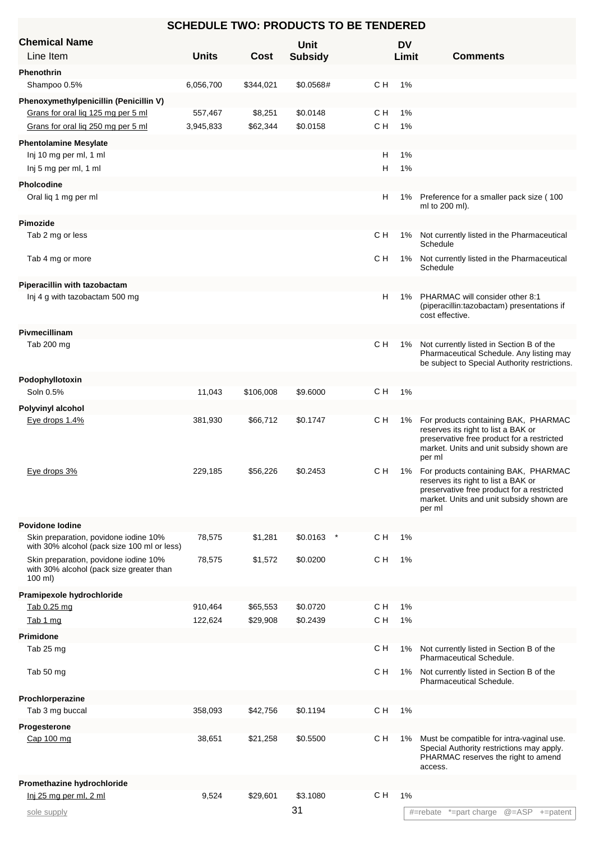|                                                                                                       |              | <b>SCHEDULE TWO: PRODUCTS TO BE TENDERED</b> |                        |     |                    |                                                                                                                                                                                 |
|-------------------------------------------------------------------------------------------------------|--------------|----------------------------------------------|------------------------|-----|--------------------|---------------------------------------------------------------------------------------------------------------------------------------------------------------------------------|
| <b>Chemical Name</b><br>Line Item                                                                     | <b>Units</b> | <b>Cost</b>                                  | Unit<br><b>Subsidy</b> |     | <b>DV</b><br>Limit | <b>Comments</b>                                                                                                                                                                 |
| Phenothrin                                                                                            |              |                                              |                        |     |                    |                                                                                                                                                                                 |
| Shampoo 0.5%                                                                                          | 6,056,700    | \$344,021                                    | \$0.0568#              | CН  | 1%                 |                                                                                                                                                                                 |
| Phenoxymethylpenicillin (Penicillin V)                                                                |              |                                              |                        |     |                    |                                                                                                                                                                                 |
| Grans for oral lig 125 mg per 5 ml                                                                    | 557,467      | \$8,251                                      | \$0.0148               | CН  | 1%                 |                                                                                                                                                                                 |
| Grans for oral lig 250 mg per 5 ml                                                                    | 3,945,833    | \$62,344                                     | \$0.0158               | C H | 1%                 |                                                                                                                                                                                 |
| <b>Phentolamine Mesylate</b>                                                                          |              |                                              |                        |     |                    |                                                                                                                                                                                 |
| Inj 10 mg per ml, 1 ml                                                                                |              |                                              |                        |     | H<br>1%            |                                                                                                                                                                                 |
| Inj 5 mg per ml, 1 ml                                                                                 |              |                                              |                        |     | H<br>1%            |                                                                                                                                                                                 |
| <b>Pholcodine</b>                                                                                     |              |                                              |                        |     |                    |                                                                                                                                                                                 |
| Oral liq 1 mg per ml                                                                                  |              |                                              |                        |     | н<br>1%            | Preference for a smaller pack size (100<br>ml to 200 ml).                                                                                                                       |
| <b>Pimozide</b>                                                                                       |              |                                              |                        |     |                    |                                                                                                                                                                                 |
| Tab 2 mg or less                                                                                      |              |                                              |                        | с н | 1%                 | Not currently listed in the Pharmaceutical                                                                                                                                      |
|                                                                                                       |              |                                              |                        |     |                    | Schedule                                                                                                                                                                        |
| Tab 4 mg or more                                                                                      |              |                                              |                        | с н | 1%                 | Not currently listed in the Pharmaceutical<br>Schedule                                                                                                                          |
|                                                                                                       |              |                                              |                        |     |                    |                                                                                                                                                                                 |
| Piperacillin with tazobactam<br>Inj 4 g with tazobactam 500 mg                                        |              |                                              |                        |     | H<br>1%            | PHARMAC will consider other 8:1                                                                                                                                                 |
|                                                                                                       |              |                                              |                        |     |                    | (piperacillin:tazobactam) presentations if<br>cost effective.                                                                                                                   |
| Pivmecillinam                                                                                         |              |                                              |                        |     |                    |                                                                                                                                                                                 |
| Tab 200 mg                                                                                            |              |                                              |                        | C H | 1%                 | Not currently listed in Section B of the<br>Pharmaceutical Schedule. Any listing may                                                                                            |
|                                                                                                       |              |                                              |                        |     |                    | be subject to Special Authority restrictions.                                                                                                                                   |
| Podophyllotoxin                                                                                       |              |                                              |                        |     |                    |                                                                                                                                                                                 |
| Soln 0.5%                                                                                             | 11,043       | \$106,008                                    | \$9.6000               | C H | 1%                 |                                                                                                                                                                                 |
| Polyvinyl alcohol                                                                                     |              |                                              |                        |     |                    |                                                                                                                                                                                 |
| Eye drops 1.4%                                                                                        | 381,930      | \$66,712                                     | \$0.1747               | CН  | 1%                 | For products containing BAK, PHARMAC<br>reserves its right to list a BAK or<br>preservative free product for a restricted<br>market. Units and unit subsidy shown are<br>per ml |
| Eye drops 3%                                                                                          | 229,185      | \$56,226                                     | \$0.2453               | C H | 1%                 | For products containing BAK, PHARMAC<br>reserves its right to list a BAK or<br>preservative free product for a restricted<br>market. Units and unit subsidy shown are<br>per ml |
| <b>Povidone lodine</b>                                                                                |              |                                              |                        |     |                    |                                                                                                                                                                                 |
| Skin preparation, povidone iodine 10%<br>with 30% alcohol (pack size 100 ml or less)                  | 78,575       | \$1,281                                      | \$0.0163               | C H | 1%                 |                                                                                                                                                                                 |
| Skin preparation, povidone iodine 10%<br>with 30% alcohol (pack size greater than<br>$100 \text{ ml}$ | 78,575       | \$1,572                                      | \$0.0200               | CН  | 1%                 |                                                                                                                                                                                 |
| Pramipexole hydrochloride                                                                             |              |                                              |                        |     |                    |                                                                                                                                                                                 |
| Tab 0.25 mg                                                                                           | 910,464      | \$65,553                                     | \$0.0720               | C H | 1%                 |                                                                                                                                                                                 |
| Tab 1 mg                                                                                              | 122,624      | \$29,908                                     | \$0.2439               | C H | 1%                 |                                                                                                                                                                                 |
| <b>Primidone</b>                                                                                      |              |                                              |                        |     |                    |                                                                                                                                                                                 |
| Tab 25 mg                                                                                             |              |                                              |                        | с н | 1%                 | Not currently listed in Section B of the<br>Pharmaceutical Schedule.                                                                                                            |
| Tab 50 mg                                                                                             |              |                                              |                        | с н | 1%                 | Not currently listed in Section B of the<br>Pharmaceutical Schedule.                                                                                                            |
| Prochlorperazine                                                                                      |              |                                              |                        |     |                    |                                                                                                                                                                                 |
| Tab 3 mg buccal                                                                                       | 358,093      | \$42,756                                     | \$0.1194               | C H | 1%                 |                                                                                                                                                                                 |
| Progesterone                                                                                          |              |                                              |                        |     |                    |                                                                                                                                                                                 |
| Cap 100 mg                                                                                            | 38,651       | \$21,258                                     | \$0.5500               | C H | 1%                 | Must be compatible for intra-vaginal use.<br>Special Authority restrictions may apply.<br>PHARMAC reserves the right to amend<br>access.                                        |
| Promethazine hydrochloride                                                                            |              |                                              |                        |     |                    |                                                                                                                                                                                 |
| Inj 25 mg per ml, 2 ml                                                                                | 9,524        | \$29,601                                     | \$3.1080               | C H | 1%                 |                                                                                                                                                                                 |
| sole supply                                                                                           |              |                                              | 31                     |     |                    | #=rebate *=part charge @=ASP +=patent                                                                                                                                           |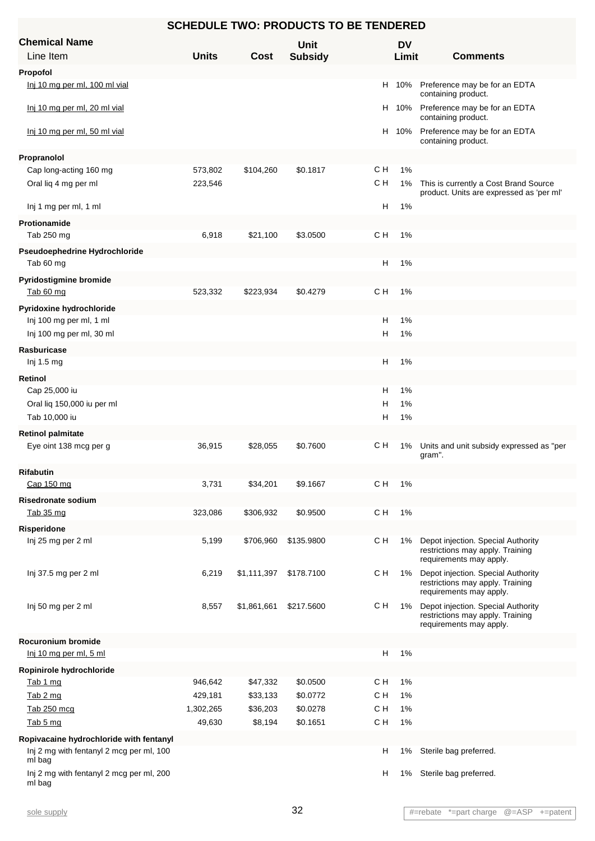| <b>SCHEDULE TWO: PRODUCTS TO BE TENDERED</b>       |              |             |                |     |           |                                                                                                   |  |  |
|----------------------------------------------------|--------------|-------------|----------------|-----|-----------|---------------------------------------------------------------------------------------------------|--|--|
| <b>Chemical Name</b>                               |              |             | <b>Unit</b>    |     | <b>DV</b> |                                                                                                   |  |  |
| Line Item                                          | <b>Units</b> | Cost        | <b>Subsidy</b> |     | Limit     | <b>Comments</b>                                                                                   |  |  |
| Propofol                                           |              |             |                |     |           |                                                                                                   |  |  |
| Inj 10 mg per ml, 100 ml vial                      |              |             |                |     | H 10%     | Preference may be for an EDTA<br>containing product.                                              |  |  |
| Inj 10 mg per ml, 20 ml vial                       |              |             |                | H.  | 10%       | Preference may be for an EDTA<br>containing product.                                              |  |  |
| Inj 10 mg per ml, 50 ml vial                       |              |             |                | H   | 10%       | Preference may be for an EDTA<br>containing product.                                              |  |  |
| Propranolol                                        |              |             |                |     |           |                                                                                                   |  |  |
| Cap long-acting 160 mg                             | 573,802      | \$104,260   | \$0.1817       | C H | 1%        |                                                                                                   |  |  |
| Oral liq 4 mg per ml                               | 223,546      |             |                | CН  | 1%        | This is currently a Cost Brand Source<br>product. Units are expressed as 'per ml'                 |  |  |
| Inj 1 mg per ml, 1 ml                              |              |             |                | H   | 1%        |                                                                                                   |  |  |
| Protionamide                                       |              |             |                |     |           |                                                                                                   |  |  |
| Tab 250 mg                                         | 6,918        | \$21,100    | \$3.0500       | CН  | 1%        |                                                                                                   |  |  |
| Pseudoephedrine Hydrochloride<br>Tab 60 mg         |              |             |                | н   | 1%        |                                                                                                   |  |  |
| Pyridostigmine bromide                             |              |             |                |     |           |                                                                                                   |  |  |
| Tab 60 mg                                          | 523,332      | \$223,934   | \$0.4279       | C H | 1%        |                                                                                                   |  |  |
| Pyridoxine hydrochloride                           |              |             |                |     |           |                                                                                                   |  |  |
| Inj 100 mg per ml, 1 ml                            |              |             |                | н   | 1%        |                                                                                                   |  |  |
| Inj 100 mg per ml, 30 ml                           |              |             |                | Н   | 1%        |                                                                                                   |  |  |
| Rasburicase                                        |              |             |                |     |           |                                                                                                   |  |  |
| Inj 1.5 mg                                         |              |             |                | н   | 1%        |                                                                                                   |  |  |
| Retinol                                            |              |             |                |     |           |                                                                                                   |  |  |
| Cap 25,000 iu                                      |              |             |                | н   | 1%        |                                                                                                   |  |  |
| Oral liq 150,000 iu per ml                         |              |             |                | н   | 1%        |                                                                                                   |  |  |
| Tab 10,000 iu                                      |              |             |                | Н   | 1%        |                                                                                                   |  |  |
| <b>Retinol palmitate</b>                           |              |             |                |     |           |                                                                                                   |  |  |
| Eye oint 138 mcg per g                             | 36,915       | \$28,055    | \$0.7600       | cн  | 1%        | Units and unit subsidy expressed as "per<br>gram".                                                |  |  |
| <b>Rifabutin</b>                                   |              |             |                |     |           |                                                                                                   |  |  |
| Cap 150 mg                                         | 3,731        | \$34,201    | \$9.1667       | CН  | 1%        |                                                                                                   |  |  |
| <b>Risedronate sodium</b>                          |              |             |                |     |           |                                                                                                   |  |  |
| Tab 35 mg                                          | 323,086      | \$306,932   | \$0.9500       | C H | $1\%$     |                                                                                                   |  |  |
| Risperidone                                        |              |             |                |     |           |                                                                                                   |  |  |
| Inj 25 mg per 2 ml                                 | 5,199        | \$706,960   | \$135.9800     | CН  | 1%        | Depot injection. Special Authority<br>restrictions may apply. Training<br>requirements may apply. |  |  |
| Inj 37.5 mg per 2 ml                               | 6,219        | \$1,111,397 | \$178.7100     | C H | 1%        | Depot injection. Special Authority<br>restrictions may apply. Training<br>requirements may apply. |  |  |
| Inj 50 mg per 2 ml                                 | 8,557        | \$1,861,661 | \$217.5600     | C H | 1%        | Depot injection. Special Authority<br>restrictions may apply. Training<br>requirements may apply. |  |  |
| <b>Rocuronium bromide</b>                          |              |             |                |     |           |                                                                                                   |  |  |
| Inj 10 mg per ml, 5 ml                             |              |             |                | н   | 1%        |                                                                                                   |  |  |
| Ropinirole hydrochloride                           |              |             |                |     |           |                                                                                                   |  |  |
| Tab 1 mg                                           | 946,642      | \$47,332    | \$0.0500       | C H | 1%        |                                                                                                   |  |  |
| Tab 2 mg                                           | 429,181      | \$33,133    | \$0.0772       | C H | 1%        |                                                                                                   |  |  |
| Tab 250 mcg                                        | 1,302,265    | \$36,203    | \$0.0278       | C H | 1%        |                                                                                                   |  |  |
| Tab 5 mg                                           | 49,630       | \$8,194     | \$0.1651       | C H | 1%        |                                                                                                   |  |  |
| Ropivacaine hydrochloride with fentanyl            |              |             |                |     |           |                                                                                                   |  |  |
| Inj 2 mg with fentanyl 2 mcg per ml, 100<br>ml bag |              |             |                | H   | 1%        | Sterile bag preferred.                                                                            |  |  |
| Inj 2 mg with fentanyl 2 mcg per ml, 200<br>ml bag |              |             |                | н   | 1%        | Sterile bag preferred.                                                                            |  |  |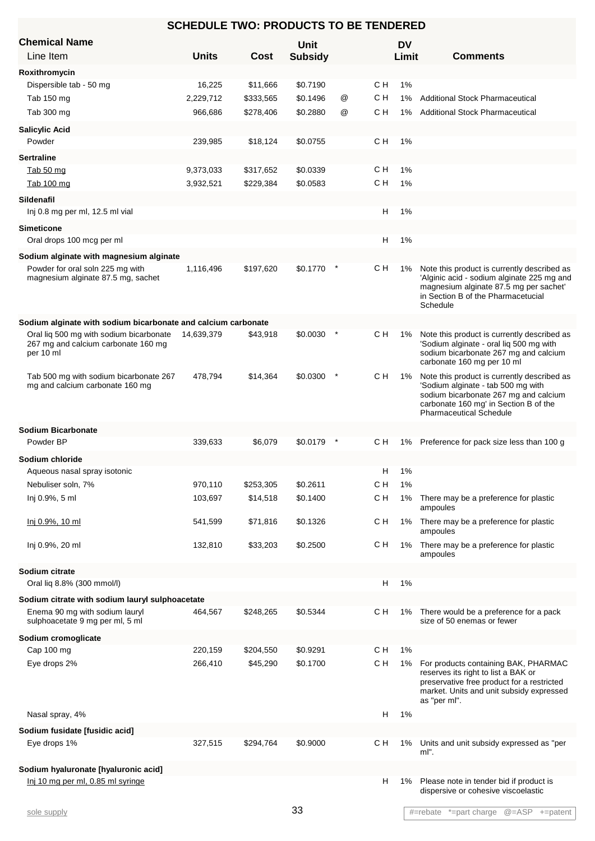| <b>SCHEDULE TWO: PRODUCTS TO BE TENDERED</b>                                      |              |           |                |   |     |           |                                                                                   |  |
|-----------------------------------------------------------------------------------|--------------|-----------|----------------|---|-----|-----------|-----------------------------------------------------------------------------------|--|
| <b>Chemical Name</b>                                                              |              |           | Unit           |   |     | <b>DV</b> |                                                                                   |  |
| Line Item                                                                         | <b>Units</b> | Cost      | <b>Subsidy</b> |   |     | Limit     | <b>Comments</b>                                                                   |  |
| Roxithromycin                                                                     |              |           |                |   |     |           |                                                                                   |  |
| Dispersible tab - 50 mg                                                           | 16,225       | \$11,666  | \$0.7190       |   | C H | 1%        |                                                                                   |  |
| Tab 150 mg                                                                        | 2,229,712    | \$333,565 | \$0.1496       | @ | C H | 1%        | <b>Additional Stock Pharmaceutical</b>                                            |  |
| Tab 300 mg                                                                        | 966,686      | \$278,406 | \$0.2880       | @ | с н | 1%        | <b>Additional Stock Pharmaceutical</b>                                            |  |
| <b>Salicylic Acid</b>                                                             |              |           |                |   |     |           |                                                                                   |  |
| Powder                                                                            | 239,985      | \$18,124  | \$0.0755       |   | C H | 1%        |                                                                                   |  |
| <b>Sertraline</b>                                                                 |              |           |                |   |     |           |                                                                                   |  |
| Tab 50 mg                                                                         | 9,373,033    | \$317,652 | \$0.0339       |   | с н | 1%        |                                                                                   |  |
| Tab 100 mg                                                                        | 3,932,521    | \$229,384 | \$0.0583       |   | C H | 1%        |                                                                                   |  |
| <b>Sildenafil</b>                                                                 |              |           |                |   |     |           |                                                                                   |  |
| Inj 0.8 mg per ml, 12.5 ml vial                                                   |              |           |                |   | н   | 1%        |                                                                                   |  |
| <b>Simeticone</b>                                                                 |              |           |                |   |     |           |                                                                                   |  |
| Oral drops 100 mcg per ml                                                         |              |           |                |   | H   | 1%        |                                                                                   |  |
|                                                                                   |              |           |                |   |     |           |                                                                                   |  |
| Sodium alginate with magnesium alginate<br>Powder for oral soln 225 mg with       | 1,116,496    | \$197,620 | \$0.1770       |   | C H | 1%        | Note this product is currently described as                                       |  |
| magnesium alginate 87.5 mg, sachet                                                |              |           |                |   |     |           | 'Alginic acid - sodium alginate 225 mg and                                        |  |
|                                                                                   |              |           |                |   |     |           | magnesium alginate 87.5 mg per sachet'<br>in Section B of the Pharmacetucial      |  |
|                                                                                   |              |           |                |   |     |           | Schedule                                                                          |  |
| Sodium alginate with sodium bicarbonate and calcium carbonate                     |              |           |                |   |     |           |                                                                                   |  |
| Oral lig 500 mg with sodium bicarbonate                                           | 14,639,379   | \$43,918  | \$0.0030       |   | C H | $1\%$     | Note this product is currently described as                                       |  |
| 267 mg and calcium carbonate 160 mg                                               |              |           |                |   |     |           | 'Sodium alginate - oral liq 500 mg with                                           |  |
| per 10 ml                                                                         |              |           |                |   |     |           | sodium bicarbonate 267 mg and calcium<br>carbonate 160 mg per 10 ml               |  |
| Tab 500 mg with sodium bicarbonate 267                                            | 478,794      | \$14,364  | \$0.0300       |   | CН  | 1%        | Note this product is currently described as                                       |  |
| mg and calcium carbonate 160 mg                                                   |              |           |                |   |     |           | 'Sodium alginate - tab 500 mg with                                                |  |
|                                                                                   |              |           |                |   |     |           | sodium bicarbonate 267 mg and calcium<br>carbonate 160 mg' in Section B of the    |  |
|                                                                                   |              |           |                |   |     |           | <b>Pharmaceutical Schedule</b>                                                    |  |
| <b>Sodium Bicarbonate</b>                                                         |              |           |                |   |     |           |                                                                                   |  |
| Powder BP                                                                         | 339,633      | \$6,079   | \$0.0179       |   | CН  |           | 1% Preference for pack size less than 100 g                                       |  |
| Sodium chloride                                                                   |              |           |                |   |     |           |                                                                                   |  |
| Aqueous nasal spray isotonic                                                      |              |           |                |   | н   | 1%        |                                                                                   |  |
| Nebuliser soln, 7%                                                                | 970,110      | \$253,305 | \$0.2611       |   | C H | 1%        |                                                                                   |  |
| Inj 0.9%, 5 ml                                                                    | 103,697      | \$14,518  | \$0.1400       |   | C H | 1%        | There may be a preference for plastic                                             |  |
|                                                                                   |              |           |                |   |     |           | ampoules                                                                          |  |
| Inj 0.9%, 10 ml                                                                   | 541,599      | \$71,816  | \$0.1326       |   | C H | 1%        | There may be a preference for plastic                                             |  |
|                                                                                   |              |           |                |   |     |           | ampoules                                                                          |  |
| Inj 0.9%, 20 ml                                                                   | 132,810      | \$33,203  | \$0.2500       |   | с н | 1%        | There may be a preference for plastic<br>ampoules                                 |  |
| Sodium citrate                                                                    |              |           |                |   |     |           |                                                                                   |  |
| Oral liq 8.8% (300 mmol/l)                                                        |              |           |                |   | Н   | 1%        |                                                                                   |  |
|                                                                                   |              |           |                |   |     |           |                                                                                   |  |
| Sodium citrate with sodium lauryl sulphoacetate<br>Enema 90 mg with sodium lauryl | 464,567      | \$248,265 | \$0.5344       |   | с н | 1%        | There would be a preference for a pack                                            |  |
| sulphoacetate 9 mg per ml, 5 ml                                                   |              |           |                |   |     |           | size of 50 enemas or fewer                                                        |  |
| Sodium cromoglicate                                                               |              |           |                |   |     |           |                                                                                   |  |
| Cap 100 mg                                                                        | 220,159      | \$204,550 | \$0.9291       |   | C H | 1%        |                                                                                   |  |
| Eye drops 2%                                                                      | 266,410      | \$45,290  | \$0.1700       |   | C H | 1%        | For products containing BAK, PHARMAC                                              |  |
|                                                                                   |              |           |                |   |     |           | reserves its right to list a BAK or<br>preservative free product for a restricted |  |
|                                                                                   |              |           |                |   |     |           | market. Units and unit subsidy expressed                                          |  |
|                                                                                   |              |           |                |   |     |           | as "per ml".                                                                      |  |
| Nasal spray, 4%                                                                   |              |           |                |   | H   | 1%        |                                                                                   |  |
| Sodium fusidate [fusidic acid]                                                    |              |           |                |   |     |           |                                                                                   |  |
| Eye drops 1%                                                                      | 327,515      | \$294,764 | \$0.9000       |   | с н | 1%        | Units and unit subsidy expressed as "per                                          |  |
|                                                                                   |              |           |                |   |     |           | ml".                                                                              |  |
| Sodium hyaluronate [hyaluronic acid]                                              |              |           |                |   |     |           |                                                                                   |  |
| Inj 10 mg per ml, 0.85 ml syringe                                                 |              |           |                |   | H   | 1%        | Please note in tender bid if product is<br>dispersive or cohesive viscoelastic    |  |
|                                                                                   |              |           |                |   |     |           |                                                                                   |  |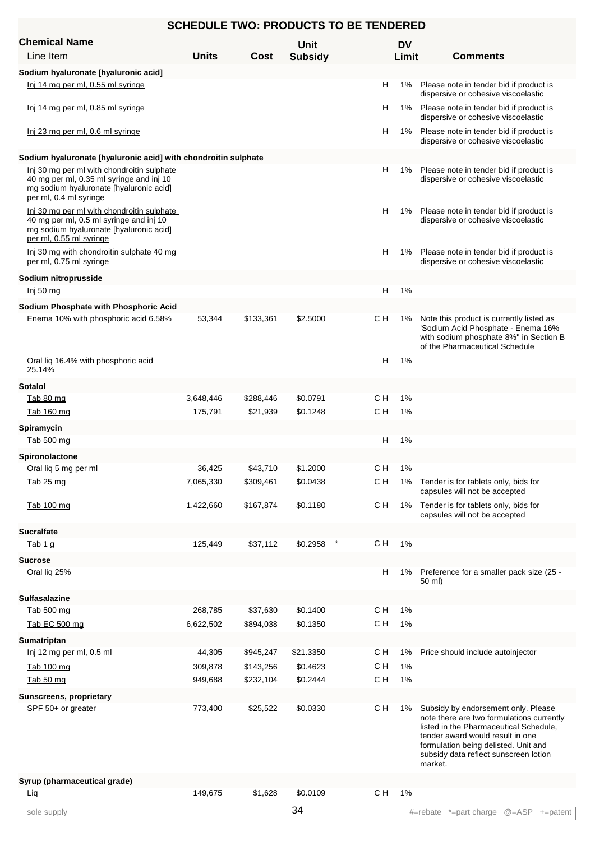| <b>Chemical Name</b>                                                                                                                                        |                      |                       | <b>Unit</b>          |            | <b>DV</b> |                                                                                                                                                                                                                                                            |
|-------------------------------------------------------------------------------------------------------------------------------------------------------------|----------------------|-----------------------|----------------------|------------|-----------|------------------------------------------------------------------------------------------------------------------------------------------------------------------------------------------------------------------------------------------------------------|
| Line Item                                                                                                                                                   | <b>Units</b>         | Cost                  | <b>Subsidy</b>       |            | Limit     | <b>Comments</b>                                                                                                                                                                                                                                            |
| Sodium hyaluronate [hyaluronic acid]                                                                                                                        |                      |                       |                      |            |           |                                                                                                                                                                                                                                                            |
| Inj 14 mg per ml, 0.55 ml syringe                                                                                                                           |                      |                       |                      | H          | 1%        | Please note in tender bid if product is<br>dispersive or cohesive viscoelastic                                                                                                                                                                             |
| Inj 14 mg per ml, 0.85 ml syringe                                                                                                                           |                      |                       |                      | H          |           | 1% Please note in tender bid if product is<br>dispersive or cohesive viscoelastic                                                                                                                                                                          |
| Inj 23 mg per ml, 0.6 ml syringe                                                                                                                            |                      |                       |                      | н          |           | 1% Please note in tender bid if product is<br>dispersive or cohesive viscoelastic                                                                                                                                                                          |
| Sodium hyaluronate [hyaluronic acid] with chondroitin sulphate                                                                                              |                      |                       |                      |            |           |                                                                                                                                                                                                                                                            |
| Inj 30 mg per ml with chondroitin sulphate<br>40 mg per ml, 0.35 ml syringe and inj 10<br>mg sodium hyaluronate [hyaluronic acid]<br>per ml, 0.4 ml syringe |                      |                       |                      | H          | 1%        | Please note in tender bid if product is<br>dispersive or cohesive viscoelastic                                                                                                                                                                             |
| Inj 30 mg per ml with chondroitin sulphate<br>40 mg per ml, 0.5 ml syringe and inj 10<br>mg sodium hyaluronate [hyaluronic acid]<br>per ml, 0.55 ml syringe |                      |                       |                      | н          | 1%        | Please note in tender bid if product is<br>dispersive or cohesive viscoelastic                                                                                                                                                                             |
| Inj 30 mg with chondroitin sulphate 40 mg<br>per ml, 0.75 ml syringe                                                                                        |                      |                       |                      | H          | 1%        | Please note in tender bid if product is<br>dispersive or cohesive viscoelastic                                                                                                                                                                             |
| Sodium nitroprusside                                                                                                                                        |                      |                       |                      |            |           |                                                                                                                                                                                                                                                            |
| Inj 50 mg                                                                                                                                                   |                      |                       |                      | н          | 1%        |                                                                                                                                                                                                                                                            |
| Sodium Phosphate with Phosphoric Acid                                                                                                                       |                      |                       |                      |            |           |                                                                                                                                                                                                                                                            |
| Enema 10% with phosphoric acid 6.58%                                                                                                                        | 53,344               | \$133,361             | \$2,5000             | C H        | 1%        | Note this product is currently listed as<br>'Sodium Acid Phosphate - Enema 16%<br>with sodium phosphate 8%" in Section B<br>of the Pharmaceutical Schedule                                                                                                 |
| Oral liq 16.4% with phosphoric acid<br>25.14%                                                                                                               |                      |                       |                      | H          | 1%        |                                                                                                                                                                                                                                                            |
| <b>Sotalol</b>                                                                                                                                              |                      |                       |                      |            |           |                                                                                                                                                                                                                                                            |
| Tab 80 mg<br>Tab 160 mg                                                                                                                                     | 3,648,446<br>175,791 | \$288,446<br>\$21,939 | \$0.0791<br>\$0.1248 | C H<br>C H | 1%<br>1%  |                                                                                                                                                                                                                                                            |
| Spiramycin                                                                                                                                                  |                      |                       |                      |            |           |                                                                                                                                                                                                                                                            |
| Tab 500 mg                                                                                                                                                  |                      |                       |                      | н          | 1%        |                                                                                                                                                                                                                                                            |
| Spironolactone                                                                                                                                              |                      |                       |                      |            |           |                                                                                                                                                                                                                                                            |
| Oral lig 5 mg per ml                                                                                                                                        | 36,425               | \$43,710              | \$1.2000             | C H        | 1%        |                                                                                                                                                                                                                                                            |
| <u>Tab 25 mg</u>                                                                                                                                            | 7,065,330            | \$309,461             | \$0.0438             | C H        |           | 1% Tender is for tablets only, bids for<br>capsules will not be accepted                                                                                                                                                                                   |
| Tab 100 mg                                                                                                                                                  | 1,422,660            | \$167,874             | \$0.1180             | CН         | 1%        | Tender is for tablets only, bids for<br>capsules will not be accepted                                                                                                                                                                                      |
| <b>Sucralfate</b>                                                                                                                                           |                      |                       |                      |            |           |                                                                                                                                                                                                                                                            |
| Tab 1 g                                                                                                                                                     | 125,449              | \$37,112              | \$0.2958             | CН         | 1%        |                                                                                                                                                                                                                                                            |
| <b>Sucrose</b>                                                                                                                                              |                      |                       |                      |            |           |                                                                                                                                                                                                                                                            |
| Oral liq 25%                                                                                                                                                |                      |                       |                      | н          | 1%        | Preference for a smaller pack size (25 -<br>50 ml)                                                                                                                                                                                                         |
| Sulfasalazine                                                                                                                                               |                      |                       |                      |            |           |                                                                                                                                                                                                                                                            |
| Tab 500 mg<br>Tab EC 500 mg                                                                                                                                 | 268,785<br>6,622,502 | \$37,630<br>\$894,038 | \$0.1400<br>\$0.1350 | C H<br>C H | 1%<br>1%  |                                                                                                                                                                                                                                                            |
| Sumatriptan                                                                                                                                                 |                      |                       |                      |            |           |                                                                                                                                                                                                                                                            |
| Inj 12 mg per ml, 0.5 ml                                                                                                                                    | 44,305               | \$945,247             | \$21.3350            | CН         | 1%        | Price should include autoinjector                                                                                                                                                                                                                          |
| <b>Tab 100 mg</b>                                                                                                                                           | 309,878              | \$143,256             | \$0.4623             | CН         | 1%        |                                                                                                                                                                                                                                                            |
| Tab 50 mg                                                                                                                                                   | 949,688              | \$232,104             | \$0.2444             | C H        | 1%        |                                                                                                                                                                                                                                                            |
| <b>Sunscreens, proprietary</b>                                                                                                                              |                      |                       |                      |            |           |                                                                                                                                                                                                                                                            |
| SPF 50+ or greater                                                                                                                                          | 773,400              | \$25,522              | \$0.0330             | CН         | 1%        | Subsidy by endorsement only. Please<br>note there are two formulations currently<br>listed in the Pharmaceutical Schedule,<br>tender award would result in one<br>formulation being delisted. Unit and<br>subsidy data reflect sunscreen lotion<br>market. |
| Syrup (pharmaceutical grade)                                                                                                                                |                      |                       |                      |            |           |                                                                                                                                                                                                                                                            |
| Liq                                                                                                                                                         | 149,675              | \$1,628               | \$0.0109             | C H        | 1%        |                                                                                                                                                                                                                                                            |
| sole supply                                                                                                                                                 |                      |                       | 34                   |            |           | @=ASP +=patent<br>#=rebate *=part charge                                                                                                                                                                                                                   |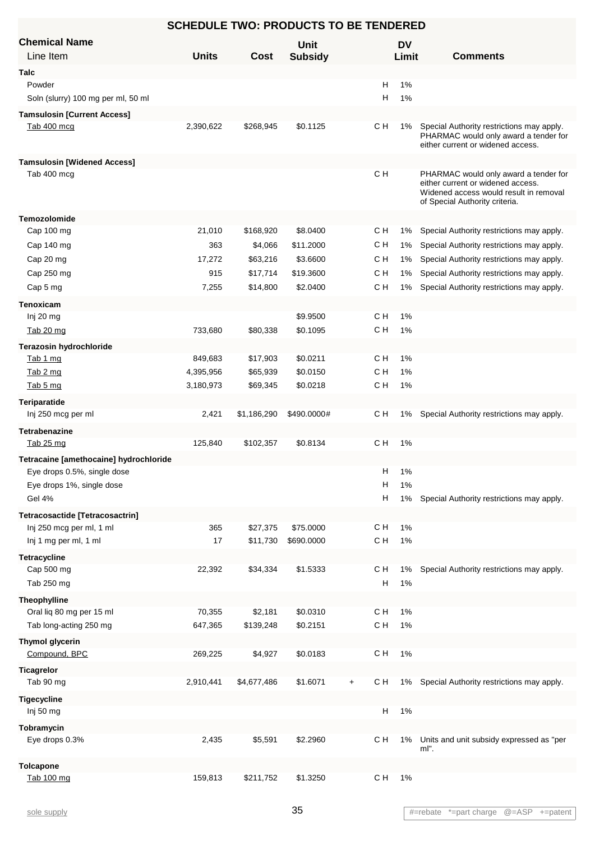#### Line Item **Chemical Name** Units Cost Subsidy **Limit** Comments **Unit Cost Subsidy DV Limit Talc** Powder H 1% Soln (slurry) 100 mg per ml, 50 ml H 1% **Tamsulosin [Current Access]** Tab 400 mcg 2,390,622 \$268,945 \$0.1125 CH 1% Special Authority restrictions may apply. PHARMAC would only award a tender for either current or widened access. C H **Tamsulosin [Widened Access]** Tab 400 mcg extended to the extended only award a tender for the PHARMAC would only award a tender for either current or widened access. Widened access would result in removal of Special Authority criteria. C H **Temozolomide** Cap 100 mg 21,010 \$168,920 \$8.0400 C H 1% Special Authority restrictions may apply. Cap 140 mg  $363$   $363$   $363$   $4,066$   $511.2000$  CH 1% Special Authority restrictions may apply. Cap 20 mg 17,272 \$63,216 \$3.6600 C H 1% Special Authority restrictions may apply. Cap 250 mg external cap 315 \$17,714 \$19.3600 C H 1% Special Authority restrictions may apply. Cap 5 mg **7,255** \$14,800 \$2.0400 C H 1% Special Authority restrictions may apply. **Tenoxicam** Inj 20 mg \$9.9500 C H 1% Tab 20 mg 733,680 \$80,338 \$0.1095 C H 1% **Terazosin hydrochloride** Tab 1 mg 849,683 \$17,903 \$0.0211 C H 1% Tab 2 mg 4,395,956 \$65,939 \$0.0150 C H 1% Tab 5 mg 3,180,973 \$69,345 \$0.0218 C H 1% **Teriparatide** Inj 250 mcg per ml 2,421 \$1,186,290 \$490.0000# C H 1% Special Authority restrictions may apply. **Tetrabenazine** Tab 25 mg 125,840 \$102,357 \$0.8134 C H 1% **Tetracaine [amethocaine] hydrochloride** Eye drops 0.5%, single dose  $\overline{H}$  1% Eye drops 1%, single dose **H** 1% Gel 4% **Gel 4%** Special Authority restrictions may apply. **Tetracosactide [Tetracosactrin]** Inj 250 mcg per ml, 1 ml 365 \$27,375 \$75.0000 C H 1% Inj 1 mg per ml, 1 ml 17 \$11,730 \$690.0000 C H 1% **Tetracycline** Cap 500 mg 22,392 \$34,334 \$1.5333 C H 1% Special Authority restrictions may apply. Tab 250 mg H 1% **Theophylline** Oral liq 80 mg per 15 ml **70,355** \$2,181 \$0.0310 C H 1% Tab long-acting 250 mg 647,365 \$139,248 \$0.2151 C H 1% **Thymol glycerin** Compound, BPC 269,225 \$4,927 \$0.0183 C H 1% **Ticagrelor** Tab 90 mg 2,910,441 \$4,677,486 \$1.6071 + C H 1% Special Authority restrictions may apply. **Tigecycline** Inj 50 mg H 1% **Tobramycin** Eye drops 0.3% 2,435 \$5,591 \$2.2960 Units and unit subsidy expressed as "per ml".  $C<sub>1</sub>$  H **Tolcapone** Tab 100 mg 159,813 \$211,752 \$1.3250 C H 1%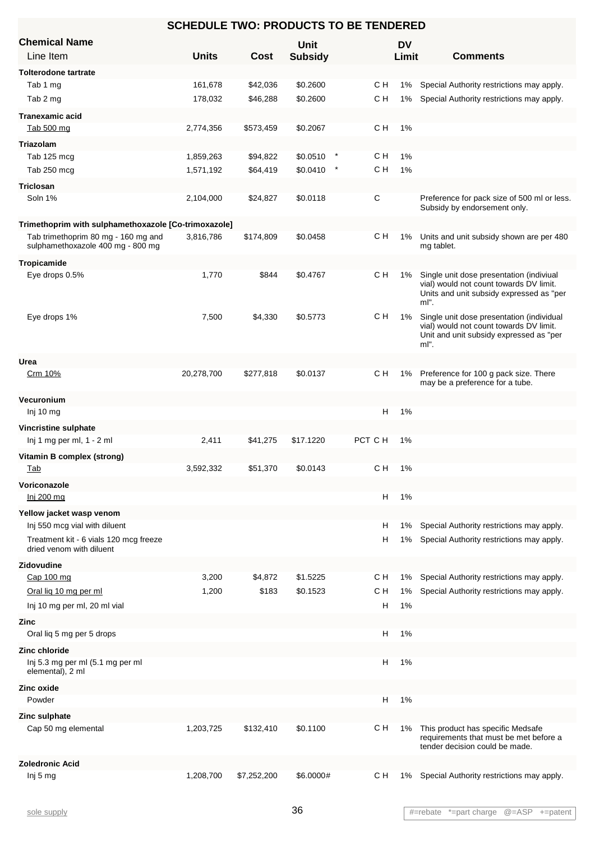| <b>SCHEDULE TWO: PRODUCTS TO BE TENDERED</b>                             |              |             |                |  |         |       |                                                                                                                                         |  |
|--------------------------------------------------------------------------|--------------|-------------|----------------|--|---------|-------|-----------------------------------------------------------------------------------------------------------------------------------------|--|
| <b>Chemical Name</b>                                                     |              |             | Unit           |  |         | DV    |                                                                                                                                         |  |
| Line Item                                                                | <b>Units</b> | <b>Cost</b> | <b>Subsidy</b> |  |         | Limit | <b>Comments</b>                                                                                                                         |  |
| <b>Tolterodone tartrate</b>                                              |              |             |                |  |         |       |                                                                                                                                         |  |
| Tab 1 mg                                                                 | 161,678      | \$42,036    | \$0.2600       |  | с н     | 1%    | Special Authority restrictions may apply.                                                                                               |  |
| Tab 2 mg                                                                 | 178,032      | \$46,288    | \$0.2600       |  | с н     | 1%    | Special Authority restrictions may apply.                                                                                               |  |
| <b>Tranexamic acid</b>                                                   |              |             |                |  |         |       |                                                                                                                                         |  |
| Tab 500 mg                                                               | 2,774,356    | \$573,459   | \$0.2067       |  | C H     | 1%    |                                                                                                                                         |  |
| <b>Triazolam</b>                                                         |              |             |                |  |         |       |                                                                                                                                         |  |
| Tab 125 mcg                                                              | 1,859,263    | \$94,822    | \$0.0510       |  | C H     | 1%    |                                                                                                                                         |  |
| Tab 250 mcg                                                              | 1,571,192    | \$64,419    | \$0.0410       |  | C H     | 1%    |                                                                                                                                         |  |
| <b>Triclosan</b>                                                         |              |             |                |  |         |       |                                                                                                                                         |  |
| Soln 1%                                                                  | 2,104,000    | \$24,827    | \$0.0118       |  | С       |       | Preference for pack size of 500 ml or less.<br>Subsidy by endorsement only.                                                             |  |
| Trimethoprim with sulphamethoxazole [Co-trimoxazole]                     |              |             |                |  |         |       |                                                                                                                                         |  |
| Tab trimethoprim 80 mg - 160 mg and<br>sulphamethoxazole 400 mg - 800 mg | 3,816,786    | \$174,809   | \$0.0458       |  | CН      | 1%    | Units and unit subsidy shown are per 480<br>mg tablet.                                                                                  |  |
| Tropicamide                                                              |              |             |                |  |         |       |                                                                                                                                         |  |
| Eye drops 0.5%                                                           | 1,770        | \$844       | \$0.4767       |  | с н     | 1%    | Single unit dose presentation (indiviual<br>vial) would not count towards DV limit.<br>Units and unit subsidy expressed as "per<br>ml". |  |
| Eye drops 1%                                                             | 7,500        | \$4,330     | \$0.5773       |  | C H     | 1%    | Single unit dose presentation (individual<br>vial) would not count towards DV limit.<br>Unit and unit subsidy expressed as "per<br>ml". |  |
| Urea                                                                     |              |             |                |  |         |       |                                                                                                                                         |  |
| Crm 10%                                                                  | 20,278,700   | \$277,818   | \$0.0137       |  | C H     | 1%    | Preference for 100 g pack size. There<br>may be a preference for a tube.                                                                |  |
| Vecuronium                                                               |              |             |                |  |         |       |                                                                                                                                         |  |
| $Inj$ 10 mg                                                              |              |             |                |  | н       | 1%    |                                                                                                                                         |  |
| Vincristine sulphate<br>Inj 1 mg per ml, 1 - 2 ml                        | 2,411        | \$41,275    | \$17.1220      |  | PCT C H | 1%    |                                                                                                                                         |  |
|                                                                          |              |             |                |  |         |       |                                                                                                                                         |  |
| Vitamin B complex (strong)<br><u>Tab</u>                                 | 3,592,332    | \$51.370    | \$0.0143       |  | C H     | 1%    |                                                                                                                                         |  |
| Voriconazole                                                             |              |             |                |  |         |       |                                                                                                                                         |  |
| Inj 200 mg                                                               |              |             |                |  | н       | 1%    |                                                                                                                                         |  |
| Yellow jacket wasp venom                                                 |              |             |                |  |         |       |                                                                                                                                         |  |
| Inj 550 mcg vial with diluent                                            |              |             |                |  | н       | 1%    | Special Authority restrictions may apply.                                                                                               |  |
| Treatment kit - 6 vials 120 mcg freeze<br>dried venom with diluent       |              |             |                |  | н       | 1%    | Special Authority restrictions may apply.                                                                                               |  |
| Zidovudine                                                               |              |             |                |  |         |       |                                                                                                                                         |  |
| Cap 100 mg                                                               | 3,200        | \$4,872     | \$1.5225       |  | с н     | 1%    | Special Authority restrictions may apply.                                                                                               |  |
| Oral lig 10 mg per ml                                                    | 1,200        | \$183       | \$0.1523       |  | с н     | 1%    | Special Authority restrictions may apply.                                                                                               |  |
| Inj 10 mg per ml, 20 ml vial                                             |              |             |                |  | Н       | 1%    |                                                                                                                                         |  |
| Zinc                                                                     |              |             |                |  |         |       |                                                                                                                                         |  |
| Oral liq 5 mg per 5 drops                                                |              |             |                |  | H       | 1%    |                                                                                                                                         |  |
| Zinc chloride                                                            |              |             |                |  |         |       |                                                                                                                                         |  |
| Inj 5.3 mg per ml (5.1 mg per ml<br>elemental), 2 ml                     |              |             |                |  | н       | 1%    |                                                                                                                                         |  |
| Zinc oxide                                                               |              |             |                |  |         |       |                                                                                                                                         |  |
| Powder                                                                   |              |             |                |  | Н       | 1%    |                                                                                                                                         |  |
| Zinc sulphate                                                            |              |             |                |  |         |       |                                                                                                                                         |  |
| Cap 50 mg elemental                                                      | 1,203,725    | \$132,410   | \$0.1100       |  | C H     | 1%    | This product has specific Medsafe<br>requirements that must be met before a<br>tender decision could be made.                           |  |
| <b>Zoledronic Acid</b>                                                   |              |             |                |  |         |       |                                                                                                                                         |  |
| Inj 5 mg                                                                 | 1,208,700    | \$7,252,200 | \$6.0000#      |  | с н     | 1%    | Special Authority restrictions may apply.                                                                                               |  |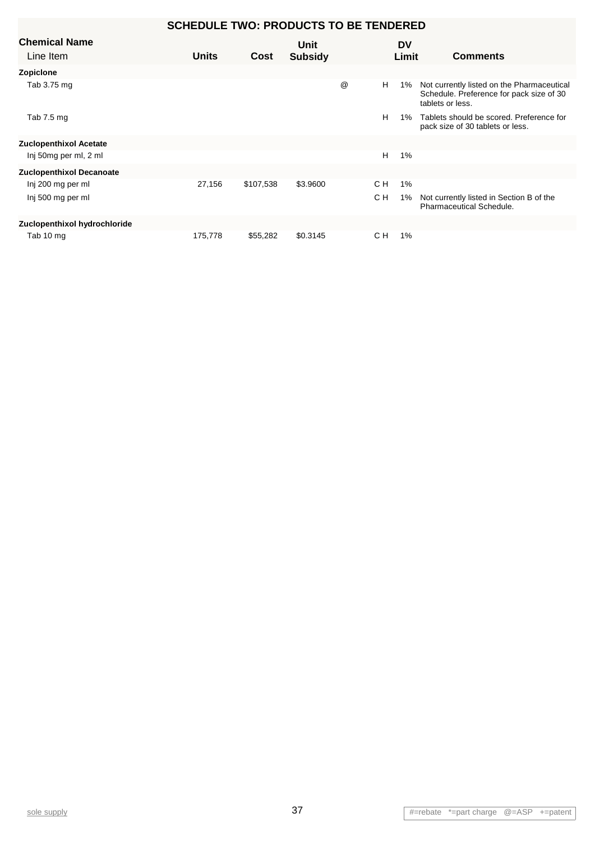#### Line Item **Chemical Name Units Comments Cost Subsidy SCHEDULE TWO: PRODUCTS TO BE TENDERED Unit DV Limit Zopiclone** Tab 3.75 mg Not currently listed on the Pharmaceutical Schedule. Preference for pack size of 30 tablets or less. @ H 1% Tab 7.5 mg Tablets should be scored. Preference for H 1% pack size of 30 tablets or less. **Zuclopenthixol Acetate** Inj 50mg per ml, 2 ml **Zuclopenthixol Decanoate** Inj 200 mg per ml 27,156 \$107,538 \$3.9600 C H 1% Inj 500 mg per ml **Not currently listed in Section B of the** Not currently listed in Section B of the Pharmaceutical Schedule.  $C H$ **Zuclopenthixol hydrochloride** Tab 10 mg 175,778 \$55,282 \$0.3145 C H 1%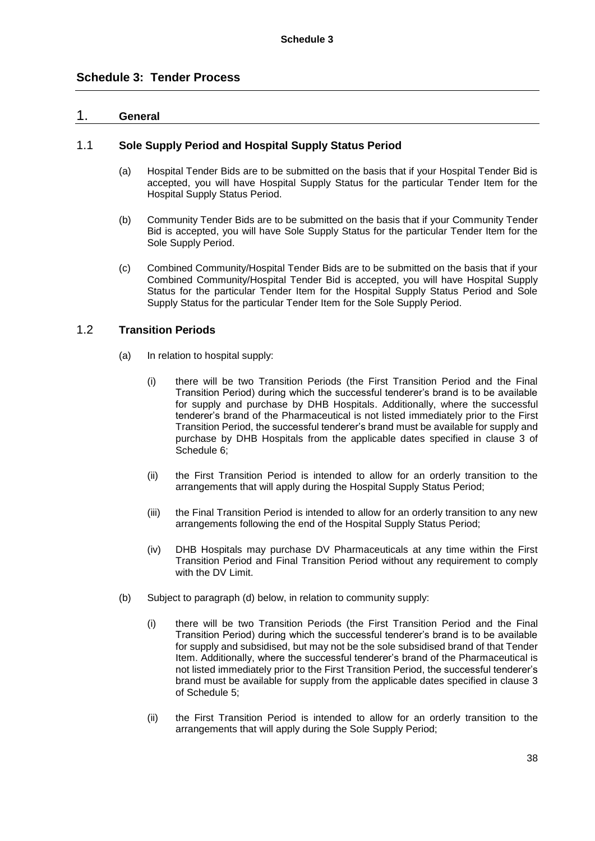### 1. **General**

### 1.1 **Sole Supply Period and Hospital Supply Status Period**

- (a) Hospital Tender Bids are to be submitted on the basis that if your Hospital Tender Bid is accepted, you will have Hospital Supply Status for the particular Tender Item for the Hospital Supply Status Period.
- (b) Community Tender Bids are to be submitted on the basis that if your Community Tender Bid is accepted, you will have Sole Supply Status for the particular Tender Item for the Sole Supply Period.
- (c) Combined Community/Hospital Tender Bids are to be submitted on the basis that if your Combined Community/Hospital Tender Bid is accepted, you will have Hospital Supply Status for the particular Tender Item for the Hospital Supply Status Period and Sole Supply Status for the particular Tender Item for the Sole Supply Period.

### 1.2 **Transition Periods**

- (a) In relation to hospital supply:
	- (i) there will be two Transition Periods (the First Transition Period and the Final Transition Period) during which the successful tenderer's brand is to be available for supply and purchase by DHB Hospitals. Additionally, where the successful tenderer's brand of the Pharmaceutical is not listed immediately prior to the First Transition Period, the successful tenderer's brand must be available for supply and purchase by DHB Hospitals from the applicable dates specified in clause 3 of Schedule 6;
	- (ii) the First Transition Period is intended to allow for an orderly transition to the arrangements that will apply during the Hospital Supply Status Period;
	- (iii) the Final Transition Period is intended to allow for an orderly transition to any new arrangements following the end of the Hospital Supply Status Period;
	- (iv) DHB Hospitals may purchase DV Pharmaceuticals at any time within the First Transition Period and Final Transition Period without any requirement to comply with the DV Limit.
- (b) Subject to paragraph (d) below, in relation to community supply:
	- (i) there will be two Transition Periods (the First Transition Period and the Final Transition Period) during which the successful tenderer's brand is to be available for supply and subsidised, but may not be the sole subsidised brand of that Tender Item. Additionally, where the successful tenderer's brand of the Pharmaceutical is not listed immediately prior to the First Transition Period, the successful tenderer's brand must be available for supply from the applicable dates specified in clause 3 of Schedule 5;
	- (ii) the First Transition Period is intended to allow for an orderly transition to the arrangements that will apply during the Sole Supply Period;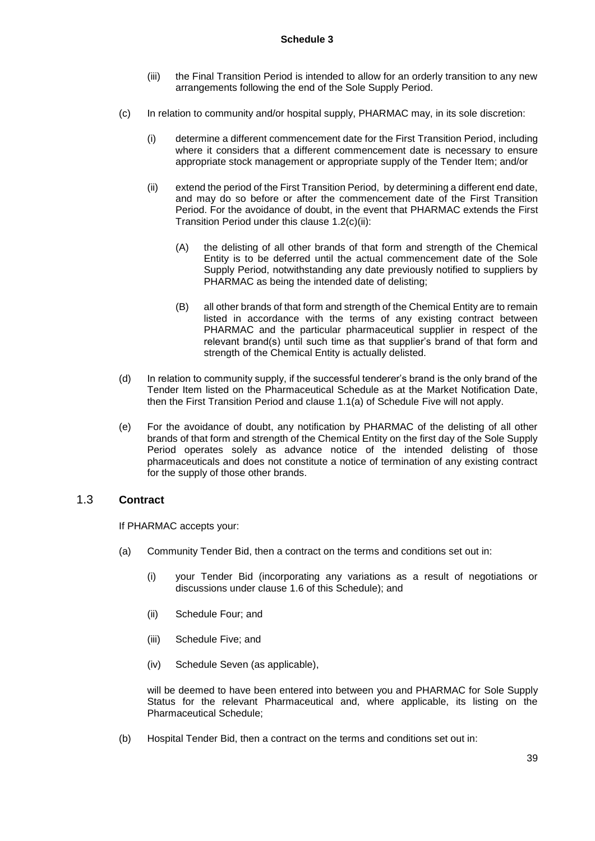- (iii) the Final Transition Period is intended to allow for an orderly transition to any new arrangements following the end of the Sole Supply Period.
- (c) In relation to community and/or hospital supply, PHARMAC may, in its sole discretion:
	- (i) determine a different commencement date for the First Transition Period, including where it considers that a different commencement date is necessary to ensure appropriate stock management or appropriate supply of the Tender Item; and/or
	- (ii) extend the period of the First Transition Period, by determining a different end date, and may do so before or after the commencement date of the First Transition Period. For the avoidance of doubt, in the event that PHARMAC extends the First Transition Period under this clause 1.2(c)(ii):
		- (A) the delisting of all other brands of that form and strength of the Chemical Entity is to be deferred until the actual commencement date of the Sole Supply Period, notwithstanding any date previously notified to suppliers by PHARMAC as being the intended date of delisting;
		- (B) all other brands of that form and strength of the Chemical Entity are to remain listed in accordance with the terms of any existing contract between PHARMAC and the particular pharmaceutical supplier in respect of the relevant brand(s) until such time as that supplier's brand of that form and strength of the Chemical Entity is actually delisted.
- (d) In relation to community supply, if the successful tenderer's brand is the only brand of the Tender Item listed on the Pharmaceutical Schedule as at the Market Notification Date, then the First Transition Period and clause 1.1(a) of Schedule Five will not apply.
- (e) For the avoidance of doubt, any notification by PHARMAC of the delisting of all other brands of that form and strength of the Chemical Entity on the first day of the Sole Supply Period operates solely as advance notice of the intended delisting of those pharmaceuticals and does not constitute a notice of termination of any existing contract for the supply of those other brands.

### 1.3 **Contract**

If PHARMAC accepts your:

- (a) Community Tender Bid, then a contract on the terms and conditions set out in:
	- (i) your Tender Bid (incorporating any variations as a result of negotiations or discussions under clause 1.6 of this Schedule); and
	- (ii) Schedule Four; and
	- (iii) Schedule Five; and
	- (iv) Schedule Seven (as applicable),

will be deemed to have been entered into between you and PHARMAC for Sole Supply Status for the relevant Pharmaceutical and, where applicable, its listing on the Pharmaceutical Schedule;

(b) Hospital Tender Bid, then a contract on the terms and conditions set out in: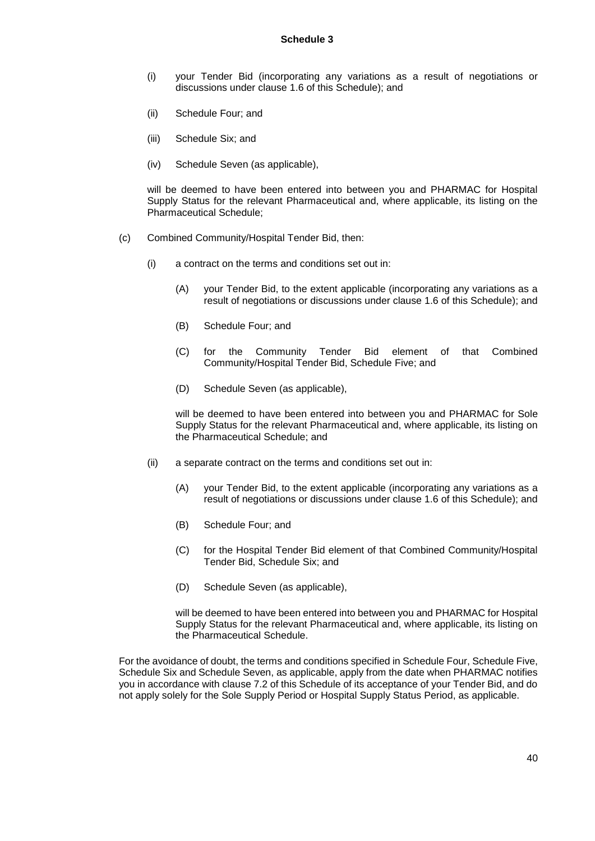- (i) your Tender Bid (incorporating any variations as a result of negotiations or discussions under clause 1.6 of this Schedule); and
- (ii) Schedule Four; and
- (iii) Schedule Six; and
- (iv) Schedule Seven (as applicable),

will be deemed to have been entered into between you and PHARMAC for Hospital Supply Status for the relevant Pharmaceutical and, where applicable, its listing on the Pharmaceutical Schedule;

- (c) Combined Community/Hospital Tender Bid, then:
	- (i) a contract on the terms and conditions set out in:
		- (A) your Tender Bid, to the extent applicable (incorporating any variations as a result of negotiations or discussions under clause 1.6 of this Schedule); and
		- (B) Schedule Four; and
		- (C) for the Community Tender Bid element of that Combined Community/Hospital Tender Bid, Schedule Five; and
		- (D) Schedule Seven (as applicable),

will be deemed to have been entered into between you and PHARMAC for Sole Supply Status for the relevant Pharmaceutical and, where applicable, its listing on the Pharmaceutical Schedule; and

- (ii) a separate contract on the terms and conditions set out in:
	- (A) your Tender Bid, to the extent applicable (incorporating any variations as a result of negotiations or discussions under clause 1.6 of this Schedule); and
	- (B) Schedule Four; and
	- (C) for the Hospital Tender Bid element of that Combined Community/Hospital Tender Bid, Schedule Six; and
	- (D) Schedule Seven (as applicable),

will be deemed to have been entered into between you and PHARMAC for Hospital Supply Status for the relevant Pharmaceutical and, where applicable, its listing on the Pharmaceutical Schedule.

For the avoidance of doubt, the terms and conditions specified in Schedule Four, Schedule Five, Schedule Six and Schedule Seven, as applicable, apply from the date when PHARMAC notifies you in accordance with clause 7.2 of this Schedule of its acceptance of your Tender Bid, and do not apply solely for the Sole Supply Period or Hospital Supply Status Period, as applicable.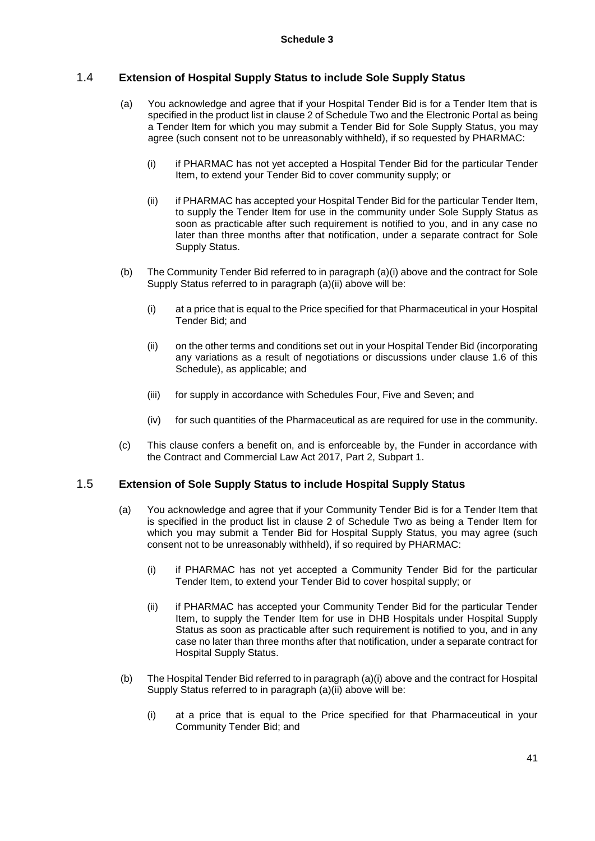### 1.4 **Extension of Hospital Supply Status to include Sole Supply Status**

- (a) You acknowledge and agree that if your Hospital Tender Bid is for a Tender Item that is specified in the product list in clause 2 of Schedule Two and the Electronic Portal as being a Tender Item for which you may submit a Tender Bid for Sole Supply Status, you may agree (such consent not to be unreasonably withheld), if so requested by PHARMAC:
	- (i) if PHARMAC has not yet accepted a Hospital Tender Bid for the particular Tender Item, to extend your Tender Bid to cover community supply; or
	- (ii) if PHARMAC has accepted your Hospital Tender Bid for the particular Tender Item, to supply the Tender Item for use in the community under Sole Supply Status as soon as practicable after such requirement is notified to you, and in any case no later than three months after that notification, under a separate contract for Sole Supply Status.
- (b) The Community Tender Bid referred to in paragraph (a)(i) above and the contract for Sole Supply Status referred to in paragraph (a)(ii) above will be:
	- (i) at a price that is equal to the Price specified for that Pharmaceutical in your Hospital Tender Bid; and
	- (ii) on the other terms and conditions set out in your Hospital Tender Bid (incorporating any variations as a result of negotiations or discussions under clause 1.6 of this Schedule), as applicable; and
	- (iii) for supply in accordance with Schedules Four, Five and Seven; and
	- (iv) for such quantities of the Pharmaceutical as are required for use in the community.
- (c) This clause confers a benefit on, and is enforceable by, the Funder in accordance with the Contract and Commercial Law Act 2017, Part 2, Subpart 1.

### 1.5 **Extension of Sole Supply Status to include Hospital Supply Status**

- (a) You acknowledge and agree that if your Community Tender Bid is for a Tender Item that is specified in the product list in clause 2 of Schedule Two as being a Tender Item for which you may submit a Tender Bid for Hospital Supply Status, you may agree (such consent not to be unreasonably withheld), if so required by PHARMAC:
	- (i) if PHARMAC has not yet accepted a Community Tender Bid for the particular Tender Item, to extend your Tender Bid to cover hospital supply; or
	- (ii) if PHARMAC has accepted your Community Tender Bid for the particular Tender Item, to supply the Tender Item for use in DHB Hospitals under Hospital Supply Status as soon as practicable after such requirement is notified to you, and in any case no later than three months after that notification, under a separate contract for Hospital Supply Status.
- (b) The Hospital Tender Bid referred to in paragraph (a)(i) above and the contract for Hospital Supply Status referred to in paragraph (a)(ii) above will be:
	- (i) at a price that is equal to the Price specified for that Pharmaceutical in your Community Tender Bid; and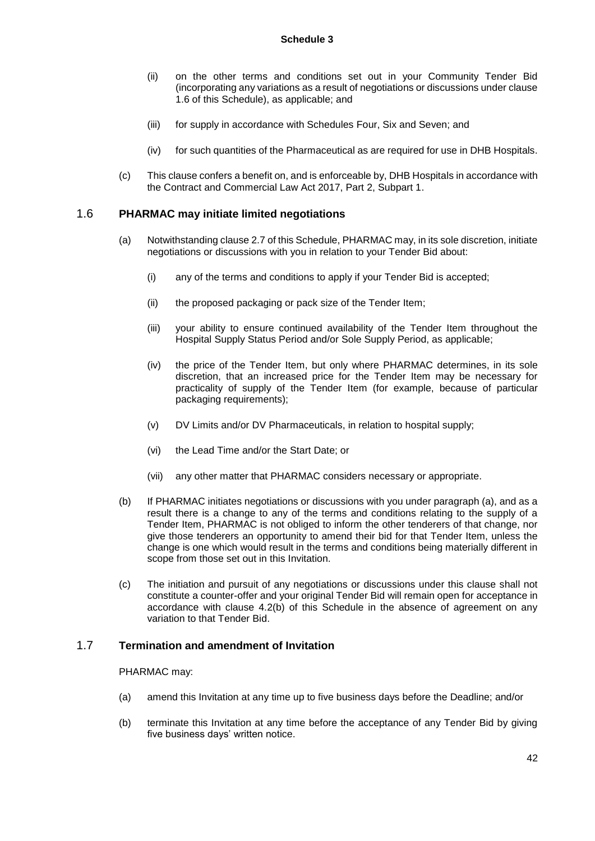- (ii) on the other terms and conditions set out in your Community Tender Bid (incorporating any variations as a result of negotiations or discussions under clause 1.6 of this Schedule), as applicable; and
- (iii) for supply in accordance with Schedules Four, Six and Seven; and
- (iv) for such quantities of the Pharmaceutical as are required for use in DHB Hospitals.
- (c) This clause confers a benefit on, and is enforceable by, DHB Hospitals in accordance with the Contract and Commercial Law Act 2017, Part 2, Subpart 1.

### 1.6 **PHARMAC may initiate limited negotiations**

- (a) Notwithstanding clause 2.7 of this Schedule, PHARMAC may, in its sole discretion, initiate negotiations or discussions with you in relation to your Tender Bid about:
	- (i) any of the terms and conditions to apply if your Tender Bid is accepted;
	- (ii) the proposed packaging or pack size of the Tender Item;
	- (iii) your ability to ensure continued availability of the Tender Item throughout the Hospital Supply Status Period and/or Sole Supply Period, as applicable;
	- (iv) the price of the Tender Item, but only where PHARMAC determines, in its sole discretion, that an increased price for the Tender Item may be necessary for practicality of supply of the Tender Item (for example, because of particular packaging requirements);
	- (v) DV Limits and/or DV Pharmaceuticals, in relation to hospital supply;
	- (vi) the Lead Time and/or the Start Date; or
	- (vii) any other matter that PHARMAC considers necessary or appropriate.
- (b) If PHARMAC initiates negotiations or discussions with you under paragraph (a), and as a result there is a change to any of the terms and conditions relating to the supply of a Tender Item, PHARMAC is not obliged to inform the other tenderers of that change, nor give those tenderers an opportunity to amend their bid for that Tender Item, unless the change is one which would result in the terms and conditions being materially different in scope from those set out in this Invitation.
- (c) The initiation and pursuit of any negotiations or discussions under this clause shall not constitute a counter-offer and your original Tender Bid will remain open for acceptance in accordance with clause 4.2(b) of this Schedule in the absence of agreement on any variation to that Tender Bid.

### 1.7 **Termination and amendment of Invitation**

#### PHARMAC may:

- (a) amend this Invitation at any time up to five business days before the Deadline; and/or
- (b) terminate this Invitation at any time before the acceptance of any Tender Bid by giving five business days' written notice.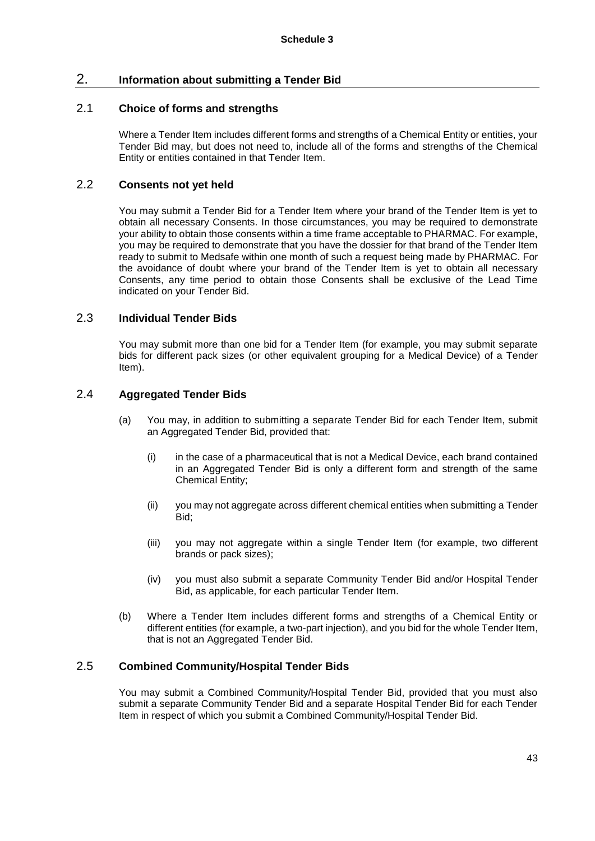### 2. **Information about submitting a Tender Bid**

### 2.1 **Choice of forms and strengths**

Where a Tender Item includes different forms and strengths of a Chemical Entity or entities, your Tender Bid may, but does not need to, include all of the forms and strengths of the Chemical Entity or entities contained in that Tender Item.

### 2.2 **Consents not yet held**

You may submit a Tender Bid for a Tender Item where your brand of the Tender Item is yet to obtain all necessary Consents. In those circumstances, you may be required to demonstrate your ability to obtain those consents within a time frame acceptable to PHARMAC. For example, you may be required to demonstrate that you have the dossier for that brand of the Tender Item ready to submit to Medsafe within one month of such a request being made by PHARMAC. For the avoidance of doubt where your brand of the Tender Item is yet to obtain all necessary Consents, any time period to obtain those Consents shall be exclusive of the Lead Time indicated on your Tender Bid.

### 2.3 **Individual Tender Bids**

You may submit more than one bid for a Tender Item (for example, you may submit separate bids for different pack sizes (or other equivalent grouping for a Medical Device) of a Tender Item).

### 2.4 **Aggregated Tender Bids**

- (a) You may, in addition to submitting a separate Tender Bid for each Tender Item, submit an Aggregated Tender Bid, provided that:
	- (i) in the case of a pharmaceutical that is not a Medical Device, each brand contained in an Aggregated Tender Bid is only a different form and strength of the same Chemical Entity;
	- (ii) you may not aggregate across different chemical entities when submitting a Tender Bid;
	- (iii) you may not aggregate within a single Tender Item (for example, two different brands or pack sizes);
	- (iv) you must also submit a separate Community Tender Bid and/or Hospital Tender Bid, as applicable, for each particular Tender Item.
- (b) Where a Tender Item includes different forms and strengths of a Chemical Entity or different entities (for example, a two-part injection), and you bid for the whole Tender Item, that is not an Aggregated Tender Bid.

### 2.5 **Combined Community/Hospital Tender Bids**

You may submit a Combined Community/Hospital Tender Bid, provided that you must also submit a separate Community Tender Bid and a separate Hospital Tender Bid for each Tender Item in respect of which you submit a Combined Community/Hospital Tender Bid.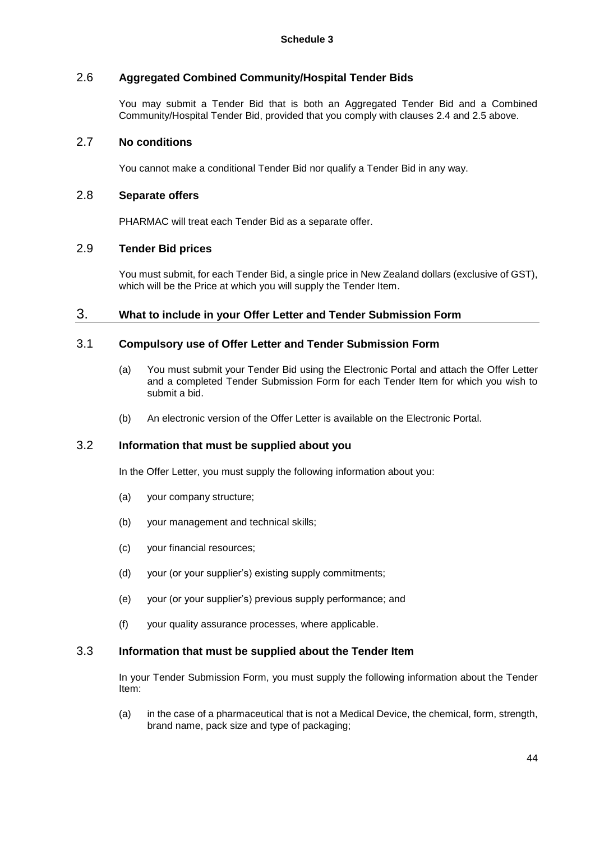## 2.6 **Aggregated Combined Community/Hospital Tender Bids**

You may submit a Tender Bid that is both an Aggregated Tender Bid and a Combined Community/Hospital Tender Bid, provided that you comply with clauses 2.4 and 2.5 above.

### 2.7 **No conditions**

You cannot make a conditional Tender Bid nor qualify a Tender Bid in any way.

### 2.8 **Separate offers**

PHARMAC will treat each Tender Bid as a separate offer.

## 2.9 **Tender Bid prices**

You must submit, for each Tender Bid, a single price in New Zealand dollars (exclusive of GST), which will be the Price at which you will supply the Tender Item.

### 3. **What to include in your Offer Letter and Tender Submission Form**

### 3.1 **Compulsory use of Offer Letter and Tender Submission Form**

- (a) You must submit your Tender Bid using the Electronic Portal and attach the Offer Letter and a completed Tender Submission Form for each Tender Item for which you wish to submit a bid.
- (b) An electronic version of the Offer Letter is available on the Electronic Portal.

### 3.2 **Information that must be supplied about you**

In the Offer Letter, you must supply the following information about you:

- (a) your company structure;
- (b) your management and technical skills;
- (c) your financial resources;
- (d) your (or your supplier's) existing supply commitments;
- (e) your (or your supplier's) previous supply performance; and
- (f) your quality assurance processes, where applicable.

## 3.3 **Information that must be supplied about the Tender Item**

In your Tender Submission Form, you must supply the following information about the Tender Item:

(a) in the case of a pharmaceutical that is not a Medical Device, the chemical, form, strength, brand name, pack size and type of packaging;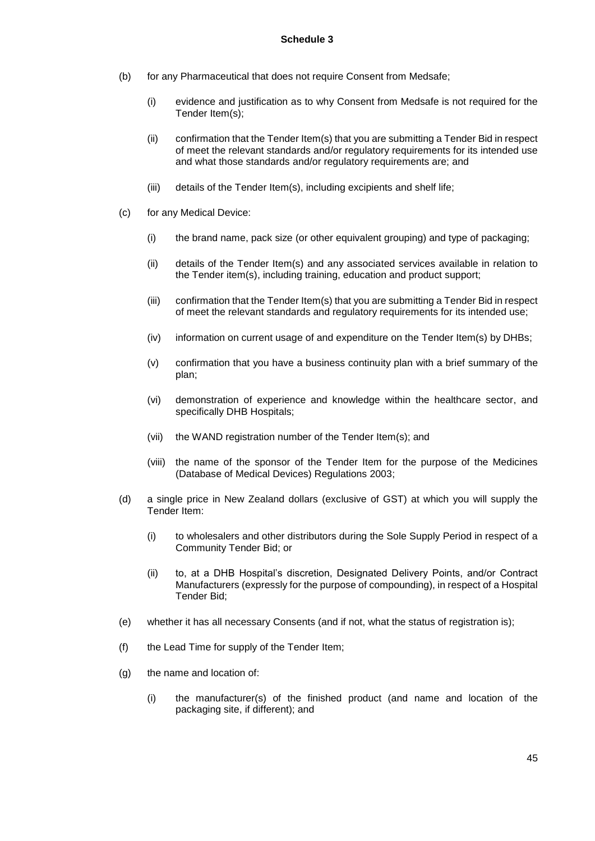- (b) for any Pharmaceutical that does not require Consent from Medsafe;
	- (i) evidence and justification as to why Consent from Medsafe is not required for the Tender Item(s);
	- (ii) confirmation that the Tender Item(s) that you are submitting a Tender Bid in respect of meet the relevant standards and/or regulatory requirements for its intended use and what those standards and/or regulatory requirements are; and
	- (iii) details of the Tender Item(s), including excipients and shelf life;
- (c) for any Medical Device:
	- (i) the brand name, pack size (or other equivalent grouping) and type of packaging;
	- (ii) details of the Tender Item(s) and any associated services available in relation to the Tender item(s), including training, education and product support;
	- (iii) confirmation that the Tender Item(s) that you are submitting a Tender Bid in respect of meet the relevant standards and regulatory requirements for its intended use;
	- (iv) information on current usage of and expenditure on the Tender Item(s) by DHBs;
	- (v) confirmation that you have a business continuity plan with a brief summary of the plan;
	- (vi) demonstration of experience and knowledge within the healthcare sector, and specifically DHB Hospitals;
	- (vii) the WAND registration number of the Tender Item(s); and
	- (viii) the name of the sponsor of the Tender Item for the purpose of the Medicines (Database of Medical Devices) Regulations 2003;
- (d) a single price in New Zealand dollars (exclusive of GST) at which you will supply the Tender Item:
	- (i) to wholesalers and other distributors during the Sole Supply Period in respect of a Community Tender Bid; or
	- (ii) to, at a DHB Hospital's discretion, Designated Delivery Points, and/or Contract Manufacturers (expressly for the purpose of compounding), in respect of a Hospital Tender Bid;
- (e) whether it has all necessary Consents (and if not, what the status of registration is);
- (f) the Lead Time for supply of the Tender Item;
- (g) the name and location of:
	- (i) the manufacturer(s) of the finished product (and name and location of the packaging site, if different); and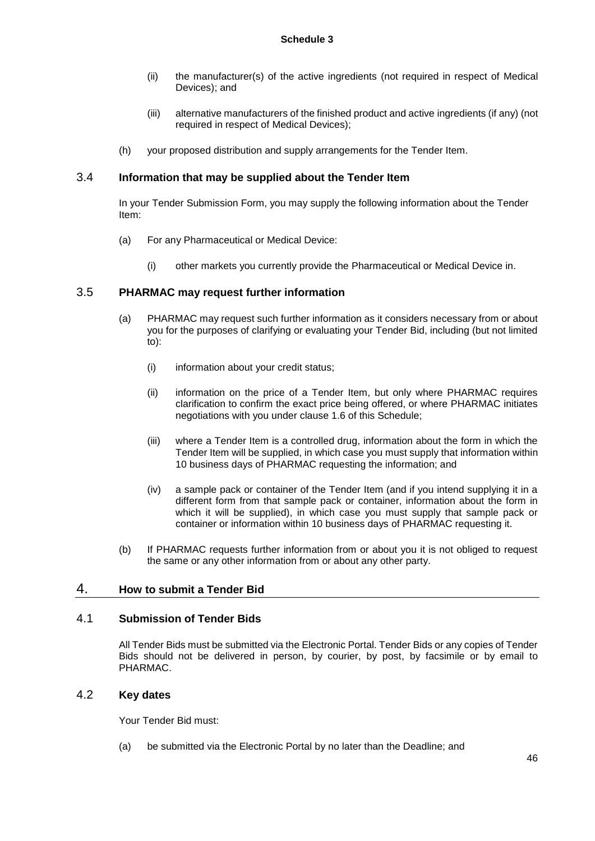- (ii) the manufacturer(s) of the active ingredients (not required in respect of Medical Devices); and
- (iii) alternative manufacturers of the finished product and active ingredients (if any) (not required in respect of Medical Devices);
- (h) your proposed distribution and supply arrangements for the Tender Item.

## 3.4 **Information that may be supplied about the Tender Item**

In your Tender Submission Form, you may supply the following information about the Tender Item:

- (a) For any Pharmaceutical or Medical Device:
	- (i) other markets you currently provide the Pharmaceutical or Medical Device in.

## 3.5 **PHARMAC may request further information**

- (a) PHARMAC may request such further information as it considers necessary from or about you for the purposes of clarifying or evaluating your Tender Bid, including (but not limited to):
	- (i) information about your credit status;
	- (ii) information on the price of a Tender Item, but only where PHARMAC requires clarification to confirm the exact price being offered, or where PHARMAC initiates negotiations with you under clause 1.6 of this Schedule;
	- (iii) where a Tender Item is a controlled drug, information about the form in which the Tender Item will be supplied, in which case you must supply that information within 10 business days of PHARMAC requesting the information; and
	- (iv) a sample pack or container of the Tender Item (and if you intend supplying it in a different form from that sample pack or container, information about the form in which it will be supplied), in which case you must supply that sample pack or container or information within 10 business days of PHARMAC requesting it.
- (b) If PHARMAC requests further information from or about you it is not obliged to request the same or any other information from or about any other party.

## 4. **How to submit a Tender Bid**

### 4.1 **Submission of Tender Bids**

All Tender Bids must be submitted via the Electronic Portal. Tender Bids or any copies of Tender Bids should not be delivered in person, by courier, by post, by facsimile or by email to PHARMAC.

### 4.2 **Key dates**

Your Tender Bid must:

(a) be submitted via the Electronic Portal by no later than the Deadline; and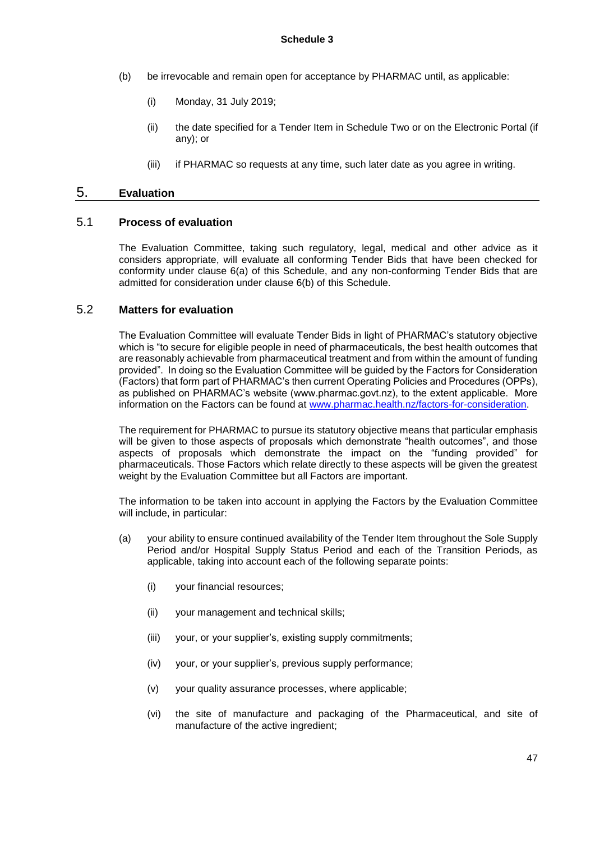- (b) be irrevocable and remain open for acceptance by PHARMAC until, as applicable:
	- (i) Monday, 31 July 2019;
	- (ii) the date specified for a Tender Item in Schedule Two or on the Electronic Portal (if any); or
	- (iii) if PHARMAC so requests at any time, such later date as you agree in writing.

## 5. **Evaluation**

### 5.1 **Process of evaluation**

The Evaluation Committee, taking such regulatory, legal, medical and other advice as it considers appropriate, will evaluate all conforming Tender Bids that have been checked for conformity under clause 6(a) of this Schedule, and any non-conforming Tender Bids that are admitted for consideration under clause 6(b) of this Schedule.

### 5.2 **Matters for evaluation**

The Evaluation Committee will evaluate Tender Bids in light of PHARMAC's statutory objective which is "to secure for eligible people in need of pharmaceuticals, the best health outcomes that are reasonably achievable from pharmaceutical treatment and from within the amount of funding provided". In doing so the Evaluation Committee will be guided by the Factors for Consideration (Factors) that form part of PHARMAC's then current Operating Policies and Procedures (OPPs), as published on PHARMAC's website (www.pharmac.govt.nz), to the extent applicable. More information on the Factors can be found at [www.pharmac.health.nz/factors-for-consideration.](http://www.pharmac.health.nz/medicines/how-medicines-are-funded/factors-for-consideration/)

The requirement for PHARMAC to pursue its statutory objective means that particular emphasis will be given to those aspects of proposals which demonstrate "health outcomes", and those aspects of proposals which demonstrate the impact on the "funding provided" for pharmaceuticals. Those Factors which relate directly to these aspects will be given the greatest weight by the Evaluation Committee but all Factors are important.

The information to be taken into account in applying the Factors by the Evaluation Committee will include, in particular:

- (a) your ability to ensure continued availability of the Tender Item throughout the Sole Supply Period and/or Hospital Supply Status Period and each of the Transition Periods, as applicable, taking into account each of the following separate points:
	- (i) your financial resources;
	- (ii) your management and technical skills;
	- (iii) your, or your supplier's, existing supply commitments;
	- (iv) your, or your supplier's, previous supply performance;
	- (v) your quality assurance processes, where applicable;
	- (vi) the site of manufacture and packaging of the Pharmaceutical, and site of manufacture of the active ingredient;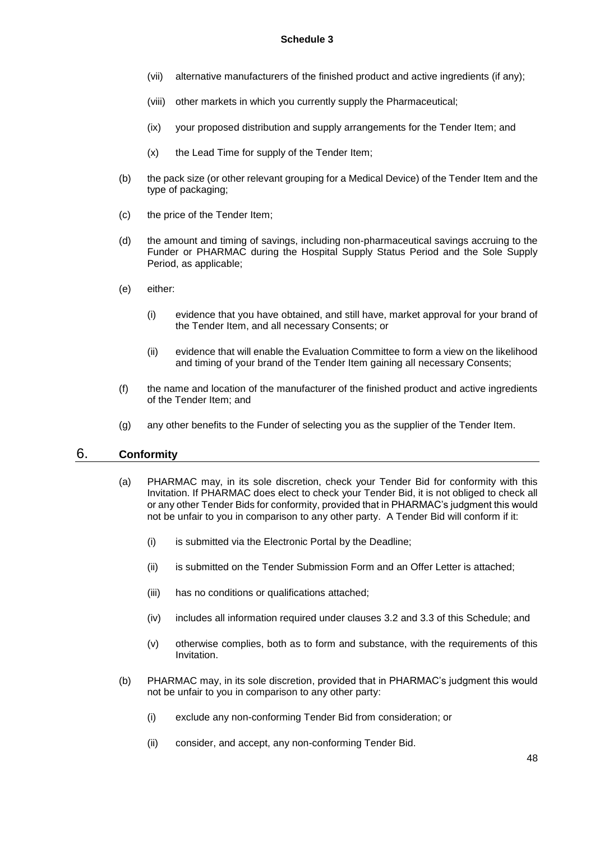- (vii) alternative manufacturers of the finished product and active ingredients (if any);
- (viii) other markets in which you currently supply the Pharmaceutical;
- (ix) your proposed distribution and supply arrangements for the Tender Item; and
- (x) the Lead Time for supply of the Tender Item;
- (b) the pack size (or other relevant grouping for a Medical Device) of the Tender Item and the type of packaging;
- (c) the price of the Tender Item;
- (d) the amount and timing of savings, including non-pharmaceutical savings accruing to the Funder or PHARMAC during the Hospital Supply Status Period and the Sole Supply Period, as applicable;
- (e) either:
	- (i) evidence that you have obtained, and still have, market approval for your brand of the Tender Item, and all necessary Consents; or
	- (ii) evidence that will enable the Evaluation Committee to form a view on the likelihood and timing of your brand of the Tender Item gaining all necessary Consents;
- (f) the name and location of the manufacturer of the finished product and active ingredients of the Tender Item; and
- (g) any other benefits to the Funder of selecting you as the supplier of the Tender Item.

## 6. **Conformity**

- (a) PHARMAC may, in its sole discretion, check your Tender Bid for conformity with this Invitation. If PHARMAC does elect to check your Tender Bid, it is not obliged to check all or any other Tender Bids for conformity, provided that in PHARMAC's judgment this would not be unfair to you in comparison to any other party. A Tender Bid will conform if it:
	- (i) is submitted via the Electronic Portal by the Deadline;
	- (ii) is submitted on the Tender Submission Form and an Offer Letter is attached;
	- (iii) has no conditions or qualifications attached;
	- (iv) includes all information required under clauses 3.2 and 3.3 of this Schedule; and
	- (v) otherwise complies, both as to form and substance, with the requirements of this Invitation.
- (b) PHARMAC may, in its sole discretion, provided that in PHARMAC's judgment this would not be unfair to you in comparison to any other party:
	- (i) exclude any non-conforming Tender Bid from consideration; or
	- (ii) consider, and accept, any non-conforming Tender Bid.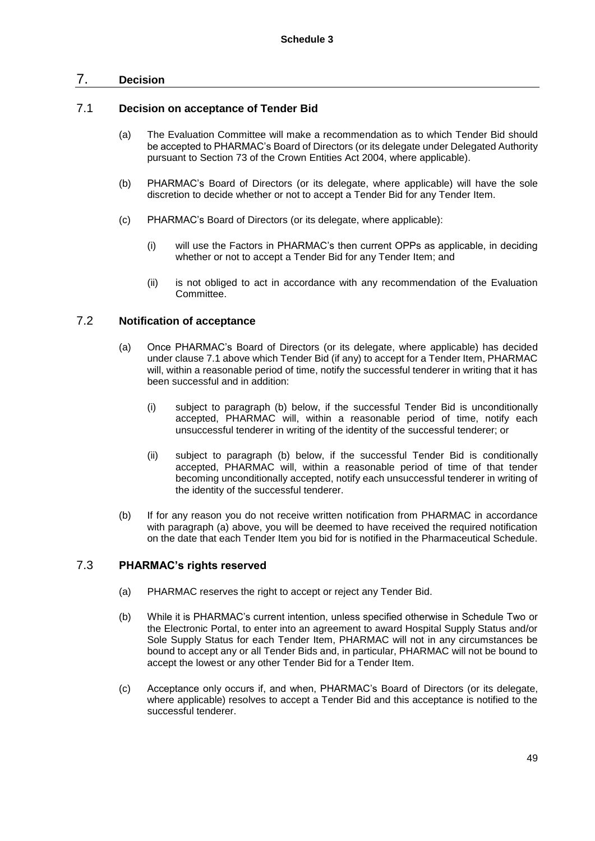### 7. **Decision**

### 7.1 **Decision on acceptance of Tender Bid**

- (a) The Evaluation Committee will make a recommendation as to which Tender Bid should be accepted to PHARMAC's Board of Directors (or its delegate under Delegated Authority pursuant to Section 73 of the Crown Entities Act 2004, where applicable).
- (b) PHARMAC's Board of Directors (or its delegate, where applicable) will have the sole discretion to decide whether or not to accept a Tender Bid for any Tender Item.
- (c) PHARMAC's Board of Directors (or its delegate, where applicable):
	- (i) will use the Factors in PHARMAC's then current OPPs as applicable, in deciding whether or not to accept a Tender Bid for any Tender Item; and
	- (ii) is not obliged to act in accordance with any recommendation of the Evaluation Committee.

### 7.2 **Notification of acceptance**

- (a) Once PHARMAC's Board of Directors (or its delegate, where applicable) has decided under clause 7.1 above which Tender Bid (if any) to accept for a Tender Item, PHARMAC will, within a reasonable period of time, notify the successful tenderer in writing that it has been successful and in addition:
	- (i) subject to paragraph (b) below, if the successful Tender Bid is unconditionally accepted, PHARMAC will, within a reasonable period of time, notify each unsuccessful tenderer in writing of the identity of the successful tenderer; or
	- (ii) subject to paragraph (b) below, if the successful Tender Bid is conditionally accepted, PHARMAC will, within a reasonable period of time of that tender becoming unconditionally accepted, notify each unsuccessful tenderer in writing of the identity of the successful tenderer.
- (b) If for any reason you do not receive written notification from PHARMAC in accordance with paragraph (a) above, you will be deemed to have received the required notification on the date that each Tender Item you bid for is notified in the Pharmaceutical Schedule.

## 7.3 **PHARMAC's rights reserved**

- (a) PHARMAC reserves the right to accept or reject any Tender Bid.
- (b) While it is PHARMAC's current intention, unless specified otherwise in Schedule Two or the Electronic Portal, to enter into an agreement to award Hospital Supply Status and/or Sole Supply Status for each Tender Item, PHARMAC will not in any circumstances be bound to accept any or all Tender Bids and, in particular, PHARMAC will not be bound to accept the lowest or any other Tender Bid for a Tender Item.
- (c) Acceptance only occurs if, and when, PHARMAC's Board of Directors (or its delegate, where applicable) resolves to accept a Tender Bid and this acceptance is notified to the successful tenderer.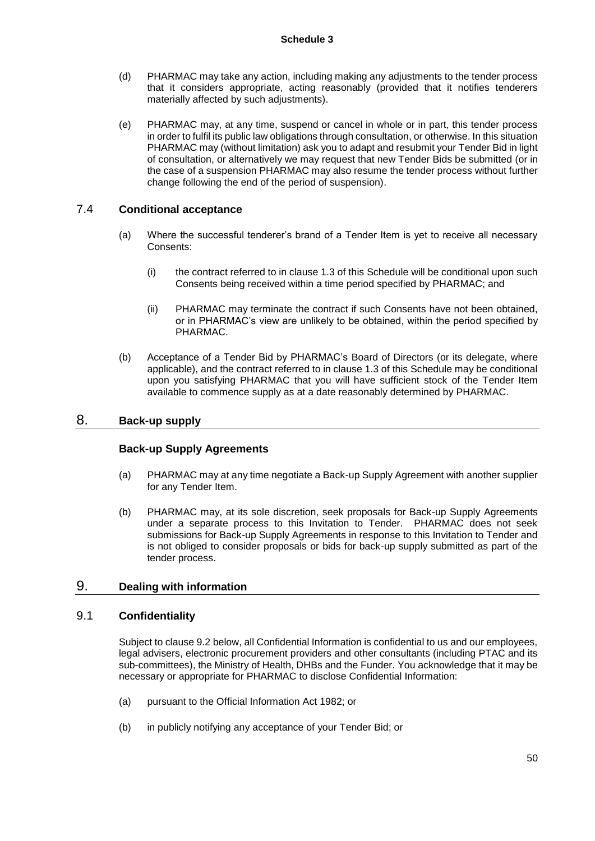- (d) PHARMAC may take any action, including making any adjustments to the tender process that it considers appropriate, acting reasonably (provided that it notifies tenderers materially affected by such adjustments).
- (e) PHARMAC may, at any time, suspend or cancel in whole or in part, this tender process in order to fulfil its public law obligations through consultation, or otherwise. In this situation PHARMAC may (without limitation) ask you to adapt and resubmit your Tender Bid in light of consultation, or alternatively we may request that new Tender Bids be submitted (or in the case of a suspension PHARMAC may also resume the tender process without further change following the end of the period of suspension).

## 7.4 **Conditional acceptance**

- (a) Where the successful tenderer's brand of a Tender Item is yet to receive all necessary Consents:
	- (i) the contract referred to in clause 1.3 of this Schedule will be conditional upon such Consents being received within a time period specified by PHARMAC; and
	- (ii) PHARMAC may terminate the contract if such Consents have not been obtained, or in PHARMAC's view are unlikely to be obtained, within the period specified by PHARMAC.
- (b) Acceptance of a Tender Bid by PHARMAC's Board of Directors (or its delegate, where applicable), and the contract referred to in clause 1.3 of this Schedule may be conditional upon you satisfying PHARMAC that you will have sufficient stock of the Tender Item available to commence supply as at a date reasonably determined by PHARMAC.

## 8. **Back-up supply**

### **Back-up Supply Agreements**

- (a) PHARMAC may at any time negotiate a Back-up Supply Agreement with another supplier for any Tender Item.
- (b) PHARMAC may, at its sole discretion, seek proposals for Back-up Supply Agreements under a separate process to this Invitation to Tender. PHARMAC does not seek submissions for Back-up Supply Agreements in response to this Invitation to Tender and is not obliged to consider proposals or bids for back-up supply submitted as part of the tender process.

### 9. **Dealing with information**

### 9.1 **Confidentiality**

Subject to clause 9.2 below, all Confidential Information is confidential to us and our employees, legal advisers, electronic procurement providers and other consultants (including PTAC and its sub-committees), the Ministry of Health, DHBs and the Funder. You acknowledge that it may be necessary or appropriate for PHARMAC to disclose Confidential Information:

- (a) pursuant to the Official Information Act 1982; or
- (b) in publicly notifying any acceptance of your Tender Bid; or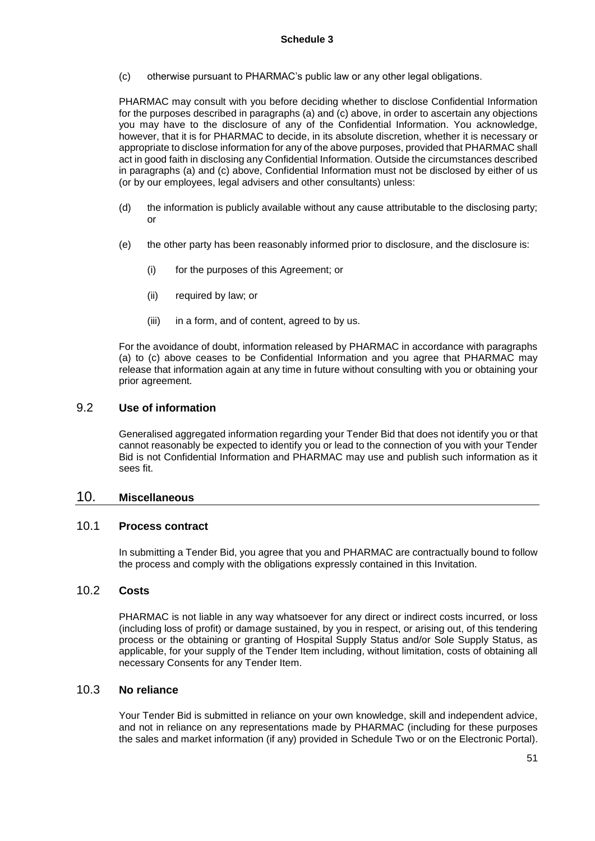(c) otherwise pursuant to PHARMAC's public law or any other legal obligations.

PHARMAC may consult with you before deciding whether to disclose Confidential Information for the purposes described in paragraphs (a) and (c) above, in order to ascertain any objections you may have to the disclosure of any of the Confidential Information. You acknowledge, however, that it is for PHARMAC to decide, in its absolute discretion, whether it is necessary or appropriate to disclose information for any of the above purposes, provided that PHARMAC shall act in good faith in disclosing any Confidential Information. Outside the circumstances described in paragraphs (a) and (c) above, Confidential Information must not be disclosed by either of us (or by our employees, legal advisers and other consultants) unless:

- (d) the information is publicly available without any cause attributable to the disclosing party; or
- (e) the other party has been reasonably informed prior to disclosure, and the disclosure is:
	- (i) for the purposes of this Agreement; or
	- (ii) required by law; or
	- (iii) in a form, and of content, agreed to by us.

For the avoidance of doubt, information released by PHARMAC in accordance with paragraphs (a) to (c) above ceases to be Confidential Information and you agree that PHARMAC may release that information again at any time in future without consulting with you or obtaining your prior agreement.

### 9.2 **Use of information**

Generalised aggregated information regarding your Tender Bid that does not identify you or that cannot reasonably be expected to identify you or lead to the connection of you with your Tender Bid is not Confidential Information and PHARMAC may use and publish such information as it sees fit.

### 10. **Miscellaneous**

### 10.1 **Process contract**

In submitting a Tender Bid, you agree that you and PHARMAC are contractually bound to follow the process and comply with the obligations expressly contained in this Invitation.

### 10.2 **Costs**

PHARMAC is not liable in any way whatsoever for any direct or indirect costs incurred, or loss (including loss of profit) or damage sustained, by you in respect, or arising out, of this tendering process or the obtaining or granting of Hospital Supply Status and/or Sole Supply Status, as applicable, for your supply of the Tender Item including, without limitation, costs of obtaining all necessary Consents for any Tender Item.

### 10.3 **No reliance**

Your Tender Bid is submitted in reliance on your own knowledge, skill and independent advice, and not in reliance on any representations made by PHARMAC (including for these purposes the sales and market information (if any) provided in Schedule Two or on the Electronic Portal).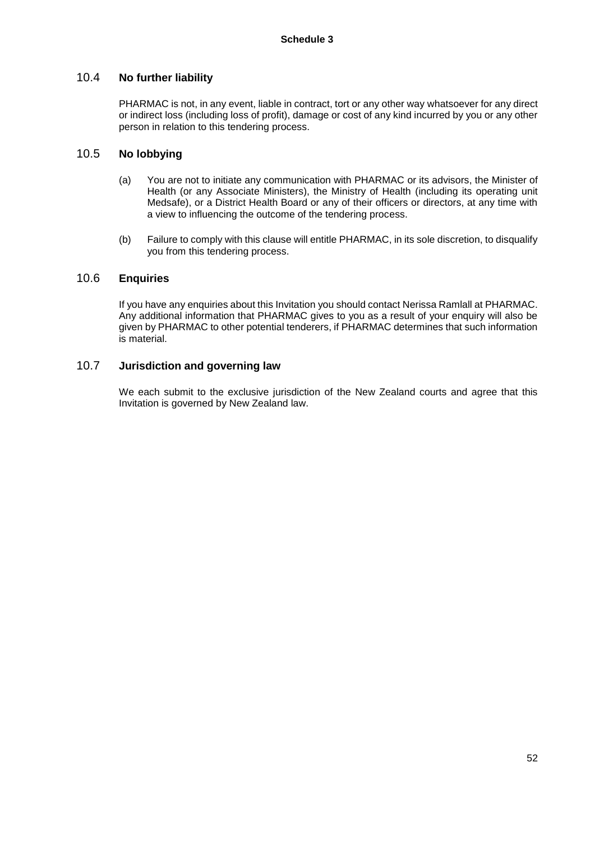### 10.4 **No further liability**

PHARMAC is not, in any event, liable in contract, tort or any other way whatsoever for any direct or indirect loss (including loss of profit), damage or cost of any kind incurred by you or any other person in relation to this tendering process.

## 10.5 **No lobbying**

- (a) You are not to initiate any communication with PHARMAC or its advisors, the Minister of Health (or any Associate Ministers), the Ministry of Health (including its operating unit Medsafe), or a District Health Board or any of their officers or directors, at any time with a view to influencing the outcome of the tendering process.
- (b) Failure to comply with this clause will entitle PHARMAC, in its sole discretion, to disqualify you from this tendering process.

### 10.6 **Enquiries**

If you have any enquiries about this Invitation you should contact Nerissa Ramlall at PHARMAC. Any additional information that PHARMAC gives to you as a result of your enquiry will also be given by PHARMAC to other potential tenderers, if PHARMAC determines that such information is material.

### 10.7 **Jurisdiction and governing law**

We each submit to the exclusive jurisdiction of the New Zealand courts and agree that this Invitation is governed by New Zealand law.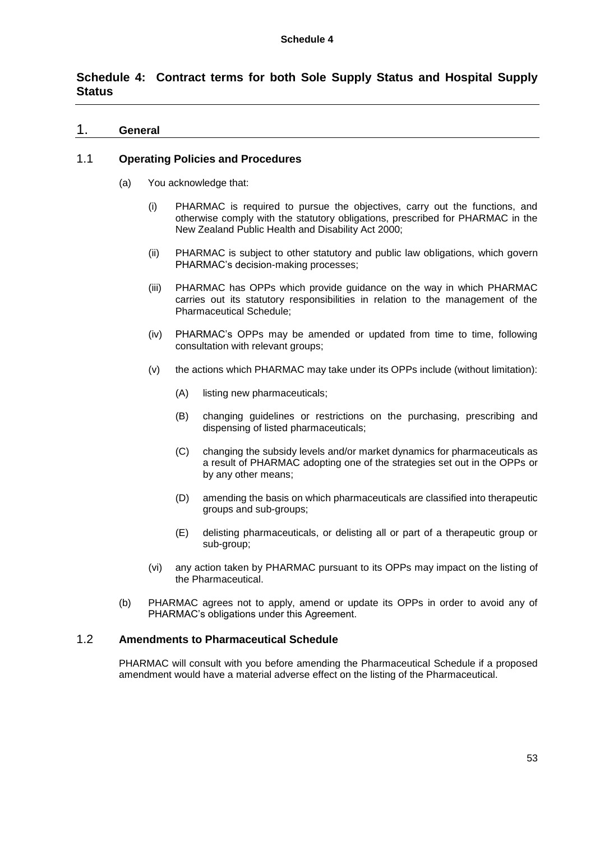# **Schedule 4: Contract terms for both Sole Supply Status and Hospital Supply Status**

### 1. **General**

### 1.1 **Operating Policies and Procedures**

- (a) You acknowledge that:
	- (i) PHARMAC is required to pursue the objectives, carry out the functions, and otherwise comply with the statutory obligations, prescribed for PHARMAC in the New Zealand Public Health and Disability Act 2000;
	- (ii) PHARMAC is subject to other statutory and public law obligations, which govern PHARMAC's decision-making processes;
	- (iii) PHARMAC has OPPs which provide guidance on the way in which PHARMAC carries out its statutory responsibilities in relation to the management of the Pharmaceutical Schedule;
	- (iv) PHARMAC's OPPs may be amended or updated from time to time, following consultation with relevant groups;
	- (v) the actions which PHARMAC may take under its OPPs include (without limitation):
		- (A) listing new pharmaceuticals;
		- (B) changing guidelines or restrictions on the purchasing, prescribing and dispensing of listed pharmaceuticals;
		- (C) changing the subsidy levels and/or market dynamics for pharmaceuticals as a result of PHARMAC adopting one of the strategies set out in the OPPs or by any other means;
		- (D) amending the basis on which pharmaceuticals are classified into therapeutic groups and sub-groups;
		- (E) delisting pharmaceuticals, or delisting all or part of a therapeutic group or sub-group;
	- (vi) any action taken by PHARMAC pursuant to its OPPs may impact on the listing of the Pharmaceutical.
- (b) PHARMAC agrees not to apply, amend or update its OPPs in order to avoid any of PHARMAC's obligations under this Agreement.

## 1.2 **Amendments to Pharmaceutical Schedule**

PHARMAC will consult with you before amending the Pharmaceutical Schedule if a proposed amendment would have a material adverse effect on the listing of the Pharmaceutical.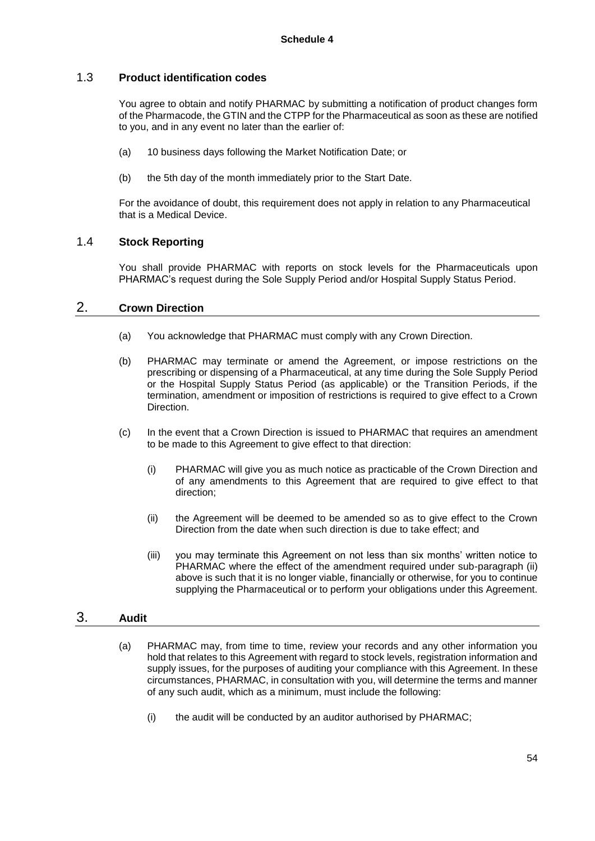### 1.3 **Product identification codes**

You agree to obtain and notify PHARMAC by submitting a notification of product changes form of the Pharmacode, the GTIN and the CTPP for the Pharmaceutical as soon as these are notified to you, and in any event no later than the earlier of:

- (a) 10 business days following the Market Notification Date; or
- (b) the 5th day of the month immediately prior to the Start Date.

For the avoidance of doubt, this requirement does not apply in relation to any Pharmaceutical that is a Medical Device.

### 1.4 **Stock Reporting**

You shall provide PHARMAC with reports on stock levels for the Pharmaceuticals upon PHARMAC's request during the Sole Supply Period and/or Hospital Supply Status Period.

### 2. **Crown Direction**

- (a) You acknowledge that PHARMAC must comply with any Crown Direction.
- (b) PHARMAC may terminate or amend the Agreement, or impose restrictions on the prescribing or dispensing of a Pharmaceutical, at any time during the Sole Supply Period or the Hospital Supply Status Period (as applicable) or the Transition Periods, if the termination, amendment or imposition of restrictions is required to give effect to a Crown Direction.
- (c) In the event that a Crown Direction is issued to PHARMAC that requires an amendment to be made to this Agreement to give effect to that direction:
	- (i) PHARMAC will give you as much notice as practicable of the Crown Direction and of any amendments to this Agreement that are required to give effect to that direction;
	- (ii) the Agreement will be deemed to be amended so as to give effect to the Crown Direction from the date when such direction is due to take effect; and
	- (iii) you may terminate this Agreement on not less than six months' written notice to PHARMAC where the effect of the amendment required under sub-paragraph (ii) above is such that it is no longer viable, financially or otherwise, for you to continue supplying the Pharmaceutical or to perform your obligations under this Agreement.

## 3. **Audit**

- (a) PHARMAC may, from time to time, review your records and any other information you hold that relates to this Agreement with regard to stock levels, registration information and supply issues, for the purposes of auditing your compliance with this Agreement. In these circumstances, PHARMAC, in consultation with you, will determine the terms and manner of any such audit, which as a minimum, must include the following:
	- (i) the audit will be conducted by an auditor authorised by PHARMAC;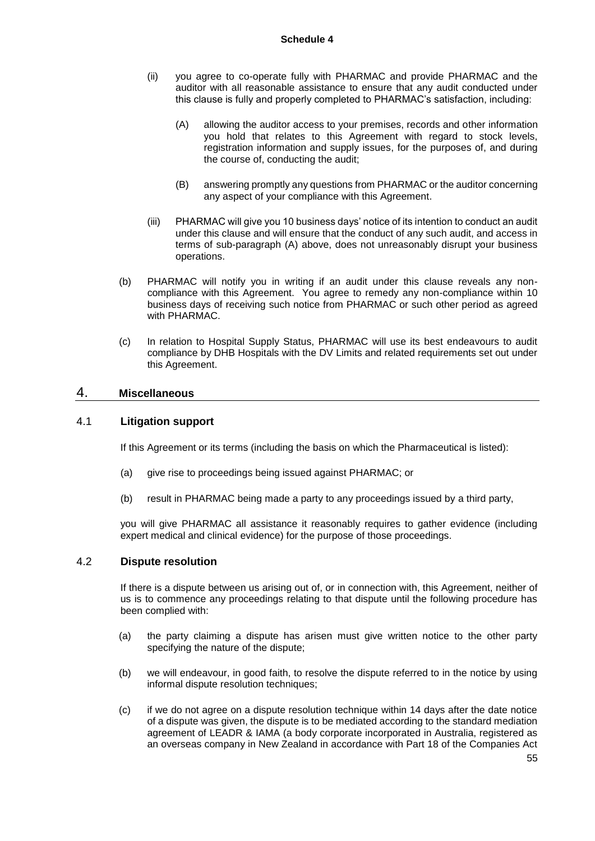- (ii) you agree to co-operate fully with PHARMAC and provide PHARMAC and the auditor with all reasonable assistance to ensure that any audit conducted under this clause is fully and properly completed to PHARMAC's satisfaction, including:
	- (A) allowing the auditor access to your premises, records and other information you hold that relates to this Agreement with regard to stock levels, registration information and supply issues, for the purposes of, and during the course of, conducting the audit;
	- (B) answering promptly any questions from PHARMAC or the auditor concerning any aspect of your compliance with this Agreement.
- (iii) PHARMAC will give you 10 business days' notice of its intention to conduct an audit under this clause and will ensure that the conduct of any such audit, and access in terms of sub-paragraph (A) above, does not unreasonably disrupt your business operations.
- (b) PHARMAC will notify you in writing if an audit under this clause reveals any noncompliance with this Agreement. You agree to remedy any non-compliance within 10 business days of receiving such notice from PHARMAC or such other period as agreed with PHARMAC.
- (c) In relation to Hospital Supply Status, PHARMAC will use its best endeavours to audit compliance by DHB Hospitals with the DV Limits and related requirements set out under this Agreement.

### 4. **Miscellaneous**

## 4.1 **Litigation support**

If this Agreement or its terms (including the basis on which the Pharmaceutical is listed):

- (a) give rise to proceedings being issued against PHARMAC; or
- (b) result in PHARMAC being made a party to any proceedings issued by a third party,

you will give PHARMAC all assistance it reasonably requires to gather evidence (including expert medical and clinical evidence) for the purpose of those proceedings.

#### 4.2 **Dispute resolution**

If there is a dispute between us arising out of, or in connection with, this Agreement, neither of us is to commence any proceedings relating to that dispute until the following procedure has been complied with:

- (a) the party claiming a dispute has arisen must give written notice to the other party specifying the nature of the dispute;
- (b) we will endeavour, in good faith, to resolve the dispute referred to in the notice by using informal dispute resolution techniques;
- (c) if we do not agree on a dispute resolution technique within 14 days after the date notice of a dispute was given, the dispute is to be mediated according to the standard mediation agreement of LEADR & IAMA (a body corporate incorporated in Australia, registered as an overseas company in New Zealand in accordance with Part 18 of the Companies Act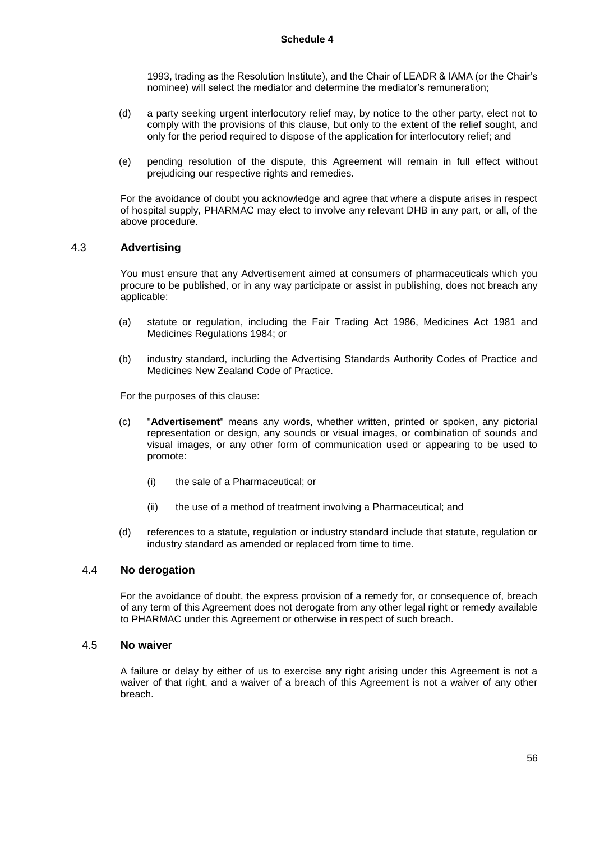1993, trading as the Resolution Institute), and the Chair of LEADR & IAMA (or the Chair's nominee) will select the mediator and determine the mediator's remuneration;

- (d) a party seeking urgent interlocutory relief may, by notice to the other party, elect not to comply with the provisions of this clause, but only to the extent of the relief sought, and only for the period required to dispose of the application for interlocutory relief; and
- (e) pending resolution of the dispute, this Agreement will remain in full effect without prejudicing our respective rights and remedies.

For the avoidance of doubt you acknowledge and agree that where a dispute arises in respect of hospital supply, PHARMAC may elect to involve any relevant DHB in any part, or all, of the above procedure.

### 4.3 **Advertising**

You must ensure that any Advertisement aimed at consumers of pharmaceuticals which you procure to be published, or in any way participate or assist in publishing, does not breach any applicable:

- (a) statute or regulation, including the Fair Trading Act 1986, Medicines Act 1981 and Medicines Regulations 1984; or
- (b) industry standard, including the Advertising Standards Authority Codes of Practice and Medicines New Zealand Code of Practice.

For the purposes of this clause:

- (c) "**Advertisement**" means any words, whether written, printed or spoken, any pictorial representation or design, any sounds or visual images, or combination of sounds and visual images, or any other form of communication used or appearing to be used to promote:
	- (i) the sale of a Pharmaceutical; or
	- (ii) the use of a method of treatment involving a Pharmaceutical; and
- (d) references to a statute, regulation or industry standard include that statute, regulation or industry standard as amended or replaced from time to time.

### 4.4 **No derogation**

For the avoidance of doubt, the express provision of a remedy for, or consequence of, breach of any term of this Agreement does not derogate from any other legal right or remedy available to PHARMAC under this Agreement or otherwise in respect of such breach.

### 4.5 **No waiver**

A failure or delay by either of us to exercise any right arising under this Agreement is not a waiver of that right, and a waiver of a breach of this Agreement is not a waiver of any other breach.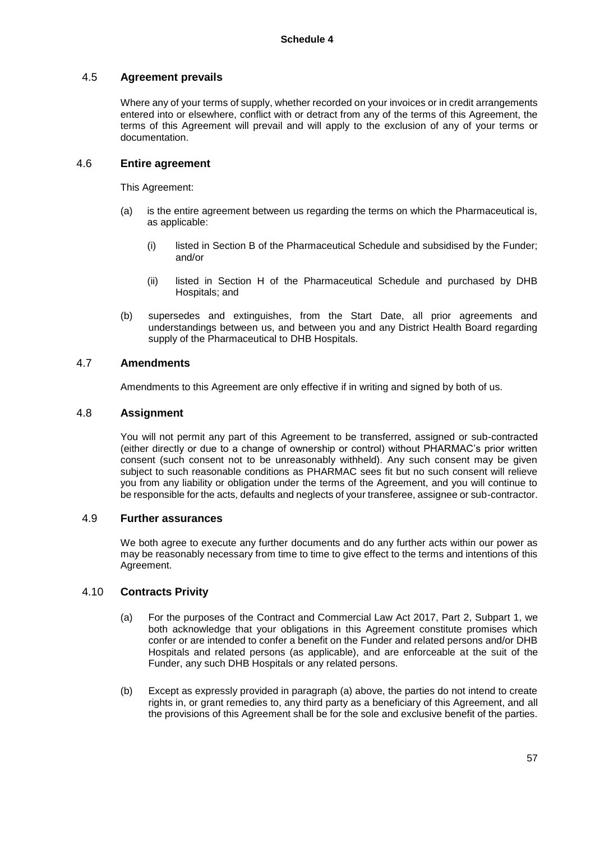### 4.5 **Agreement prevails**

Where any of your terms of supply, whether recorded on your invoices or in credit arrangements entered into or elsewhere, conflict with or detract from any of the terms of this Agreement, the terms of this Agreement will prevail and will apply to the exclusion of any of your terms or documentation.

#### 4.6 **Entire agreement**

This Agreement:

- (a) is the entire agreement between us regarding the terms on which the Pharmaceutical is, as applicable:
	- (i) listed in Section B of the Pharmaceutical Schedule and subsidised by the Funder; and/or
	- (ii) listed in Section H of the Pharmaceutical Schedule and purchased by DHB Hospitals; and
- (b) supersedes and extinguishes, from the Start Date, all prior agreements and understandings between us, and between you and any District Health Board regarding supply of the Pharmaceutical to DHB Hospitals.

### 4.7 **Amendments**

Amendments to this Agreement are only effective if in writing and signed by both of us.

#### 4.8 **Assignment**

You will not permit any part of this Agreement to be transferred, assigned or sub-contracted (either directly or due to a change of ownership or control) without PHARMAC's prior written consent (such consent not to be unreasonably withheld). Any such consent may be given subject to such reasonable conditions as PHARMAC sees fit but no such consent will relieve you from any liability or obligation under the terms of the Agreement, and you will continue to be responsible for the acts, defaults and neglects of your transferee, assignee or sub-contractor.

### 4.9 **Further assurances**

We both agree to execute any further documents and do any further acts within our power as may be reasonably necessary from time to time to give effect to the terms and intentions of this Agreement.

### 4.10 **Contracts Privity**

- (a) For the purposes of the Contract and Commercial Law Act 2017, Part 2, Subpart 1, we both acknowledge that your obligations in this Agreement constitute promises which confer or are intended to confer a benefit on the Funder and related persons and/or DHB Hospitals and related persons (as applicable), and are enforceable at the suit of the Funder, any such DHB Hospitals or any related persons.
- (b) Except as expressly provided in paragraph (a) above, the parties do not intend to create rights in, or grant remedies to, any third party as a beneficiary of this Agreement, and all the provisions of this Agreement shall be for the sole and exclusive benefit of the parties.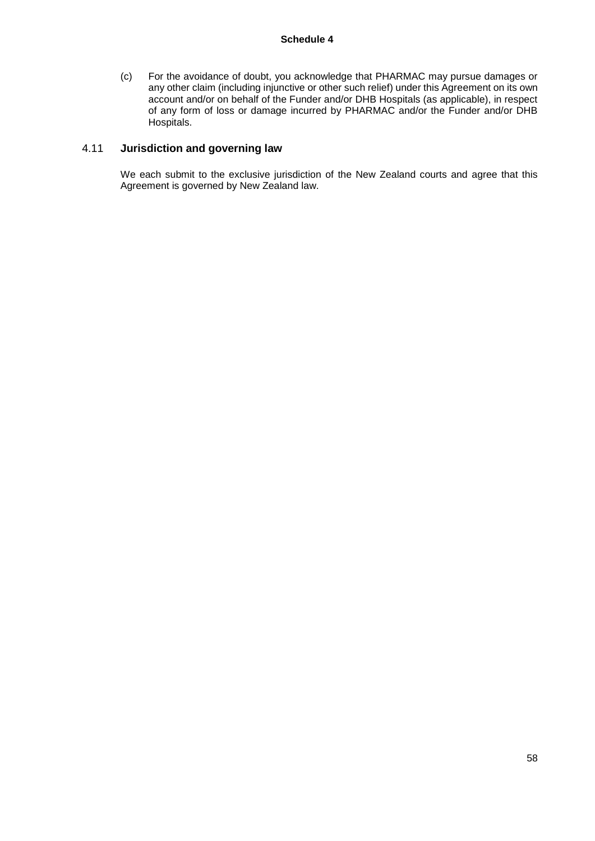(c) For the avoidance of doubt, you acknowledge that PHARMAC may pursue damages or any other claim (including injunctive or other such relief) under this Agreement on its own account and/or on behalf of the Funder and/or DHB Hospitals (as applicable), in respect of any form of loss or damage incurred by PHARMAC and/or the Funder and/or DHB Hospitals.

### 4.11 **Jurisdiction and governing law**

We each submit to the exclusive jurisdiction of the New Zealand courts and agree that this Agreement is governed by New Zealand law.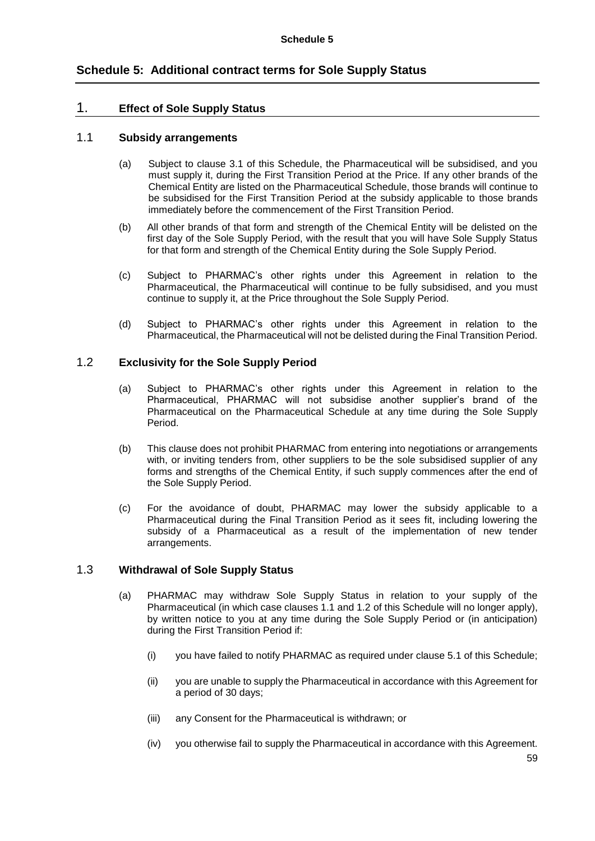# **Schedule 5: Additional contract terms for Sole Supply Status**

### 1. **Effect of Sole Supply Status**

### 1.1 **Subsidy arrangements**

- (a) Subject to clause 3.1 of this Schedule, the Pharmaceutical will be subsidised, and you must supply it, during the First Transition Period at the Price. If any other brands of the Chemical Entity are listed on the Pharmaceutical Schedule, those brands will continue to be subsidised for the First Transition Period at the subsidy applicable to those brands immediately before the commencement of the First Transition Period.
- (b) All other brands of that form and strength of the Chemical Entity will be delisted on the first day of the Sole Supply Period, with the result that you will have Sole Supply Status for that form and strength of the Chemical Entity during the Sole Supply Period.
- (c) Subject to PHARMAC's other rights under this Agreement in relation to the Pharmaceutical, the Pharmaceutical will continue to be fully subsidised, and you must continue to supply it, at the Price throughout the Sole Supply Period.
- (d) Subject to PHARMAC's other rights under this Agreement in relation to the Pharmaceutical, the Pharmaceutical will not be delisted during the Final Transition Period.

### 1.2 **Exclusivity for the Sole Supply Period**

- (a) Subject to PHARMAC's other rights under this Agreement in relation to the Pharmaceutical, PHARMAC will not subsidise another supplier's brand of the Pharmaceutical on the Pharmaceutical Schedule at any time during the Sole Supply Period.
- (b) This clause does not prohibit PHARMAC from entering into negotiations or arrangements with, or inviting tenders from, other suppliers to be the sole subsidised supplier of any forms and strengths of the Chemical Entity, if such supply commences after the end of the Sole Supply Period.
- (c) For the avoidance of doubt, PHARMAC may lower the subsidy applicable to a Pharmaceutical during the Final Transition Period as it sees fit, including lowering the subsidy of a Pharmaceutical as a result of the implementation of new tender arrangements.

### 1.3 **Withdrawal of Sole Supply Status**

- (a) PHARMAC may withdraw Sole Supply Status in relation to your supply of the Pharmaceutical (in which case clauses 1.1 and 1.2 of this Schedule will no longer apply), by written notice to you at any time during the Sole Supply Period or (in anticipation) during the First Transition Period if:
	- (i) you have failed to notify PHARMAC as required under clause 5.1 of this Schedule;
	- (ii) you are unable to supply the Pharmaceutical in accordance with this Agreement for a period of 30 days;
	- (iii) any Consent for the Pharmaceutical is withdrawn; or
	- (iv) you otherwise fail to supply the Pharmaceutical in accordance with this Agreement.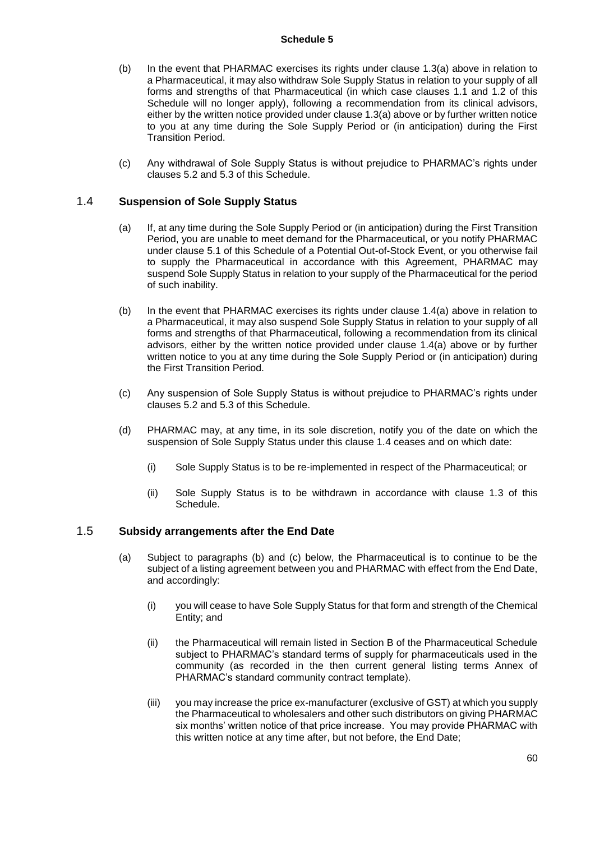- (b) In the event that PHARMAC exercises its rights under clause 1.3(a) above in relation to a Pharmaceutical, it may also withdraw Sole Supply Status in relation to your supply of all forms and strengths of that Pharmaceutical (in which case clauses 1.1 and 1.2 of this Schedule will no longer apply), following a recommendation from its clinical advisors, either by the written notice provided under clause 1.3(a) above or by further written notice to you at any time during the Sole Supply Period or (in anticipation) during the First Transition Period.
- (c) Any withdrawal of Sole Supply Status is without prejudice to PHARMAC's rights under clauses 5.2 and 5.3 of this Schedule.

### 1.4 **Suspension of Sole Supply Status**

- (a) If, at any time during the Sole Supply Period or (in anticipation) during the First Transition Period, you are unable to meet demand for the Pharmaceutical, or you notify PHARMAC under clause 5.1 of this Schedule of a Potential Out-of-Stock Event, or you otherwise fail to supply the Pharmaceutical in accordance with this Agreement, PHARMAC may suspend Sole Supply Status in relation to your supply of the Pharmaceutical for the period of such inability.
- (b) In the event that PHARMAC exercises its rights under clause 1.4(a) above in relation to a Pharmaceutical, it may also suspend Sole Supply Status in relation to your supply of all forms and strengths of that Pharmaceutical, following a recommendation from its clinical advisors, either by the written notice provided under clause 1.4(a) above or by further written notice to you at any time during the Sole Supply Period or (in anticipation) during the First Transition Period.
- (c) Any suspension of Sole Supply Status is without prejudice to PHARMAC's rights under clauses 5.2 and 5.3 of this Schedule.
- (d) PHARMAC may, at any time, in its sole discretion, notify you of the date on which the suspension of Sole Supply Status under this clause 1.4 ceases and on which date:
	- (i) Sole Supply Status is to be re-implemented in respect of the Pharmaceutical; or
	- (ii) Sole Supply Status is to be withdrawn in accordance with clause 1.3 of this Schedule.

### 1.5 **Subsidy arrangements after the End Date**

- (a) Subject to paragraphs (b) and (c) below, the Pharmaceutical is to continue to be the subject of a listing agreement between you and PHARMAC with effect from the End Date, and accordingly:
	- (i) you will cease to have Sole Supply Status for that form and strength of the Chemical Entity; and
	- (ii) the Pharmaceutical will remain listed in Section B of the Pharmaceutical Schedule subject to PHARMAC's standard terms of supply for pharmaceuticals used in the community (as recorded in the then current general listing terms Annex of PHARMAC's standard community contract template).
	- (iii) you may increase the price ex-manufacturer (exclusive of GST) at which you supply the Pharmaceutical to wholesalers and other such distributors on giving PHARMAC six months' written notice of that price increase. You may provide PHARMAC with this written notice at any time after, but not before, the End Date;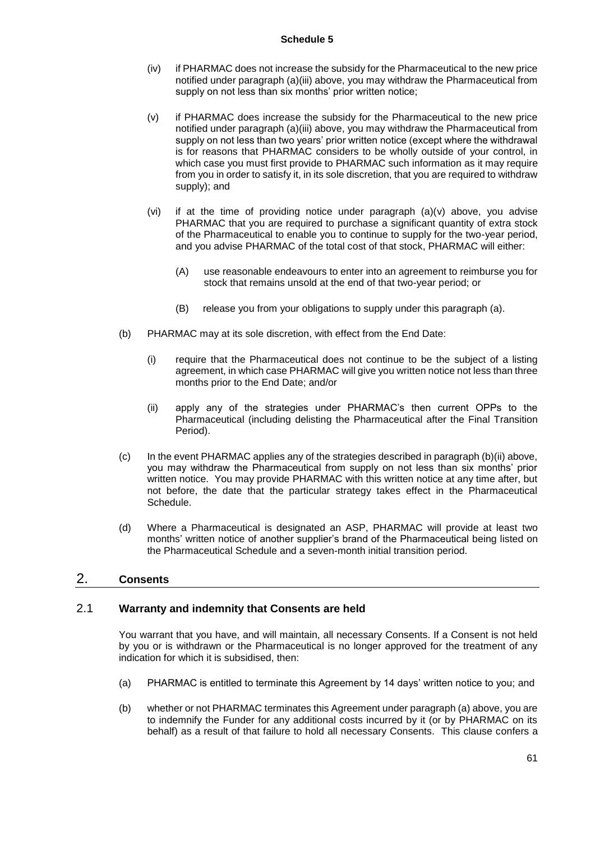- (iv) if PHARMAC does not increase the subsidy for the Pharmaceutical to the new price notified under paragraph (a)(iii) above, you may withdraw the Pharmaceutical from supply on not less than six months' prior written notice;
- (v) if PHARMAC does increase the subsidy for the Pharmaceutical to the new price notified under paragraph (a)(iii) above, you may withdraw the Pharmaceutical from supply on not less than two years' prior written notice (except where the withdrawal is for reasons that PHARMAC considers to be wholly outside of your control, in which case you must first provide to PHARMAC such information as it may require from you in order to satisfy it, in its sole discretion, that you are required to withdraw supply); and
- (vi) if at the time of providing notice under paragraph (a)(v) above, you advise PHARMAC that you are required to purchase a significant quantity of extra stock of the Pharmaceutical to enable you to continue to supply for the two-year period, and you advise PHARMAC of the total cost of that stock, PHARMAC will either:
	- (A) use reasonable endeavours to enter into an agreement to reimburse you for stock that remains unsold at the end of that two-year period; or
	- (B) release you from your obligations to supply under this paragraph (a).
- (b) PHARMAC may at its sole discretion, with effect from the End Date:
	- (i) require that the Pharmaceutical does not continue to be the subject of a listing agreement, in which case PHARMAC will give you written notice not less than three months prior to the End Date; and/or
	- (ii) apply any of the strategies under PHARMAC's then current OPPs to the Pharmaceutical (including delisting the Pharmaceutical after the Final Transition Period).
- (c) In the event PHARMAC applies any of the strategies described in paragraph (b)(ii) above, you may withdraw the Pharmaceutical from supply on not less than six months' prior written notice. You may provide PHARMAC with this written notice at any time after, but not before, the date that the particular strategy takes effect in the Pharmaceutical Schedule.
- (d) Where a Pharmaceutical is designated an ASP, PHARMAC will provide at least two months' written notice of another supplier's brand of the Pharmaceutical being listed on the Pharmaceutical Schedule and a seven-month initial transition period.

## 2. **Consents**

### 2.1 **Warranty and indemnity that Consents are held**

You warrant that you have, and will maintain, all necessary Consents. If a Consent is not held by you or is withdrawn or the Pharmaceutical is no longer approved for the treatment of any indication for which it is subsidised, then:

- (a) PHARMAC is entitled to terminate this Agreement by 14 days' written notice to you; and
- (b) whether or not PHARMAC terminates this Agreement under paragraph (a) above, you are to indemnify the Funder for any additional costs incurred by it (or by PHARMAC on its behalf) as a result of that failure to hold all necessary Consents. This clause confers a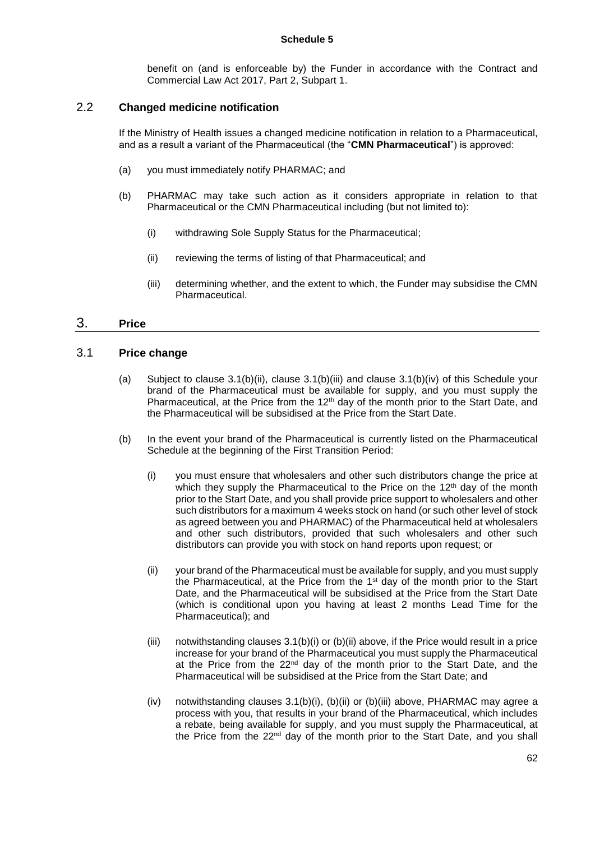benefit on (and is enforceable by) the Funder in accordance with the Contract and Commercial Law Act 2017, Part 2, Subpart 1.

### 2.2 **Changed medicine notification**

If the Ministry of Health issues a changed medicine notification in relation to a Pharmaceutical, and as a result a variant of the Pharmaceutical (the "**CMN Pharmaceutical**") is approved:

- (a) you must immediately notify PHARMAC; and
- (b) PHARMAC may take such action as it considers appropriate in relation to that Pharmaceutical or the CMN Pharmaceutical including (but not limited to):
	- (i) withdrawing Sole Supply Status for the Pharmaceutical;
	- (ii) reviewing the terms of listing of that Pharmaceutical; and
	- (iii) determining whether, and the extent to which, the Funder may subsidise the CMN Pharmaceutical.

## 3. **Price**

### 3.1 **Price change**

- (a) Subject to clause 3.1(b)(ii), clause 3.1(b)(iii) and clause 3.1(b)(iv) of this Schedule your brand of the Pharmaceutical must be available for supply, and you must supply the Pharmaceutical, at the Price from the 12<sup>th</sup> day of the month prior to the Start Date, and the Pharmaceutical will be subsidised at the Price from the Start Date.
- (b) In the event your brand of the Pharmaceutical is currently listed on the Pharmaceutical Schedule at the beginning of the First Transition Period:
	- (i) you must ensure that wholesalers and other such distributors change the price at which they supply the Pharmaceutical to the Price on the 12<sup>th</sup> day of the month prior to the Start Date, and you shall provide price support to wholesalers and other such distributors for a maximum 4 weeks stock on hand (or such other level of stock as agreed between you and PHARMAC) of the Pharmaceutical held at wholesalers and other such distributors, provided that such wholesalers and other such distributors can provide you with stock on hand reports upon request; or
	- (ii) your brand of the Pharmaceutical must be available for supply, and you must supply the Pharmaceutical, at the Price from the 1st day of the month prior to the Start Date, and the Pharmaceutical will be subsidised at the Price from the Start Date (which is conditional upon you having at least 2 months Lead Time for the Pharmaceutical); and
	- (iii) notwithstanding clauses 3.1(b)(i) or (b)(ii) above, if the Price would result in a price increase for your brand of the Pharmaceutical you must supply the Pharmaceutical at the Price from the  $22^{nd}$  day of the month prior to the Start Date, and the Pharmaceutical will be subsidised at the Price from the Start Date; and
	- (iv) notwithstanding clauses 3.1(b)(i), (b)(ii) or (b)(iii) above, PHARMAC may agree a process with you, that results in your brand of the Pharmaceutical, which includes a rebate, being available for supply, and you must supply the Pharmaceutical, at the Price from the 22<sup>nd</sup> day of the month prior to the Start Date, and you shall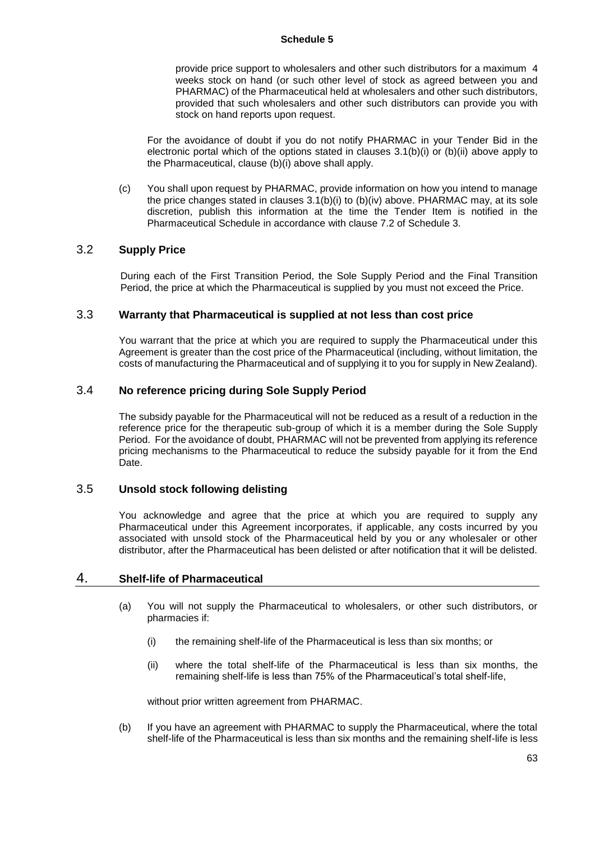provide price support to wholesalers and other such distributors for a maximum 4 weeks stock on hand (or such other level of stock as agreed between you and PHARMAC) of the Pharmaceutical held at wholesalers and other such distributors, provided that such wholesalers and other such distributors can provide you with stock on hand reports upon request.

For the avoidance of doubt if you do not notify PHARMAC in your Tender Bid in the electronic portal which of the options stated in clauses  $3.1(b)(i)$  or  $(b)(ii)$  above apply to the Pharmaceutical, clause (b)(i) above shall apply.

(c) You shall upon request by PHARMAC, provide information on how you intend to manage the price changes stated in clauses 3.1(b)(i) to (b)(iv) above. PHARMAC may, at its sole discretion, publish this information at the time the Tender Item is notified in the Pharmaceutical Schedule in accordance with clause 7.2 of Schedule 3.

### 3.2 **Supply Price**

During each of the First Transition Period, the Sole Supply Period and the Final Transition Period, the price at which the Pharmaceutical is supplied by you must not exceed the Price.

### 3.3 **Warranty that Pharmaceutical is supplied at not less than cost price**

You warrant that the price at which you are required to supply the Pharmaceutical under this Agreement is greater than the cost price of the Pharmaceutical (including, without limitation, the costs of manufacturing the Pharmaceutical and of supplying it to you for supply in New Zealand).

### 3.4 **No reference pricing during Sole Supply Period**

The subsidy payable for the Pharmaceutical will not be reduced as a result of a reduction in the reference price for the therapeutic sub-group of which it is a member during the Sole Supply Period. For the avoidance of doubt, PHARMAC will not be prevented from applying its reference pricing mechanisms to the Pharmaceutical to reduce the subsidy payable for it from the End Date.

### 3.5 **Unsold stock following delisting**

You acknowledge and agree that the price at which you are required to supply any Pharmaceutical under this Agreement incorporates, if applicable, any costs incurred by you associated with unsold stock of the Pharmaceutical held by you or any wholesaler or other distributor, after the Pharmaceutical has been delisted or after notification that it will be delisted.

### 4. **Shelf-life of Pharmaceutical**

- (a) You will not supply the Pharmaceutical to wholesalers, or other such distributors, or pharmacies if:
	- (i) the remaining shelf-life of the Pharmaceutical is less than six months; or
	- (ii) where the total shelf-life of the Pharmaceutical is less than six months, the remaining shelf-life is less than 75% of the Pharmaceutical's total shelf-life,

without prior written agreement from PHARMAC.

(b) If you have an agreement with PHARMAC to supply the Pharmaceutical, where the total shelf-life of the Pharmaceutical is less than six months and the remaining shelf-life is less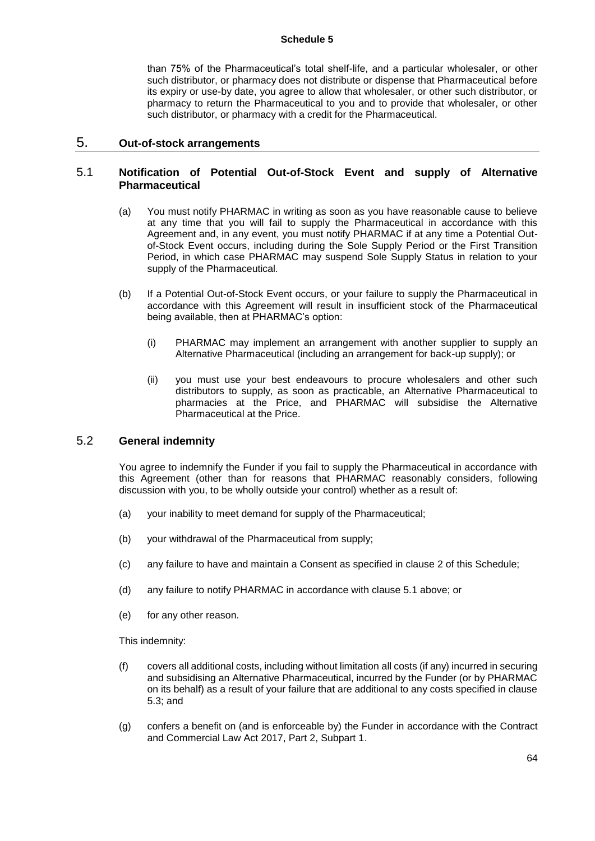than 75% of the Pharmaceutical's total shelf-life, and a particular wholesaler, or other such distributor, or pharmacy does not distribute or dispense that Pharmaceutical before its expiry or use-by date, you agree to allow that wholesaler, or other such distributor, or pharmacy to return the Pharmaceutical to you and to provide that wholesaler, or other such distributor, or pharmacy with a credit for the Pharmaceutical.

### 5. **Out-of-stock arrangements**

### 5.1 **Notification of Potential Out-of-Stock Event and supply of Alternative Pharmaceutical**

- (a) You must notify PHARMAC in writing as soon as you have reasonable cause to believe at any time that you will fail to supply the Pharmaceutical in accordance with this Agreement and, in any event, you must notify PHARMAC if at any time a Potential Outof-Stock Event occurs, including during the Sole Supply Period or the First Transition Period, in which case PHARMAC may suspend Sole Supply Status in relation to your supply of the Pharmaceutical.
- (b) If a Potential Out-of-Stock Event occurs, or your failure to supply the Pharmaceutical in accordance with this Agreement will result in insufficient stock of the Pharmaceutical being available, then at PHARMAC's option:
	- (i) PHARMAC may implement an arrangement with another supplier to supply an Alternative Pharmaceutical (including an arrangement for back-up supply); or
	- (ii) you must use your best endeavours to procure wholesalers and other such distributors to supply, as soon as practicable, an Alternative Pharmaceutical to pharmacies at the Price, and PHARMAC will subsidise the Alternative Pharmaceutical at the Price.

### 5.2 **General indemnity**

You agree to indemnify the Funder if you fail to supply the Pharmaceutical in accordance with this Agreement (other than for reasons that PHARMAC reasonably considers, following discussion with you, to be wholly outside your control) whether as a result of:

- (a) your inability to meet demand for supply of the Pharmaceutical;
- (b) your withdrawal of the Pharmaceutical from supply;
- (c) any failure to have and maintain a Consent as specified in clause 2 of this Schedule;
- (d) any failure to notify PHARMAC in accordance with clause 5.1 above; or
- (e) for any other reason.

This indemnity:

- (f) covers all additional costs, including without limitation all costs (if any) incurred in securing and subsidising an Alternative Pharmaceutical, incurred by the Funder (or by PHARMAC on its behalf) as a result of your failure that are additional to any costs specified in clause 5.3; and
- (g) confers a benefit on (and is enforceable by) the Funder in accordance with the Contract and Commercial Law Act 2017, Part 2, Subpart 1.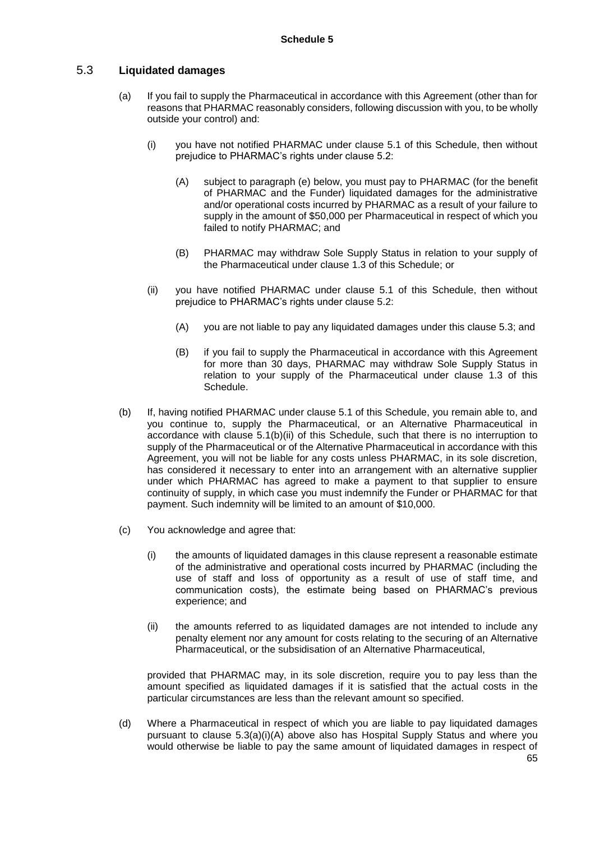## 5.3 **Liquidated damages**

- (a) If you fail to supply the Pharmaceutical in accordance with this Agreement (other than for reasons that PHARMAC reasonably considers, following discussion with you, to be wholly outside your control) and:
	- (i) you have not notified PHARMAC under clause 5.1 of this Schedule, then without prejudice to PHARMAC's rights under clause 5.2:
		- (A) subject to paragraph (e) below, you must pay to PHARMAC (for the benefit of PHARMAC and the Funder) liquidated damages for the administrative and/or operational costs incurred by PHARMAC as a result of your failure to supply in the amount of \$50,000 per Pharmaceutical in respect of which you failed to notify PHARMAC; and
		- (B) PHARMAC may withdraw Sole Supply Status in relation to your supply of the Pharmaceutical under clause 1.3 of this Schedule; or
	- (ii) you have notified PHARMAC under clause 5.1 of this Schedule, then without prejudice to PHARMAC's rights under clause 5.2:
		- (A) you are not liable to pay any liquidated damages under this clause 5.3; and
		- (B) if you fail to supply the Pharmaceutical in accordance with this Agreement for more than 30 days, PHARMAC may withdraw Sole Supply Status in relation to your supply of the Pharmaceutical under clause 1.3 of this Schedule.
- (b) If, having notified PHARMAC under clause 5.1 of this Schedule, you remain able to, and you continue to, supply the Pharmaceutical, or an Alternative Pharmaceutical in accordance with clause 5.1(b)(ii) of this Schedule, such that there is no interruption to supply of the Pharmaceutical or of the Alternative Pharmaceutical in accordance with this Agreement, you will not be liable for any costs unless PHARMAC, in its sole discretion, has considered it necessary to enter into an arrangement with an alternative supplier under which PHARMAC has agreed to make a payment to that supplier to ensure continuity of supply, in which case you must indemnify the Funder or PHARMAC for that payment. Such indemnity will be limited to an amount of \$10,000.
- (c) You acknowledge and agree that:
	- (i) the amounts of liquidated damages in this clause represent a reasonable estimate of the administrative and operational costs incurred by PHARMAC (including the use of staff and loss of opportunity as a result of use of staff time, and communication costs), the estimate being based on PHARMAC's previous experience; and
	- (ii) the amounts referred to as liquidated damages are not intended to include any penalty element nor any amount for costs relating to the securing of an Alternative Pharmaceutical, or the subsidisation of an Alternative Pharmaceutical,

provided that PHARMAC may, in its sole discretion, require you to pay less than the amount specified as liquidated damages if it is satisfied that the actual costs in the particular circumstances are less than the relevant amount so specified.

(d) Where a Pharmaceutical in respect of which you are liable to pay liquidated damages pursuant to clause 5.3(a)(i)(A) above also has Hospital Supply Status and where you would otherwise be liable to pay the same amount of liquidated damages in respect of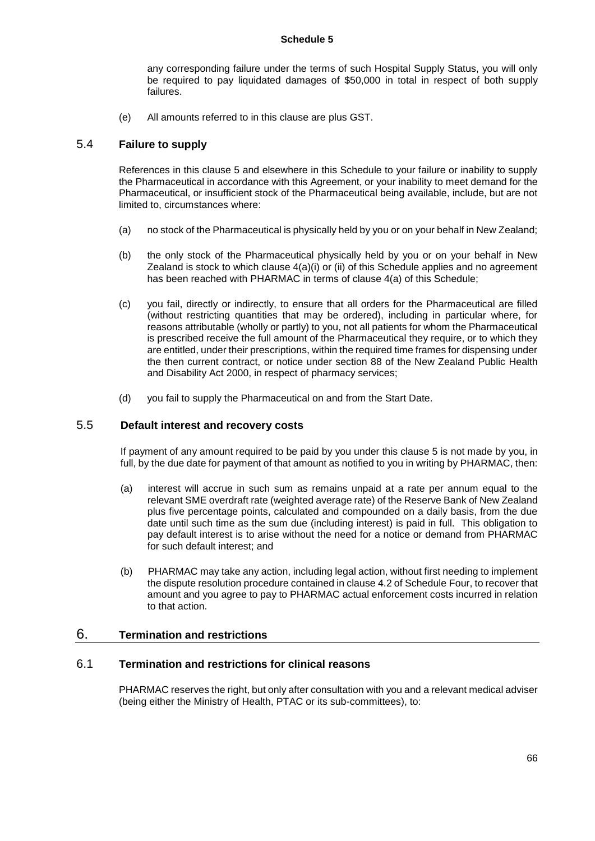any corresponding failure under the terms of such Hospital Supply Status, you will only be required to pay liquidated damages of \$50,000 in total in respect of both supply failures.

(e) All amounts referred to in this clause are plus GST.

### 5.4 **Failure to supply**

References in this clause 5 and elsewhere in this Schedule to your failure or inability to supply the Pharmaceutical in accordance with this Agreement, or your inability to meet demand for the Pharmaceutical, or insufficient stock of the Pharmaceutical being available, include, but are not limited to, circumstances where:

- (a) no stock of the Pharmaceutical is physically held by you or on your behalf in New Zealand;
- (b) the only stock of the Pharmaceutical physically held by you or on your behalf in New Zealand is stock to which clause  $4(a)(i)$  or (ii) of this Schedule applies and no agreement has been reached with PHARMAC in terms of clause 4(a) of this Schedule;
- (c) you fail, directly or indirectly, to ensure that all orders for the Pharmaceutical are filled (without restricting quantities that may be ordered), including in particular where, for reasons attributable (wholly or partly) to you, not all patients for whom the Pharmaceutical is prescribed receive the full amount of the Pharmaceutical they require, or to which they are entitled, under their prescriptions, within the required time frames for dispensing under the then current contract, or notice under section 88 of the New Zealand Public Health and Disability Act 2000, in respect of pharmacy services;
- (d) you fail to supply the Pharmaceutical on and from the Start Date.

### 5.5 **Default interest and recovery costs**

If payment of any amount required to be paid by you under this clause 5 is not made by you, in full, by the due date for payment of that amount as notified to you in writing by PHARMAC, then:

- (a) interest will accrue in such sum as remains unpaid at a rate per annum equal to the relevant SME overdraft rate (weighted average rate) of the Reserve Bank of New Zealand plus five percentage points, calculated and compounded on a daily basis, from the due date until such time as the sum due (including interest) is paid in full. This obligation to pay default interest is to arise without the need for a notice or demand from PHARMAC for such default interest; and
- (b) PHARMAC may take any action, including legal action, without first needing to implement the dispute resolution procedure contained in clause 4.2 of Schedule Four, to recover that amount and you agree to pay to PHARMAC actual enforcement costs incurred in relation to that action.

### 6. **Termination and restrictions**

### 6.1 **Termination and restrictions for clinical reasons**

PHARMAC reserves the right, but only after consultation with you and a relevant medical adviser (being either the Ministry of Health, PTAC or its sub-committees), to: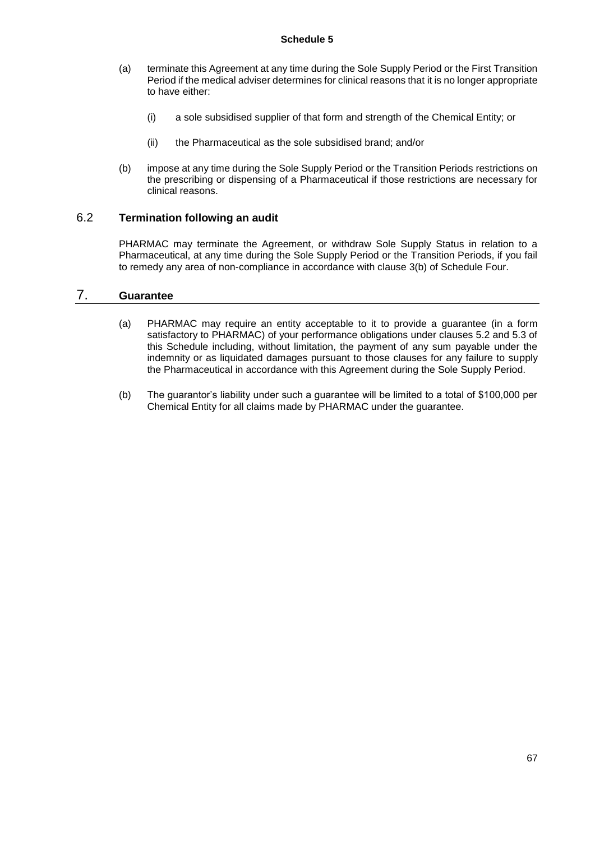- (a) terminate this Agreement at any time during the Sole Supply Period or the First Transition Period if the medical adviser determines for clinical reasons that it is no longer appropriate to have either:
	- (i) a sole subsidised supplier of that form and strength of the Chemical Entity; or
	- (ii) the Pharmaceutical as the sole subsidised brand; and/or
- (b) impose at any time during the Sole Supply Period or the Transition Periods restrictions on the prescribing or dispensing of a Pharmaceutical if those restrictions are necessary for clinical reasons.

## 6.2 **Termination following an audit**

PHARMAC may terminate the Agreement, or withdraw Sole Supply Status in relation to a Pharmaceutical, at any time during the Sole Supply Period or the Transition Periods, if you fail to remedy any area of non-compliance in accordance with clause 3(b) of Schedule Four.

## 7. **Guarantee**

- (a) PHARMAC may require an entity acceptable to it to provide a guarantee (in a form satisfactory to PHARMAC) of your performance obligations under clauses 5.2 and 5.3 of this Schedule including, without limitation, the payment of any sum payable under the indemnity or as liquidated damages pursuant to those clauses for any failure to supply the Pharmaceutical in accordance with this Agreement during the Sole Supply Period.
- (b) The guarantor's liability under such a guarantee will be limited to a total of \$100,000 per Chemical Entity for all claims made by PHARMAC under the guarantee.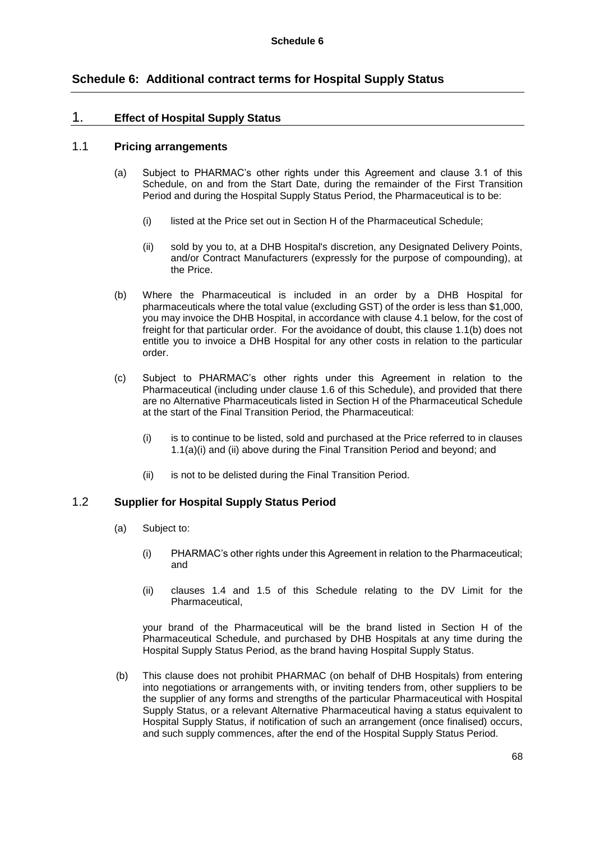## **Schedule 6: Additional contract terms for Hospital Supply Status**

### 1. **Effect of Hospital Supply Status**

#### 1.1 **Pricing arrangements**

- (a) Subject to PHARMAC's other rights under this Agreement and clause 3.1 of this Schedule, on and from the Start Date, during the remainder of the First Transition Period and during the Hospital Supply Status Period, the Pharmaceutical is to be:
	- (i) listed at the Price set out in Section H of the Pharmaceutical Schedule;
	- (ii) sold by you to, at a DHB Hospital's discretion, any Designated Delivery Points, and/or Contract Manufacturers (expressly for the purpose of compounding), at the Price.
- (b) Where the Pharmaceutical is included in an order by a DHB Hospital for pharmaceuticals where the total value (excluding GST) of the order is less than \$1,000, you may invoice the DHB Hospital, in accordance with clause 4.1 below, for the cost of freight for that particular order. For the avoidance of doubt, this clause 1.1(b) does not entitle you to invoice a DHB Hospital for any other costs in relation to the particular order.
- (c) Subject to PHARMAC's other rights under this Agreement in relation to the Pharmaceutical (including under clause 1.6 of this Schedule), and provided that there are no Alternative Pharmaceuticals listed in Section H of the Pharmaceutical Schedule at the start of the Final Transition Period, the Pharmaceutical:
	- (i) is to continue to be listed, sold and purchased at the Price referred to in clauses 1.1(a)(i) and (ii) above during the Final Transition Period and beyond; and
	- (ii) is not to be delisted during the Final Transition Period.

### 1.2 **Supplier for Hospital Supply Status Period**

- (a) Subject to:
	- (i) PHARMAC's other rights under this Agreement in relation to the Pharmaceutical; and
	- (ii) clauses 1.4 and 1.5 of this Schedule relating to the DV Limit for the Pharmaceutical,

your brand of the Pharmaceutical will be the brand listed in Section H of the Pharmaceutical Schedule, and purchased by DHB Hospitals at any time during the Hospital Supply Status Period, as the brand having Hospital Supply Status.

(b) This clause does not prohibit PHARMAC (on behalf of DHB Hospitals) from entering into negotiations or arrangements with, or inviting tenders from, other suppliers to be the supplier of any forms and strengths of the particular Pharmaceutical with Hospital Supply Status, or a relevant Alternative Pharmaceutical having a status equivalent to Hospital Supply Status, if notification of such an arrangement (once finalised) occurs, and such supply commences, after the end of the Hospital Supply Status Period.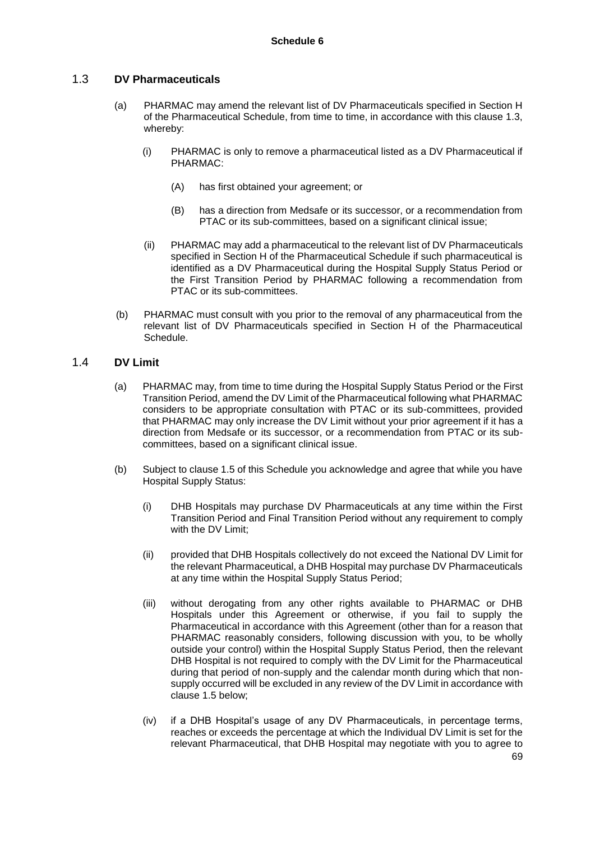### 1.3 **DV Pharmaceuticals**

- (a) PHARMAC may amend the relevant list of DV Pharmaceuticals specified in Section H of the Pharmaceutical Schedule, from time to time, in accordance with this clause 1.3, whereby:
	- (i) PHARMAC is only to remove a pharmaceutical listed as a DV Pharmaceutical if PHARMAC:
		- (A) has first obtained your agreement; or
		- (B) has a direction from Medsafe or its successor, or a recommendation from PTAC or its sub-committees, based on a significant clinical issue;
	- (ii) PHARMAC may add a pharmaceutical to the relevant list of DV Pharmaceuticals specified in Section H of the Pharmaceutical Schedule if such pharmaceutical is identified as a DV Pharmaceutical during the Hospital Supply Status Period or the First Transition Period by PHARMAC following a recommendation from PTAC or its sub-committees.
- (b) PHARMAC must consult with you prior to the removal of any pharmaceutical from the relevant list of DV Pharmaceuticals specified in Section H of the Pharmaceutical Schedule.

### 1.4 **DV Limit**

- (a) PHARMAC may, from time to time during the Hospital Supply Status Period or the First Transition Period, amend the DV Limit of the Pharmaceutical following what PHARMAC considers to be appropriate consultation with PTAC or its sub-committees, provided that PHARMAC may only increase the DV Limit without your prior agreement if it has a direction from Medsafe or its successor, or a recommendation from PTAC or its subcommittees, based on a significant clinical issue.
- (b) Subject to clause 1.5 of this Schedule you acknowledge and agree that while you have Hospital Supply Status:
	- (i) DHB Hospitals may purchase DV Pharmaceuticals at any time within the First Transition Period and Final Transition Period without any requirement to comply with the DV Limit;
	- (ii) provided that DHB Hospitals collectively do not exceed the National DV Limit for the relevant Pharmaceutical, a DHB Hospital may purchase DV Pharmaceuticals at any time within the Hospital Supply Status Period;
	- (iii) without derogating from any other rights available to PHARMAC or DHB Hospitals under this Agreement or otherwise, if you fail to supply the Pharmaceutical in accordance with this Agreement (other than for a reason that PHARMAC reasonably considers, following discussion with you, to be wholly outside your control) within the Hospital Supply Status Period, then the relevant DHB Hospital is not required to comply with the DV Limit for the Pharmaceutical during that period of non-supply and the calendar month during which that nonsupply occurred will be excluded in any review of the DV Limit in accordance with clause 1.5 below;
	- (iv) if a DHB Hospital's usage of any DV Pharmaceuticals, in percentage terms, reaches or exceeds the percentage at which the Individual DV Limit is set for the relevant Pharmaceutical, that DHB Hospital may negotiate with you to agree to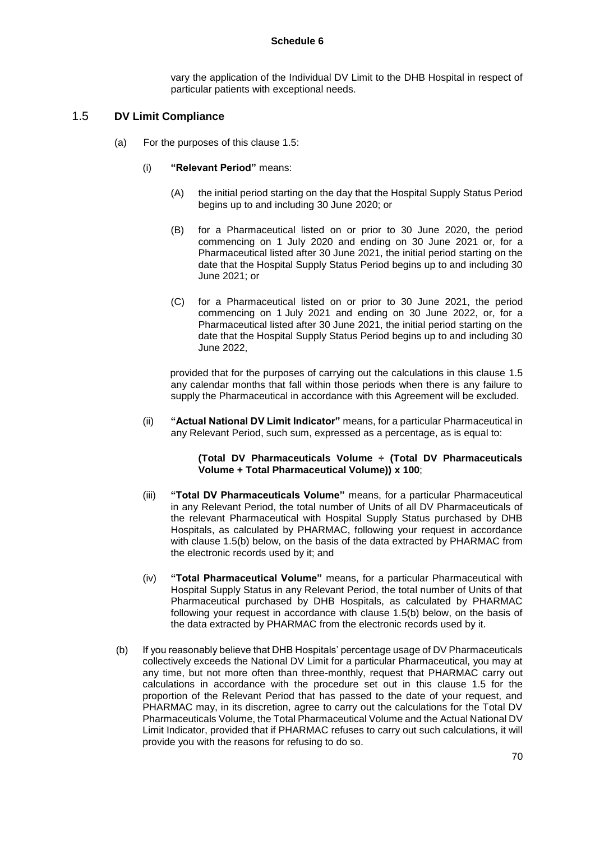vary the application of the Individual DV Limit to the DHB Hospital in respect of particular patients with exceptional needs.

## 1.5 **DV Limit Compliance**

- (a) For the purposes of this clause 1.5:
	- (i) **"Relevant Period"** means:
		- (A) the initial period starting on the day that the Hospital Supply Status Period begins up to and including 30 June 2020; or
		- (B) for a Pharmaceutical listed on or prior to 30 June 2020, the period commencing on 1 July 2020 and ending on 30 June 2021 or, for a Pharmaceutical listed after 30 June 2021, the initial period starting on the date that the Hospital Supply Status Period begins up to and including 30 June 2021; or
		- (C) for a Pharmaceutical listed on or prior to 30 June 2021, the period commencing on 1 July 2021 and ending on 30 June 2022, or, for a Pharmaceutical listed after 30 June 2021, the initial period starting on the date that the Hospital Supply Status Period begins up to and including 30 June 2022,

provided that for the purposes of carrying out the calculations in this clause 1.5 any calendar months that fall within those periods when there is any failure to supply the Pharmaceutical in accordance with this Agreement will be excluded.

(ii) **"Actual National DV Limit Indicator"** means, for a particular Pharmaceutical in any Relevant Period, such sum, expressed as a percentage, as is equal to:

#### **(Total DV Pharmaceuticals Volume ÷ (Total DV Pharmaceuticals Volume + Total Pharmaceutical Volume)) x 100**;

- (iii) **"Total DV Pharmaceuticals Volume"** means, for a particular Pharmaceutical in any Relevant Period, the total number of Units of all DV Pharmaceuticals of the relevant Pharmaceutical with Hospital Supply Status purchased by DHB Hospitals, as calculated by PHARMAC, following your request in accordance with clause 1.5(b) below, on the basis of the data extracted by PHARMAC from the electronic records used by it; and
- (iv) **"Total Pharmaceutical Volume"** means, for a particular Pharmaceutical with Hospital Supply Status in any Relevant Period, the total number of Units of that Pharmaceutical purchased by DHB Hospitals, as calculated by PHARMAC following your request in accordance with clause 1.5(b) below, on the basis of the data extracted by PHARMAC from the electronic records used by it.
- (b) If you reasonably believe that DHB Hospitals' percentage usage of DV Pharmaceuticals collectively exceeds the National DV Limit for a particular Pharmaceutical, you may at any time, but not more often than three-monthly, request that PHARMAC carry out calculations in accordance with the procedure set out in this clause 1.5 for the proportion of the Relevant Period that has passed to the date of your request, and PHARMAC may, in its discretion, agree to carry out the calculations for the Total DV Pharmaceuticals Volume, the Total Pharmaceutical Volume and the Actual National DV Limit Indicator, provided that if PHARMAC refuses to carry out such calculations, it will provide you with the reasons for refusing to do so.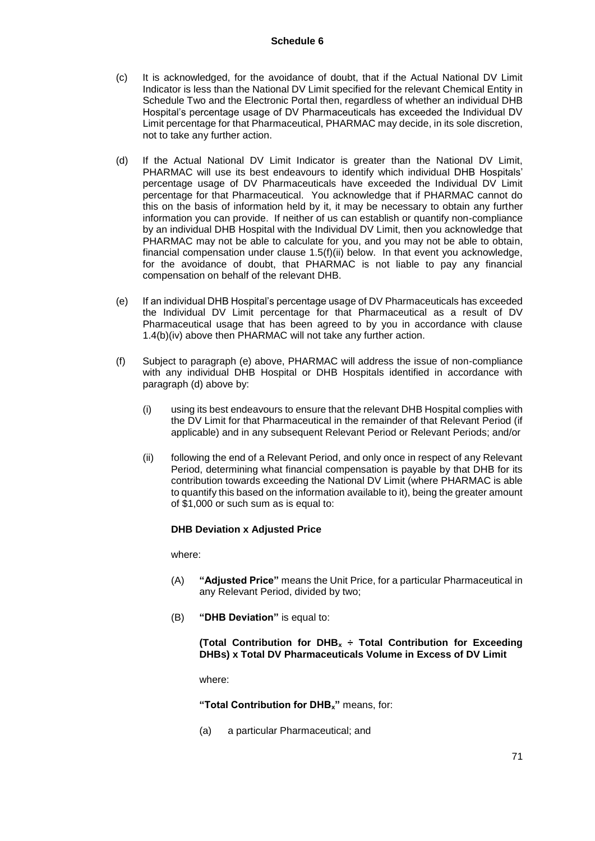- (c) It is acknowledged, for the avoidance of doubt, that if the Actual National DV Limit Indicator is less than the National DV Limit specified for the relevant Chemical Entity in Schedule Two and the Electronic Portal then, regardless of whether an individual DHB Hospital's percentage usage of DV Pharmaceuticals has exceeded the Individual DV Limit percentage for that Pharmaceutical, PHARMAC may decide, in its sole discretion, not to take any further action.
- (d) If the Actual National DV Limit Indicator is greater than the National DV Limit, PHARMAC will use its best endeavours to identify which individual DHB Hospitals' percentage usage of DV Pharmaceuticals have exceeded the Individual DV Limit percentage for that Pharmaceutical. You acknowledge that if PHARMAC cannot do this on the basis of information held by it, it may be necessary to obtain any further information you can provide. If neither of us can establish or quantify non-compliance by an individual DHB Hospital with the Individual DV Limit, then you acknowledge that PHARMAC may not be able to calculate for you, and you may not be able to obtain, financial compensation under clause 1.5(f)(ii) below. In that event you acknowledge, for the avoidance of doubt, that PHARMAC is not liable to pay any financial compensation on behalf of the relevant DHB.
- (e) If an individual DHB Hospital's percentage usage of DV Pharmaceuticals has exceeded the Individual DV Limit percentage for that Pharmaceutical as a result of DV Pharmaceutical usage that has been agreed to by you in accordance with clause 1.4(b)(iv) above then PHARMAC will not take any further action.
- (f) Subject to paragraph (e) above, PHARMAC will address the issue of non-compliance with any individual DHB Hospital or DHB Hospitals identified in accordance with paragraph (d) above by:
	- (i) using its best endeavours to ensure that the relevant DHB Hospital complies with the DV Limit for that Pharmaceutical in the remainder of that Relevant Period (if applicable) and in any subsequent Relevant Period or Relevant Periods; and/or
	- (ii) following the end of a Relevant Period, and only once in respect of any Relevant Period, determining what financial compensation is payable by that DHB for its contribution towards exceeding the National DV Limit (where PHARMAC is able to quantify this based on the information available to it), being the greater amount of \$1,000 or such sum as is equal to:

### **DHB Deviation x Adjusted Price**

where:

- (A) **"Adjusted Price"** means the Unit Price, for a particular Pharmaceutical in any Relevant Period, divided by two;
- (B) **"DHB Deviation"** is equal to:

**(Total Contribution for DHB<sup>x</sup> ÷ Total Contribution for Exceeding DHBs) x Total DV Pharmaceuticals Volume in Excess of DV Limit**

where:

**"Total Contribution for DHBx"** means, for:

(a) a particular Pharmaceutical; and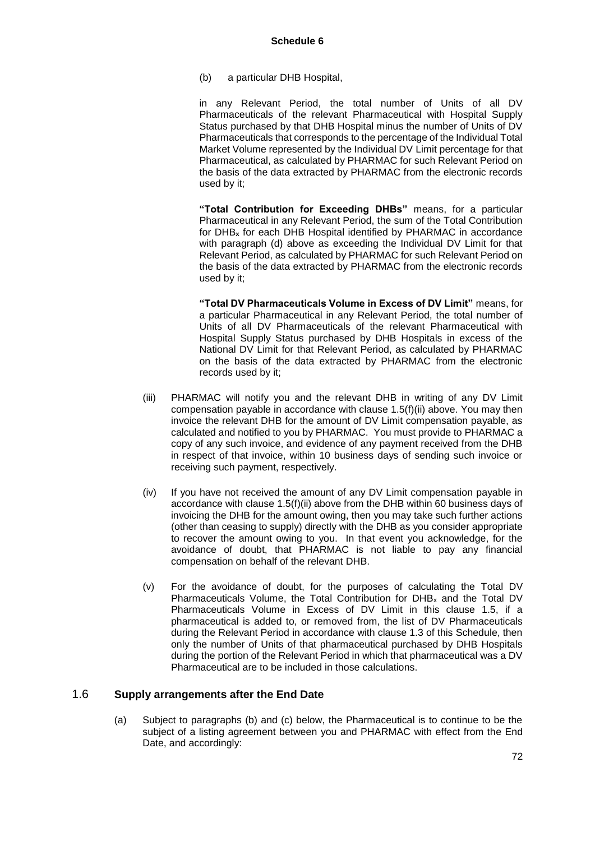(b) a particular DHB Hospital,

in any Relevant Period, the total number of Units of all DV Pharmaceuticals of the relevant Pharmaceutical with Hospital Supply Status purchased by that DHB Hospital minus the number of Units of DV Pharmaceuticals that corresponds to the percentage of the Individual Total Market Volume represented by the Individual DV Limit percentage for that Pharmaceutical, as calculated by PHARMAC for such Relevant Period on the basis of the data extracted by PHARMAC from the electronic records used by it;

**"Total Contribution for Exceeding DHBs"** means, for a particular Pharmaceutical in any Relevant Period, the sum of the Total Contribution for DHB**<sup>x</sup>** for each DHB Hospital identified by PHARMAC in accordance with paragraph (d) above as exceeding the Individual DV Limit for that Relevant Period, as calculated by PHARMAC for such Relevant Period on the basis of the data extracted by PHARMAC from the electronic records used by it;

**"Total DV Pharmaceuticals Volume in Excess of DV Limit"** means, for a particular Pharmaceutical in any Relevant Period, the total number of Units of all DV Pharmaceuticals of the relevant Pharmaceutical with Hospital Supply Status purchased by DHB Hospitals in excess of the National DV Limit for that Relevant Period, as calculated by PHARMAC on the basis of the data extracted by PHARMAC from the electronic records used by it;

- (iii) PHARMAC will notify you and the relevant DHB in writing of any DV Limit compensation payable in accordance with clause 1.5(f)(ii) above. You may then invoice the relevant DHB for the amount of DV Limit compensation payable, as calculated and notified to you by PHARMAC. You must provide to PHARMAC a copy of any such invoice, and evidence of any payment received from the DHB in respect of that invoice, within 10 business days of sending such invoice or receiving such payment, respectively.
- (iv) If you have not received the amount of any DV Limit compensation payable in accordance with clause 1.5(f)(ii) above from the DHB within 60 business days of invoicing the DHB for the amount owing, then you may take such further actions (other than ceasing to supply) directly with the DHB as you consider appropriate to recover the amount owing to you. In that event you acknowledge, for the avoidance of doubt, that PHARMAC is not liable to pay any financial compensation on behalf of the relevant DHB.
- (v) For the avoidance of doubt, for the purposes of calculating the Total DV Pharmaceuticals Volume, the Total Contribution for DHB<sup>x</sup> and the Total DV Pharmaceuticals Volume in Excess of DV Limit in this clause 1.5, if a pharmaceutical is added to, or removed from, the list of DV Pharmaceuticals during the Relevant Period in accordance with clause 1.3 of this Schedule, then only the number of Units of that pharmaceutical purchased by DHB Hospitals during the portion of the Relevant Period in which that pharmaceutical was a DV Pharmaceutical are to be included in those calculations.

### 1.6 **Supply arrangements after the End Date**

(a) Subject to paragraphs (b) and (c) below, the Pharmaceutical is to continue to be the subject of a listing agreement between you and PHARMAC with effect from the End Date, and accordingly: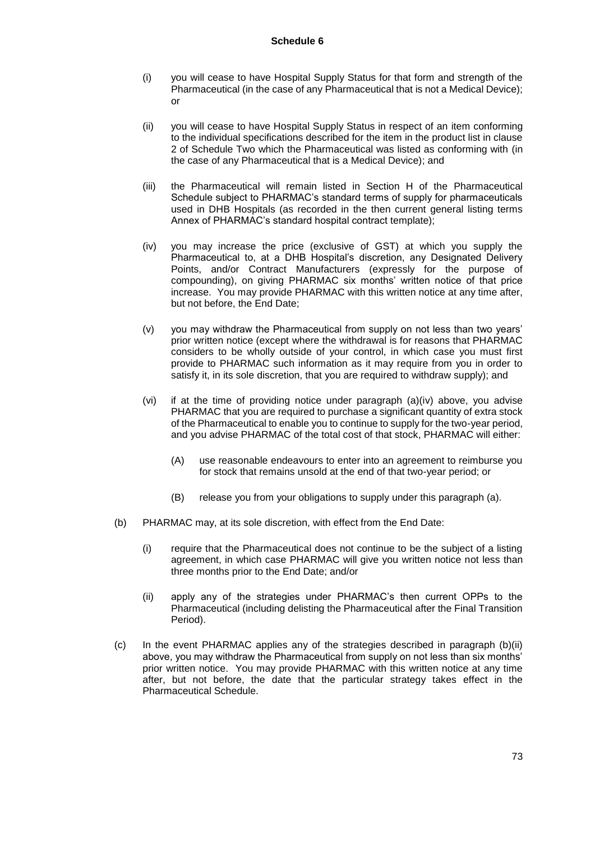- (i) you will cease to have Hospital Supply Status for that form and strength of the Pharmaceutical (in the case of any Pharmaceutical that is not a Medical Device); or
- (ii) you will cease to have Hospital Supply Status in respect of an item conforming to the individual specifications described for the item in the product list in clause 2 of Schedule Two which the Pharmaceutical was listed as conforming with (in the case of any Pharmaceutical that is a Medical Device); and
- (iii) the Pharmaceutical will remain listed in Section H of the Pharmaceutical Schedule subject to PHARMAC's standard terms of supply for pharmaceuticals used in DHB Hospitals (as recorded in the then current general listing terms Annex of PHARMAC's standard hospital contract template);
- (iv) you may increase the price (exclusive of GST) at which you supply the Pharmaceutical to, at a DHB Hospital's discretion, any Designated Delivery Points, and/or Contract Manufacturers (expressly for the purpose of compounding), on giving PHARMAC six months' written notice of that price increase. You may provide PHARMAC with this written notice at any time after, but not before, the End Date;
- (v) you may withdraw the Pharmaceutical from supply on not less than two years' prior written notice (except where the withdrawal is for reasons that PHARMAC considers to be wholly outside of your control, in which case you must first provide to PHARMAC such information as it may require from you in order to satisfy it, in its sole discretion, that you are required to withdraw supply); and
- (vi) if at the time of providing notice under paragraph (a)(iv) above, you advise PHARMAC that you are required to purchase a significant quantity of extra stock of the Pharmaceutical to enable you to continue to supply for the two-year period, and you advise PHARMAC of the total cost of that stock, PHARMAC will either:
	- (A) use reasonable endeavours to enter into an agreement to reimburse you for stock that remains unsold at the end of that two-year period; or
	- (B) release you from your obligations to supply under this paragraph (a).
- (b) PHARMAC may, at its sole discretion, with effect from the End Date:
	- (i) require that the Pharmaceutical does not continue to be the subject of a listing agreement, in which case PHARMAC will give you written notice not less than three months prior to the End Date; and/or
	- (ii) apply any of the strategies under PHARMAC's then current OPPs to the Pharmaceutical (including delisting the Pharmaceutical after the Final Transition Period).
- $(c)$  In the event PHARMAC applies any of the strategies described in paragraph  $(b)(ii)$ above, you may withdraw the Pharmaceutical from supply on not less than six months' prior written notice. You may provide PHARMAC with this written notice at any time after, but not before, the date that the particular strategy takes effect in the Pharmaceutical Schedule.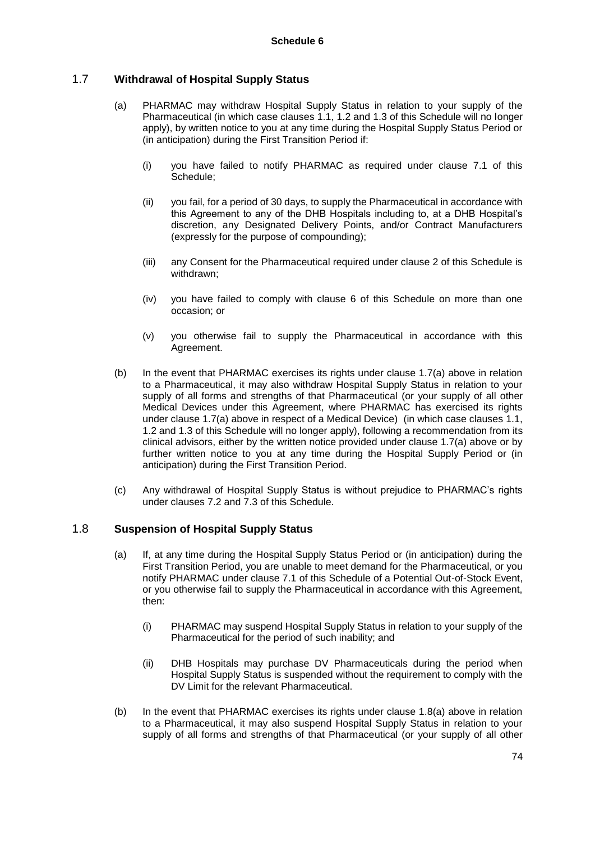### 1.7 **Withdrawal of Hospital Supply Status**

- (a) PHARMAC may withdraw Hospital Supply Status in relation to your supply of the Pharmaceutical (in which case clauses 1.1, 1.2 and 1.3 of this Schedule will no longer apply), by written notice to you at any time during the Hospital Supply Status Period or (in anticipation) during the First Transition Period if:
	- (i) you have failed to notify PHARMAC as required under clause 7.1 of this Schedule;
	- (ii) you fail, for a period of 30 days, to supply the Pharmaceutical in accordance with this Agreement to any of the DHB Hospitals including to, at a DHB Hospital's discretion, any Designated Delivery Points, and/or Contract Manufacturers (expressly for the purpose of compounding);
	- (iii) any Consent for the Pharmaceutical required under clause 2 of this Schedule is withdrawn;
	- (iv) you have failed to comply with clause 6 of this Schedule on more than one occasion; or
	- (v) you otherwise fail to supply the Pharmaceutical in accordance with this Agreement.
- (b) In the event that PHARMAC exercises its rights under clause 1.7(a) above in relation to a Pharmaceutical, it may also withdraw Hospital Supply Status in relation to your supply of all forms and strengths of that Pharmaceutical (or your supply of all other Medical Devices under this Agreement, where PHARMAC has exercised its rights under clause 1.7(a) above in respect of a Medical Device) (in which case clauses 1.1, 1.2 and 1.3 of this Schedule will no longer apply), following a recommendation from its clinical advisors, either by the written notice provided under clause 1.7(a) above or by further written notice to you at any time during the Hospital Supply Period or (in anticipation) during the First Transition Period.
- (c) Any withdrawal of Hospital Supply Status is without prejudice to PHARMAC's rights under clauses 7.2 and 7.3 of this Schedule.

### 1.8 **Suspension of Hospital Supply Status**

- (a) If, at any time during the Hospital Supply Status Period or (in anticipation) during the First Transition Period, you are unable to meet demand for the Pharmaceutical, or you notify PHARMAC under clause 7.1 of this Schedule of a Potential Out-of-Stock Event, or you otherwise fail to supply the Pharmaceutical in accordance with this Agreement, then:
	- (i) PHARMAC may suspend Hospital Supply Status in relation to your supply of the Pharmaceutical for the period of such inability; and
	- (ii) DHB Hospitals may purchase DV Pharmaceuticals during the period when Hospital Supply Status is suspended without the requirement to comply with the DV Limit for the relevant Pharmaceutical.
- (b) In the event that PHARMAC exercises its rights under clause 1.8(a) above in relation to a Pharmaceutical, it may also suspend Hospital Supply Status in relation to your supply of all forms and strengths of that Pharmaceutical (or your supply of all other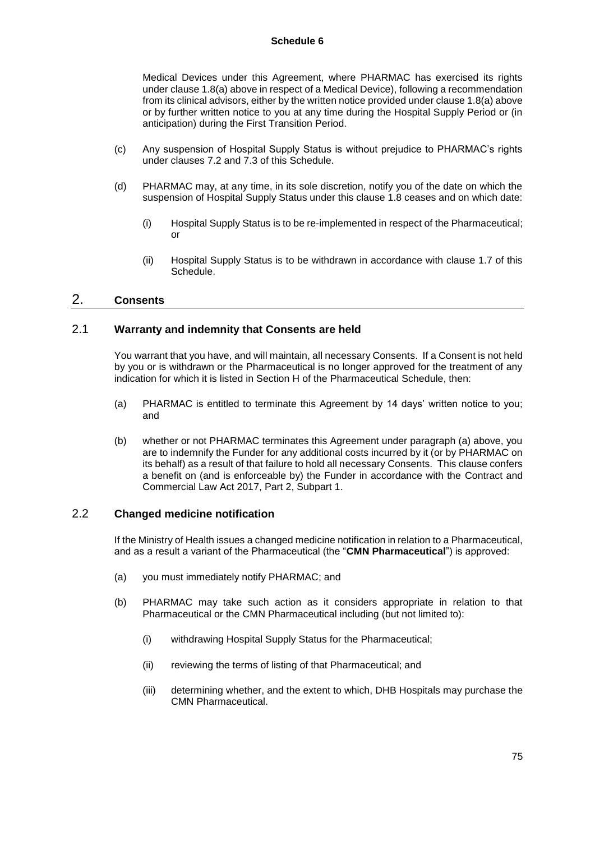#### **Schedule 6**

Medical Devices under this Agreement, where PHARMAC has exercised its rights under clause 1.8(a) above in respect of a Medical Device), following a recommendation from its clinical advisors, either by the written notice provided under clause 1.8(a) above or by further written notice to you at any time during the Hospital Supply Period or (in anticipation) during the First Transition Period.

- (c) Any suspension of Hospital Supply Status is without prejudice to PHARMAC's rights under clauses 7.2 and 7.3 of this Schedule.
- (d) PHARMAC may, at any time, in its sole discretion, notify you of the date on which the suspension of Hospital Supply Status under this clause 1.8 ceases and on which date:
	- (i) Hospital Supply Status is to be re-implemented in respect of the Pharmaceutical; or
	- (ii) Hospital Supply Status is to be withdrawn in accordance with clause 1.7 of this Schedule.

### 2. **Consents**

#### 2.1 **Warranty and indemnity that Consents are held**

You warrant that you have, and will maintain, all necessary Consents. If a Consent is not held by you or is withdrawn or the Pharmaceutical is no longer approved for the treatment of any indication for which it is listed in Section H of the Pharmaceutical Schedule, then:

- (a) PHARMAC is entitled to terminate this Agreement by 14 days' written notice to you; and
- (b) whether or not PHARMAC terminates this Agreement under paragraph (a) above, you are to indemnify the Funder for any additional costs incurred by it (or by PHARMAC on its behalf) as a result of that failure to hold all necessary Consents. This clause confers a benefit on (and is enforceable by) the Funder in accordance with the Contract and Commercial Law Act 2017, Part 2, Subpart 1.

# 2.2 **Changed medicine notification**

If the Ministry of Health issues a changed medicine notification in relation to a Pharmaceutical, and as a result a variant of the Pharmaceutical (the "**CMN Pharmaceutical**") is approved:

- (a) you must immediately notify PHARMAC; and
- (b) PHARMAC may take such action as it considers appropriate in relation to that Pharmaceutical or the CMN Pharmaceutical including (but not limited to):
	- (i) withdrawing Hospital Supply Status for the Pharmaceutical;
	- (ii) reviewing the terms of listing of that Pharmaceutical; and
	- (iii) determining whether, and the extent to which, DHB Hospitals may purchase the CMN Pharmaceutical.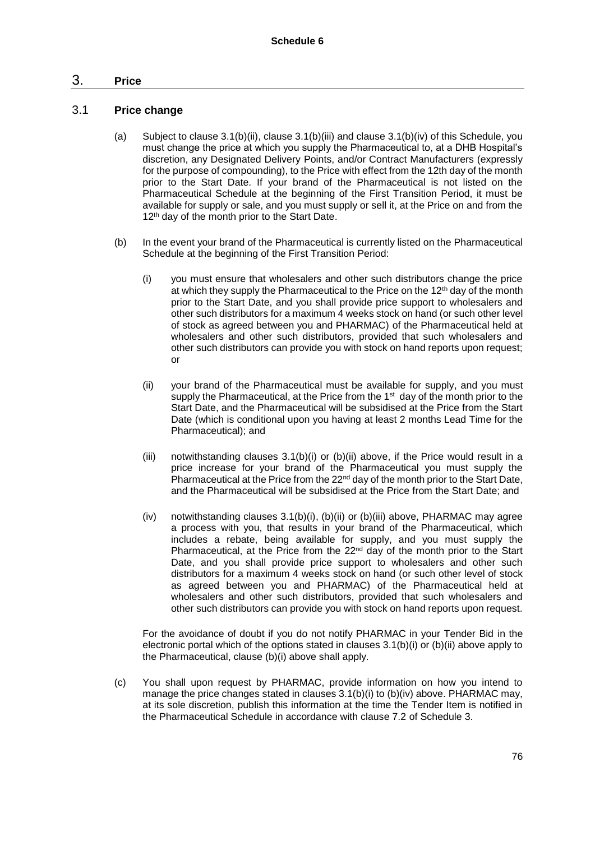# 3. **Price**

### 3.1 **Price change**

- (a) Subject to clause 3.1(b)(ii), clause 3.1(b)(iii) and clause 3.1(b)(iv) of this Schedule, you must change the price at which you supply the Pharmaceutical to, at a DHB Hospital's discretion, any Designated Delivery Points, and/or Contract Manufacturers (expressly for the purpose of compounding), to the Price with effect from the 12th day of the month prior to the Start Date. If your brand of the Pharmaceutical is not listed on the Pharmaceutical Schedule at the beginning of the First Transition Period, it must be available for supply or sale, and you must supply or sell it, at the Price on and from the 12<sup>th</sup> day of the month prior to the Start Date.
- (b) In the event your brand of the Pharmaceutical is currently listed on the Pharmaceutical Schedule at the beginning of the First Transition Period:
	- (i) you must ensure that wholesalers and other such distributors change the price at which they supply the Pharmaceutical to the Price on the  $12<sup>th</sup>$  day of the month prior to the Start Date, and you shall provide price support to wholesalers and other such distributors for a maximum 4 weeks stock on hand (or such other level of stock as agreed between you and PHARMAC) of the Pharmaceutical held at wholesalers and other such distributors, provided that such wholesalers and other such distributors can provide you with stock on hand reports upon request; or
	- (ii) your brand of the Pharmaceutical must be available for supply, and you must supply the Pharmaceutical, at the Price from the 1<sup>st</sup> day of the month prior to the Start Date, and the Pharmaceutical will be subsidised at the Price from the Start Date (which is conditional upon you having at least 2 months Lead Time for the Pharmaceutical); and
	- (iii) notwithstanding clauses  $3.1(b)(i)$  or (b)(ii) above, if the Price would result in a price increase for your brand of the Pharmaceutical you must supply the Pharmaceutical at the Price from the  $22<sup>nd</sup>$  day of the month prior to the Start Date. and the Pharmaceutical will be subsidised at the Price from the Start Date; and
	- (iv) notwithstanding clauses 3.1(b)(i), (b)(ii) or (b)(iii) above, PHARMAC may agree a process with you, that results in your brand of the Pharmaceutical, which includes a rebate, being available for supply, and you must supply the Pharmaceutical, at the Price from the 22<sup>nd</sup> day of the month prior to the Start Date, and you shall provide price support to wholesalers and other such distributors for a maximum 4 weeks stock on hand (or such other level of stock as agreed between you and PHARMAC) of the Pharmaceutical held at wholesalers and other such distributors, provided that such wholesalers and other such distributors can provide you with stock on hand reports upon request.

For the avoidance of doubt if you do not notify PHARMAC in your Tender Bid in the electronic portal which of the options stated in clauses  $3.1(b)(i)$  or  $(b)(ii)$  above apply to the Pharmaceutical, clause (b)(i) above shall apply.

(c) You shall upon request by PHARMAC, provide information on how you intend to manage the price changes stated in clauses  $3.1(b)(i)$  to  $(b)(iv)$  above. PHARMAC may, at its sole discretion, publish this information at the time the Tender Item is notified in the Pharmaceutical Schedule in accordance with clause 7.2 of Schedule 3.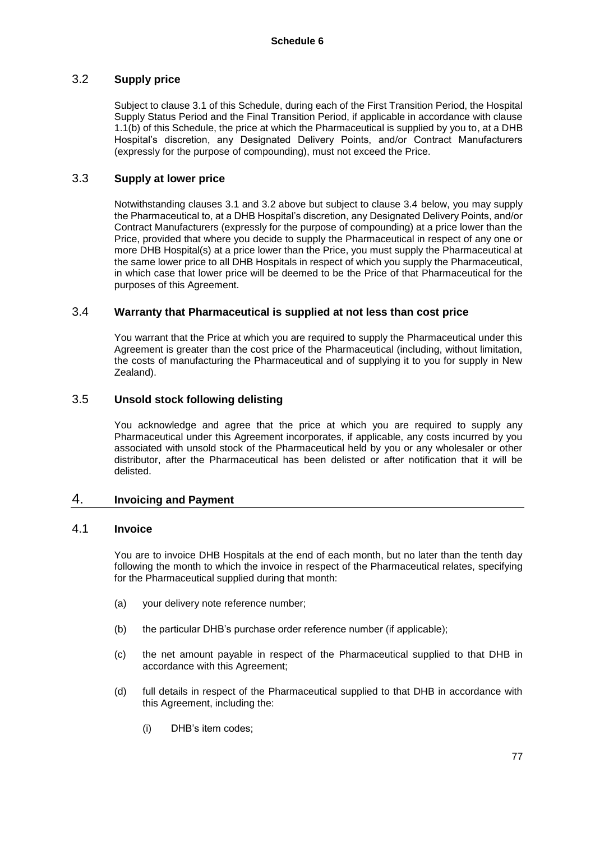# 3.2 **Supply price**

Subject to clause 3.1 of this Schedule, during each of the First Transition Period, the Hospital Supply Status Period and the Final Transition Period, if applicable in accordance with clause 1.1(b) of this Schedule, the price at which the Pharmaceutical is supplied by you to, at a DHB Hospital's discretion, any Designated Delivery Points, and/or Contract Manufacturers (expressly for the purpose of compounding), must not exceed the Price.

### 3.3 **Supply at lower price**

Notwithstanding clauses 3.1 and 3.2 above but subject to clause 3.4 below, you may supply the Pharmaceutical to, at a DHB Hospital's discretion, any Designated Delivery Points, and/or Contract Manufacturers (expressly for the purpose of compounding) at a price lower than the Price, provided that where you decide to supply the Pharmaceutical in respect of any one or more DHB Hospital(s) at a price lower than the Price, you must supply the Pharmaceutical at the same lower price to all DHB Hospitals in respect of which you supply the Pharmaceutical, in which case that lower price will be deemed to be the Price of that Pharmaceutical for the purposes of this Agreement.

# 3.4 **Warranty that Pharmaceutical is supplied at not less than cost price**

You warrant that the Price at which you are required to supply the Pharmaceutical under this Agreement is greater than the cost price of the Pharmaceutical (including, without limitation, the costs of manufacturing the Pharmaceutical and of supplying it to you for supply in New Zealand).

# 3.5 **Unsold stock following delisting**

You acknowledge and agree that the price at which you are required to supply any Pharmaceutical under this Agreement incorporates, if applicable, any costs incurred by you associated with unsold stock of the Pharmaceutical held by you or any wholesaler or other distributor, after the Pharmaceutical has been delisted or after notification that it will be delisted.

# 4. **Invoicing and Payment**

#### 4.1 **Invoice**

You are to invoice DHB Hospitals at the end of each month, but no later than the tenth day following the month to which the invoice in respect of the Pharmaceutical relates, specifying for the Pharmaceutical supplied during that month:

- (a) your delivery note reference number;
- (b) the particular DHB's purchase order reference number (if applicable);
- (c) the net amount payable in respect of the Pharmaceutical supplied to that DHB in accordance with this Agreement;
- (d) full details in respect of the Pharmaceutical supplied to that DHB in accordance with this Agreement, including the:
	- (i) DHB's item codes;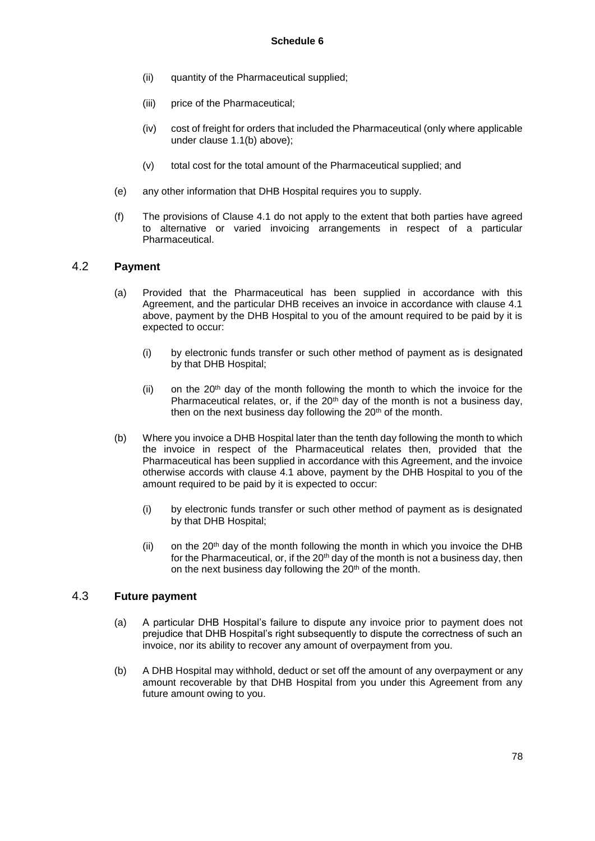- (ii) quantity of the Pharmaceutical supplied;
- (iii) price of the Pharmaceutical;
- (iv) cost of freight for orders that included the Pharmaceutical (only where applicable under clause 1.1(b) above);
- (v) total cost for the total amount of the Pharmaceutical supplied; and
- (e) any other information that DHB Hospital requires you to supply.
- (f) The provisions of Clause 4.1 do not apply to the extent that both parties have agreed to alternative or varied invoicing arrangements in respect of a particular Pharmaceutical.

#### 4.2 **Payment**

- (a) Provided that the Pharmaceutical has been supplied in accordance with this Agreement, and the particular DHB receives an invoice in accordance with clause 4.1 above, payment by the DHB Hospital to you of the amount required to be paid by it is expected to occur:
	- (i) by electronic funds transfer or such other method of payment as is designated by that DHB Hospital;
	- (ii) on the  $20<sup>th</sup>$  day of the month following the month to which the invoice for the Pharmaceutical relates, or, if the  $20<sup>th</sup>$  day of the month is not a business day. then on the next business day following the 20<sup>th</sup> of the month.
- (b) Where you invoice a DHB Hospital later than the tenth day following the month to which the invoice in respect of the Pharmaceutical relates then, provided that the Pharmaceutical has been supplied in accordance with this Agreement, and the invoice otherwise accords with clause 4.1 above, payment by the DHB Hospital to you of the amount required to be paid by it is expected to occur:
	- (i) by electronic funds transfer or such other method of payment as is designated by that DHB Hospital;
	- (ii) on the 20<sup>th</sup> day of the month following the month in which you invoice the DHB for the Pharmaceutical, or, if the 20<sup>th</sup> day of the month is not a business day, then on the next business day following the 20<sup>th</sup> of the month.

### 4.3 **Future payment**

- (a) A particular DHB Hospital's failure to dispute any invoice prior to payment does not prejudice that DHB Hospital's right subsequently to dispute the correctness of such an invoice, nor its ability to recover any amount of overpayment from you.
- (b) A DHB Hospital may withhold, deduct or set off the amount of any overpayment or any amount recoverable by that DHB Hospital from you under this Agreement from any future amount owing to you.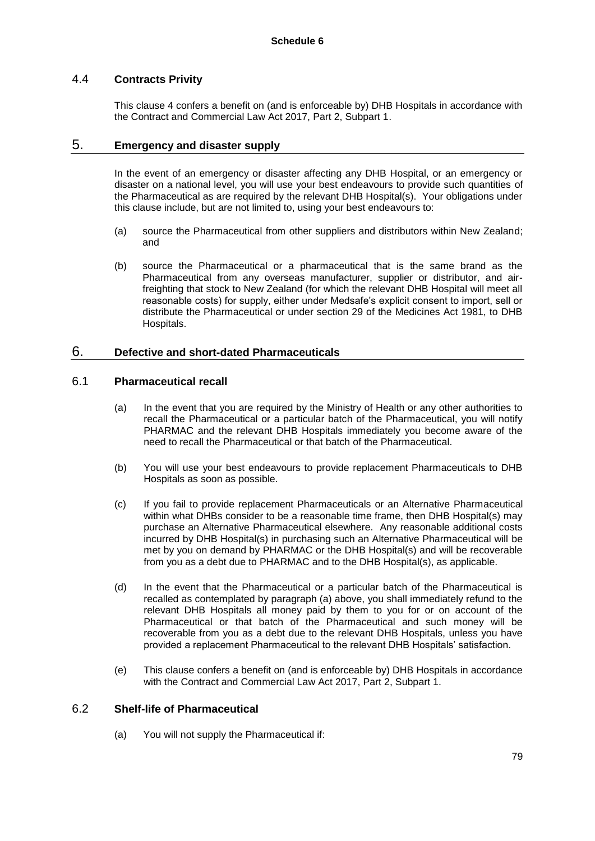# 4.4 **Contracts Privity**

This clause 4 confers a benefit on (and is enforceable by) DHB Hospitals in accordance with the Contract and Commercial Law Act 2017, Part 2, Subpart 1.

### 5. **Emergency and disaster supply**

In the event of an emergency or disaster affecting any DHB Hospital, or an emergency or disaster on a national level, you will use your best endeavours to provide such quantities of the Pharmaceutical as are required by the relevant DHB Hospital(s). Your obligations under this clause include, but are not limited to, using your best endeavours to:

- (a) source the Pharmaceutical from other suppliers and distributors within New Zealand; and
- (b) source the Pharmaceutical or a pharmaceutical that is the same brand as the Pharmaceutical from any overseas manufacturer, supplier or distributor, and airfreighting that stock to New Zealand (for which the relevant DHB Hospital will meet all reasonable costs) for supply, either under Medsafe's explicit consent to import, sell or distribute the Pharmaceutical or under section 29 of the Medicines Act 1981, to DHB Hospitals.

#### 6. **Defective and short-dated Pharmaceuticals**

### 6.1 **Pharmaceutical recall**

- (a) In the event that you are required by the Ministry of Health or any other authorities to recall the Pharmaceutical or a particular batch of the Pharmaceutical, you will notify PHARMAC and the relevant DHB Hospitals immediately you become aware of the need to recall the Pharmaceutical or that batch of the Pharmaceutical.
- (b) You will use your best endeavours to provide replacement Pharmaceuticals to DHB Hospitals as soon as possible.
- (c) If you fail to provide replacement Pharmaceuticals or an Alternative Pharmaceutical within what DHBs consider to be a reasonable time frame, then DHB Hospital(s) may purchase an Alternative Pharmaceutical elsewhere. Any reasonable additional costs incurred by DHB Hospital(s) in purchasing such an Alternative Pharmaceutical will be met by you on demand by PHARMAC or the DHB Hospital(s) and will be recoverable from you as a debt due to PHARMAC and to the DHB Hospital(s), as applicable.
- (d) In the event that the Pharmaceutical or a particular batch of the Pharmaceutical is recalled as contemplated by paragraph (a) above, you shall immediately refund to the relevant DHB Hospitals all money paid by them to you for or on account of the Pharmaceutical or that batch of the Pharmaceutical and such money will be recoverable from you as a debt due to the relevant DHB Hospitals, unless you have provided a replacement Pharmaceutical to the relevant DHB Hospitals' satisfaction.
- (e) This clause confers a benefit on (and is enforceable by) DHB Hospitals in accordance with the Contract and Commercial Law Act 2017, Part 2, Subpart 1.

#### 6.2 **Shelf-life of Pharmaceutical**

(a) You will not supply the Pharmaceutical if: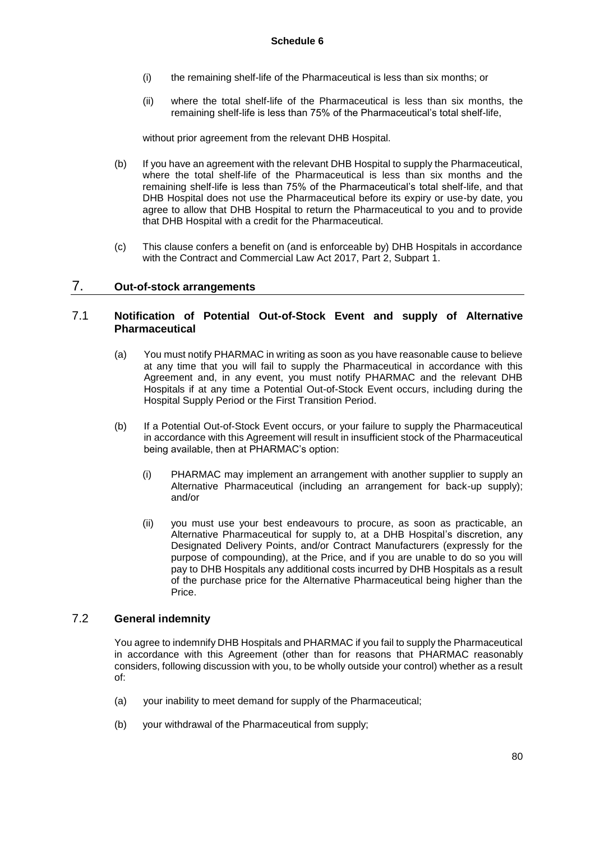- (i) the remaining shelf-life of the Pharmaceutical is less than six months; or
- (ii) where the total shelf-life of the Pharmaceutical is less than six months, the remaining shelf-life is less than 75% of the Pharmaceutical's total shelf-life,

without prior agreement from the relevant DHB Hospital.

- (b) If you have an agreement with the relevant DHB Hospital to supply the Pharmaceutical, where the total shelf-life of the Pharmaceutical is less than six months and the remaining shelf-life is less than 75% of the Pharmaceutical's total shelf-life, and that DHB Hospital does not use the Pharmaceutical before its expiry or use-by date, you agree to allow that DHB Hospital to return the Pharmaceutical to you and to provide that DHB Hospital with a credit for the Pharmaceutical.
- (c) This clause confers a benefit on (and is enforceable by) DHB Hospitals in accordance with the Contract and Commercial Law Act 2017, Part 2, Subpart 1.

#### 7. **Out-of-stock arrangements**

### 7.1 **Notification of Potential Out-of-Stock Event and supply of Alternative Pharmaceutical**

- (a) You must notify PHARMAC in writing as soon as you have reasonable cause to believe at any time that you will fail to supply the Pharmaceutical in accordance with this Agreement and, in any event, you must notify PHARMAC and the relevant DHB Hospitals if at any time a Potential Out-of-Stock Event occurs, including during the Hospital Supply Period or the First Transition Period.
- (b) If a Potential Out-of-Stock Event occurs, or your failure to supply the Pharmaceutical in accordance with this Agreement will result in insufficient stock of the Pharmaceutical being available, then at PHARMAC's option:
	- (i) PHARMAC may implement an arrangement with another supplier to supply an Alternative Pharmaceutical (including an arrangement for back-up supply); and/or
	- (ii) you must use your best endeavours to procure, as soon as practicable, an Alternative Pharmaceutical for supply to, at a DHB Hospital's discretion, any Designated Delivery Points, and/or Contract Manufacturers (expressly for the purpose of compounding), at the Price, and if you are unable to do so you will pay to DHB Hospitals any additional costs incurred by DHB Hospitals as a result of the purchase price for the Alternative Pharmaceutical being higher than the Price.

### 7.2 **General indemnity**

You agree to indemnify DHB Hospitals and PHARMAC if you fail to supply the Pharmaceutical in accordance with this Agreement (other than for reasons that PHARMAC reasonably considers, following discussion with you, to be wholly outside your control) whether as a result of:

- (a) your inability to meet demand for supply of the Pharmaceutical;
- (b) your withdrawal of the Pharmaceutical from supply;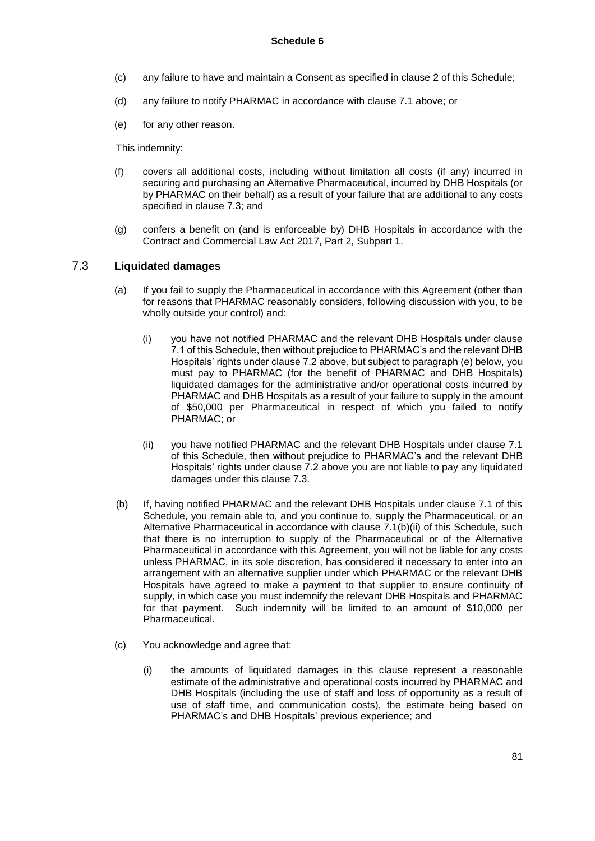- (c) any failure to have and maintain a Consent as specified in clause 2 of this Schedule;
- (d) any failure to notify PHARMAC in accordance with clause 7.1 above; or
- (e) for any other reason.

This indemnity:

- (f) covers all additional costs, including without limitation all costs (if any) incurred in securing and purchasing an Alternative Pharmaceutical, incurred by DHB Hospitals (or by PHARMAC on their behalf) as a result of your failure that are additional to any costs specified in clause 7.3; and
- (g) confers a benefit on (and is enforceable by) DHB Hospitals in accordance with the Contract and Commercial Law Act 2017, Part 2, Subpart 1.

#### 7.3 **Liquidated damages**

- (a) If you fail to supply the Pharmaceutical in accordance with this Agreement (other than for reasons that PHARMAC reasonably considers, following discussion with you, to be wholly outside your control) and:
	- (i) you have not notified PHARMAC and the relevant DHB Hospitals under clause 7.1 of this Schedule, then without prejudice to PHARMAC's and the relevant DHB Hospitals' rights under clause 7.2 above, but subject to paragraph (e) below, you must pay to PHARMAC (for the benefit of PHARMAC and DHB Hospitals) liquidated damages for the administrative and/or operational costs incurred by PHARMAC and DHB Hospitals as a result of your failure to supply in the amount of \$50,000 per Pharmaceutical in respect of which you failed to notify PHARMAC; or
	- (ii) you have notified PHARMAC and the relevant DHB Hospitals under clause 7.1 of this Schedule, then without prejudice to PHARMAC's and the relevant DHB Hospitals' rights under clause 7.2 above you are not liable to pay any liquidated damages under this clause 7.3.
- (b) If, having notified PHARMAC and the relevant DHB Hospitals under clause 7.1 of this Schedule, you remain able to, and you continue to, supply the Pharmaceutical, or an Alternative Pharmaceutical in accordance with clause 7.1(b)(ii) of this Schedule, such that there is no interruption to supply of the Pharmaceutical or of the Alternative Pharmaceutical in accordance with this Agreement, you will not be liable for any costs unless PHARMAC, in its sole discretion, has considered it necessary to enter into an arrangement with an alternative supplier under which PHARMAC or the relevant DHB Hospitals have agreed to make a payment to that supplier to ensure continuity of supply, in which case you must indemnify the relevant DHB Hospitals and PHARMAC for that payment. Such indemnity will be limited to an amount of \$10,000 per Pharmaceutical.
- (c) You acknowledge and agree that:
	- (i) the amounts of liquidated damages in this clause represent a reasonable estimate of the administrative and operational costs incurred by PHARMAC and DHB Hospitals (including the use of staff and loss of opportunity as a result of use of staff time, and communication costs), the estimate being based on PHARMAC's and DHB Hospitals' previous experience; and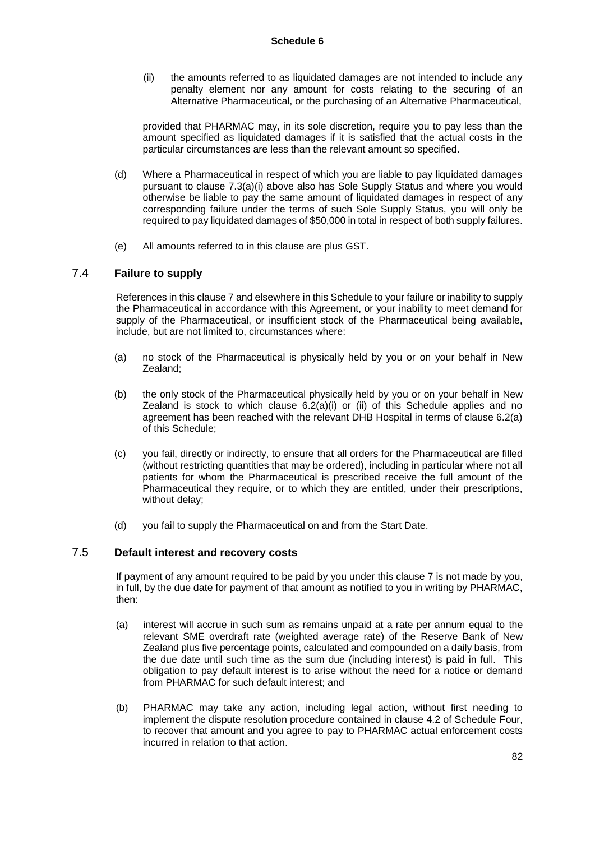(ii) the amounts referred to as liquidated damages are not intended to include any penalty element nor any amount for costs relating to the securing of an Alternative Pharmaceutical, or the purchasing of an Alternative Pharmaceutical,

provided that PHARMAC may, in its sole discretion, require you to pay less than the amount specified as liquidated damages if it is satisfied that the actual costs in the particular circumstances are less than the relevant amount so specified.

- (d) Where a Pharmaceutical in respect of which you are liable to pay liquidated damages pursuant to clause 7.3(a)(i) above also has Sole Supply Status and where you would otherwise be liable to pay the same amount of liquidated damages in respect of any corresponding failure under the terms of such Sole Supply Status, you will only be required to pay liquidated damages of \$50,000 in total in respect of both supply failures.
- (e) All amounts referred to in this clause are plus GST.

### 7.4 **Failure to supply**

References in this clause 7 and elsewhere in this Schedule to your failure or inability to supply the Pharmaceutical in accordance with this Agreement, or your inability to meet demand for supply of the Pharmaceutical, or insufficient stock of the Pharmaceutical being available, include, but are not limited to, circumstances where:

- (a) no stock of the Pharmaceutical is physically held by you or on your behalf in New Zealand;
- (b) the only stock of the Pharmaceutical physically held by you or on your behalf in New Zealand is stock to which clause  $6.2(a)(i)$  or (ii) of this Schedule applies and no agreement has been reached with the relevant DHB Hospital in terms of clause 6.2(a) of this Schedule;
- (c) you fail, directly or indirectly, to ensure that all orders for the Pharmaceutical are filled (without restricting quantities that may be ordered), including in particular where not all patients for whom the Pharmaceutical is prescribed receive the full amount of the Pharmaceutical they require, or to which they are entitled, under their prescriptions, without delay;
- (d) you fail to supply the Pharmaceutical on and from the Start Date.

#### 7.5 **Default interest and recovery costs**

If payment of any amount required to be paid by you under this clause 7 is not made by you, in full, by the due date for payment of that amount as notified to you in writing by PHARMAC, then:

- (a) interest will accrue in such sum as remains unpaid at a rate per annum equal to the relevant SME overdraft rate (weighted average rate) of the Reserve Bank of New Zealand plus five percentage points, calculated and compounded on a daily basis, from the due date until such time as the sum due (including interest) is paid in full. This obligation to pay default interest is to arise without the need for a notice or demand from PHARMAC for such default interest; and
- (b) PHARMAC may take any action, including legal action, without first needing to implement the dispute resolution procedure contained in clause 4.2 of Schedule Four, to recover that amount and you agree to pay to PHARMAC actual enforcement costs incurred in relation to that action.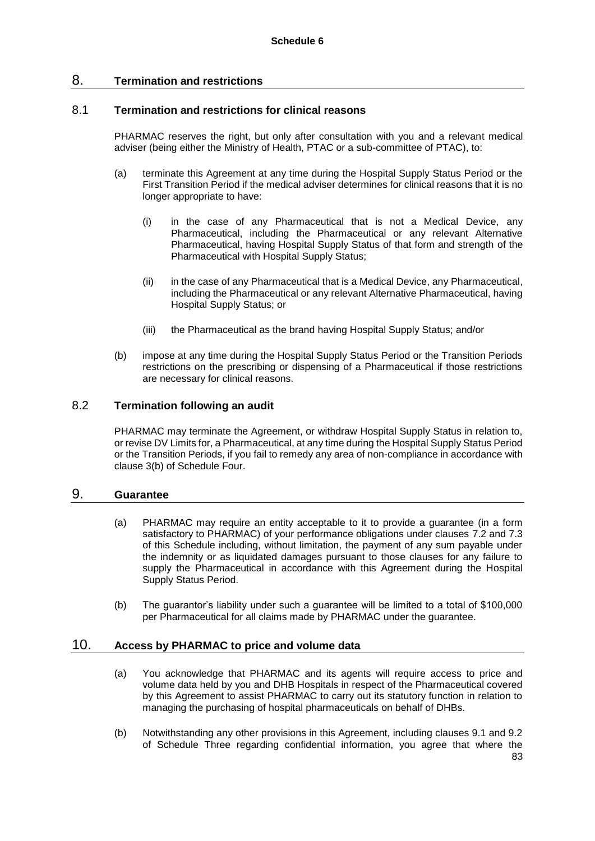# 8. **Termination and restrictions**

#### 8.1 **Termination and restrictions for clinical reasons**

PHARMAC reserves the right, but only after consultation with you and a relevant medical adviser (being either the Ministry of Health, PTAC or a sub-committee of PTAC), to:

- (a) terminate this Agreement at any time during the Hospital Supply Status Period or the First Transition Period if the medical adviser determines for clinical reasons that it is no longer appropriate to have:
	- (i) in the case of any Pharmaceutical that is not a Medical Device, any Pharmaceutical, including the Pharmaceutical or any relevant Alternative Pharmaceutical, having Hospital Supply Status of that form and strength of the Pharmaceutical with Hospital Supply Status;
	- (ii) in the case of any Pharmaceutical that is a Medical Device, any Pharmaceutical, including the Pharmaceutical or any relevant Alternative Pharmaceutical, having Hospital Supply Status; or
	- (iii) the Pharmaceutical as the brand having Hospital Supply Status; and/or
- (b) impose at any time during the Hospital Supply Status Period or the Transition Periods restrictions on the prescribing or dispensing of a Pharmaceutical if those restrictions are necessary for clinical reasons.

#### 8.2 **Termination following an audit**

PHARMAC may terminate the Agreement, or withdraw Hospital Supply Status in relation to, or revise DV Limits for, a Pharmaceutical, at any time during the Hospital Supply Status Period or the Transition Periods, if you fail to remedy any area of non-compliance in accordance with clause 3(b) of Schedule Four.

### 9. **Guarantee**

- (a) PHARMAC may require an entity acceptable to it to provide a guarantee (in a form satisfactory to PHARMAC) of your performance obligations under clauses 7.2 and 7.3 of this Schedule including, without limitation, the payment of any sum payable under the indemnity or as liquidated damages pursuant to those clauses for any failure to supply the Pharmaceutical in accordance with this Agreement during the Hospital Supply Status Period.
- (b) The guarantor's liability under such a guarantee will be limited to a total of \$100,000 per Pharmaceutical for all claims made by PHARMAC under the guarantee.

# 10. **Access by PHARMAC to price and volume data**

- (a) You acknowledge that PHARMAC and its agents will require access to price and volume data held by you and DHB Hospitals in respect of the Pharmaceutical covered by this Agreement to assist PHARMAC to carry out its statutory function in relation to managing the purchasing of hospital pharmaceuticals on behalf of DHBs.
- (b) Notwithstanding any other provisions in this Agreement, including clauses 9.1 and 9.2 of Schedule Three regarding confidential information, you agree that where the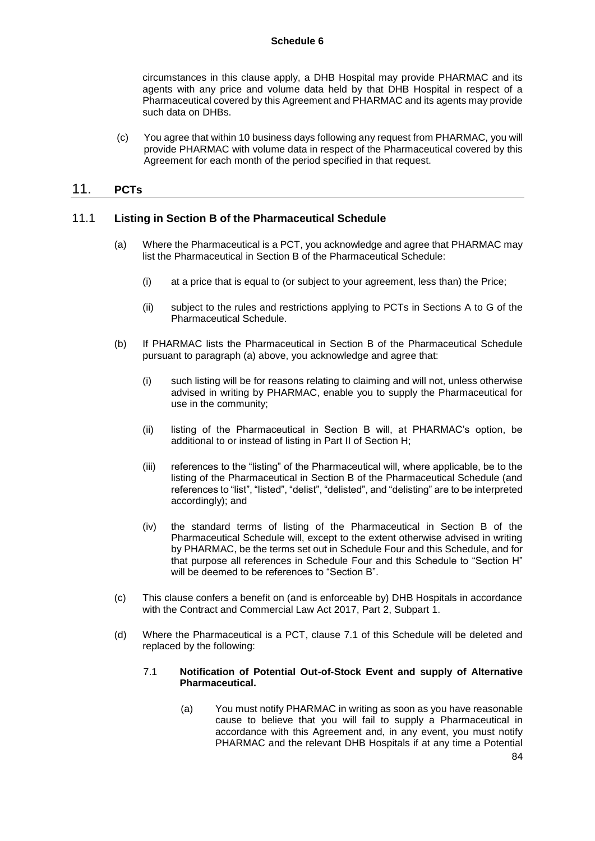#### **Schedule 6**

circumstances in this clause apply, a DHB Hospital may provide PHARMAC and its agents with any price and volume data held by that DHB Hospital in respect of a Pharmaceutical covered by this Agreement and PHARMAC and its agents may provide such data on DHBs.

(c) You agree that within 10 business days following any request from PHARMAC, you will provide PHARMAC with volume data in respect of the Pharmaceutical covered by this Agreement for each month of the period specified in that request.

# 11. **PCTs**

#### 11.1 **Listing in Section B of the Pharmaceutical Schedule**

- (a) Where the Pharmaceutical is a PCT, you acknowledge and agree that PHARMAC may list the Pharmaceutical in Section B of the Pharmaceutical Schedule:
	- (i) at a price that is equal to (or subject to your agreement, less than) the Price;
	- (ii) subject to the rules and restrictions applying to PCTs in Sections A to G of the Pharmaceutical Schedule.
- (b) If PHARMAC lists the Pharmaceutical in Section B of the Pharmaceutical Schedule pursuant to paragraph (a) above, you acknowledge and agree that:
	- (i) such listing will be for reasons relating to claiming and will not, unless otherwise advised in writing by PHARMAC, enable you to supply the Pharmaceutical for use in the community;
	- (ii) listing of the Pharmaceutical in Section B will, at PHARMAC's option, be additional to or instead of listing in Part II of Section H;
	- (iii) references to the "listing" of the Pharmaceutical will, where applicable, be to the listing of the Pharmaceutical in Section B of the Pharmaceutical Schedule (and references to "list", "listed", "delist", "delisted", and "delisting" are to be interpreted accordingly); and
	- (iv) the standard terms of listing of the Pharmaceutical in Section B of the Pharmaceutical Schedule will, except to the extent otherwise advised in writing by PHARMAC, be the terms set out in Schedule Four and this Schedule, and for that purpose all references in Schedule Four and this Schedule to "Section H" will be deemed to be references to "Section B".
- (c) This clause confers a benefit on (and is enforceable by) DHB Hospitals in accordance with the Contract and Commercial Law Act 2017, Part 2, Subpart 1.
- (d) Where the Pharmaceutical is a PCT, clause 7.1 of this Schedule will be deleted and replaced by the following:

#### 7.1 **Notification of Potential Out-of-Stock Event and supply of Alternative Pharmaceutical.**

(a) You must notify PHARMAC in writing as soon as you have reasonable cause to believe that you will fail to supply a Pharmaceutical in accordance with this Agreement and, in any event, you must notify PHARMAC and the relevant DHB Hospitals if at any time a Potential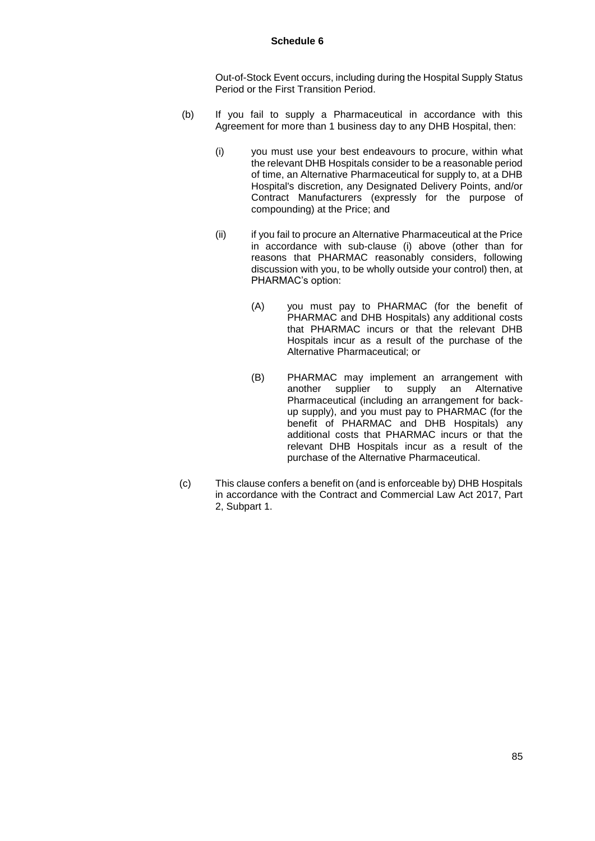#### **Schedule 6**

Out-of-Stock Event occurs, including during the Hospital Supply Status Period or the First Transition Period.

- (b) If you fail to supply a Pharmaceutical in accordance with this Agreement for more than 1 business day to any DHB Hospital, then:
	- (i) you must use your best endeavours to procure, within what the relevant DHB Hospitals consider to be a reasonable period of time, an Alternative Pharmaceutical for supply to, at a DHB Hospital's discretion, any Designated Delivery Points, and/or Contract Manufacturers (expressly for the purpose of compounding) at the Price; and
	- (ii) if you fail to procure an Alternative Pharmaceutical at the Price in accordance with sub-clause (i) above (other than for reasons that PHARMAC reasonably considers, following discussion with you, to be wholly outside your control) then, at PHARMAC's option:
		- (A) you must pay to PHARMAC (for the benefit of PHARMAC and DHB Hospitals) any additional costs that PHARMAC incurs or that the relevant DHB Hospitals incur as a result of the purchase of the Alternative Pharmaceutical; or
		- (B) PHARMAC may implement an arrangement with another supplier to supply an Alternative Pharmaceutical (including an arrangement for backup supply), and you must pay to PHARMAC (for the benefit of PHARMAC and DHB Hospitals) any additional costs that PHARMAC incurs or that the relevant DHB Hospitals incur as a result of the purchase of the Alternative Pharmaceutical.
- (c) This clause confers a benefit on (and is enforceable by) DHB Hospitals in accordance with the Contract and Commercial Law Act 2017, Part 2, Subpart 1.